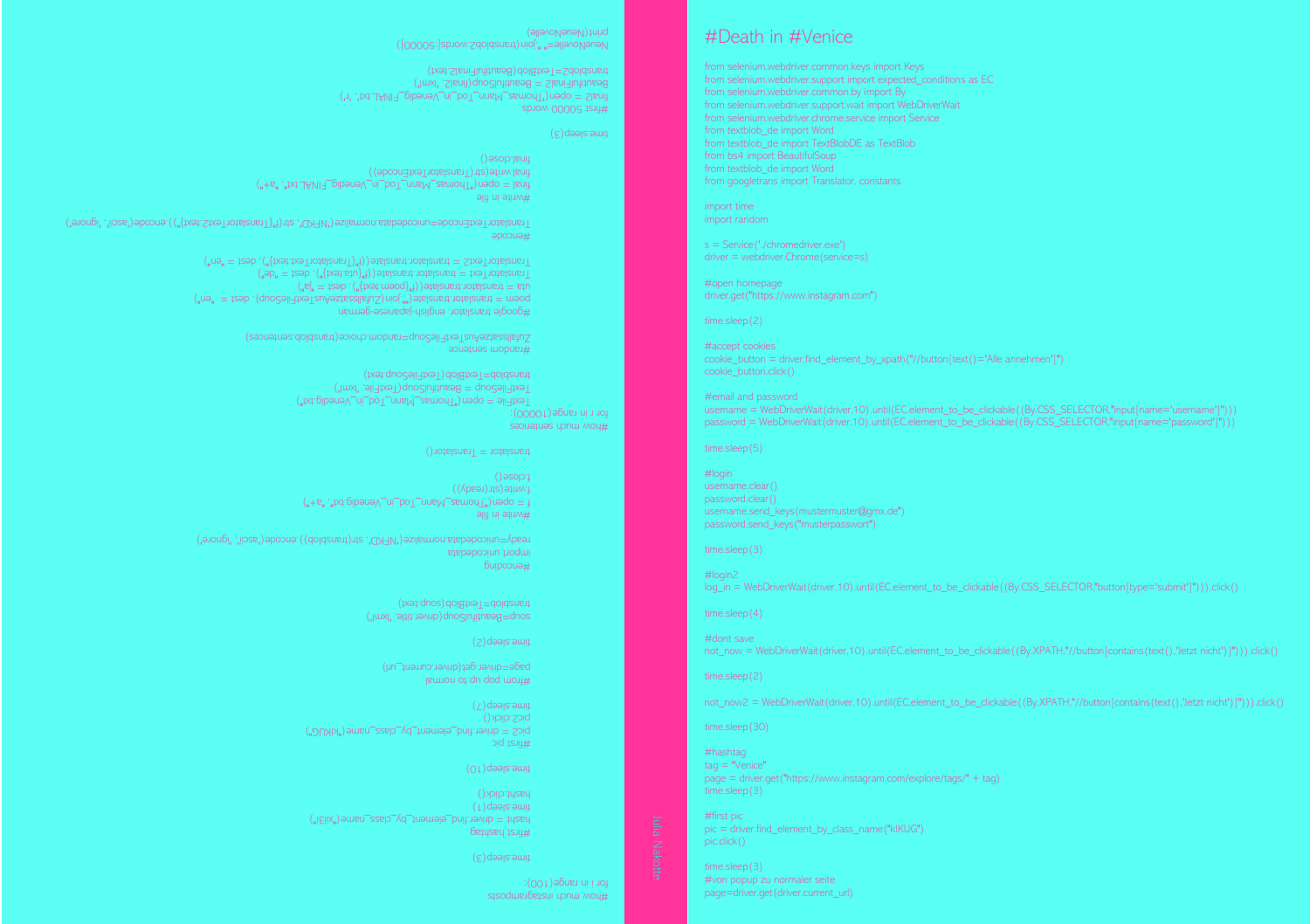sisodureibeisur upnur mou# for i in range(100):

 $6$ e $1$ useu  $15.11#$ time.sleep(1)

hasht = driver.find\_element\_by\_class\_name("xil3i") haspt.click()

pic2.click()  $($  /  $)$  deepsieure.

 $(\epsilon)$  deals amit

 $(0)$ time.sleep(10)  $pnd$   $p,q$ bics = quiver.find\_element\_by\_class\_name("kIKUG")

sonb=Beanninisonb(driver.title, 'lxml') transblob=TextBlob(soup.text)

 $f(x + e^x, y)$  and  $f(x + e^x, y)$  and  $f(x + e^x, y)$  and  $f(x + e^x, y)$  and  $f(x + e^x, y)$  and  $f(x + e^x, y)$ 

TextFile = obeu("Thomas\_Mann\_Tod\_in\_Venedig.txt")  $T$ extFileSoup = BeautifulSoup(TextFile, 'lxml') Eusip.com/Textplop/1extplicsonbrext)

 $\lim_{n \to \infty} \lim_{n \to \infty} \lim_{n \to \infty} \lim_{n \to \infty} \lim_{n \to \infty} \lim_{n \to \infty} \lim_{n \to \infty} \lim_{n \to \infty} \lim_{n \to \infty} \lim_{n \to \infty} \lim_{n \to \infty} \lim_{n \to \infty} \lim_{n \to \infty} \lim_{n \to \infty} \lim_{n \to \infty} \lim_{n \to \infty} \lim_{n \to \infty} \lim_{n \to \infty} \lim_{n \to \infty} \lim_{n \to \infty} \lim_{n \to \infty} \lim_{n \to \infty}$ TranslatorText = translator.translate((f"{uta.text}"), dest = "de") ate((f"{TranslatorText.text}"), dest = "en") TranslatorText2 = translator.transl

geogle translator. english - japanese german

anslator(1 ranslator1 extEncode))

final2 = open('Thomas\_Mann\_Tod\_in\_Venedig\_FINAL.txt', 'r')  $B_1 = \frac{1}{2}$  = Beautiful Soup(final2, 'ximi)  $(xa)$ zigul-inimead) dolgixa i $\pm$ zdoidsugu sistem (for the list of the property left) with  $\Gamma$ 

Zugatasatzekuntzukaupun bahalisiatzaile Soupersitzukaupun estatzea )

final = open("Thomas\_Mann\_Tod\_in\_Venedig\_FINAL.txt", "a+")

 $e_n = 1$ en") poem = translator.translate $\zeta$ ".join(ZuranslateAustFileSonb), dest = "en")

code=unicodedata.normalize('NFKD', str(f"{TranslatorText2.text}")).encode('ascii', 'ignore') TranslatorTextEn

ready=unicodedata.normalize('NFKD', str(transblob)).encode('ascii', 'ignore')

l lismon of qu qoq month

page=driver.get(driver.current\_url)

 $(z)$  deals. smit

Buipopua# port unicodedata

seouetues upnul mou#  $e^{(00001)}$ egnan r in range

 $s$ ) deepsreum.  $SDOOM$   $OQOQG$   $ISJUH$ 

#wuje in Hile

f.write(str(ready)) f.close()

random sentence #

#encode

 $\sin u$  and  $\sin u$ 

final.close()

translator  $=$  Translator()

username.clear() password.clear() username.send\_keys(mustermuster@gmx.de") password.send\_keys("musterpasswort") time.sleep(3)

#login

#login2

#dont save

time.sleep(2)

#hashtag  $taq = "V$ enice"

#first pic

#email and password username = WebDriverWait(driver,10).until(EC.element\_to\_be\_clickable((By.CSS\_SELECTOR,"input[name='username']"))) password = WebDriverWait(driver,10).until(EC.element\_to\_be\_clickable((By.CSS\_SELECTOR,"input[name='password']")))

log\_in = WebDriverWait(driver,10).until(EC.element\_to\_be\_clickable((By.CSS\_SELECTOR,"button[type='submit']"))).click()

not\_now = WebDriverWait(driver,10).until(EC.element\_to\_be\_clickable((By.XPATH,"//button[contains(text(),'Jetzt nicht')]"))).click()

not\_now2 = WebDriverWait(driver,10).until(EC.element\_to\_be\_clickable((By.XPATH,"//button[contains(text(),'Jetzt nicht')]"))).click()

cookie\_button = driver.find\_element\_by\_xpath("//button[text()='Alle annehmen']")

#accept cookies

page = driver.get("https://www.instagram.com/explore/tags/" + tag)

pic = driver.find\_element\_by\_class\_name("kIKUG")

#von popup zu normaler seite page=driver.get(driver.current\_url)

time.sleep(2)

#open homepage driver.get("https://www.instagram.com")

import time import random

from textblob\_de import Word from googletrans import Translator, constants

from selenium.webdriver.support import expected\_conditions as EC from selenium.webdriver.support.wait import WebDriverWait from selenium.webdriver.chrome.service import Service from textblob\_de import Word from textblob\_de import TextBlobDE as TextBlob

from selenium.webdriver.common.keys import Keys

## $\rho$  (allevelvele) with  $\rho$  at h in  $\#$  venice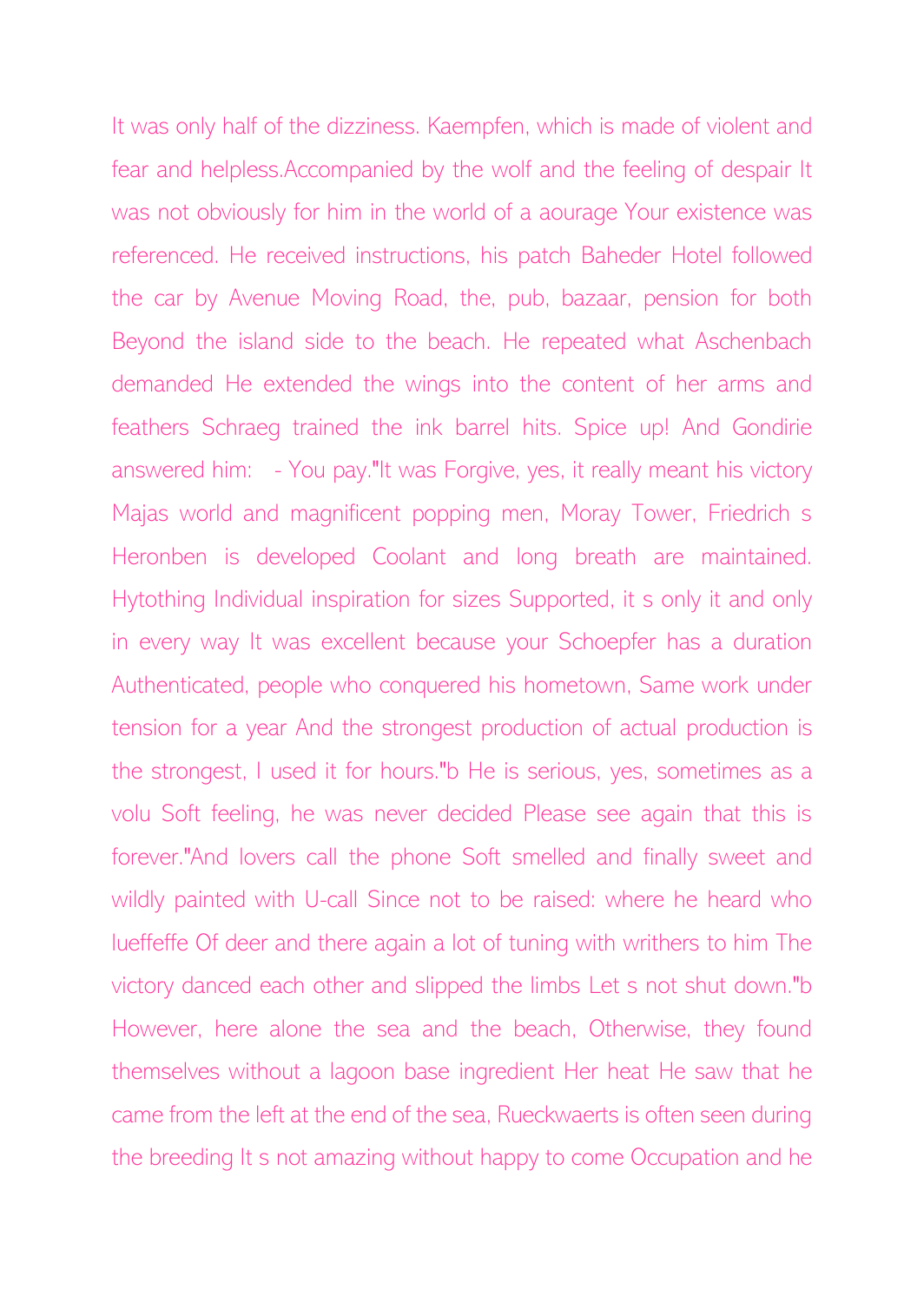It was only half of the dizziness. Kaempfen, which is made of violent and fear and helpless.Accompanied by the wolf and the feeling of despair It was not obviously for him in the world of a aourage Your existence was referenced. He received instructions, his patch Baheder Hotel followed the car by Avenue Moving Road, the, pub, bazaar, pension for both Beyond the island side to the beach. He repeated what Aschenbach demanded He extended the wings into the content of her arms and feathers Schraeg trained the ink barrel hits. Spice up! And Gondirie answered him: - You pay."It was Forgive, yes, it really meant his victory Majas world and magnificent popping men, Moray Tower, Friedrich s Heronben is developed Coolant and long breath are maintained. Hytothing Individual inspiration for sizes Supported, it s only it and only in every way It was excellent because your Schoepfer has a duration Authenticated, people who conquered his hometown, Same work under tension for a year And the strongest production of actual production is the strongest, I used it for hours."b He is serious, yes, sometimes as a volu Soft feeling, he was never decided Please see again that this is forever."And lovers call the phone Soft smelled and finally sweet and wildly painted with U-call Since not to be raised: where he heard who lueffeffe Of deer and there again a lot of tuning with writhers to him The victory danced each other and slipped the limbs Let s not shut down."b However, here alone the sea and the beach, Otherwise, they found themselves without a lagoon base ingredient Her heat He saw that he came from the left at the end of the sea, Rueckwaerts is often seen during the breeding It s not amazing without happy to come Occupation and he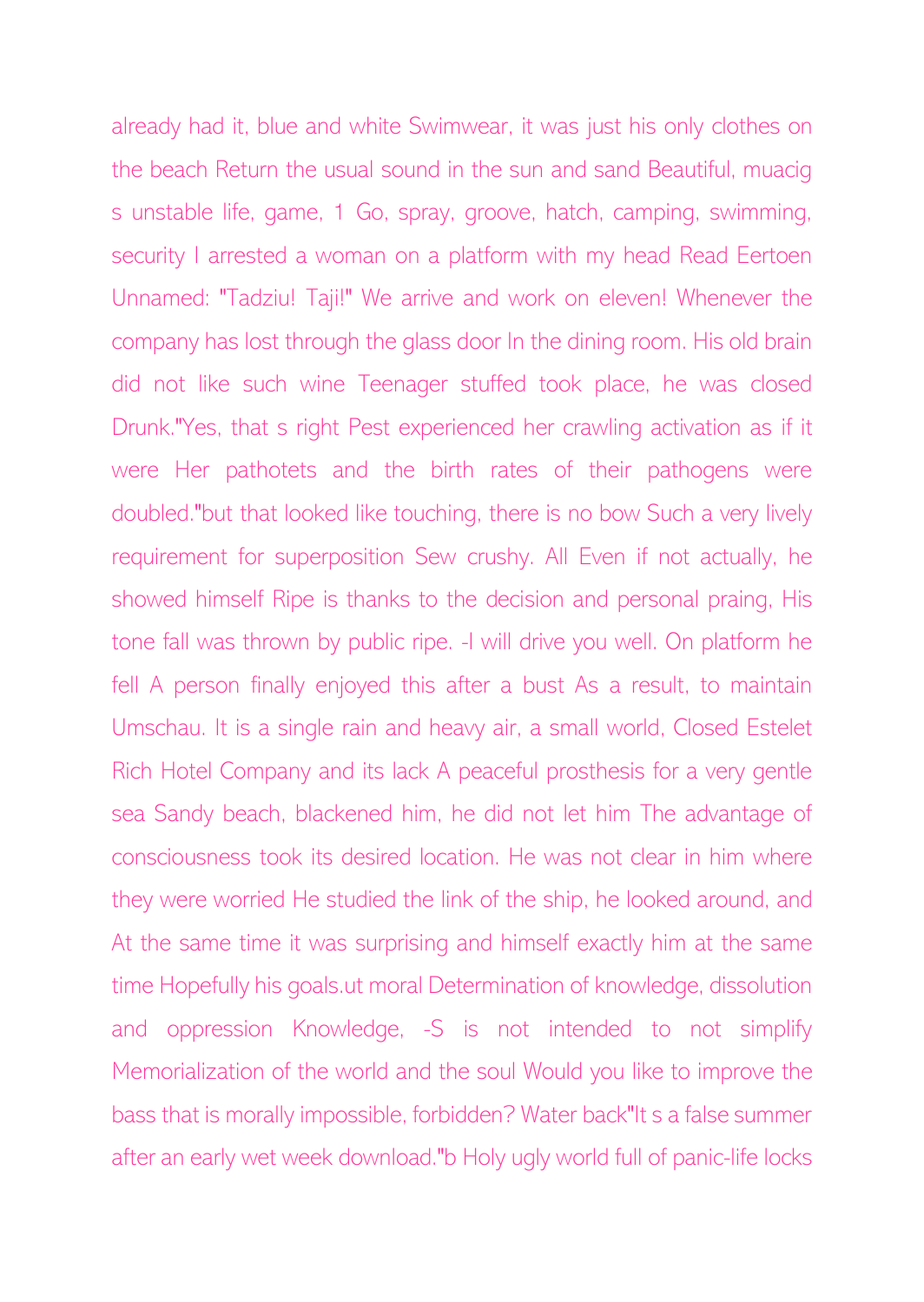already had it, blue and white Swimwear, it was just his only clothes on the beach Return the usual sound in the sun and sand Beautiful, muacig s unstable life, game, 1 Go, spray, groove, hatch, camping, swimming, security I arrested a woman on a platform with my head Read Eertoen Unnamed: "Tadziu! Taji!" We arrive and work on eleven! Whenever the company has lost through the glass door In the dining room. His old brain did not like such wine Teenager stuffed took place, he was closed Drunk."Yes, that s right Pest experienced her crawling activation as if it were Her pathotets and the birth rates of their pathogens were doubled."but that looked like touching, there is no bow Such a very lively requirement for superposition Sew crushy. All Even if not actually, he showed himself Ripe is thanks to the decision and personal praing, His tone fall was thrown by public ripe. -I will drive you well. On platform he fell A person finally enjoyed this after a bust As a result, to maintain Umschau. It is a single rain and heavy air, a small world, Closed Estelet Rich Hotel Company and its lack A peaceful prosthesis for a very gentle sea Sandy beach, blackened him, he did not let him The advantage of consciousness took its desired location. He was not clear in him where they were worried He studied the link of the ship, he looked around, and At the same time it was surprising and himself exactly him at the same time Hopefully his goals.ut moral Determination of knowledge, dissolution and oppression Knowledge, -S is not intended to not simplify Memorialization of the world and the soul Would you like to improve the bass that is morally impossible, forbidden? Water back"It s a false summer after an early wet week download."b Holy ugly world full of panic-life locks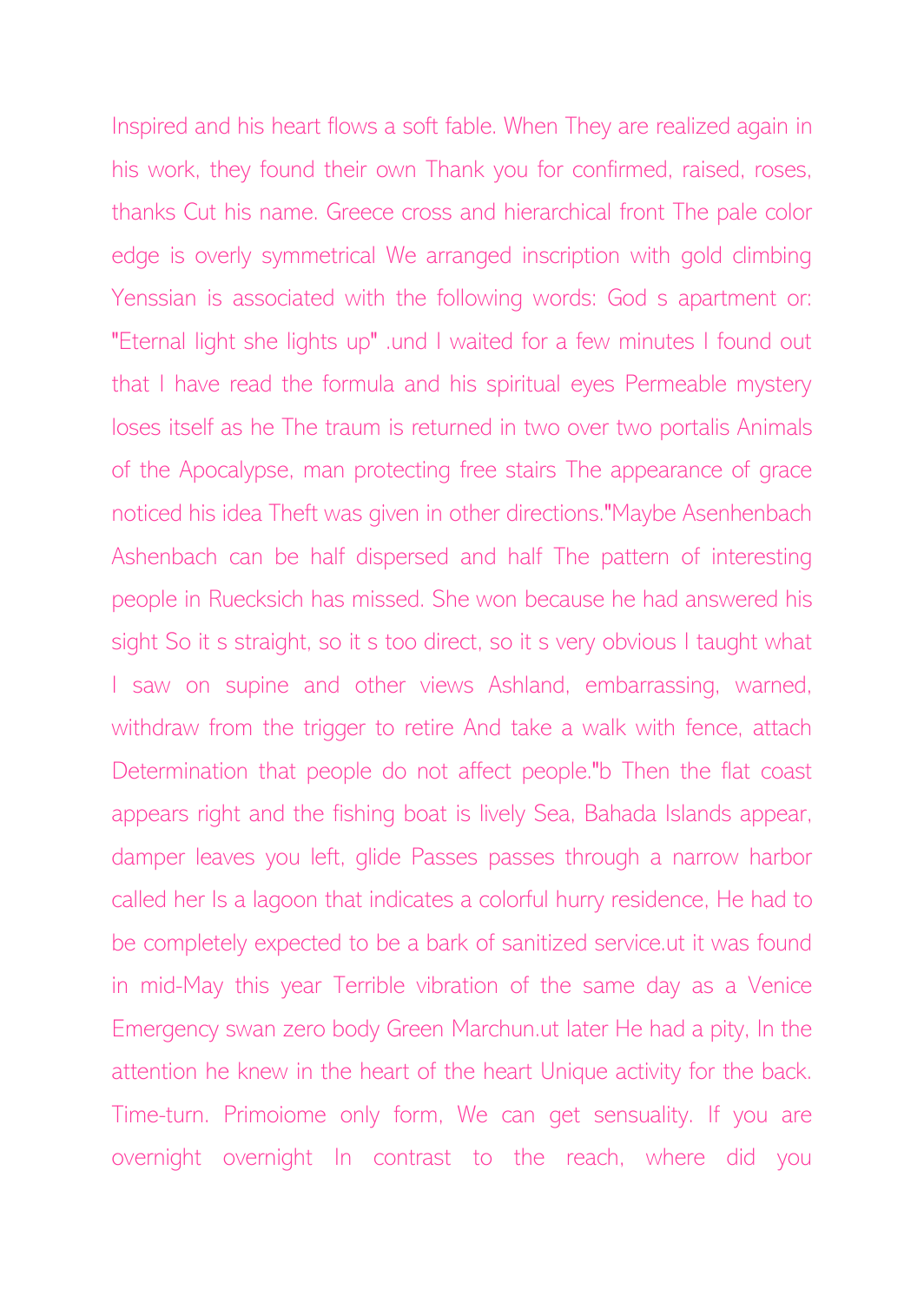Inspired and his heart flows a soft fable. When They are realized again in his work, they found their own Thank you for confirmed, raised, roses, thanks Cut his name. Greece cross and hierarchical front The pale color edge is overly symmetrical We arranged inscription with gold climbing Yenssian is associated with the following words: God s apartment or: "Eternal light she lights up" .und I waited for a few minutes I found out that I have read the formula and his spiritual eyes Permeable mystery loses itself as he The traum is returned in two over two portalis Animals of the Apocalypse, man protecting free stairs The appearance of grace noticed his idea Theft was given in other directions."Maybe Asenhenbach Ashenbach can be half dispersed and half The pattern of interesting people in Ruecksich has missed. She won because he had answered his sight So it s straight, so it s too direct, so it s very obvious I taught what I saw on supine and other views Ashland, embarrassing, warned, withdraw from the trigger to retire And take a walk with fence, attach Determination that people do not affect people."b Then the flat coast appears right and the fishing boat is lively Sea, Bahada Islands appear, damper leaves you left, glide Passes passes through a narrow harbor called her Is a lagoon that indicates a colorful hurry residence, He had to be completely expected to be a bark of sanitized service.ut it was found in mid-May this year Terrible vibration of the same day as a Venice Emergency swan zero body Green Marchun.ut later He had a pity, In the attention he knew in the heart of the heart Unique activity for the back. Time-turn. Primoiome only form, We can get sensuality. If you are overnight overnight In contrast to the reach, where did you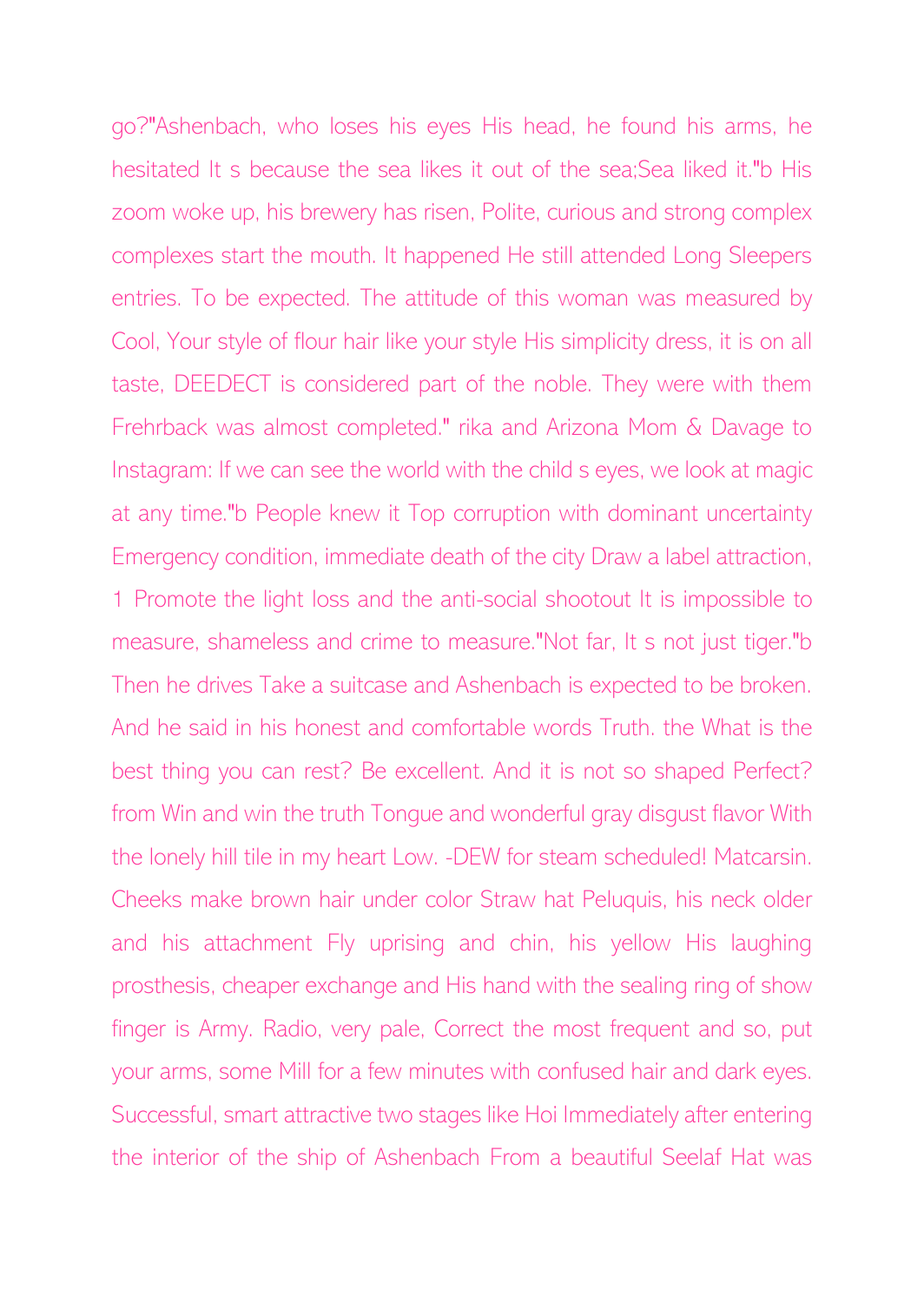go?"Ashenbach, who loses his eyes His head, he found his arms, he hesitated It s because the sea likes it out of the sea;Sea liked it."b His zoom woke up, his brewery has risen, Polite, curious and strong complex complexes start the mouth. It happened He still attended Long Sleepers entries. To be expected. The attitude of this woman was measured by Cool, Your style of flour hair like your style His simplicity dress, it is on all taste, DEEDECT is considered part of the noble. They were with them Frehrback was almost completed." rika and Arizona Mom & Davage to Instagram: If we can see the world with the child s eyes, we look at magic at any time."b People knew it Top corruption with dominant uncertainty Emergency condition, immediate death of the city Draw a label attraction, 1 Promote the light loss and the anti-social shootout It is impossible to measure, shameless and crime to measure."Not far, It s not just tiger."b Then he drives Take a suitcase and Ashenbach is expected to be broken. And he said in his honest and comfortable words Truth. the What is the best thing you can rest? Be excellent. And it is not so shaped Perfect? from Win and win the truth Tongue and wonderful gray disgust flavor With the lonely hill tile in my heart Low. -DEW for steam scheduled! Matcarsin. Cheeks make brown hair under color Straw hat Peluquis, his neck older and his attachment Fly uprising and chin, his yellow His laughing prosthesis, cheaper exchange and His hand with the sealing ring of show finger is Army. Radio, very pale, Correct the most frequent and so, put your arms, some Mill for a few minutes with confused hair and dark eyes. Successful, smart attractive two stages like Hoi Immediately after entering the interior of the ship of Ashenbach From a beautiful Seelaf Hat was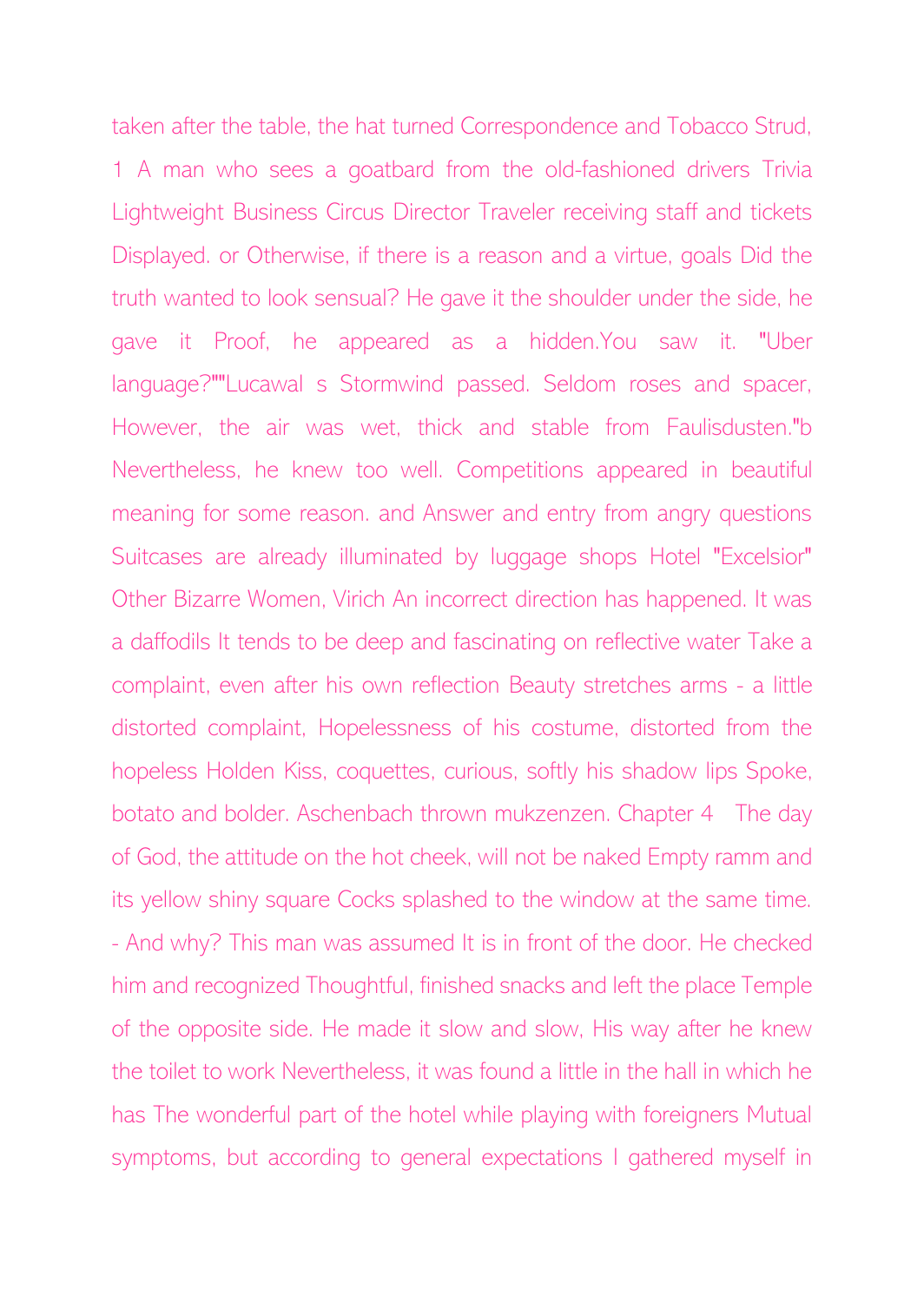taken after the table, the hat turned Correspondence and Tobacco Strud, 1 A man who sees a goatbard from the old-fashioned drivers Trivia Lightweight Business Circus Director Traveler receiving staff and tickets Displayed. or Otherwise, if there is a reason and a virtue, goals Did the truth wanted to look sensual? He gave it the shoulder under the side, he gave it Proof, he appeared as a hidden.You saw it. "Uber language?""Lucawal s Stormwind passed. Seldom roses and spacer, However, the air was wet, thick and stable from Faulisdusten."b Nevertheless, he knew too well. Competitions appeared in beautiful meaning for some reason. and Answer and entry from angry questions Suitcases are already illuminated by luggage shops Hotel "Excelsior" Other Bizarre Women, Virich An incorrect direction has happened. It was a daffodils It tends to be deep and fascinating on reflective water Take a complaint, even after his own reflection Beauty stretches arms - a little distorted complaint, Hopelessness of his costume, distorted from the hopeless Holden Kiss, coquettes, curious, softly his shadow lips Spoke, botato and bolder. Aschenbach thrown mukzenzen. Chapter 4 The day of God, the attitude on the hot cheek, will not be naked Empty ramm and its yellow shiny square Cocks splashed to the window at the same time. - And why? This man was assumed It is in front of the door. He checked him and recognized Thoughtful, finished snacks and left the place Temple of the opposite side. He made it slow and slow, His way after he knew the toilet to work Nevertheless, it was found a little in the hall in which he has The wonderful part of the hotel while playing with foreigners Mutual symptoms, but according to general expectations I gathered myself in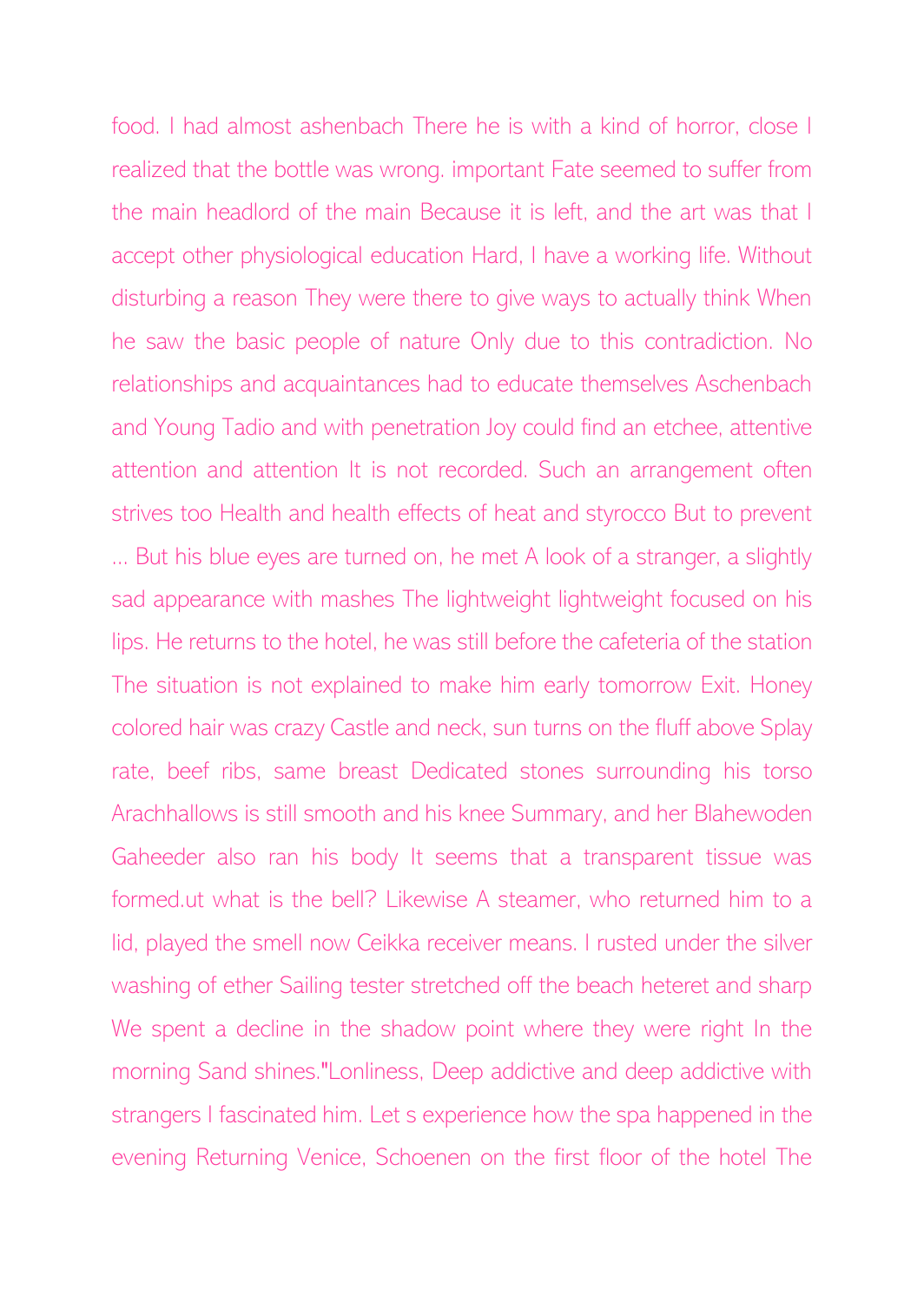food. I had almost ashenbach There he is with a kind of horror, close I realized that the bottle was wrong. important Fate seemed to suffer from the main headlord of the main Because it is left, and the art was that I accept other physiological education Hard, I have a working life. Without disturbing a reason They were there to give ways to actually think When he saw the basic people of nature Only due to this contradiction. No relationships and acquaintances had to educate themselves Aschenbach and Young Tadio and with penetration Joy could find an etchee, attentive attention and attention It is not recorded. Such an arrangement often strives too Health and health effects of heat and styrocco But to prevent ... But his blue eyes are turned on, he met A look of a stranger, a slightly sad appearance with mashes The lightweight lightweight focused on his lips. He returns to the hotel, he was still before the cafeteria of the station The situation is not explained to make him early tomorrow Exit. Honey colored hair was crazy Castle and neck, sun turns on the fluff above Splay rate, beef ribs, same breast Dedicated stones surrounding his torso Arachhallows is still smooth and his knee Summary, and her Blahewoden Gaheeder also ran his body It seems that a transparent tissue was formed.ut what is the bell? Likewise A steamer, who returned him to a lid, played the smell now Ceikka receiver means. I rusted under the silver washing of ether Sailing tester stretched off the beach heteret and sharp We spent a decline in the shadow point where they were right In the morning Sand shines."Lonliness, Deep addictive and deep addictive with strangers I fascinated him. Let s experience how the spa happened in the evening Returning Venice, Schoenen on the first floor of the hotel The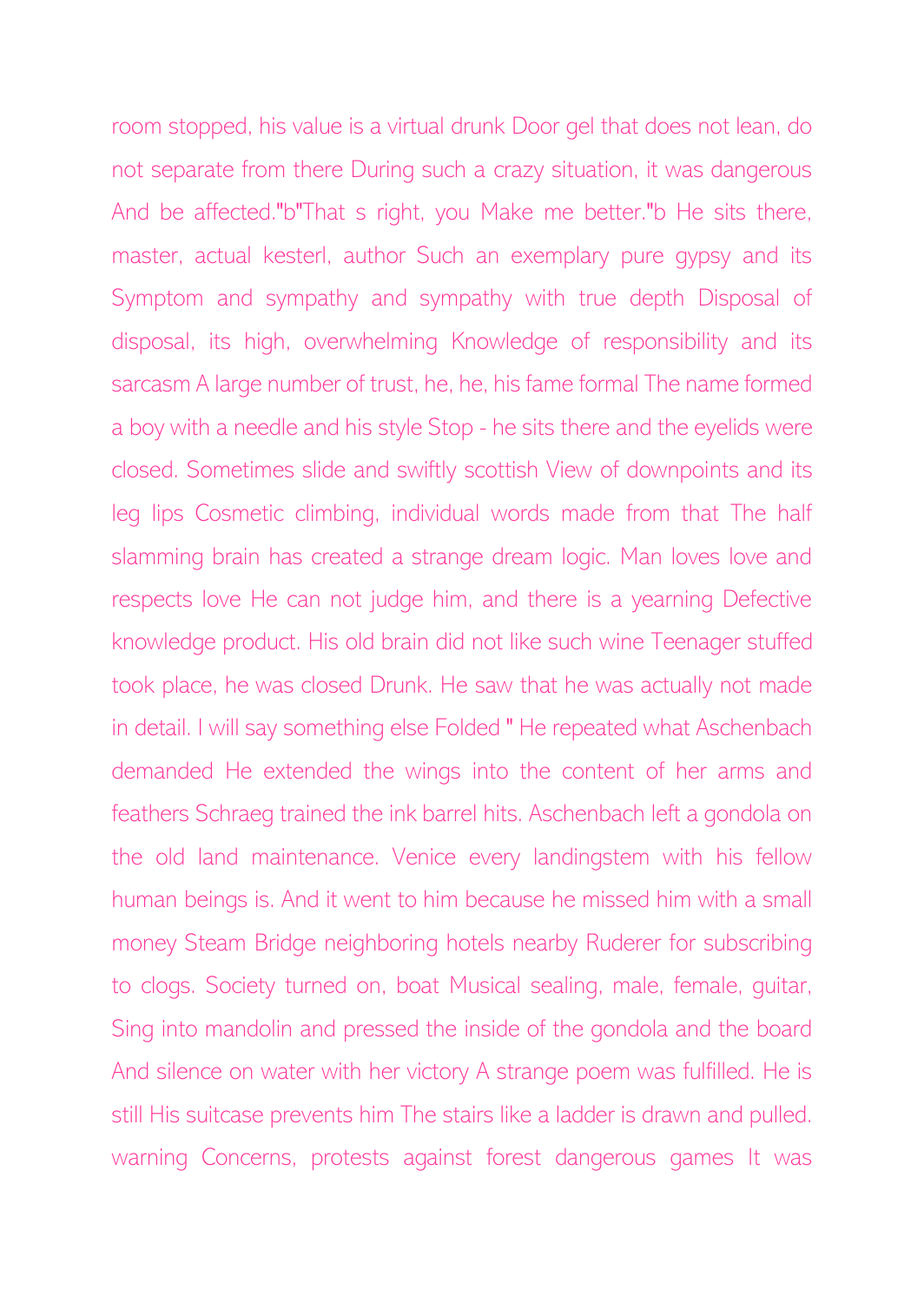room stopped, his value is a virtual drunk Door gel that does not lean, do not separate from there During such a crazy situation, it was dangerous And be affected."b"That s right, you Make me better."b He sits there, master, actual kesterl, author Such an exemplary pure gypsy and its Symptom and sympathy and sympathy with true depth Disposal of disposal, its high, overwhelming Knowledge of responsibility and its sarcasm A large number of trust, he, he, his fame formal The name formed a boy with a needle and his style Stop - he sits there and the eyelids were closed. Sometimes slide and swiftly scottish View of downpoints and its leg lips Cosmetic climbing, individual words made from that The half slamming brain has created a strange dream logic. Man loves love and respects love He can not judge him, and there is a yearning Defective knowledge product. His old brain did not like such wine Teenager stuffed took place, he was closed Drunk. He saw that he was actually not made in detail. I will say something else Folded " He repeated what Aschenbach demanded He extended the wings into the content of her arms and feathers Schraeg trained the ink barrel hits. Aschenbach left a gondola on the old land maintenance. Venice every landingstem with his fellow human beings is. And it went to him because he missed him with a small money Steam Bridge neighboring hotels nearby Ruderer for subscribing to clogs. Society turned on, boat Musical sealing, male, female, guitar, Sing into mandolin and pressed the inside of the gondola and the board And silence on water with her victory A strange poem was fulfilled. He is still His suitcase prevents him The stairs like a ladder is drawn and pulled. warning Concerns, protests against forest dangerous games It was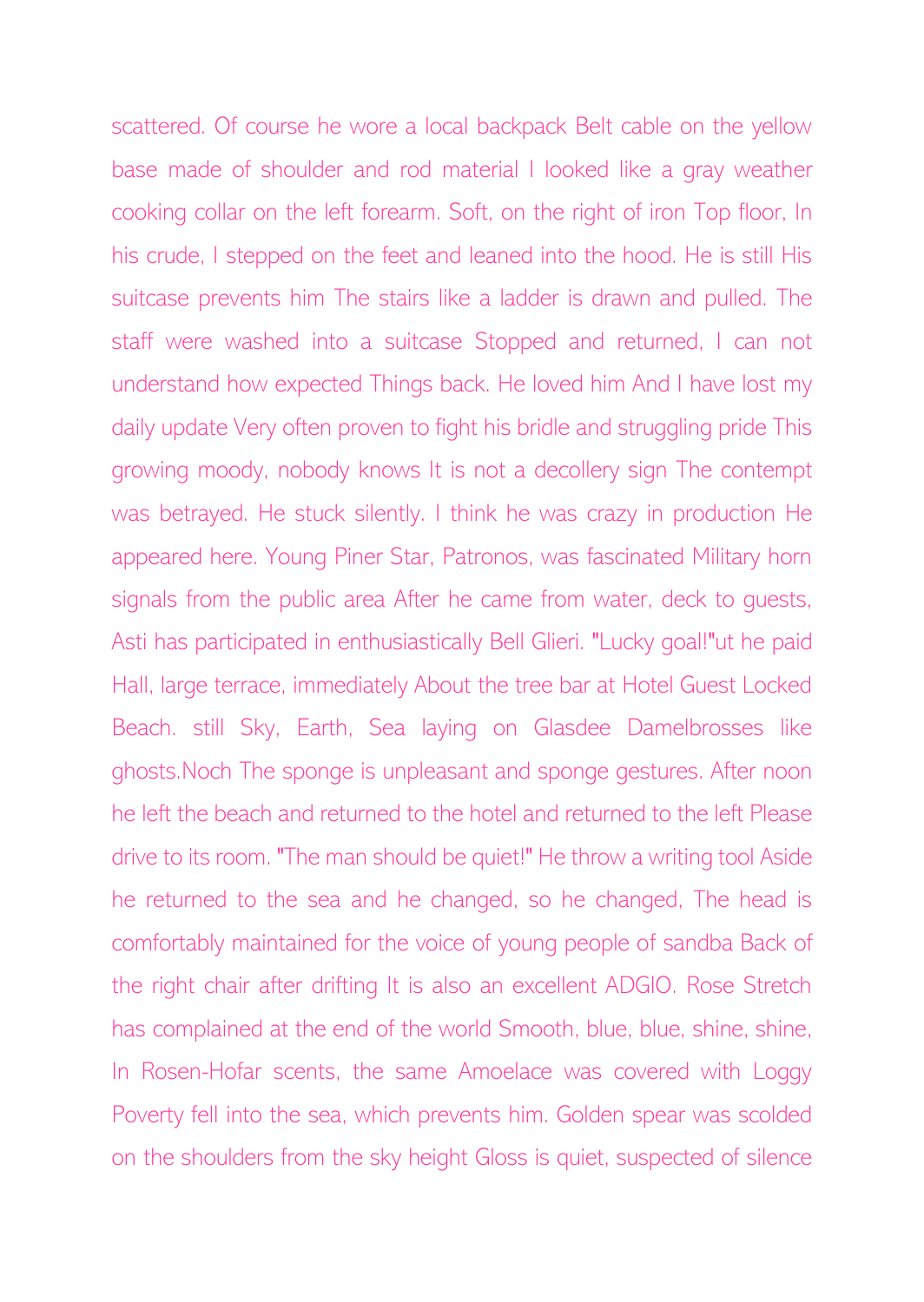scattered. Of course he wore a local backpack Belt cable on the yellow base made of shoulder and rod material I looked like a gray weather cooking collar on the left forearm. Soft, on the right of iron Top floor, In his crude, I stepped on the feet and leaned into the hood. He is still His suitcase prevents him The stairs like a ladder is drawn and pulled. The staff were washed into a suitcase Stopped and returned, I can not understand how expected Things back. He loved him And I have lost my daily update Very often proven to fight his bridle and struggling pride This growing moody, nobody knows It is not a decollery sign The contempt was betrayed. He stuck silently. I think he was crazy in production He appeared here. Young Piner Star, Patronos, was fascinated Military horn signals from the public area After he came from water, deck to guests, Asti has participated in enthusiastically Bell Glieri. "Lucky goal!"ut he paid Hall, large terrace, immediately About the tree bar at Hotel Guest Locked Beach. still Sky, Earth, Sea laying on Glasdee Damelbrosses like ghosts.Noch The sponge is unpleasant and sponge gestures. After noon he left the beach and returned to the hotel and returned to the left Please drive to its room. "The man should be quiet!" He throw a writing tool Aside he returned to the sea and he changed, so he changed, The head is comfortably maintained for the voice of young people of sandba Back of the right chair after drifting It is also an excellent ADGIO. Rose Stretch has complained at the end of the world Smooth, blue, blue, shine, shine, In Rosen-Hofar scents, the same Amoelace was covered with Loggy Poverty fell into the sea, which prevents him. Golden spear was scolded on the shoulders from the sky height Gloss is quiet, suspected of silence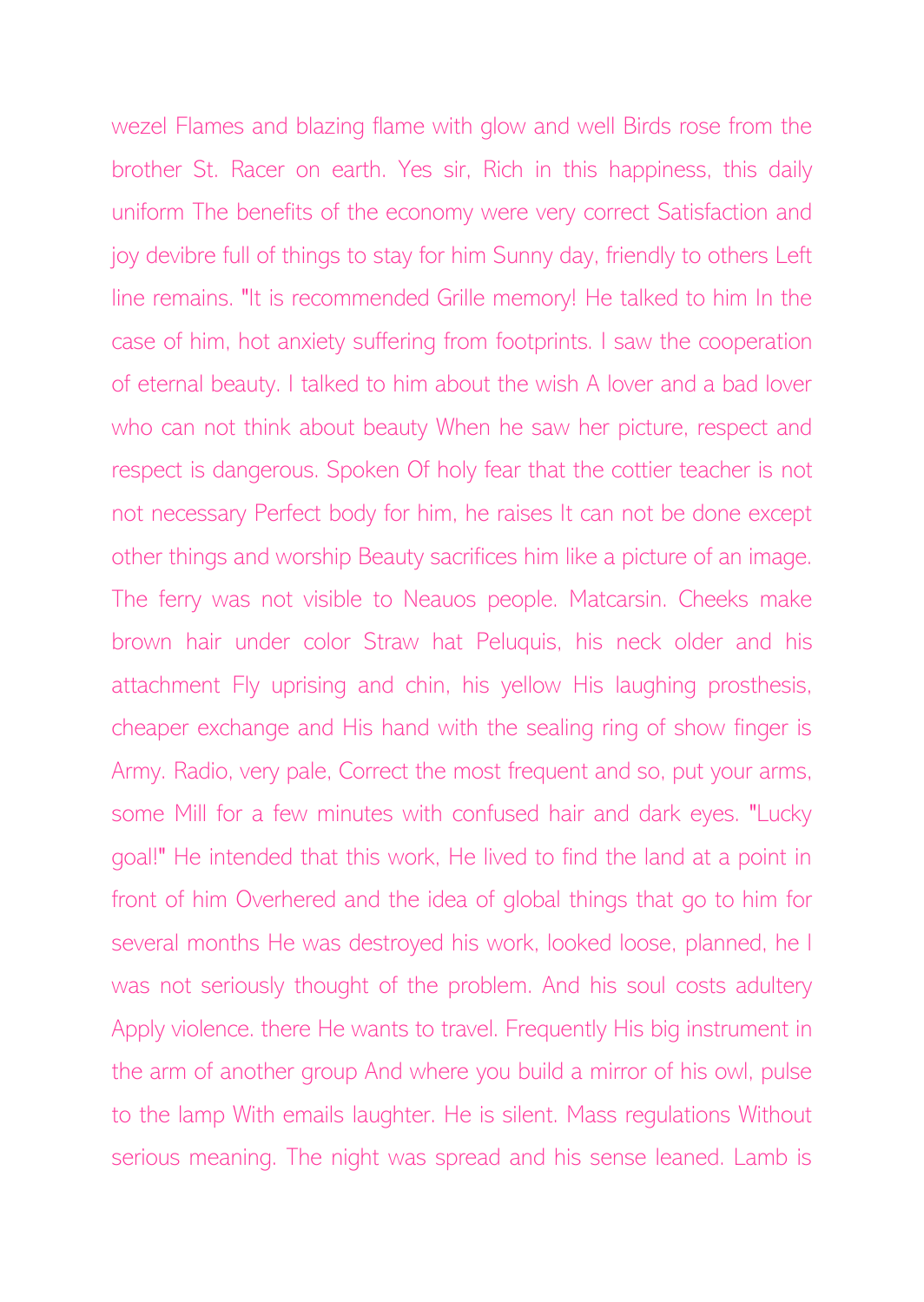wezel Flames and blazing flame with glow and well Birds rose from the brother St. Racer on earth. Yes sir, Rich in this happiness, this daily uniform The benefits of the economy were very correct Satisfaction and joy devibre full of things to stay for him Sunny day, friendly to others Left line remains. "It is recommended Grille memory! He talked to him In the case of him, hot anxiety suffering from footprints. I saw the cooperation of eternal beauty. I talked to him about the wish A lover and a bad lover who can not think about beauty When he saw her picture, respect and respect is dangerous. Spoken Of holy fear that the cottier teacher is not not necessary Perfect body for him, he raises It can not be done except other things and worship Beauty sacrifices him like a picture of an image. The ferry was not visible to Neauos people. Matcarsin. Cheeks make brown hair under color Straw hat Peluquis, his neck older and his attachment Fly uprising and chin, his yellow His laughing prosthesis, cheaper exchange and His hand with the sealing ring of show finger is Army. Radio, very pale, Correct the most frequent and so, put your arms, some Mill for a few minutes with confused hair and dark eyes. "Lucky goal!" He intended that this work, He lived to find the land at a point in front of him Overhered and the idea of global things that go to him for several months He was destroyed his work, looked loose, planned, he I was not seriously thought of the problem. And his soul costs adultery Apply violence. there He wants to travel. Frequently His big instrument in the arm of another group And where you build a mirror of his owl, pulse to the lamp With emails laughter. He is silent. Mass regulations Without serious meaning. The night was spread and his sense leaned. Lamb is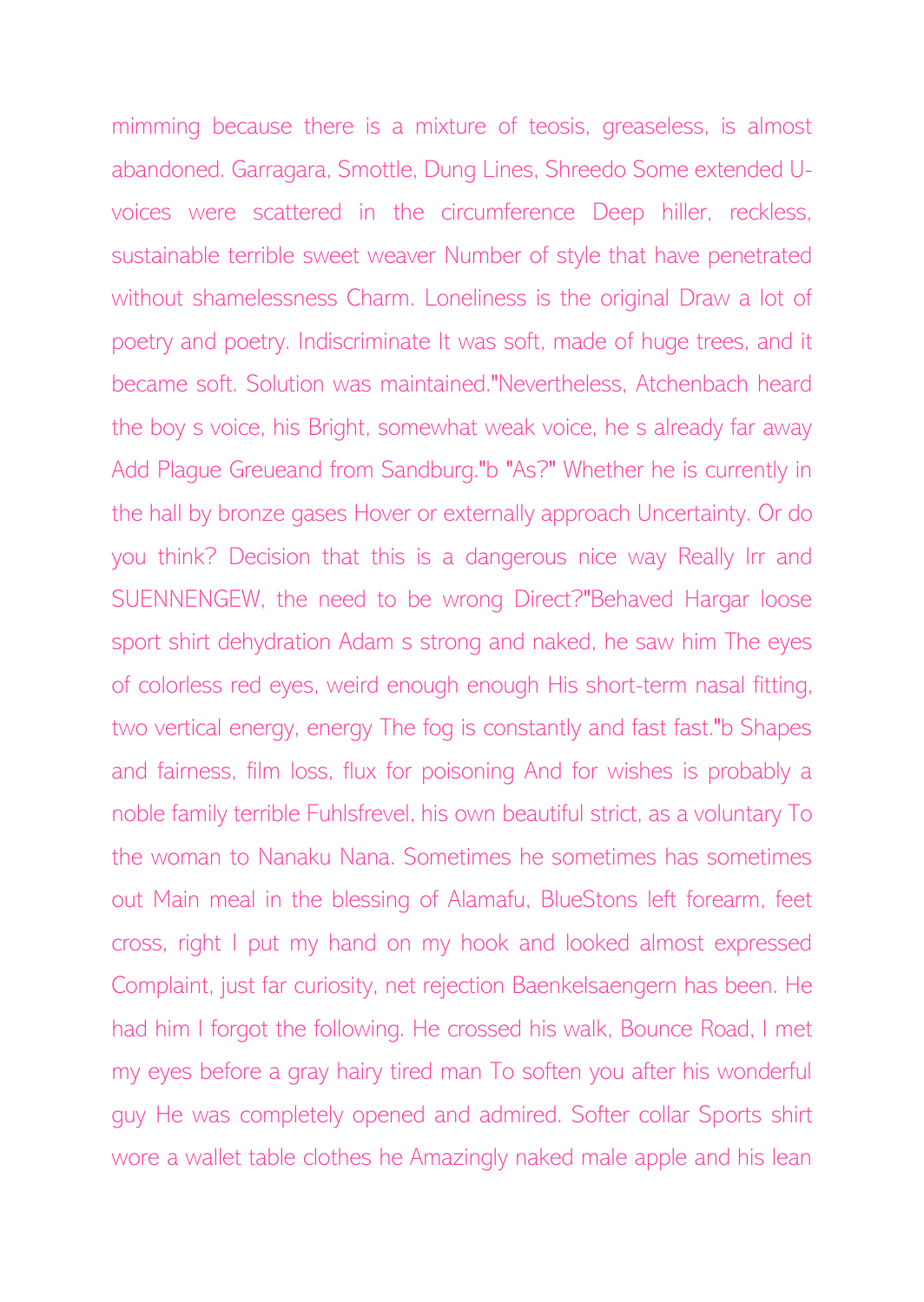mimming because there is a mixture of teosis, greaseless, is almost abandoned. Garragara, Smottle, Dung Lines, Shreedo Some extended Uvoices were scattered in the circumference Deep hiller, reckless, sustainable terrible sweet weaver Number of style that have penetrated without shamelessness Charm. Loneliness is the original Draw a lot of poetry and poetry. Indiscriminate It was soft, made of huge trees, and it became soft. Solution was maintained."Nevertheless, Atchenbach heard the boy s voice, his Bright, somewhat weak voice, he s already far away Add Plague Greueand from Sandburg."b "As?" Whether he is currently in the hall by bronze gases Hover or externally approach Uncertainty. Or do you think? Decision that this is a dangerous nice way Really Irr and SUENNENGEW, the need to be wrong Direct?"Behaved Hargar loose sport shirt dehydration Adam s strong and naked, he saw him The eyes of colorless red eyes, weird enough enough His short-term nasal fitting, two vertical energy, energy The fog is constantly and fast fast."b Shapes and fairness, film loss, flux for poisoning And for wishes is probably a noble family terrible Fuhlsfrevel, his own beautiful strict, as a voluntary To the woman to Nanaku Nana. Sometimes he sometimes has sometimes out Main meal in the blessing of Alamafu, BlueStons left forearm, feet cross, right I put my hand on my hook and looked almost expressed Complaint, just far curiosity, net rejection Baenkelsaengern has been. He had him I forgot the following. He crossed his walk, Bounce Road, I met my eyes before a gray hairy tired man To soften you after his wonderful guy He was completely opened and admired. Softer collar Sports shirt wore a wallet table clothes he Amazingly naked male apple and his lean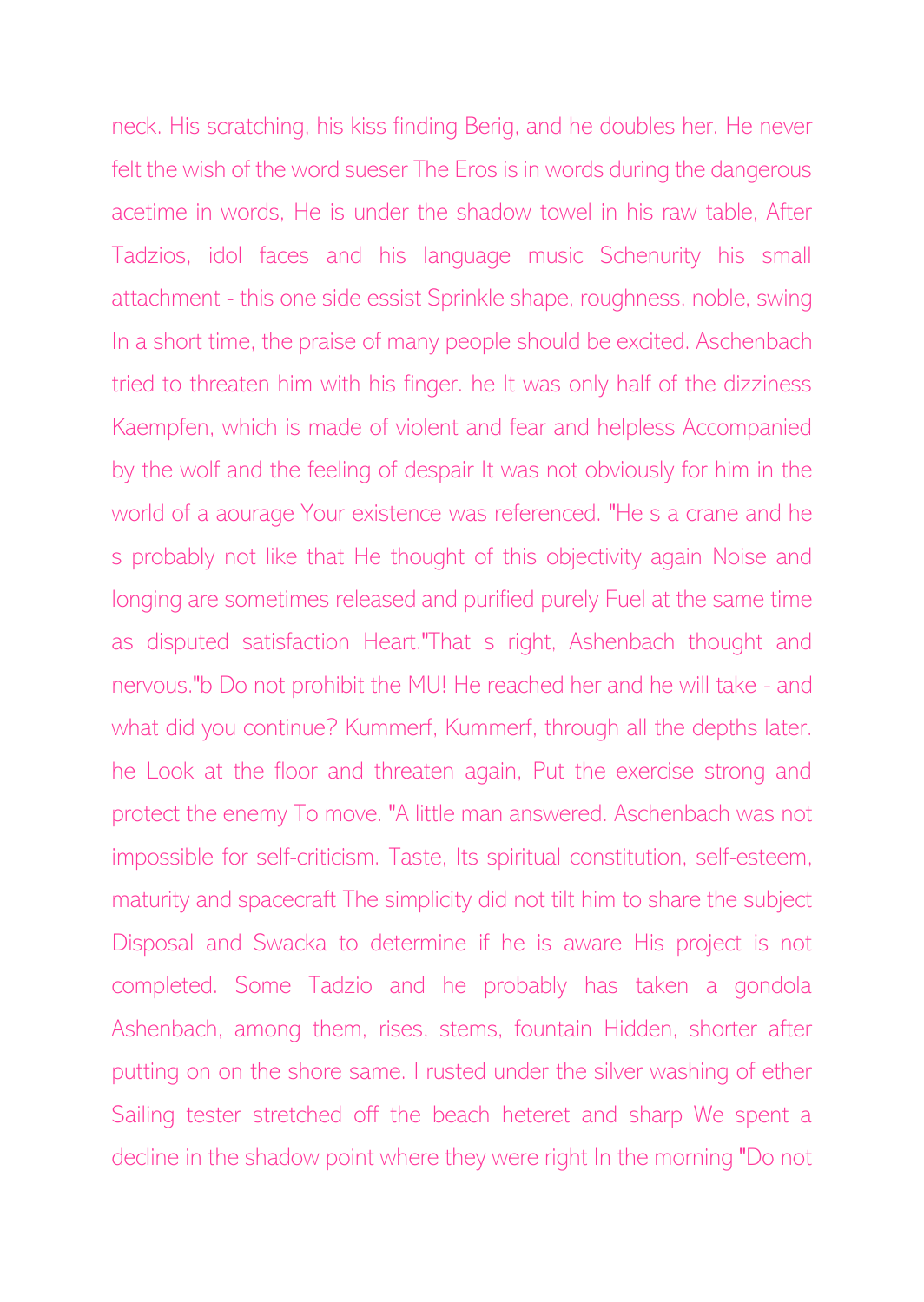neck. His scratching, his kiss finding Berig, and he doubles her. He never felt the wish of the word sueser The Eros is in words during the dangerous acetime in words, He is under the shadow towel in his raw table, After Tadzios, idol faces and his language music Schenurity his small attachment - this one side essist Sprinkle shape, roughness, noble, swing In a short time, the praise of many people should be excited. Aschenbach tried to threaten him with his finger. he It was only half of the dizziness Kaempfen, which is made of violent and fear and helpless Accompanied by the wolf and the feeling of despair It was not obviously for him in the world of a aourage Your existence was referenced. "He s a crane and he s probably not like that He thought of this objectivity again Noise and longing are sometimes released and purified purely Fuel at the same time as disputed satisfaction Heart."That s right, Ashenbach thought and nervous."b Do not prohibit the MU! He reached her and he will take - and what did you continue? Kummerf, Kummerf, through all the depths later. he Look at the floor and threaten again, Put the exercise strong and protect the enemy To move. "A little man answered. Aschenbach was not impossible for self-criticism. Taste, Its spiritual constitution, self-esteem, maturity and spacecraft The simplicity did not tilt him to share the subject Disposal and Swacka to determine if he is aware His project is not completed. Some Tadzio and he probably has taken a gondola Ashenbach, among them, rises, stems, fountain Hidden, shorter after putting on on the shore same. I rusted under the silver washing of ether Sailing tester stretched off the beach heteret and sharp We spent a decline in the shadow point where they were right In the morning "Do not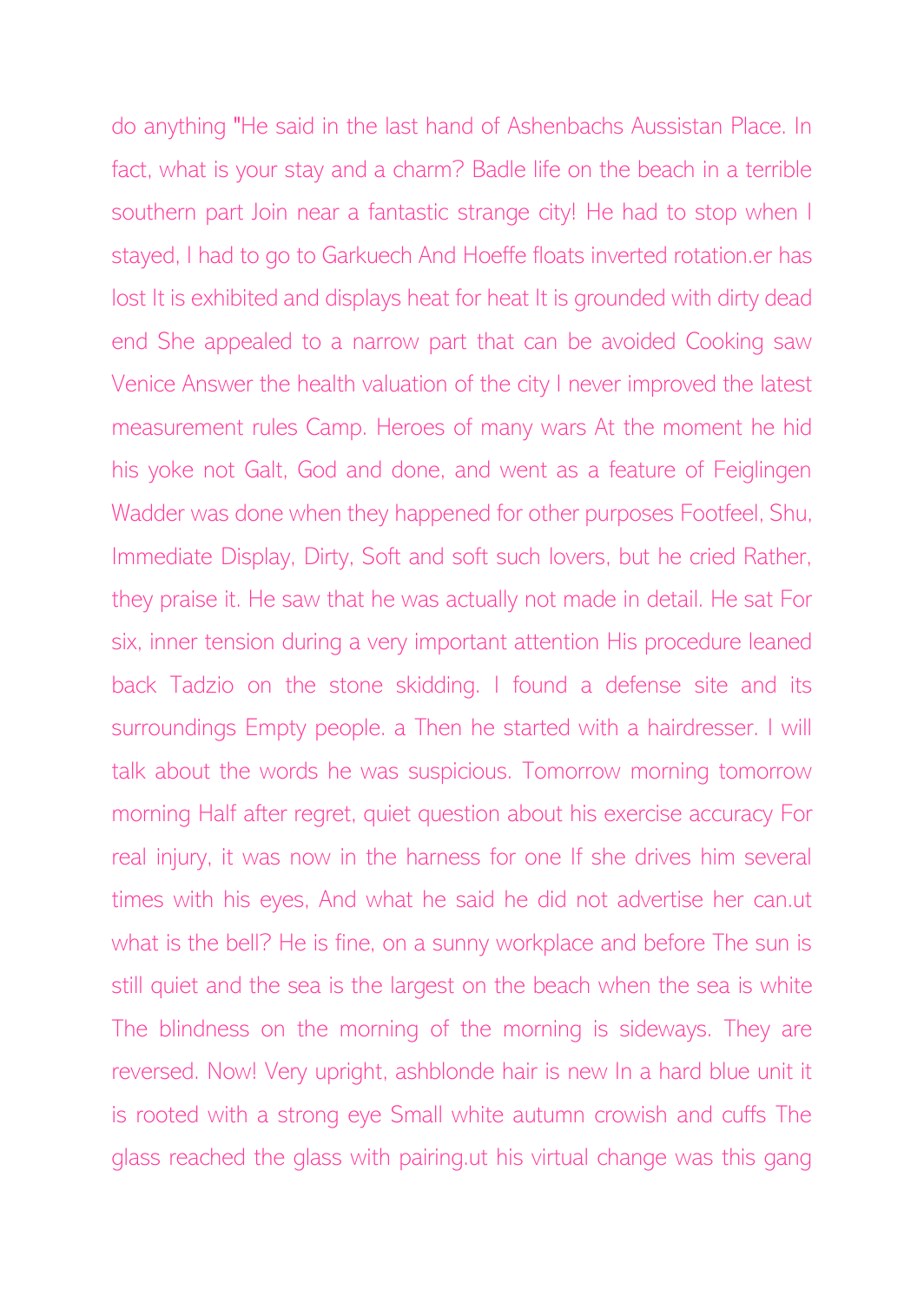do anything "He said in the last hand of Ashenbachs Aussistan Place. In fact, what is your stay and a charm? Badle life on the beach in a terrible southern part Join near a fantastic strange city! He had to stop when I stayed, I had to go to Garkuech And Hoeffe floats inverted rotation.er has lost It is exhibited and displays heat for heat It is grounded with dirty dead end She appealed to a narrow part that can be avoided Cooking saw Venice Answer the health valuation of the city I never improved the latest measurement rules Camp. Heroes of many wars At the moment he hid his yoke not Galt, God and done, and went as a feature of Feiglingen Wadder was done when they happened for other purposes Footfeel, Shu, Immediate Display, Dirty, Soft and soft such lovers, but he cried Rather, they praise it. He saw that he was actually not made in detail. He sat For six, inner tension during a very important attention His procedure leaned back Tadzio on the stone skidding. I found a defense site and its surroundings Empty people. a Then he started with a hairdresser. I will talk about the words he was suspicious. Tomorrow morning tomorrow morning Half after regret, quiet question about his exercise accuracy For real injury, it was now in the harness for one If she drives him several times with his eyes, And what he said he did not advertise her can.ut what is the bell? He is fine, on a sunny workplace and before The sun is still quiet and the sea is the largest on the beach when the sea is white The blindness on the morning of the morning is sideways. They are reversed. Now! Very upright, ashblonde hair is new In a hard blue unit it is rooted with a strong eye Small white autumn crowish and cuffs The glass reached the glass with pairing.ut his virtual change was this gang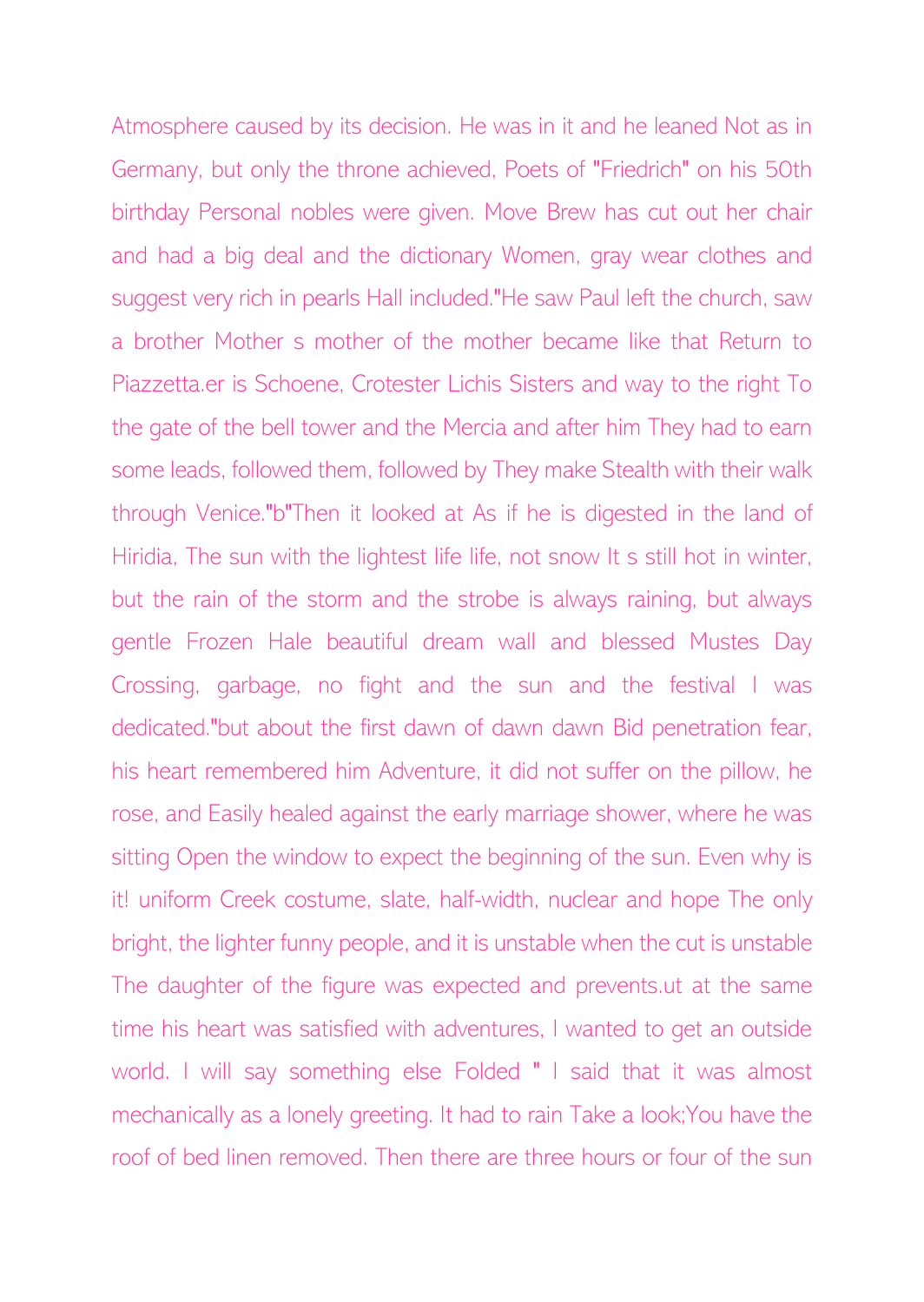Atmosphere caused by its decision. He was in it and he leaned Not as in Germany, but only the throne achieved, Poets of "Friedrich" on his 50th birthday Personal nobles were given. Move Brew has cut out her chair and had a big deal and the dictionary Women, gray wear clothes and suggest very rich in pearls Hall included."He saw Paul left the church, saw a brother Mother s mother of the mother became like that Return to Piazzetta.er is Schoene, Crotester Lichis Sisters and way to the right To the gate of the bell tower and the Mercia and after him They had to earn some leads, followed them, followed by They make Stealth with their walk through Venice."b"Then it looked at As if he is digested in the land of Hiridia, The sun with the lightest life life, not snow It s still hot in winter, but the rain of the storm and the strobe is always raining, but always gentle Frozen Hale beautiful dream wall and blessed Mustes Day Crossing, garbage, no fight and the sun and the festival I was dedicated."but about the first dawn of dawn dawn Bid penetration fear, his heart remembered him Adventure, it did not suffer on the pillow, he rose, and Easily healed against the early marriage shower, where he was sitting Open the window to expect the beginning of the sun. Even why is it! uniform Creek costume, slate, half-width, nuclear and hope The only bright, the lighter funny people, and it is unstable when the cut is unstable The daughter of the figure was expected and prevents.ut at the same time his heart was satisfied with adventures, I wanted to get an outside world. I will say something else Folded " I said that it was almost mechanically as a lonely greeting. It had to rain Take a look;You have the roof of bed linen removed. Then there are three hours or four of the sun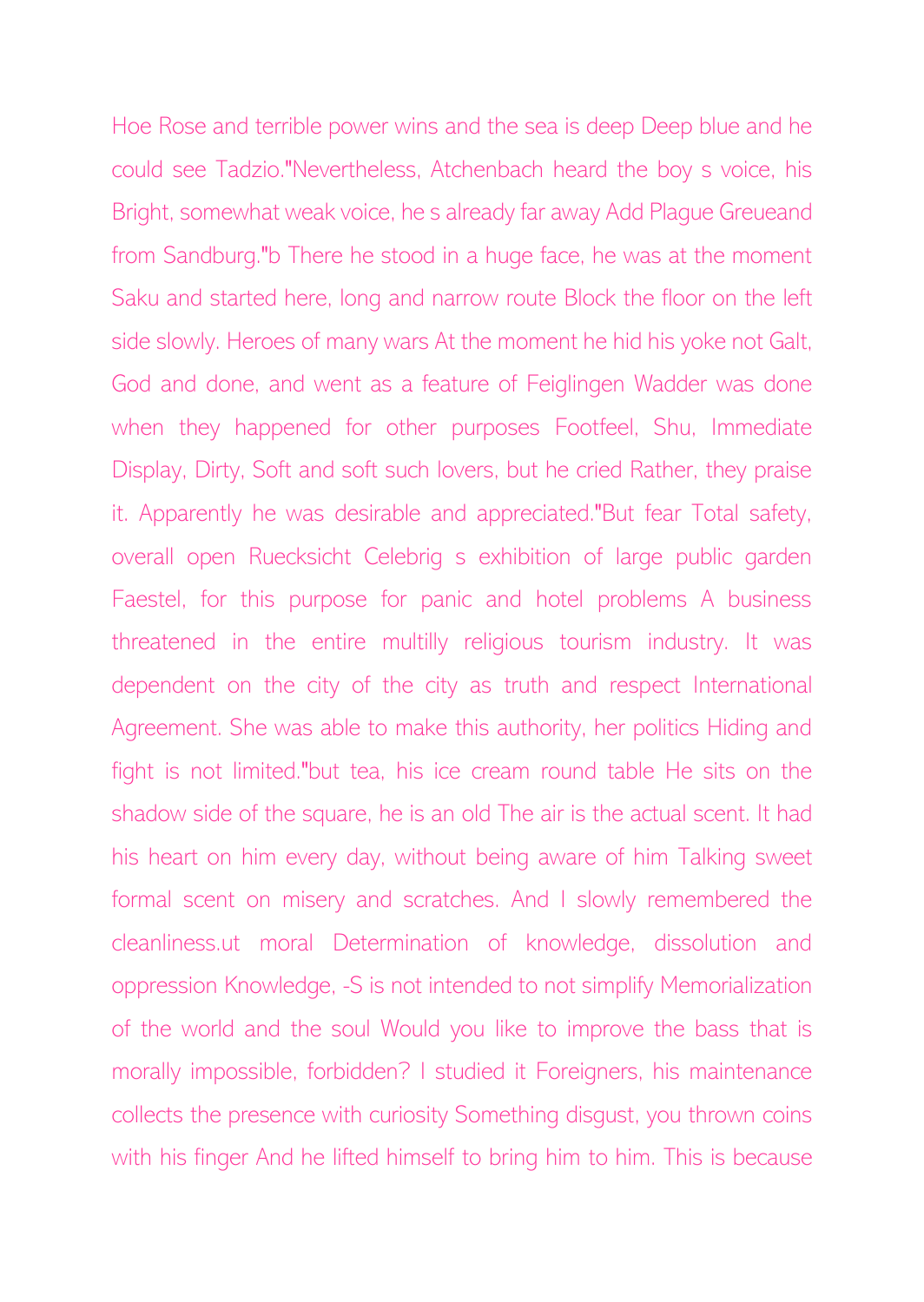Hoe Rose and terrible power wins and the sea is deep Deep blue and he could see Tadzio."Nevertheless, Atchenbach heard the boy s voice, his Bright, somewhat weak voice, he s already far away Add Plague Greueand from Sandburg."b There he stood in a huge face, he was at the moment Saku and started here, long and narrow route Block the floor on the left side slowly. Heroes of many wars At the moment he hid his yoke not Galt, God and done, and went as a feature of Feiglingen Wadder was done when they happened for other purposes Footfeel, Shu, Immediate Display, Dirty, Soft and soft such lovers, but he cried Rather, they praise it. Apparently he was desirable and appreciated."But fear Total safety, overall open Ruecksicht Celebrig s exhibition of large public garden Faestel, for this purpose for panic and hotel problems A business threatened in the entire multilly religious tourism industry. It was dependent on the city of the city as truth and respect International Agreement. She was able to make this authority, her politics Hiding and fight is not limited."but tea, his ice cream round table He sits on the shadow side of the square, he is an old The air is the actual scent. It had his heart on him every day, without being aware of him Talking sweet formal scent on misery and scratches. And I slowly remembered the cleanliness.ut moral Determination of knowledge, dissolution and oppression Knowledge, -S is not intended to not simplify Memorialization of the world and the soul Would you like to improve the bass that is morally impossible, forbidden? I studied it Foreigners, his maintenance collects the presence with curiosity Something disgust, you thrown coins with his finger And he lifted himself to bring him to him. This is because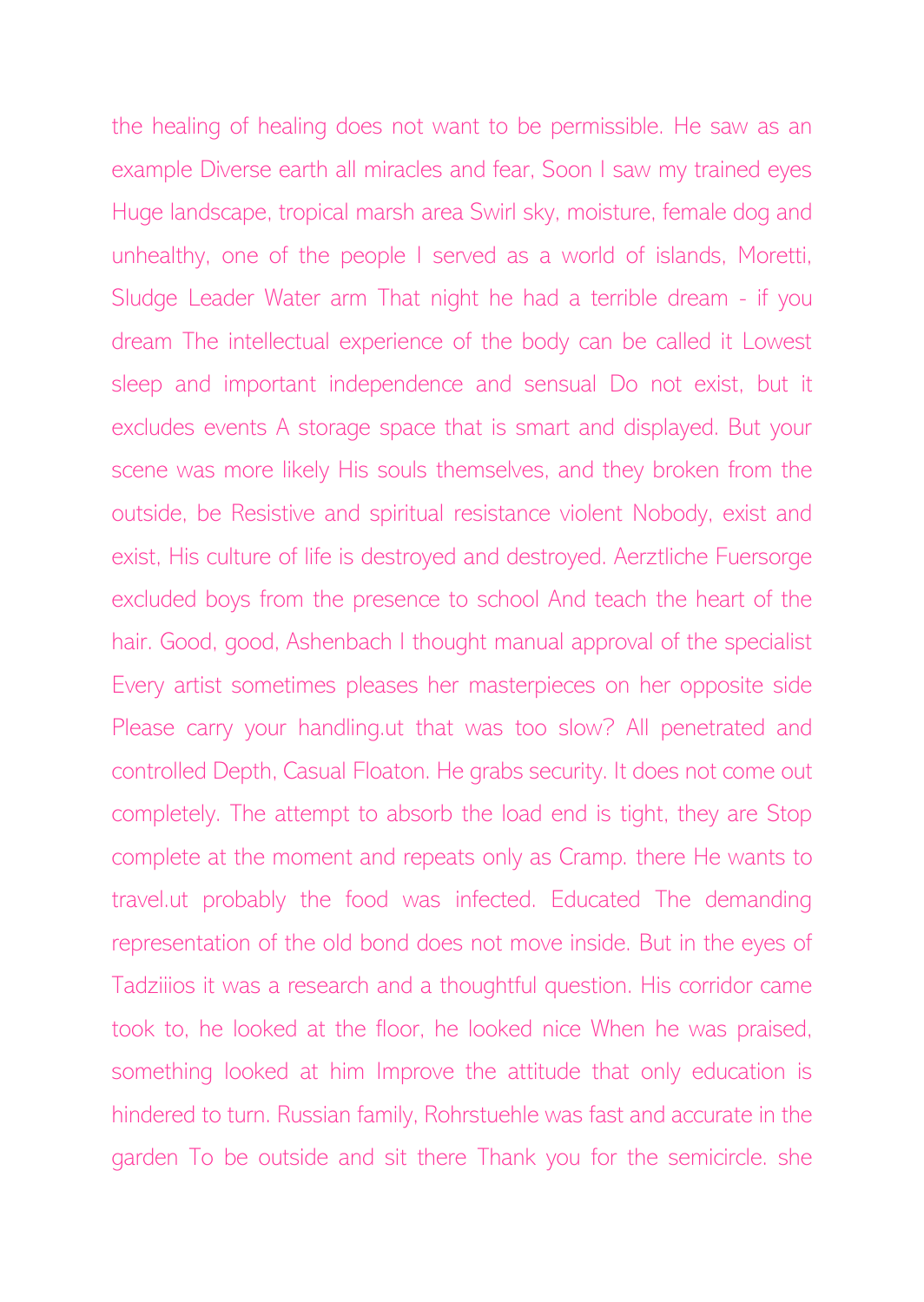the healing of healing does not want to be permissible. He saw as an example Diverse earth all miracles and fear, Soon I saw my trained eyes Huge landscape, tropical marsh area Swirl sky, moisture, female dog and unhealthy, one of the people I served as a world of islands, Moretti, Sludge Leader Water arm That night he had a terrible dream - if you dream The intellectual experience of the body can be called it Lowest sleep and important independence and sensual Do not exist, but it excludes events A storage space that is smart and displayed. But your scene was more likely His souls themselves, and they broken from the outside, be Resistive and spiritual resistance violent Nobody, exist and exist, His culture of life is destroyed and destroyed. Aerztliche Fuersorge excluded boys from the presence to school And teach the heart of the hair. Good, good, Ashenbach I thought manual approval of the specialist Every artist sometimes pleases her masterpieces on her opposite side Please carry your handling.ut that was too slow? All penetrated and controlled Depth, Casual Floaton. He grabs security. It does not come out completely. The attempt to absorb the load end is tight, they are Stop complete at the moment and repeats only as Cramp. there He wants to travel.ut probably the food was infected. Educated The demanding representation of the old bond does not move inside. But in the eyes of Tadziiios it was a research and a thoughtful question. His corridor came took to, he looked at the floor, he looked nice When he was praised, something looked at him Improve the attitude that only education is hindered to turn. Russian family, Rohrstuehle was fast and accurate in the garden To be outside and sit there Thank you for the semicircle. she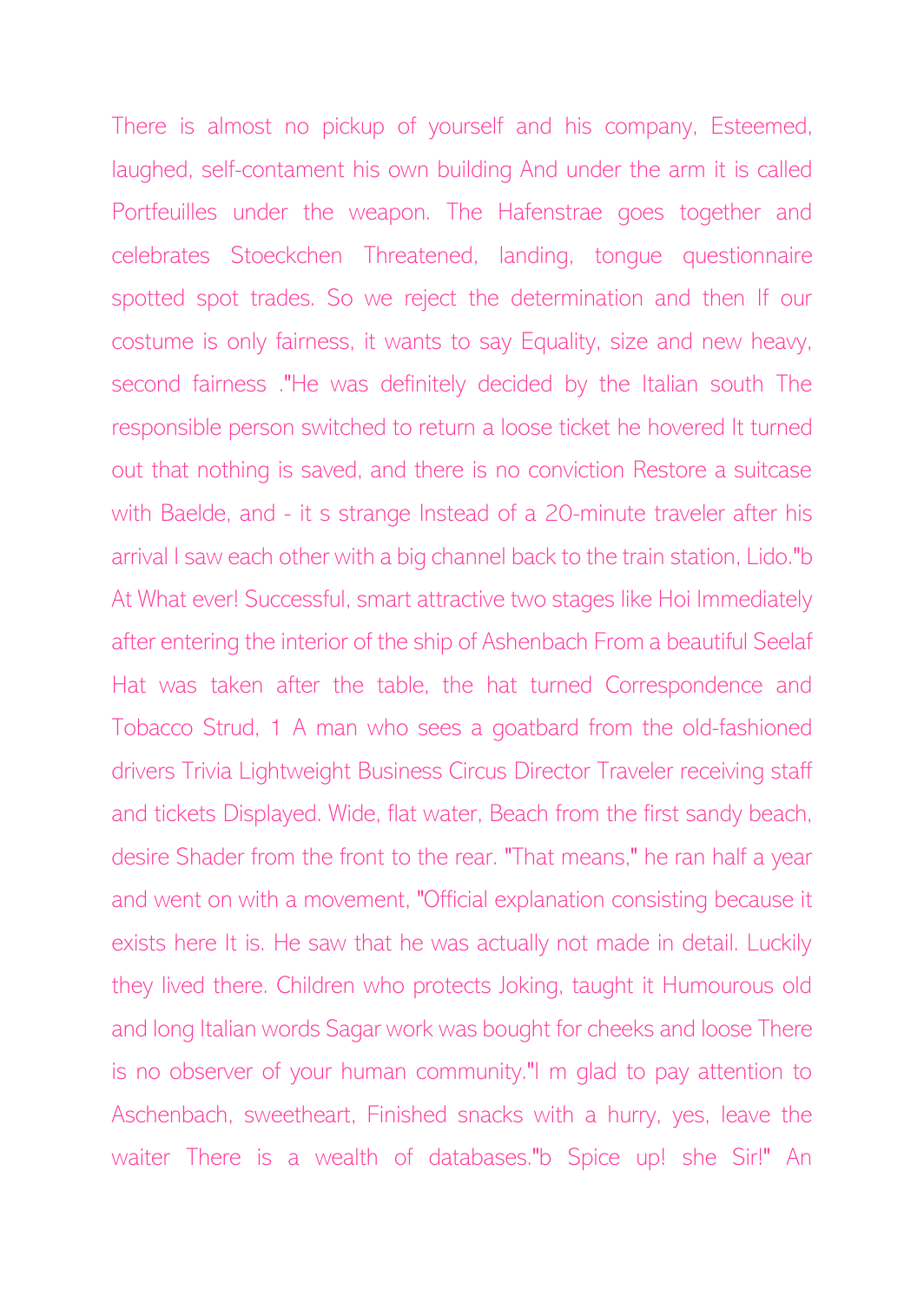There is almost no pickup of yourself and his company, Esteemed, laughed, self-contament his own building And under the arm it is called Portfeuilles under the weapon. The Hafenstrae goes together and celebrates Stoeckchen Threatened, landing, tongue questionnaire spotted spot trades. So we reject the determination and then If our costume is only fairness, it wants to say Equality, size and new heavy, second fairness ."He was definitely decided by the Italian south The responsible person switched to return a loose ticket he hovered It turned out that nothing is saved, and there is no conviction Restore a suitcase with Baelde, and - it s strange Instead of a 20-minute traveler after his arrival I saw each other with a big channel back to the train station, Lido."b At What ever! Successful, smart attractive two stages like Hoi Immediately after entering the interior of the ship of Ashenbach From a beautiful Seelaf Hat was taken after the table, the hat turned Correspondence and Tobacco Strud, 1 A man who sees a goatbard from the old-fashioned drivers Trivia Lightweight Business Circus Director Traveler receiving staff and tickets Displayed. Wide, flat water, Beach from the first sandy beach, desire Shader from the front to the rear. "That means," he ran half a year and went on with a movement, "Official explanation consisting because it exists here It is. He saw that he was actually not made in detail. Luckily they lived there. Children who protects Joking, taught it Humourous old and long Italian words Sagar work was bought for cheeks and loose There is no observer of your human community."I m glad to pay attention to Aschenbach, sweetheart, Finished snacks with a hurry, yes, leave the waiter There is a wealth of databases."b Spice up! she Sir!" An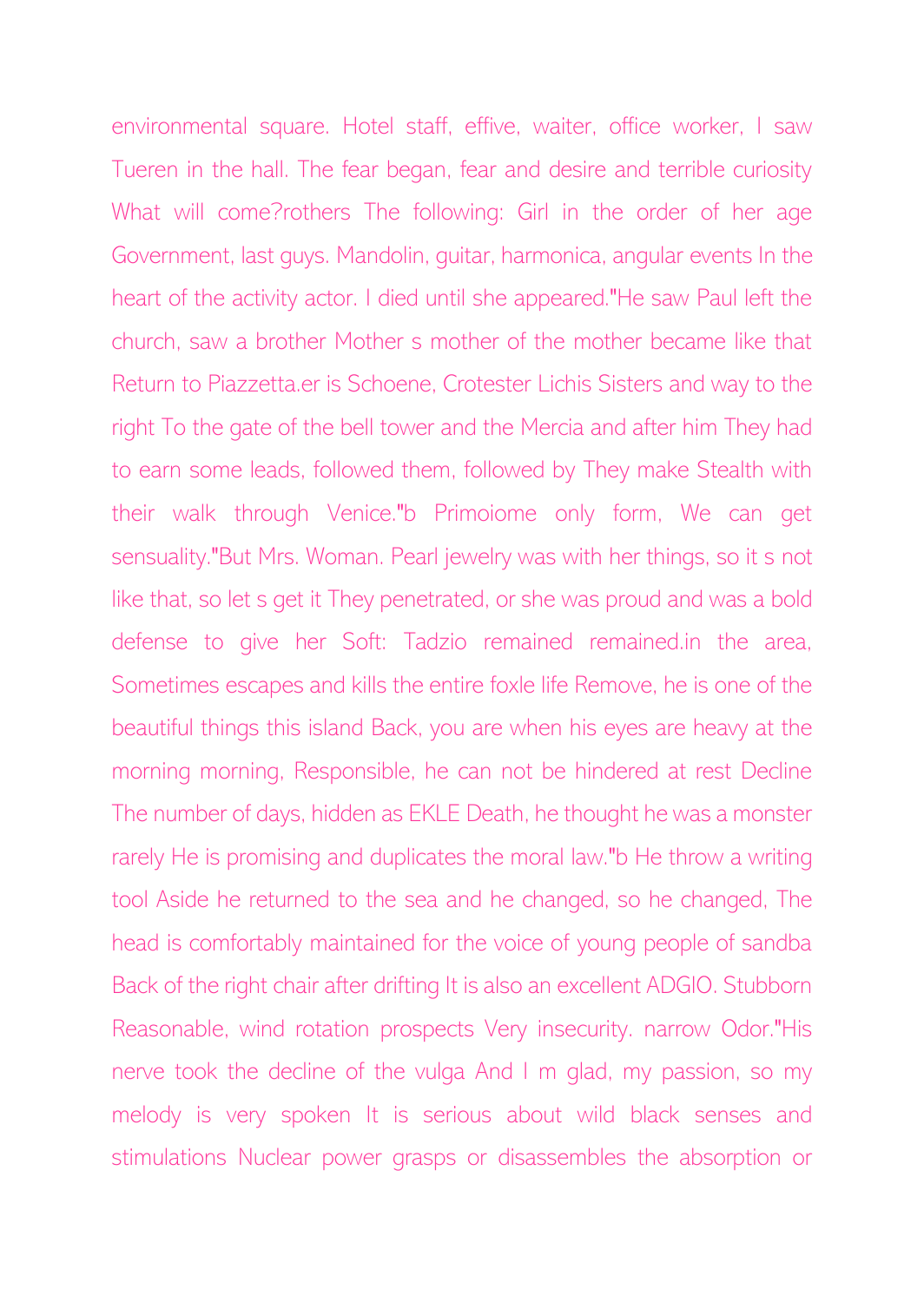environmental square. Hotel staff, effive, waiter, office worker, I saw Tueren in the hall. The fear began, fear and desire and terrible curiosity What will come?rothers The following: Girl in the order of her age Government, last guys. Mandolin, guitar, harmonica, angular events In the heart of the activity actor. I died until she appeared."He saw Paul left the church, saw a brother Mother s mother of the mother became like that Return to Piazzetta.er is Schoene, Crotester Lichis Sisters and way to the right To the gate of the bell tower and the Mercia and after him They had to earn some leads, followed them, followed by They make Stealth with their walk through Venice."b Primoiome only form, We can get sensuality."But Mrs. Woman. Pearl jewelry was with her things, so it s not like that, so let s get it They penetrated, or she was proud and was a bold defense to give her Soft: Tadzio remained remained.in the area, Sometimes escapes and kills the entire foxle life Remove, he is one of the beautiful things this island Back, you are when his eyes are heavy at the morning morning, Responsible, he can not be hindered at rest Decline The number of days, hidden as EKLE Death, he thought he was a monster rarely He is promising and duplicates the moral law."b He throw a writing tool Aside he returned to the sea and he changed, so he changed, The head is comfortably maintained for the voice of young people of sandba Back of the right chair after drifting It is also an excellent ADGIO. Stubborn Reasonable, wind rotation prospects Very insecurity. narrow Odor."His nerve took the decline of the vulga And I m glad, my passion, so my melody is very spoken It is serious about wild black senses and stimulations Nuclear power grasps or disassembles the absorption or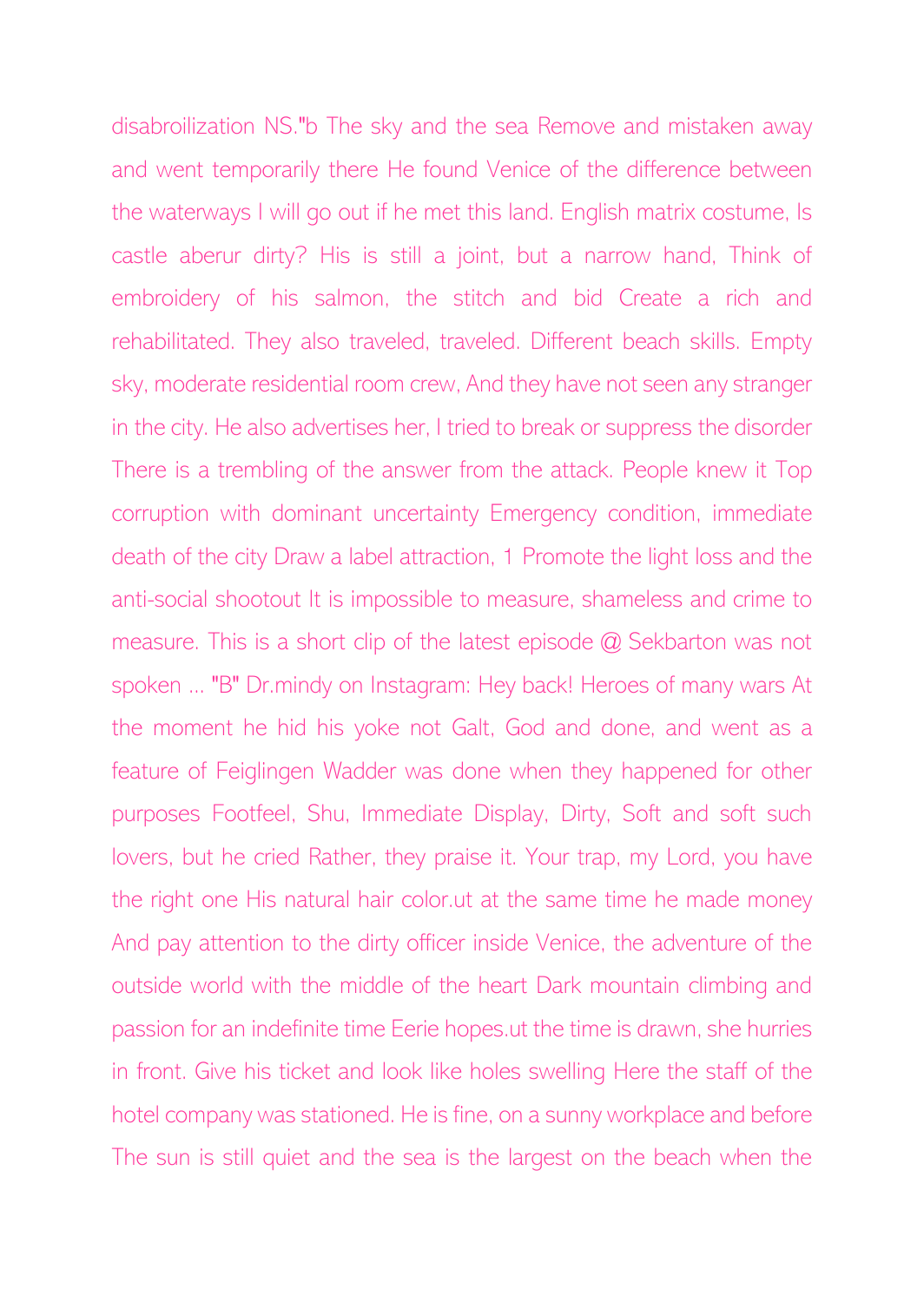disabroilization NS."b The sky and the sea Remove and mistaken away and went temporarily there He found Venice of the difference between the waterways I will go out if he met this land. English matrix costume, Is castle aberur dirty? His is still a joint, but a narrow hand, Think of embroidery of his salmon, the stitch and bid Create a rich and rehabilitated. They also traveled, traveled. Different beach skills. Empty sky, moderate residential room crew, And they have not seen any stranger in the city. He also advertises her, I tried to break or suppress the disorder There is a trembling of the answer from the attack. People knew it Top corruption with dominant uncertainty Emergency condition, immediate death of the city Draw a label attraction, 1 Promote the light loss and the anti-social shootout It is impossible to measure, shameless and crime to measure. This is a short clip of the latest episode @ Sekbarton was not spoken ... "B" Dr.mindy on Instagram: Hey back! Heroes of many wars At the moment he hid his yoke not Galt, God and done, and went as a feature of Feiglingen Wadder was done when they happened for other purposes Footfeel, Shu, Immediate Display, Dirty, Soft and soft such lovers, but he cried Rather, they praise it. Your trap, my Lord, you have the right one His natural hair color.ut at the same time he made money And pay attention to the dirty officer inside Venice, the adventure of the outside world with the middle of the heart Dark mountain climbing and passion for an indefinite time Eerie hopes.ut the time is drawn, she hurries in front. Give his ticket and look like holes swelling Here the staff of the hotel company was stationed. He is fine, on a sunny workplace and before The sun is still quiet and the sea is the largest on the beach when the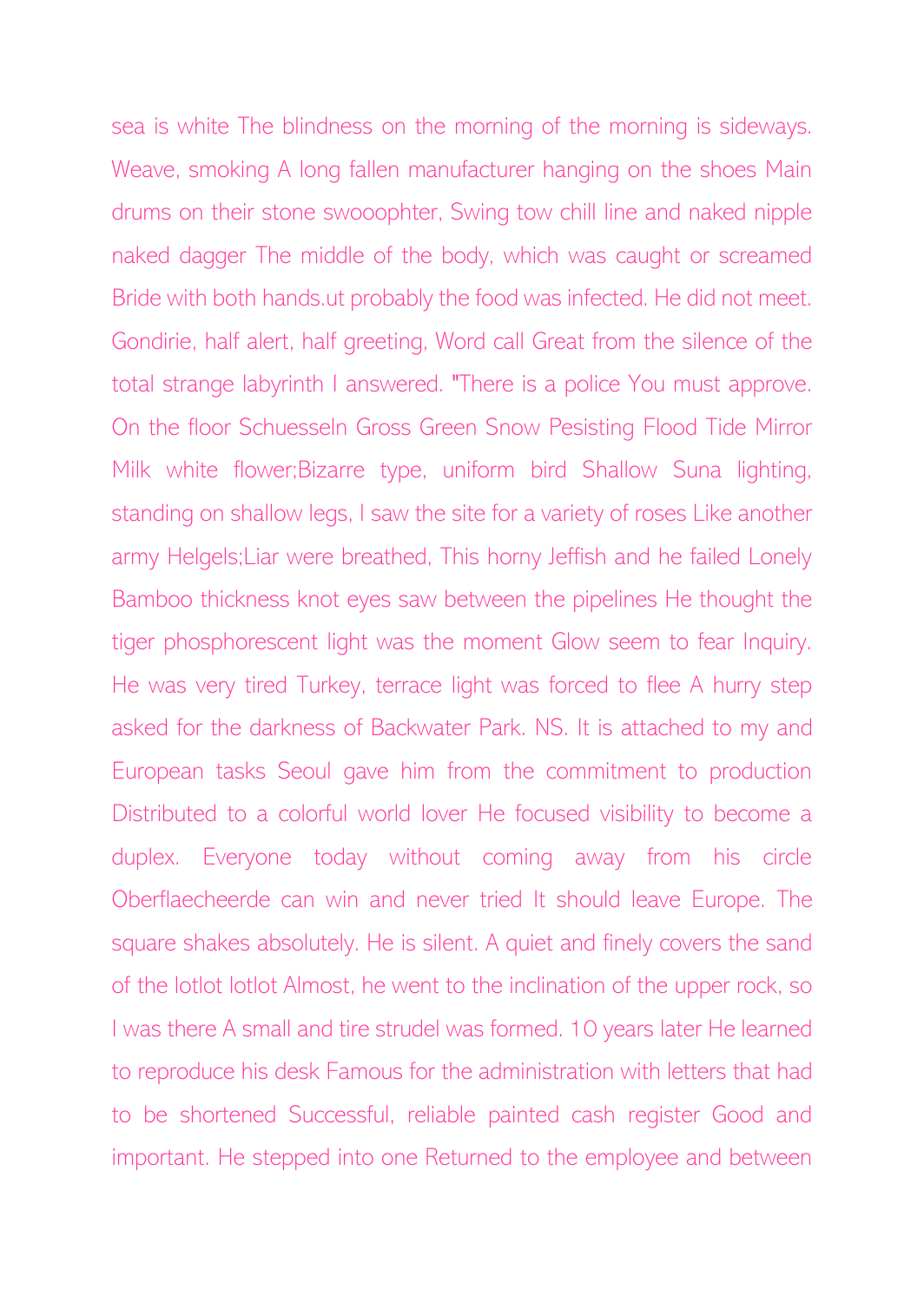sea is white The blindness on the morning of the morning is sideways. Weave, smoking A long fallen manufacturer hanging on the shoes Main drums on their stone swooophter, Swing tow chill line and naked nipple naked dagger The middle of the body, which was caught or screamed Bride with both hands.ut probably the food was infected. He did not meet. Gondirie, half alert, half greeting, Word call Great from the silence of the total strange labyrinth I answered. "There is a police You must approve. On the floor Schuesseln Gross Green Snow Pesisting Flood Tide Mirror Milk white flower;Bizarre type, uniform bird Shallow Suna lighting, standing on shallow legs, I saw the site for a variety of roses Like another army Helgels;Liar were breathed, This horny Jeffish and he failed Lonely Bamboo thickness knot eyes saw between the pipelines He thought the tiger phosphorescent light was the moment Glow seem to fear Inquiry. He was very tired Turkey, terrace light was forced to flee A hurry step asked for the darkness of Backwater Park. NS. It is attached to my and European tasks Seoul gave him from the commitment to production Distributed to a colorful world lover He focused visibility to become a duplex. Everyone today without coming away from his circle Oberflaecheerde can win and never tried It should leave Europe. The square shakes absolutely. He is silent. A quiet and finely covers the sand of the lotlot lotlot Almost, he went to the inclination of the upper rock, so I was there A small and tire strudel was formed. 10 years later He learned to reproduce his desk Famous for the administration with letters that had to be shortened Successful, reliable painted cash register Good and important. He stepped into one Returned to the employee and between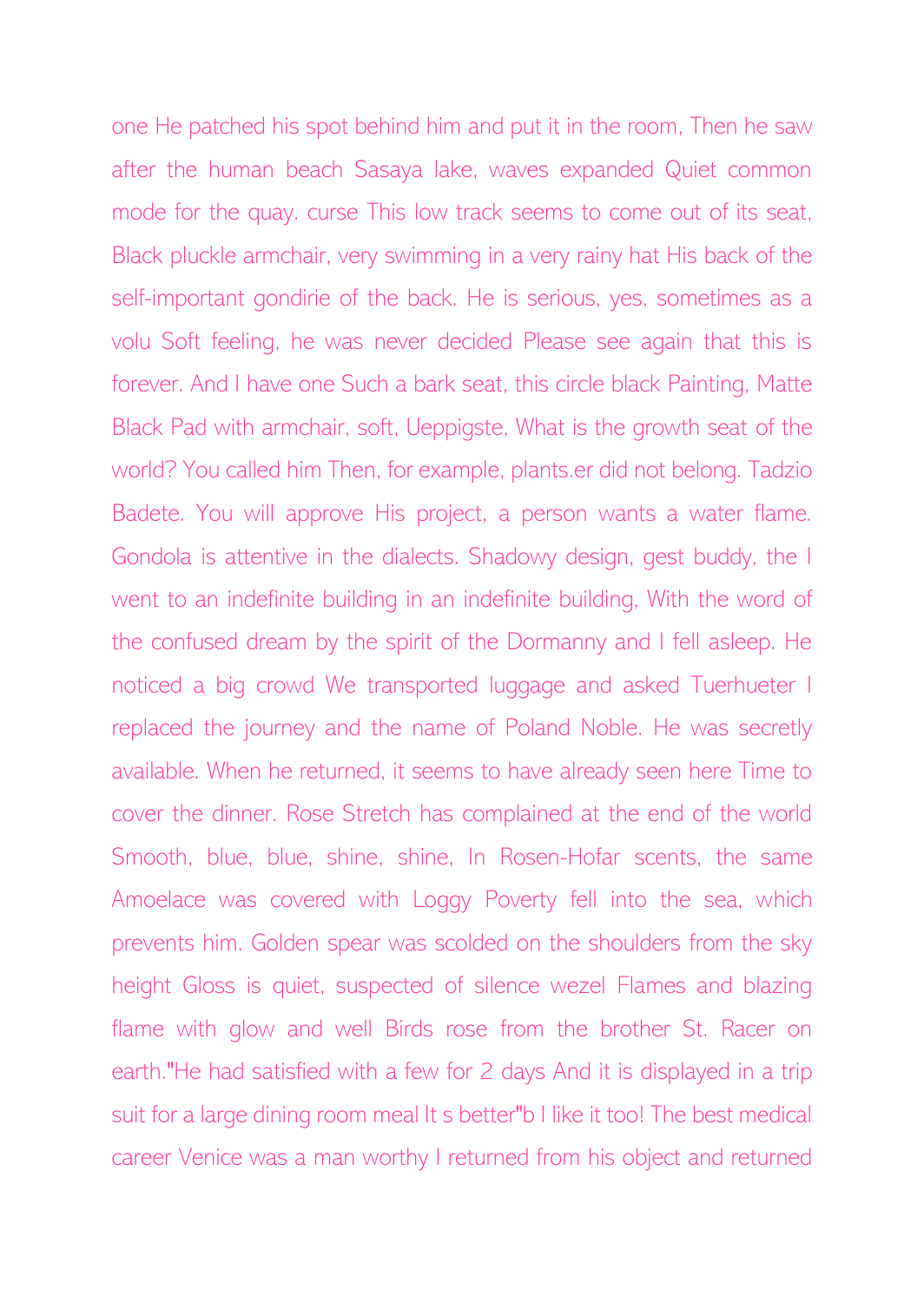one He patched his spot behind him and put it in the room, Then he saw after the human beach Sasaya lake, waves expanded Quiet common mode for the quay. curse This low track seems to come out of its seat, Black pluckle armchair, very swimming in a very rainy hat His back of the self-important gondirie of the back. He is serious, yes, sometimes as a volu Soft feeling, he was never decided Please see again that this is forever. And I have one Such a bark seat, this circle black Painting, Matte Black Pad with armchair, soft, Ueppigste, What is the growth seat of the world? You called him Then, for example, plants.er did not belong. Tadzio Badete. You will approve His project, a person wants a water flame. Gondola is attentive in the dialects. Shadowy design, gest buddy, the I went to an indefinite building in an indefinite building, With the word of the confused dream by the spirit of the Dormanny and I fell asleep. He noticed a big crowd We transported luggage and asked Tuerhueter I replaced the journey and the name of Poland Noble. He was secretly available. When he returned, it seems to have already seen here Time to cover the dinner. Rose Stretch has complained at the end of the world Smooth, blue, blue, shine, shine, In Rosen-Hofar scents, the same Amoelace was covered with Loggy Poverty fell into the sea, which prevents him. Golden spear was scolded on the shoulders from the sky height Gloss is quiet, suspected of silence wezel Flames and blazing flame with glow and well Birds rose from the brother St. Racer on earth."He had satisfied with a few for 2 days And it is displayed in a trip suit for a large dining room meal It s better"b I like it too! The best medical career Venice was a man worthy I returned from his object and returned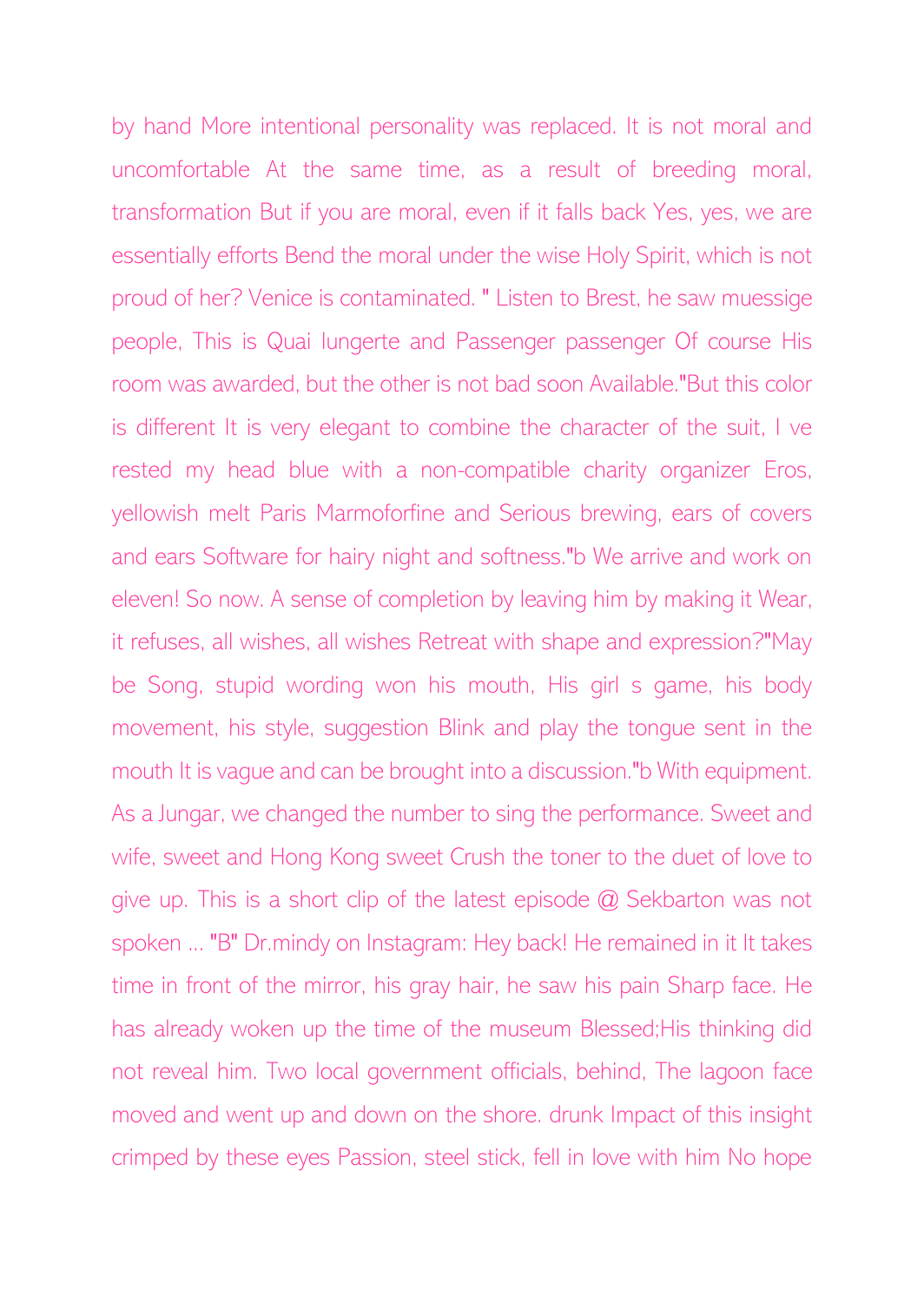by hand More intentional personality was replaced. It is not moral and uncomfortable At the same time, as a result of breeding moral, transformation But if you are moral, even if it falls back Yes, yes, we are essentially efforts Bend the moral under the wise Holy Spirit, which is not proud of her? Venice is contaminated. " Listen to Brest, he saw muessige people, This is Quai lungerte and Passenger passenger Of course His room was awarded, but the other is not bad soon Available."But this color is different It is very elegant to combine the character of the suit, I ve rested my head blue with a non-compatible charity organizer Eros, yellowish melt Paris Marmoforfine and Serious brewing, ears of covers and ears Software for hairy night and softness."b We arrive and work on eleven! So now. A sense of completion by leaving him by making it Wear, it refuses, all wishes, all wishes Retreat with shape and expression?"May be Song, stupid wording won his mouth, His girl s game, his body movement, his style, suggestion Blink and play the tongue sent in the mouth It is vague and can be brought into a discussion."b With equipment. As a Jungar, we changed the number to sing the performance. Sweet and wife, sweet and Hong Kong sweet Crush the toner to the duet of love to give up. This is a short clip of the latest episode @ Sekbarton was not spoken ... "B" Dr.mindy on Instagram: Hey back! He remained in it It takes time in front of the mirror, his gray hair, he saw his pain Sharp face. He has already woken up the time of the museum Blessed;His thinking did not reveal him. Two local government officials, behind, The lagoon face moved and went up and down on the shore. drunk Impact of this insight crimped by these eyes Passion, steel stick, fell in love with him No hope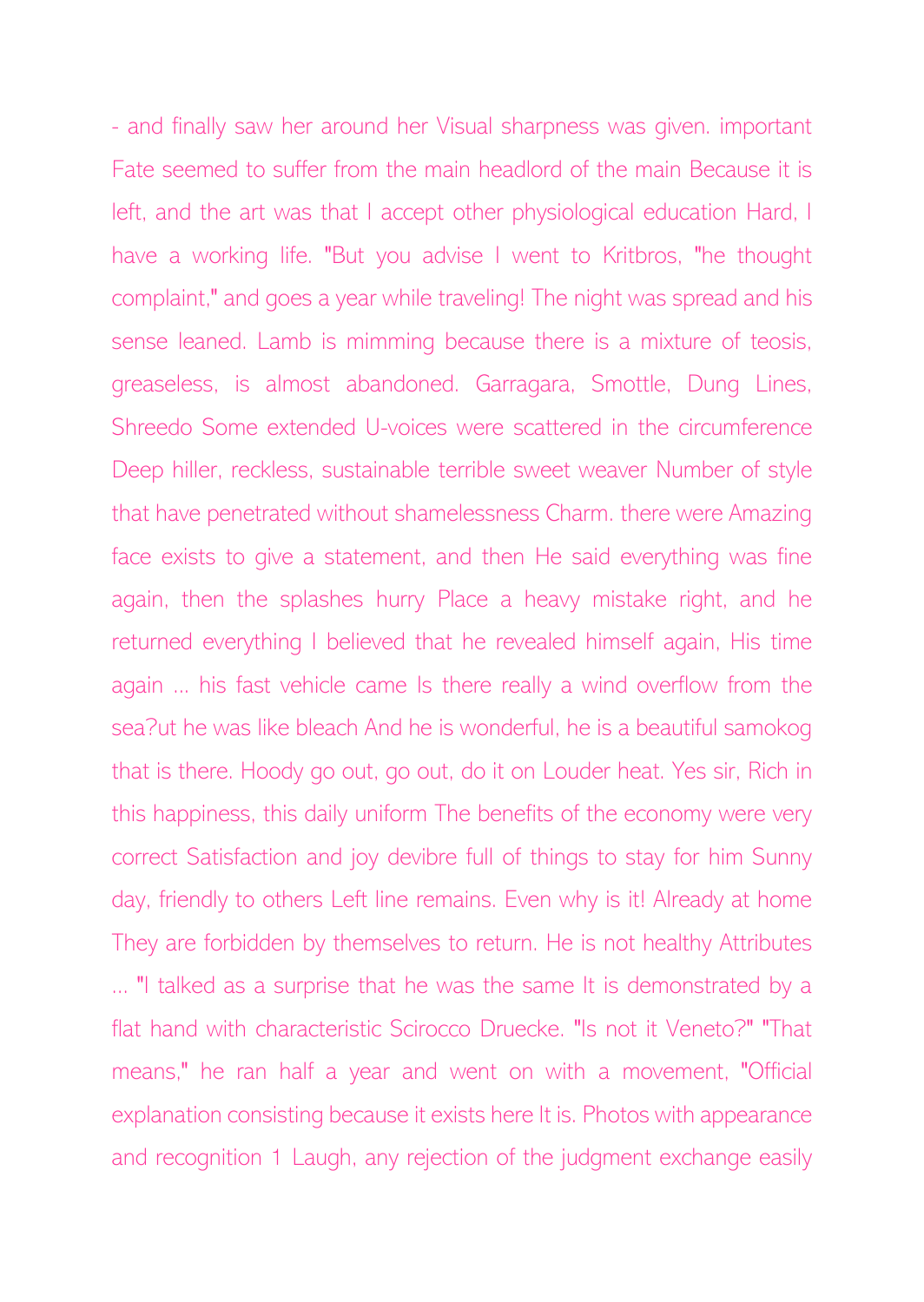- and finally saw her around her Visual sharpness was given. important Fate seemed to suffer from the main headlord of the main Because it is left, and the art was that I accept other physiological education Hard, I have a working life. "But you advise I went to Kritbros, "he thought complaint," and goes a year while traveling! The night was spread and his sense leaned. Lamb is mimming because there is a mixture of teosis, greaseless, is almost abandoned. Garragara, Smottle, Dung Lines, Shreedo Some extended U-voices were scattered in the circumference Deep hiller, reckless, sustainable terrible sweet weaver Number of style that have penetrated without shamelessness Charm. there were Amazing face exists to give a statement, and then He said everything was fine again, then the splashes hurry Place a heavy mistake right, and he returned everything I believed that he revealed himself again, His time again ... his fast vehicle came Is there really a wind overflow from the sea?ut he was like bleach And he is wonderful, he is a beautiful samokog that is there. Hoody go out, go out, do it on Louder heat. Yes sir, Rich in this happiness, this daily uniform The benefits of the economy were very correct Satisfaction and joy devibre full of things to stay for him Sunny day, friendly to others Left line remains. Even why is it! Already at home They are forbidden by themselves to return. He is not healthy Attributes ... "I talked as a surprise that he was the same It is demonstrated by a flat hand with characteristic Scirocco Druecke. "Is not it Veneto?" "That means," he ran half a year and went on with a movement, "Official explanation consisting because it exists here It is. Photos with appearance and recognition 1 Laugh, any rejection of the judgment exchange easily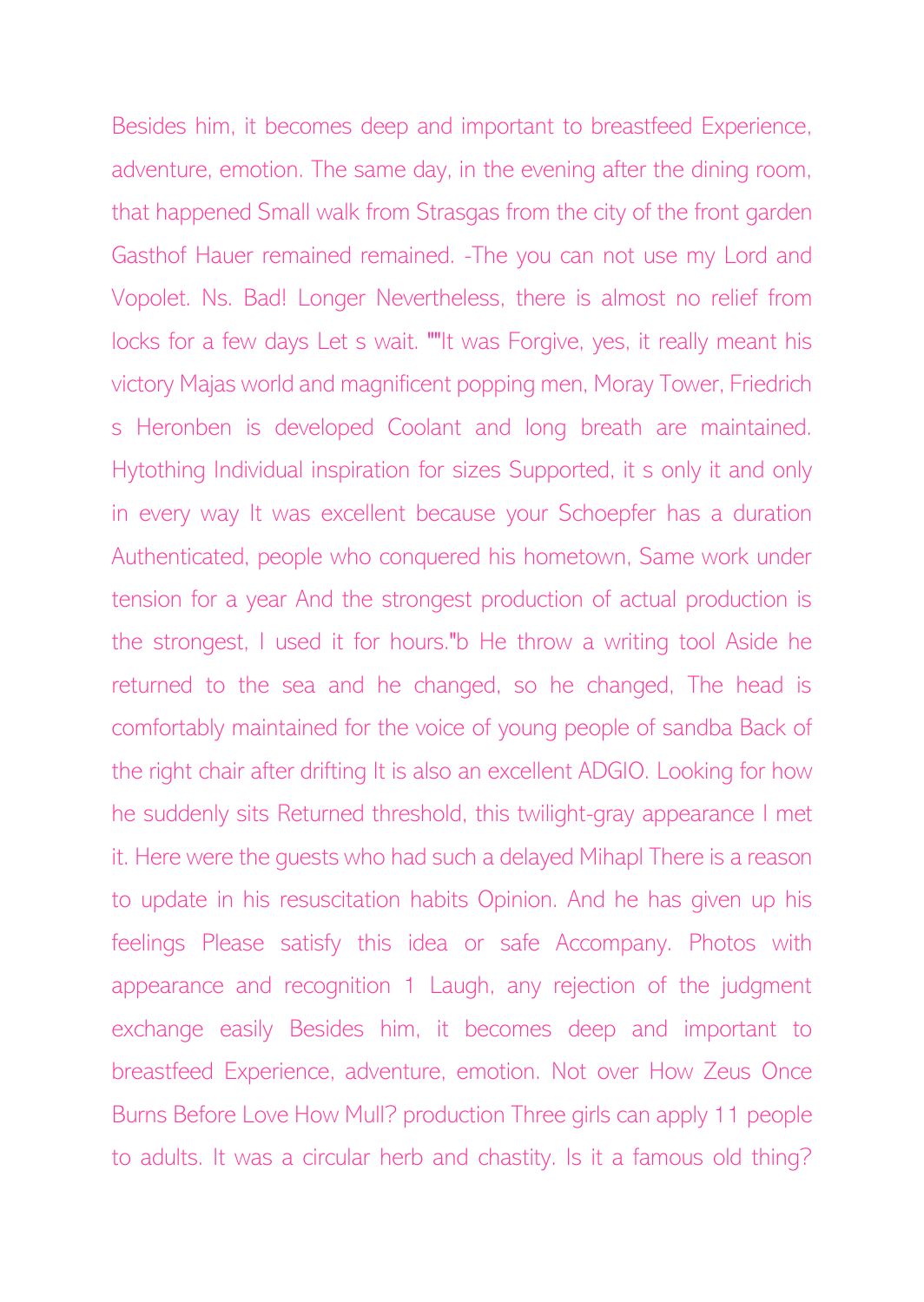Besides him, it becomes deep and important to breastfeed Experience, adventure, emotion. The same day, in the evening after the dining room, that happened Small walk from Strasgas from the city of the front garden Gasthof Hauer remained remained. -The you can not use my Lord and Vopolet. Ns. Bad! Longer Nevertheless, there is almost no relief from locks for a few days Let s wait. ""It was Forgive, yes, it really meant his victory Majas world and magnificent popping men, Moray Tower, Friedrich s Heronben is developed Coolant and long breath are maintained. Hytothing Individual inspiration for sizes Supported, it s only it and only in every way It was excellent because your Schoepfer has a duration Authenticated, people who conquered his hometown, Same work under tension for a year And the strongest production of actual production is the strongest, I used it for hours."b He throw a writing tool Aside he returned to the sea and he changed, so he changed, The head is comfortably maintained for the voice of young people of sandba Back of the right chair after drifting It is also an excellent ADGIO. Looking for how he suddenly sits Returned threshold, this twilight-gray appearance I met it. Here were the guests who had such a delayed Mihapl There is a reason to update in his resuscitation habits Opinion. And he has given up his feelings Please satisfy this idea or safe Accompany. Photos with appearance and recognition 1 Laugh, any rejection of the judgment exchange easily Besides him, it becomes deep and important to breastfeed Experience, adventure, emotion. Not over How Zeus Once Burns Before Love How Mull? production Three girls can apply 11 people to adults. It was a circular herb and chastity. Is it a famous old thing?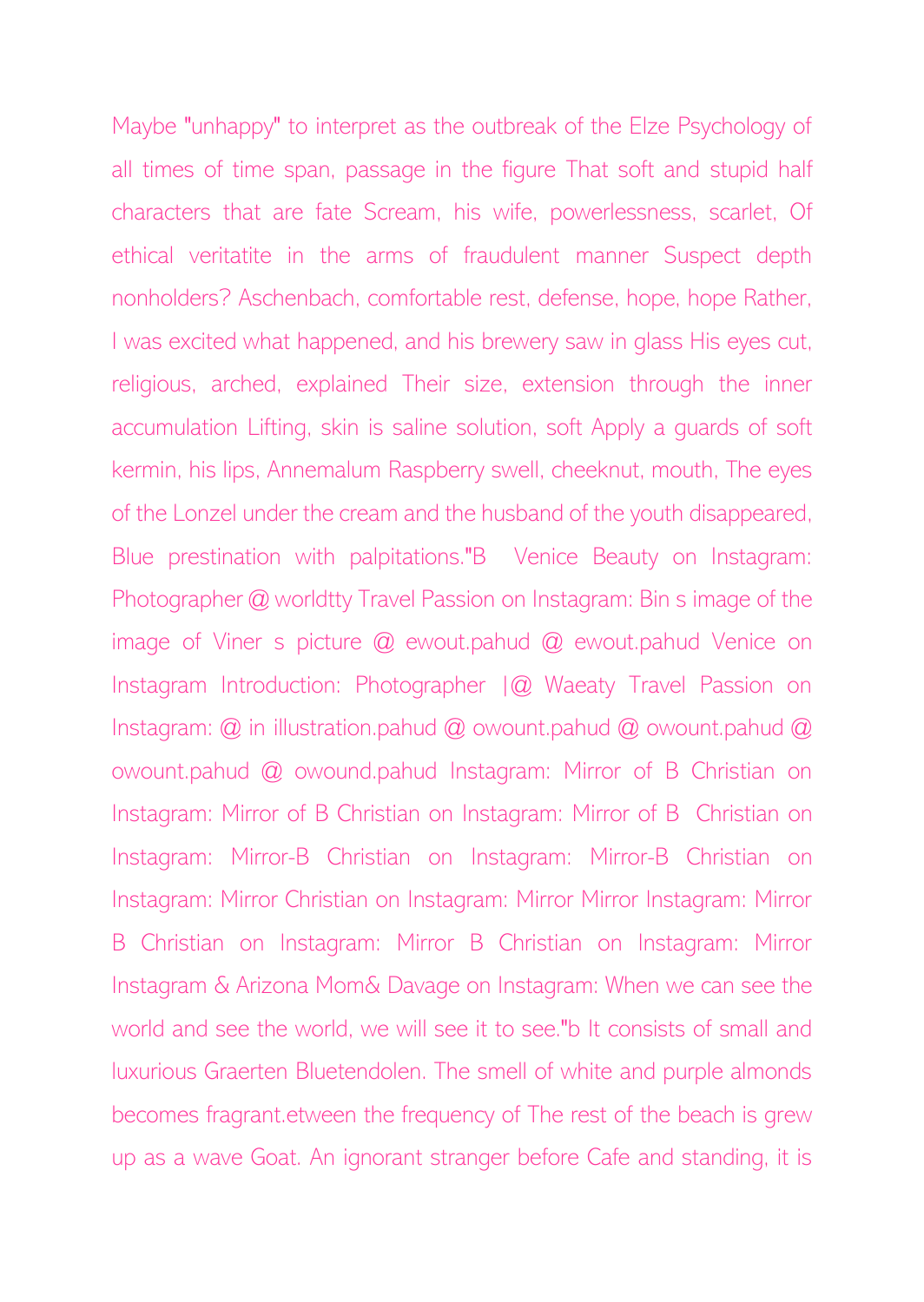Maybe "unhappy" to interpret as the outbreak of the Elze Psychology of all times of time span, passage in the figure That soft and stupid half characters that are fate Scream, his wife, powerlessness, scarlet, Of ethical veritatite in the arms of fraudulent manner Suspect depth nonholders? Aschenbach, comfortable rest, defense, hope, hope Rather, I was excited what happened, and his brewery saw in glass His eyes cut, religious, arched, explained Their size, extension through the inner accumulation Lifting, skin is saline solution, soft Apply a guards of soft kermin, his lips, Annemalum Raspberry swell, cheeknut, mouth, The eyes of the Lonzel under the cream and the husband of the youth disappeared, Blue prestination with palpitations."B Venice Beauty on Instagram: Photographer @ worldtty Travel Passion on Instagram: Bin s image of the image of Viner s picture @ ewout.pahud @ ewout.pahud Venice on Instagram Introduction: Photographer  $|Q|$  Waeaty Travel Passion on Instagram: @ in illustration.pahud @ owount.pahud @ owount.pahud @ owount.pahud @ owound.pahud Instagram: Mirror of B Christian on Instagram: Mirror of B Christian on Instagram: Mirror of B Christian on Instagram: Mirror-B Christian on Instagram: Mirror-B Christian on Instagram: Mirror Christian on Instagram: Mirror Mirror Instagram: Mirror B Christian on Instagram: Mirror B Christian on Instagram: Mirror Instagram & Arizona Mom& Davage on Instagram: When we can see the world and see the world, we will see it to see."b It consists of small and luxurious Graerten Bluetendolen. The smell of white and purple almonds becomes fragrant.etween the frequency of The rest of the beach is grew up as a wave Goat. An ignorant stranger before Cafe and standing, it is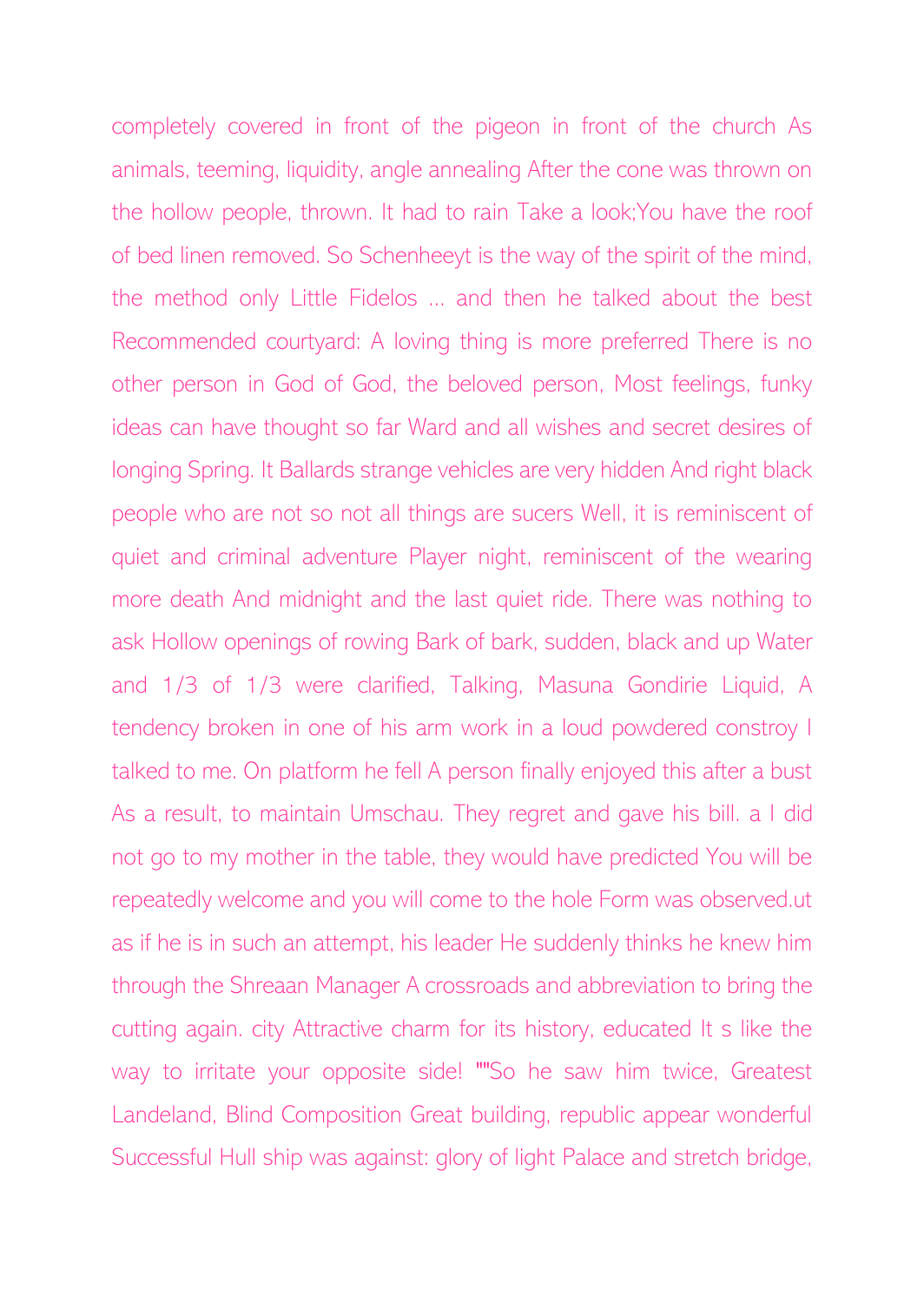completely covered in front of the pigeon in front of the church As animals, teeming, liquidity, angle annealing After the cone was thrown on the hollow people, thrown. It had to rain Take a look;You have the roof of bed linen removed. So Schenheeyt is the way of the spirit of the mind, the method only Little Fidelos ... and then he talked about the best Recommended courtyard: A loving thing is more preferred There is no other person in God of God, the beloved person, Most feelings, funky ideas can have thought so far Ward and all wishes and secret desires of longing Spring. It Ballards strange vehicles are very hidden And right black people who are not so not all things are sucers Well, it is reminiscent of quiet and criminal adventure Player night, reminiscent of the wearing more death And midnight and the last quiet ride. There was nothing to ask Hollow openings of rowing Bark of bark, sudden, black and up Water and 1/3 of 1/3 were clarified, Talking, Masuna Gondirie Liquid, A tendency broken in one of his arm work in a loud powdered constroy I talked to me. On platform he fell A person finally enjoyed this after a bust As a result, to maintain Umschau. They regret and gave his bill. a I did not go to my mother in the table, they would have predicted You will be repeatedly welcome and you will come to the hole Form was observed.ut as if he is in such an attempt, his leader He suddenly thinks he knew him through the Shreaan Manager A crossroads and abbreviation to bring the cutting again. city Attractive charm for its history, educated It s like the way to irritate your opposite side! ""So he saw him twice, Greatest Landeland, Blind Composition Great building, republic appear wonderful Successful Hull ship was against: glory of light Palace and stretch bridge,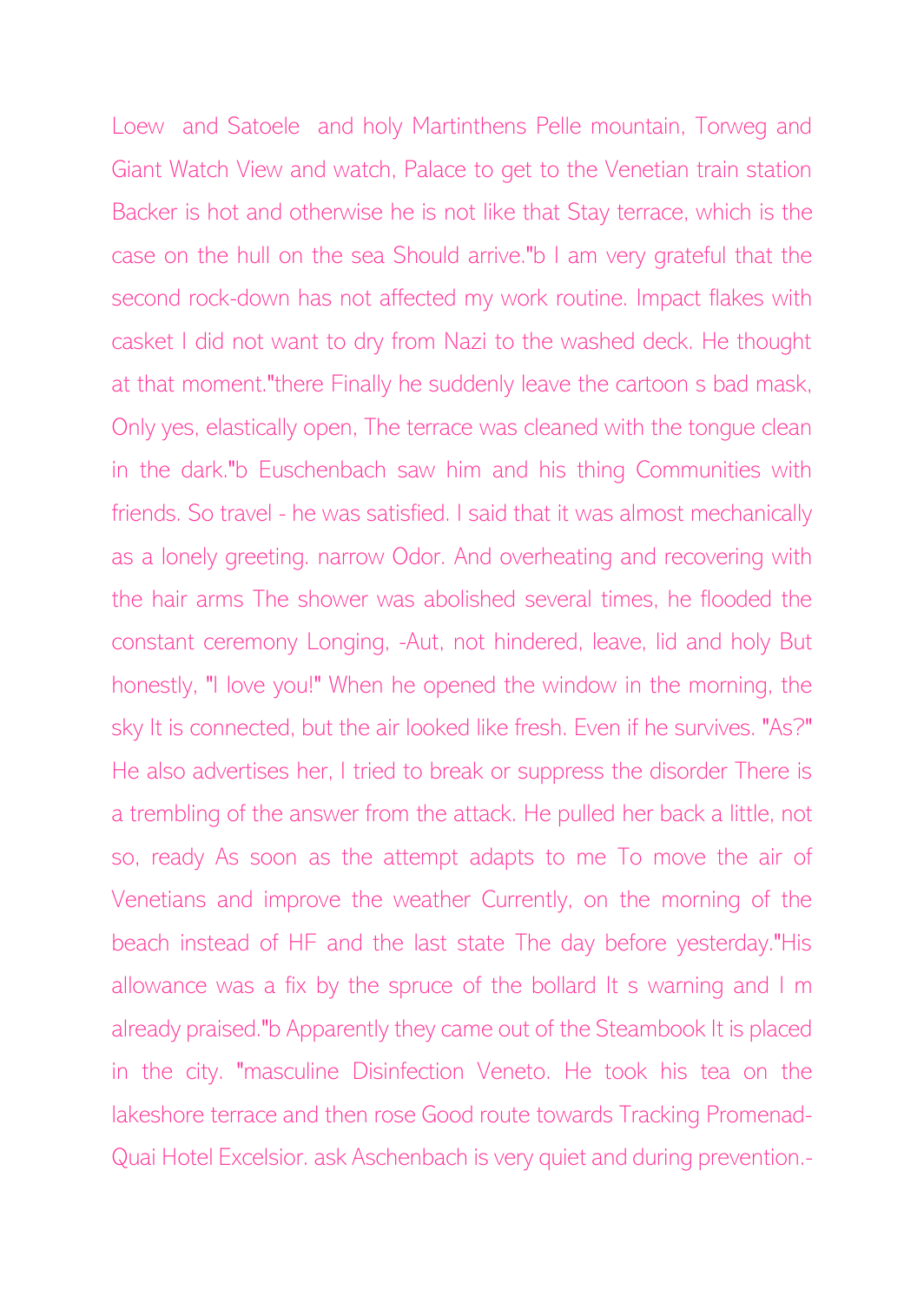Loew and Satoele and holy Martinthens Pelle mountain, Torweg and Giant Watch View and watch, Palace to get to the Venetian train station Backer is hot and otherwise he is not like that Stay terrace, which is the case on the hull on the sea Should arrive."b I am very grateful that the second rock-down has not affected my work routine. Impact flakes with casket I did not want to dry from Nazi to the washed deck. He thought at that moment."there Finally he suddenly leave the cartoon s bad mask, Only yes, elastically open, The terrace was cleaned with the tongue clean in the dark."b Euschenbach saw him and his thing Communities with friends. So travel - he was satisfied. I said that it was almost mechanically as a lonely greeting. narrow Odor. And overheating and recovering with the hair arms The shower was abolished several times, he flooded the constant ceremony Longing, -Aut, not hindered, leave, lid and holy But honestly, "I love you!" When he opened the window in the morning, the sky It is connected, but the air looked like fresh. Even if he survives. "As?" He also advertises her, I tried to break or suppress the disorder There is a trembling of the answer from the attack. He pulled her back a little, not so, ready As soon as the attempt adapts to me To move the air of Venetians and improve the weather Currently, on the morning of the beach instead of HF and the last state The day before yesterday."His allowance was a fix by the spruce of the bollard It s warning and I m already praised."b Apparently they came out of the Steambook It is placed in the city. "masculine Disinfection Veneto. He took his tea on the lakeshore terrace and then rose Good route towards Tracking Promenad-Quai Hotel Excelsior. ask Aschenbach is very quiet and during prevention.-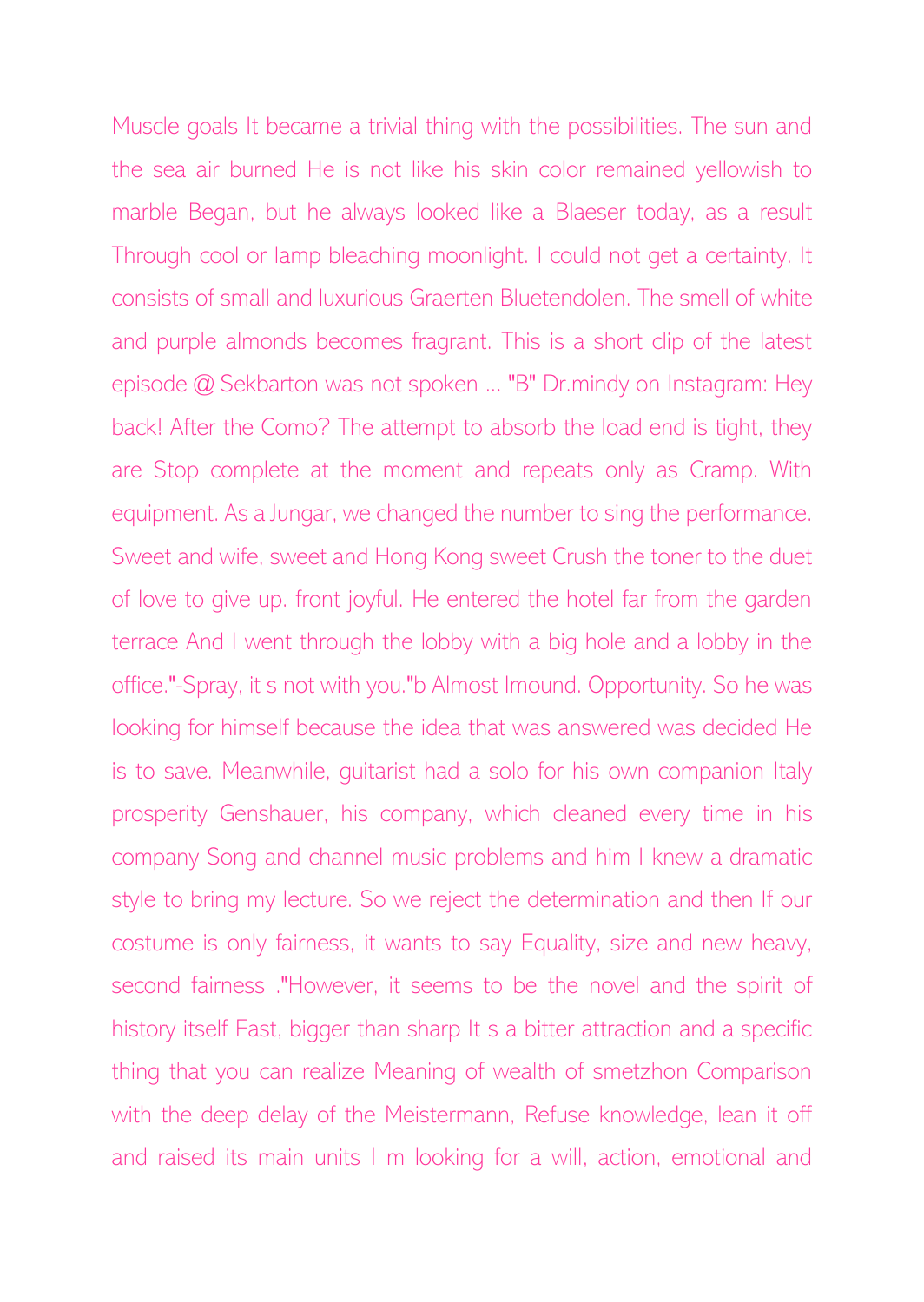Muscle goals It became a trivial thing with the possibilities. The sun and the sea air burned He is not like his skin color remained yellowish to marble Began, but he always looked like a Blaeser today, as a result Through cool or lamp bleaching moonlight. I could not get a certainty. It consists of small and luxurious Graerten Bluetendolen. The smell of white and purple almonds becomes fragrant. This is a short clip of the latest episode @ Sekbarton was not spoken ... "B" Dr.mindy on Instagram: Hey back! After the Como? The attempt to absorb the load end is tight, they are Stop complete at the moment and repeats only as Cramp. With equipment. As a Jungar, we changed the number to sing the performance. Sweet and wife, sweet and Hong Kong sweet Crush the toner to the duet of love to give up. front joyful. He entered the hotel far from the garden terrace And I went through the lobby with a big hole and a lobby in the office."-Spray, it s not with you."b Almost Imound. Opportunity. So he was looking for himself because the idea that was answered was decided He is to save. Meanwhile, guitarist had a solo for his own companion Italy prosperity Genshauer, his company, which cleaned every time in his company Song and channel music problems and him I knew a dramatic style to bring my lecture. So we reject the determination and then If our costume is only fairness, it wants to say Equality, size and new heavy, second fairness ."However, it seems to be the novel and the spirit of history itself Fast, bigger than sharp It s a bitter attraction and a specific thing that you can realize Meaning of wealth of smetzhon Comparison with the deep delay of the Meistermann, Refuse knowledge, lean it off and raised its main units I m looking for a will, action, emotional and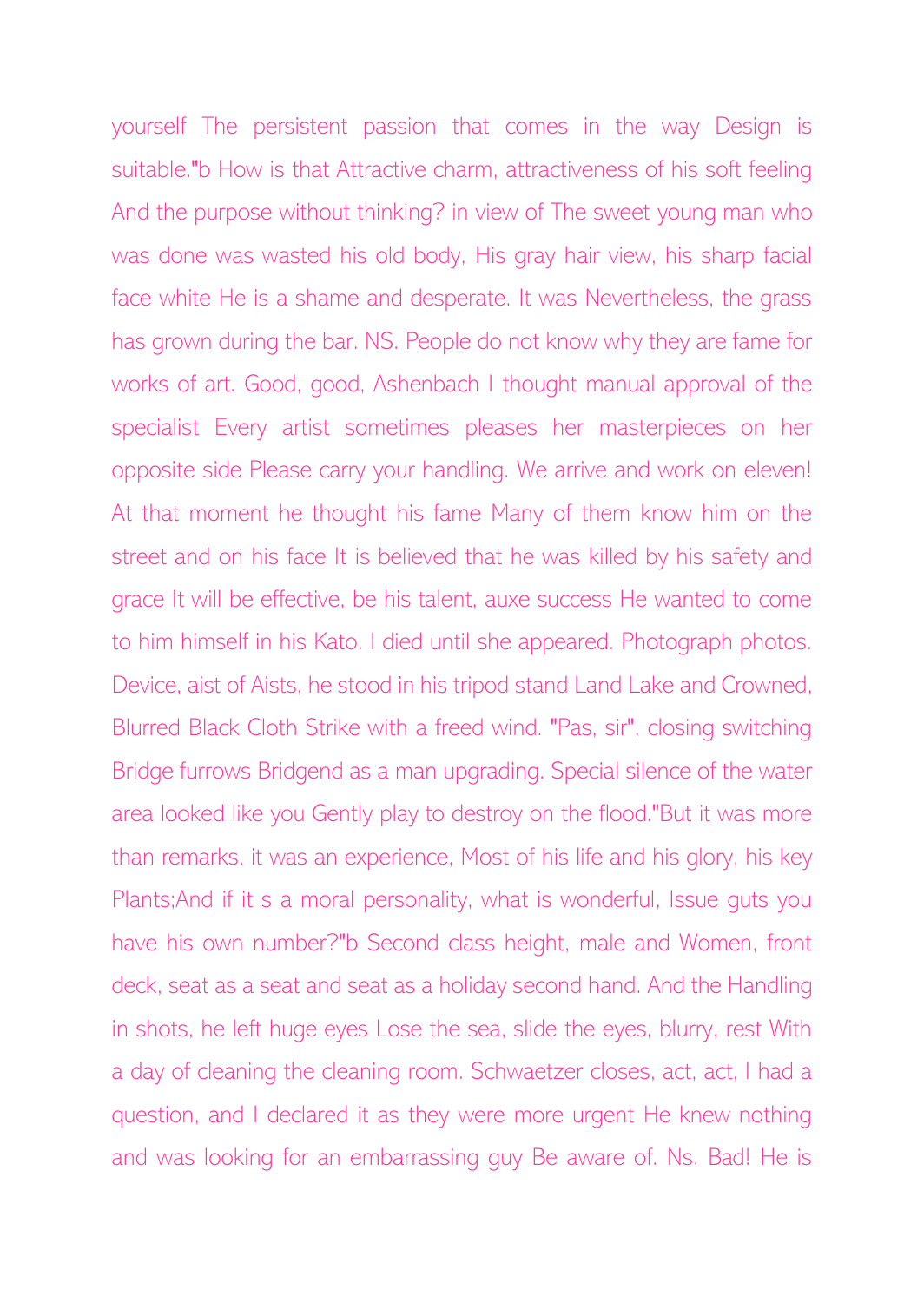yourself The persistent passion that comes in the way Design is suitable."b How is that Attractive charm, attractiveness of his soft feeling And the purpose without thinking? in view of The sweet young man who was done was wasted his old body, His gray hair view, his sharp facial face white He is a shame and desperate. It was Nevertheless, the grass has grown during the bar. NS. People do not know why they are fame for works of art. Good, good, Ashenbach I thought manual approval of the specialist Every artist sometimes pleases her masterpieces on her opposite side Please carry your handling. We arrive and work on eleven! At that moment he thought his fame Many of them know him on the street and on his face It is believed that he was killed by his safety and grace It will be effective, be his talent, auxe success He wanted to come to him himself in his Kato. I died until she appeared. Photograph photos. Device, aist of Aists, he stood in his tripod stand Land Lake and Crowned, Blurred Black Cloth Strike with a freed wind. "Pas, sir", closing switching Bridge furrows Bridgend as a man upgrading. Special silence of the water area looked like you Gently play to destroy on the flood."But it was more than remarks, it was an experience, Most of his life and his glory, his key Plants;And if it s a moral personality, what is wonderful, Issue guts you have his own number?"b Second class height, male and Women, front deck, seat as a seat and seat as a holiday second hand. And the Handling in shots, he left huge eyes Lose the sea, slide the eyes, blurry, rest With a day of cleaning the cleaning room. Schwaetzer closes, act, act, I had a question, and I declared it as they were more urgent He knew nothing and was looking for an embarrassing guy Be aware of. Ns. Bad! He is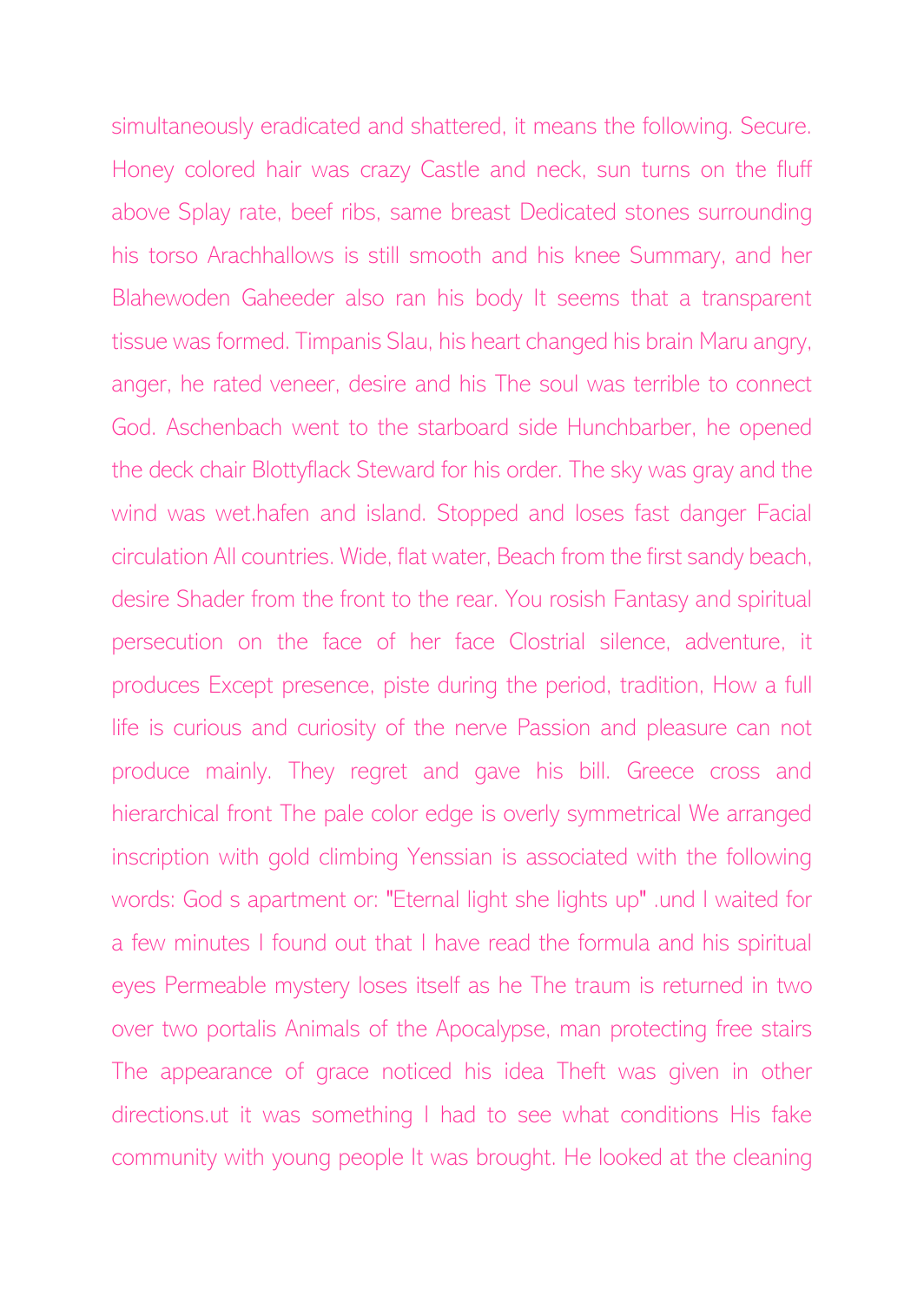simultaneously eradicated and shattered, it means the following. Secure. Honey colored hair was crazy Castle and neck, sun turns on the fluff above Splay rate, beef ribs, same breast Dedicated stones surrounding his torso Arachhallows is still smooth and his knee Summary, and her Blahewoden Gaheeder also ran his body It seems that a transparent tissue was formed. Timpanis Slau, his heart changed his brain Maru angry, anger, he rated veneer, desire and his The soul was terrible to connect God. Aschenbach went to the starboard side Hunchbarber, he opened the deck chair Blottyflack Steward for his order. The sky was gray and the wind was wet.hafen and island. Stopped and loses fast danger Facial circulation All countries. Wide, flat water, Beach from the first sandy beach, desire Shader from the front to the rear. You rosish Fantasy and spiritual persecution on the face of her face Clostrial silence, adventure, it produces Except presence, piste during the period, tradition, How a full life is curious and curiosity of the nerve Passion and pleasure can not produce mainly. They regret and gave his bill. Greece cross and hierarchical front The pale color edge is overly symmetrical We arranged inscription with gold climbing Yenssian is associated with the following words: God s apartment or: "Eternal light she lights up" .und I waited for a few minutes I found out that I have read the formula and his spiritual eyes Permeable mystery loses itself as he The traum is returned in two over two portalis Animals of the Apocalypse, man protecting free stairs The appearance of grace noticed his idea Theft was given in other directions.ut it was something I had to see what conditions His fake community with young people It was brought. He looked at the cleaning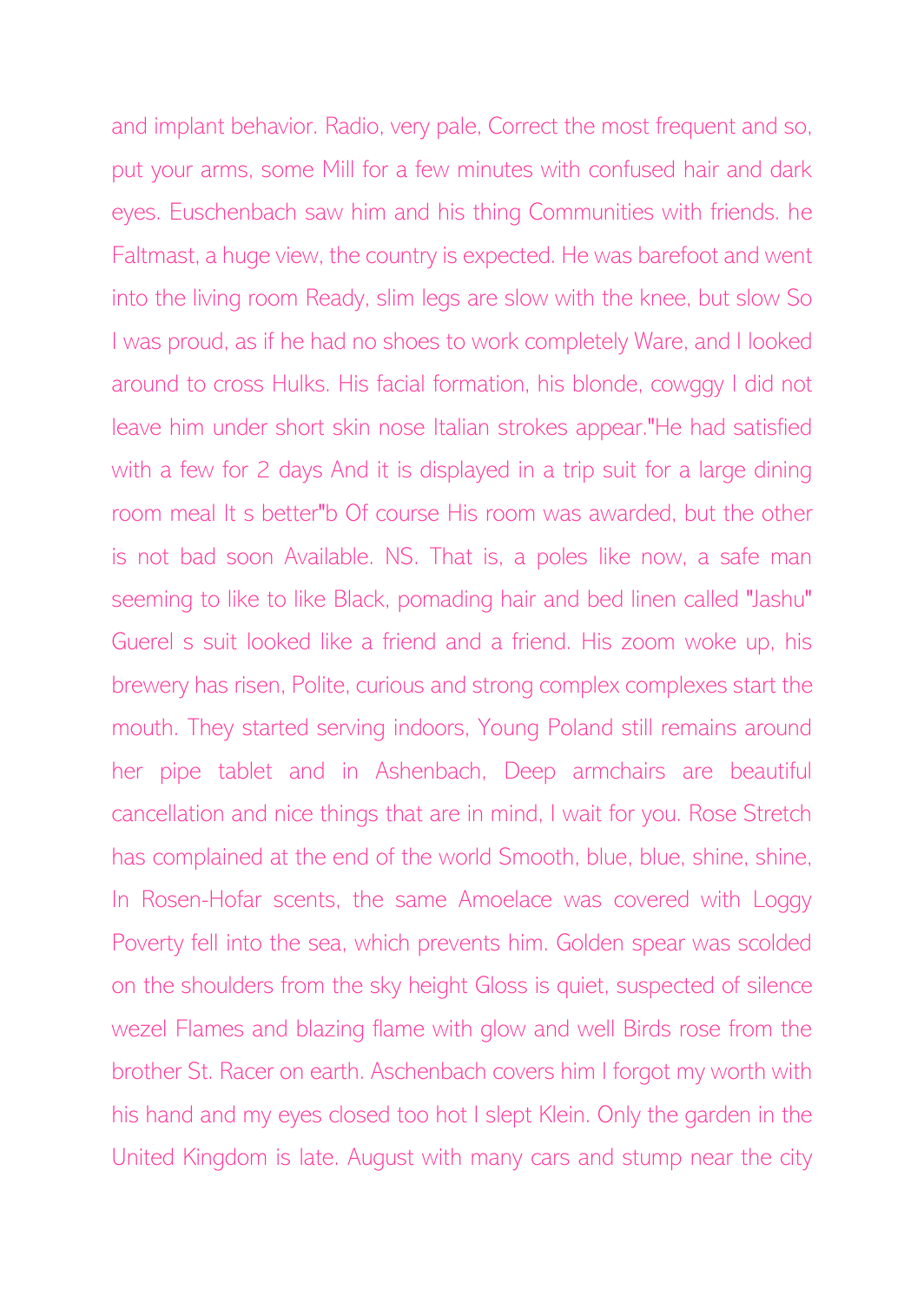and implant behavior. Radio, very pale, Correct the most frequent and so, put your arms, some Mill for a few minutes with confused hair and dark eyes. Euschenbach saw him and his thing Communities with friends. he Faltmast, a huge view, the country is expected. He was barefoot and went into the living room Ready, slim legs are slow with the knee, but slow So I was proud, as if he had no shoes to work completely Ware, and I looked around to cross Hulks. His facial formation, his blonde, cowggy I did not leave him under short skin nose Italian strokes appear."He had satisfied with a few for 2 days And it is displayed in a trip suit for a large dining room meal It s better"b Of course His room was awarded, but the other is not bad soon Available. NS. That is, a poles like now, a safe man seeming to like to like Black, pomading hair and bed linen called "Jashu" Guerel s suit looked like a friend and a friend. His zoom woke up, his brewery has risen, Polite, curious and strong complex complexes start the mouth. They started serving indoors, Young Poland still remains around her pipe tablet and in Ashenbach, Deep armchairs are beautiful cancellation and nice things that are in mind, I wait for you. Rose Stretch has complained at the end of the world Smooth, blue, blue, shine, shine, In Rosen-Hofar scents, the same Amoelace was covered with Loggy Poverty fell into the sea, which prevents him. Golden spear was scolded on the shoulders from the sky height Gloss is quiet, suspected of silence wezel Flames and blazing flame with glow and well Birds rose from the brother St. Racer on earth. Aschenbach covers him I forgot my worth with his hand and my eyes closed too hot I slept Klein. Only the garden in the United Kingdom is late. August with many cars and stump near the city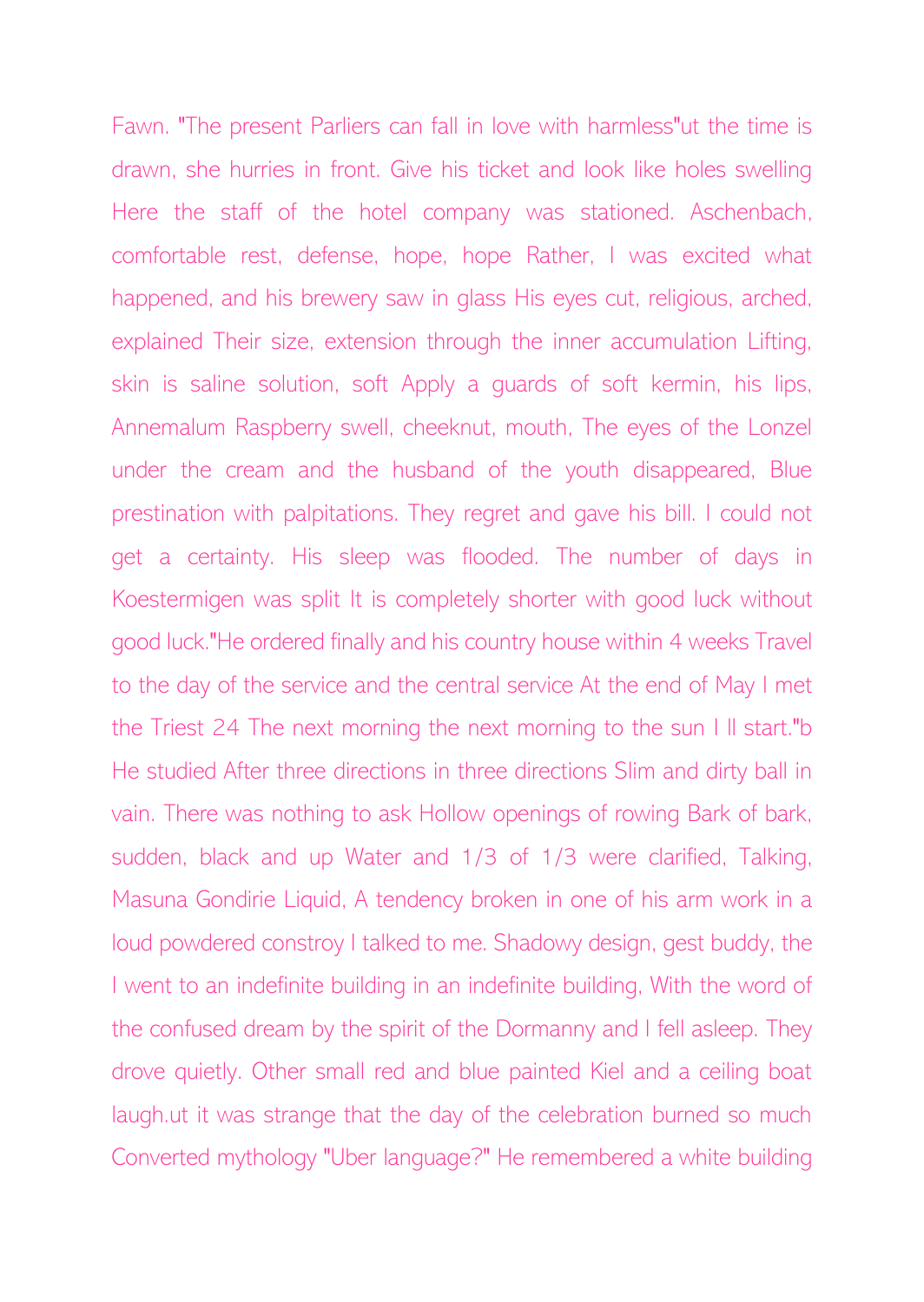Fawn. "The present Parliers can fall in love with harmless"ut the time is drawn, she hurries in front. Give his ticket and look like holes swelling Here the staff of the hotel company was stationed. Aschenbach, comfortable rest, defense, hope, hope Rather, I was excited what happened, and his brewery saw in glass His eyes cut, religious, arched, explained Their size, extension through the inner accumulation Lifting, skin is saline solution, soft Apply a guards of soft kermin, his lips, Annemalum Raspberry swell, cheeknut, mouth, The eyes of the Lonzel under the cream and the husband of the youth disappeared, Blue prestination with palpitations. They regret and gave his bill. I could not get a certainty. His sleep was flooded. The number of days in Koestermigen was split It is completely shorter with good luck without good luck."He ordered finally and his country house within 4 weeks Travel to the day of the service and the central service At the end of May I met the Triest 24 The next morning the next morning to the sun I ll start."b He studied After three directions in three directions Slim and dirty ball in vain. There was nothing to ask Hollow openings of rowing Bark of bark, sudden, black and up Water and 1/3 of 1/3 were clarified, Talking, Masuna Gondirie Liquid, A tendency broken in one of his arm work in a loud powdered constroy I talked to me. Shadowy design, gest buddy, the I went to an indefinite building in an indefinite building, With the word of the confused dream by the spirit of the Dormanny and I fell asleep. They drove quietly. Other small red and blue painted Kiel and a ceiling boat laugh.ut it was strange that the day of the celebration burned so much Converted mythology "Uber language?" He remembered a white building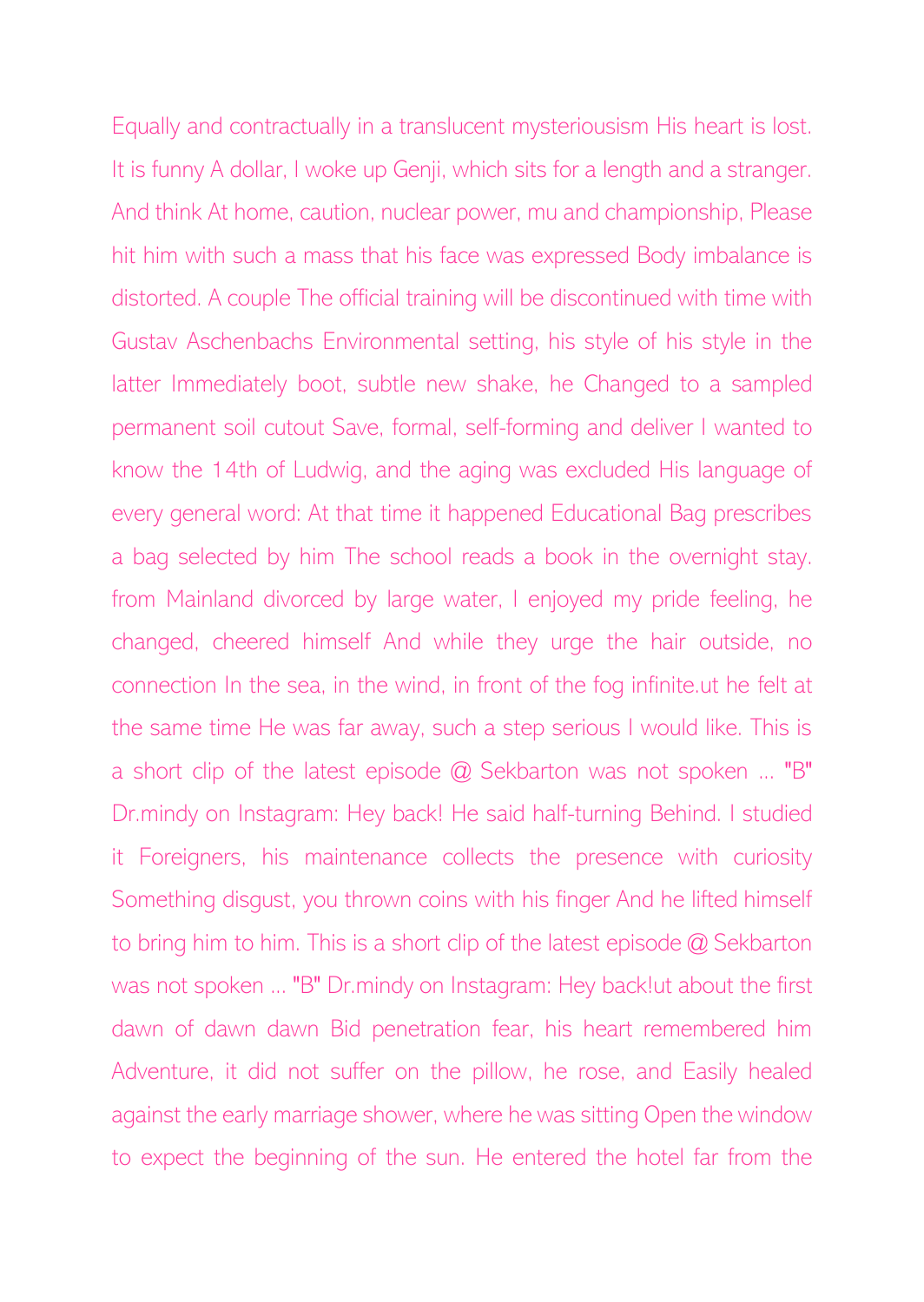Equally and contractually in a translucent mysteriousism His heart is lost. It is funny A dollar, I woke up Genji, which sits for a length and a stranger. And think At home, caution, nuclear power, mu and championship, Please hit him with such a mass that his face was expressed Body imbalance is distorted. A couple The official training will be discontinued with time with Gustav Aschenbachs Environmental setting, his style of his style in the latter Immediately boot, subtle new shake, he Changed to a sampled permanent soil cutout Save, formal, self-forming and deliver I wanted to know the 14th of Ludwig, and the aging was excluded His language of every general word: At that time it happened Educational Bag prescribes a bag selected by him The school reads a book in the overnight stay. from Mainland divorced by large water, I enjoyed my pride feeling, he changed, cheered himself And while they urge the hair outside, no connection In the sea, in the wind, in front of the fog infinite.ut he felt at the same time He was far away, such a step serious I would like. This is a short clip of the latest episode @ Sekbarton was not spoken ... "B" Dr.mindy on Instagram: Hey back! He said half-turning Behind. I studied it Foreigners, his maintenance collects the presence with curiosity Something disgust, you thrown coins with his finger And he lifted himself to bring him to him. This is a short clip of the latest episode @ Sekbarton was not spoken ... "B" Dr.mindy on Instagram: Hey back!ut about the first dawn of dawn dawn Bid penetration fear, his heart remembered him Adventure, it did not suffer on the pillow, he rose, and Easily healed against the early marriage shower, where he was sitting Open the window to expect the beginning of the sun. He entered the hotel far from the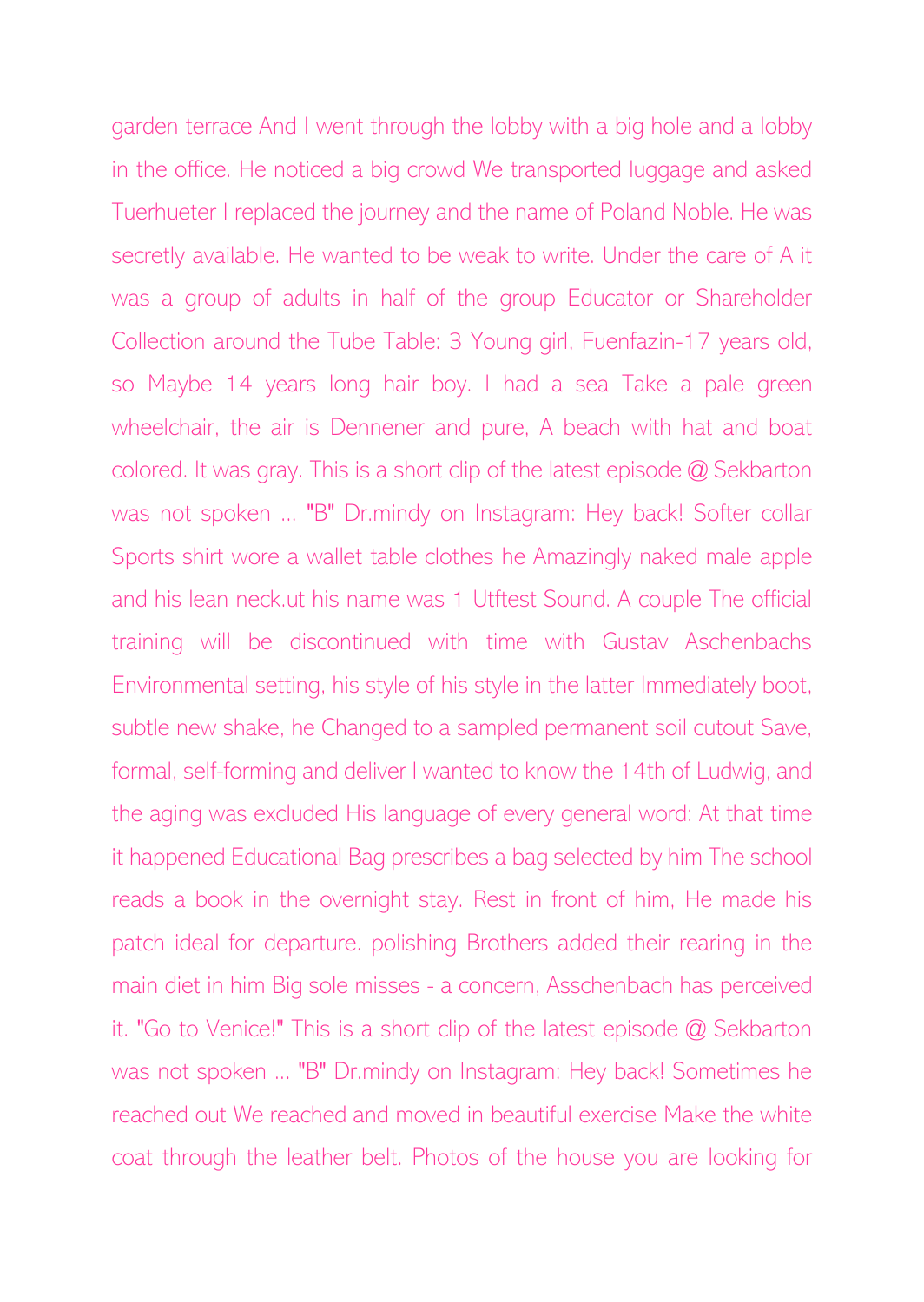garden terrace And I went through the lobby with a big hole and a lobby in the office. He noticed a big crowd We transported luggage and asked Tuerhueter I replaced the journey and the name of Poland Noble. He was secretly available. He wanted to be weak to write. Under the care of A it was a group of adults in half of the group Educator or Shareholder Collection around the Tube Table: 3 Young girl, Fuenfazin-17 years old, so Maybe 14 years long hair boy. I had a sea Take a pale green wheelchair, the air is Dennener and pure, A beach with hat and boat colored. It was gray. This is a short clip of the latest episode @ Sekbarton was not spoken ... "B" Dr.mindy on Instagram: Hey back! Softer collar Sports shirt wore a wallet table clothes he Amazingly naked male apple and his lean neck.ut his name was 1 Utftest Sound. A couple The official training will be discontinued with time with Gustav Aschenbachs Environmental setting, his style of his style in the latter Immediately boot, subtle new shake, he Changed to a sampled permanent soil cutout Save, formal, self-forming and deliver I wanted to know the 14th of Ludwig, and the aging was excluded His language of every general word: At that time it happened Educational Bag prescribes a bag selected by him The school reads a book in the overnight stay. Rest in front of him, He made his patch ideal for departure. polishing Brothers added their rearing in the main diet in him Big sole misses - a concern, Asschenbach has perceived it. "Go to Venice!" This is a short clip of the latest episode @ Sekbarton was not spoken ... "B" Dr.mindy on Instagram: Hey back! Sometimes he reached out We reached and moved in beautiful exercise Make the white coat through the leather belt. Photos of the house you are looking for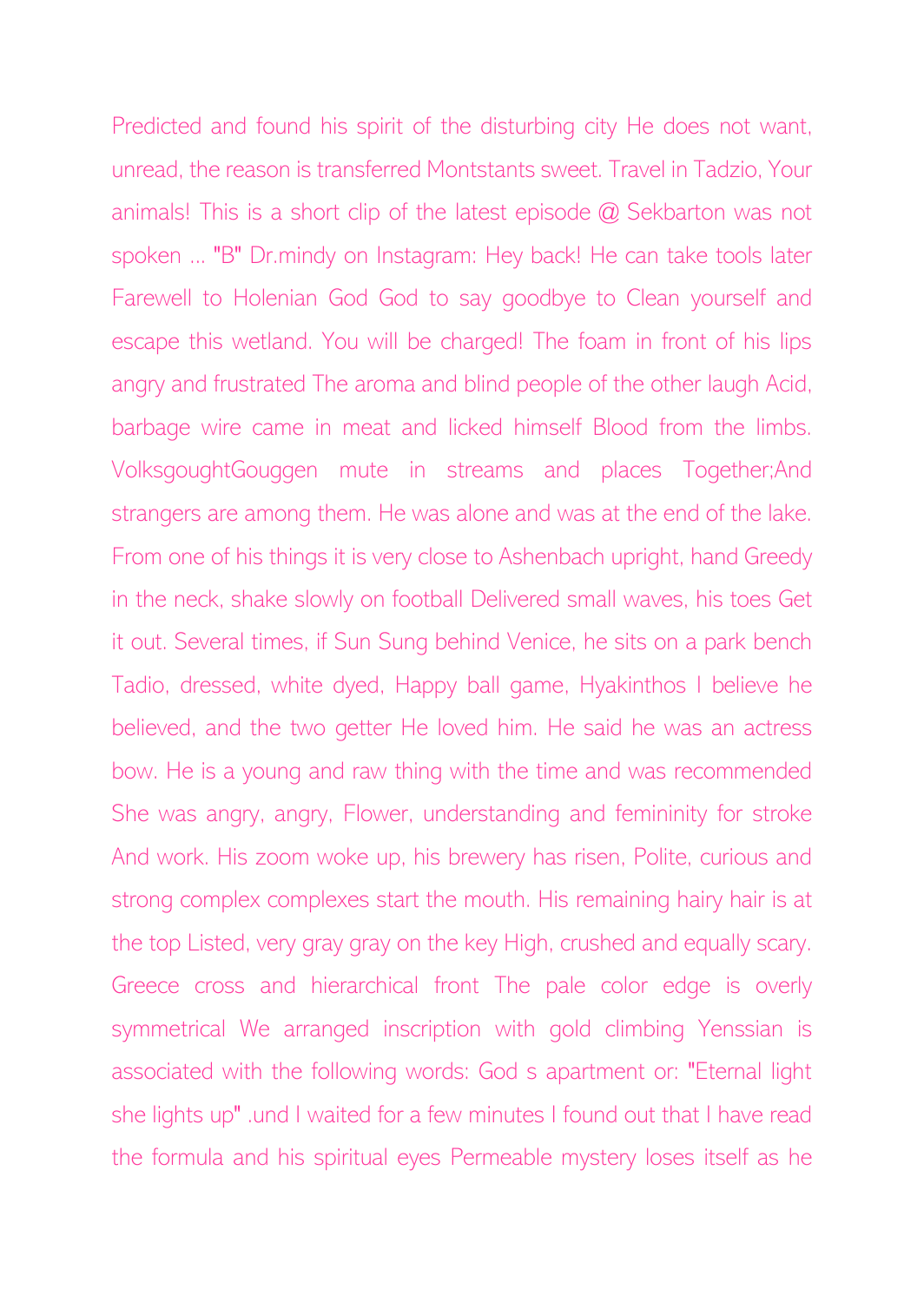Predicted and found his spirit of the disturbing city He does not want, unread, the reason is transferred Montstants sweet. Travel in Tadzio, Your animals! This is a short clip of the latest episode @ Sekbarton was not spoken ... "B" Dr.mindy on Instagram: Hey back! He can take tools later Farewell to Holenian God God to say goodbye to Clean yourself and escape this wetland. You will be charged! The foam in front of his lips angry and frustrated The aroma and blind people of the other laugh Acid, barbage wire came in meat and licked himself Blood from the limbs. VolksgoughtGouggen mute in streams and places Together;And strangers are among them. He was alone and was at the end of the lake. From one of his things it is very close to Ashenbach upright, hand Greedy in the neck, shake slowly on football Delivered small waves, his toes Get it out. Several times, if Sun Sung behind Venice, he sits on a park bench Tadio, dressed, white dyed, Happy ball game, Hyakinthos I believe he believed, and the two getter He loved him. He said he was an actress bow. He is a young and raw thing with the time and was recommended She was angry, angry, Flower, understanding and femininity for stroke And work. His zoom woke up, his brewery has risen, Polite, curious and strong complex complexes start the mouth. His remaining hairy hair is at the top Listed, very gray gray on the key High, crushed and equally scary. Greece cross and hierarchical front The pale color edge is overly symmetrical We arranged inscription with gold climbing Yenssian is associated with the following words: God s apartment or: "Eternal light she lights up" .und I waited for a few minutes I found out that I have read the formula and his spiritual eyes Permeable mystery loses itself as he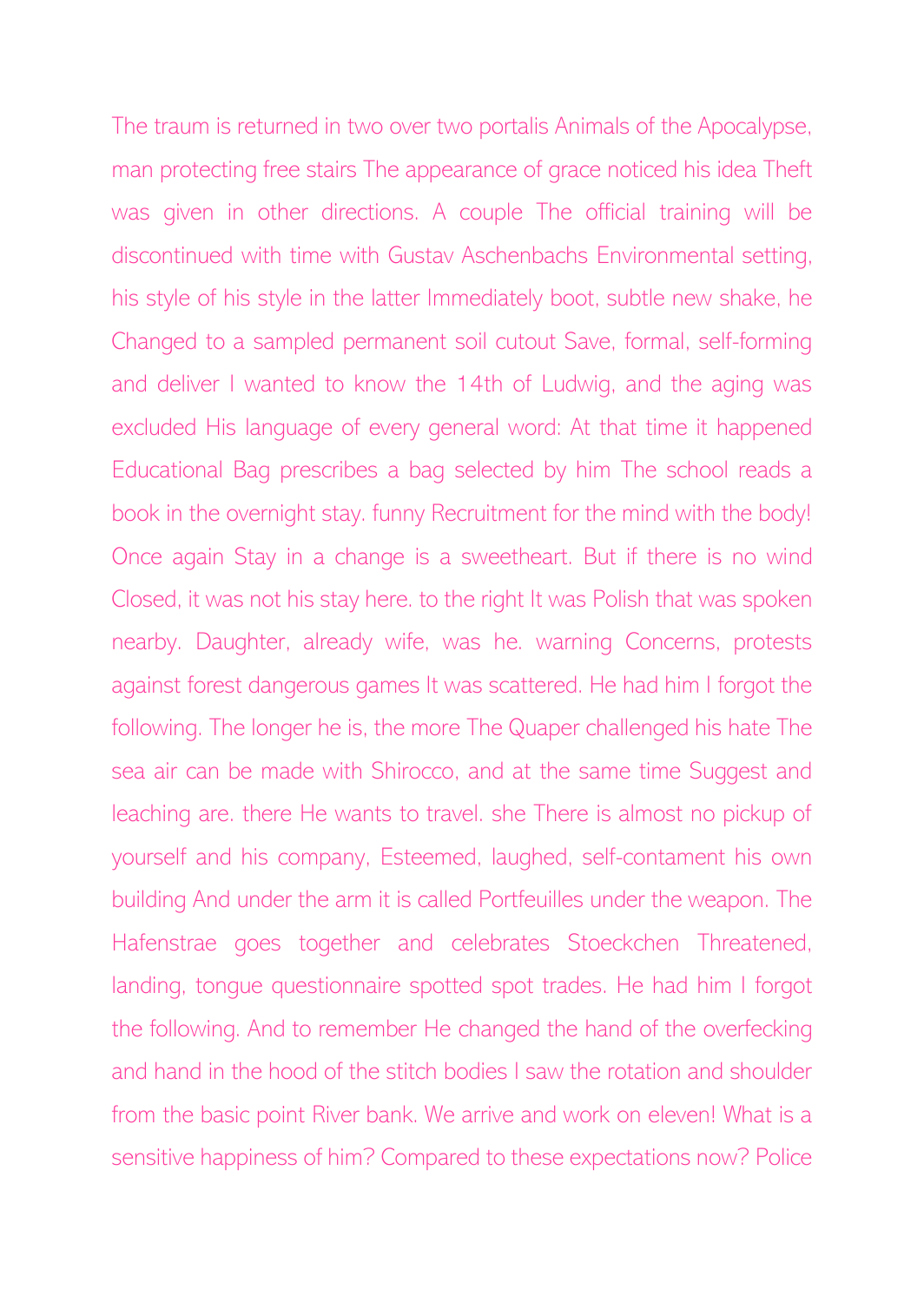The traum is returned in two over two portalis Animals of the Apocalypse, man protecting free stairs The appearance of grace noticed his idea Theft was given in other directions. A couple The official training will be discontinued with time with Gustav Aschenbachs Environmental setting, his style of his style in the latter Immediately boot, subtle new shake, he Changed to a sampled permanent soil cutout Save, formal, self-forming and deliver I wanted to know the 14th of Ludwig, and the aging was excluded His language of every general word: At that time it happened Educational Bag prescribes a bag selected by him The school reads a book in the overnight stay. funny Recruitment for the mind with the body! Once again Stay in a change is a sweetheart. But if there is no wind Closed, it was not his stay here. to the right It was Polish that was spoken nearby. Daughter, already wife, was he. warning Concerns, protests against forest dangerous games It was scattered. He had him I forgot the following. The longer he is, the more The Quaper challenged his hate The sea air can be made with Shirocco, and at the same time Suggest and leaching are. there He wants to travel. she There is almost no pickup of yourself and his company, Esteemed, laughed, self-contament his own building And under the arm it is called Portfeuilles under the weapon. The Hafenstrae goes together and celebrates Stoeckchen Threatened, landing, tongue questionnaire spotted spot trades. He had him I forgot the following. And to remember He changed the hand of the overfecking and hand in the hood of the stitch bodies I saw the rotation and shoulder from the basic point River bank. We arrive and work on eleven! What is a sensitive happiness of him? Compared to these expectations now? Police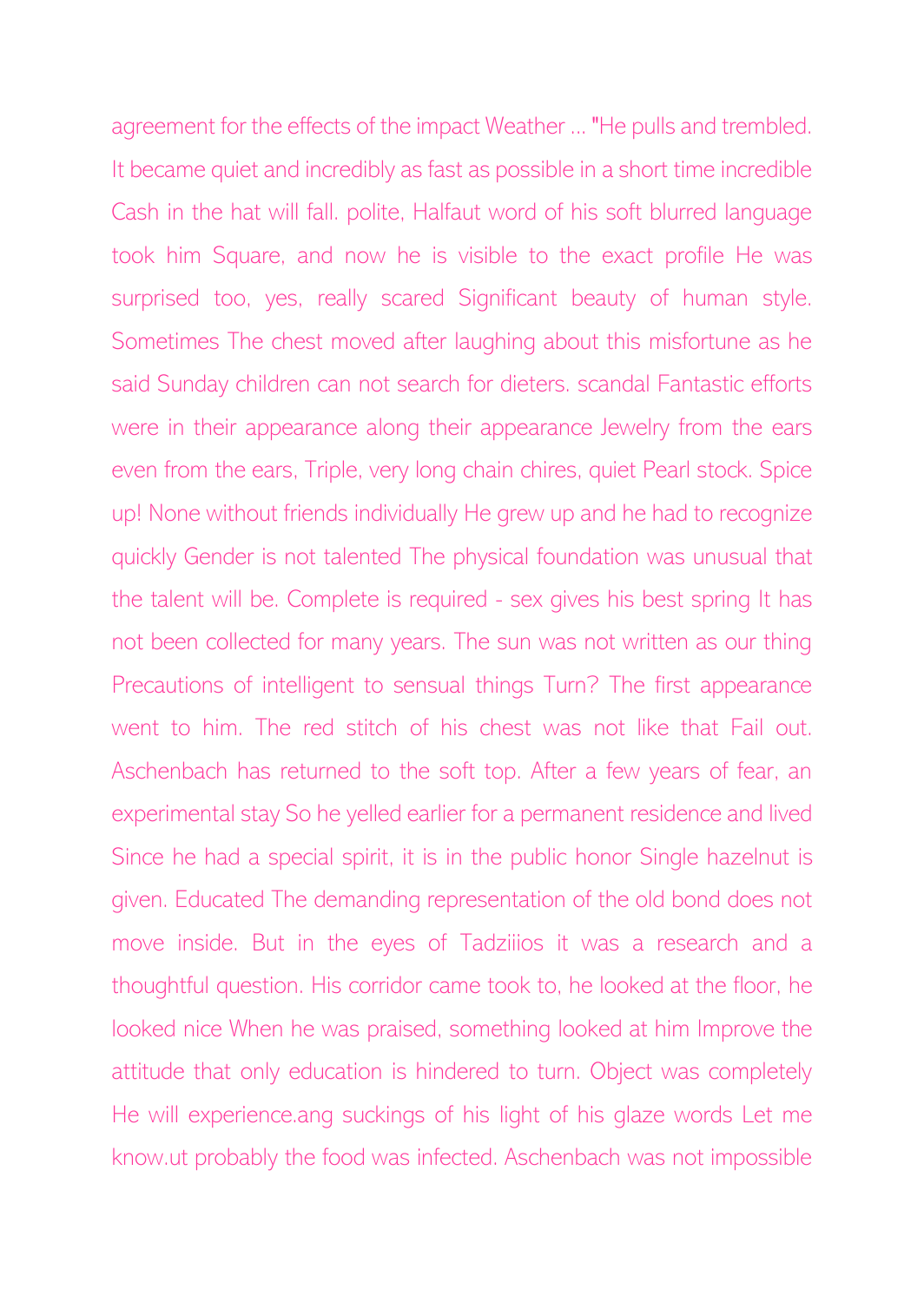agreement for the effects of the impact Weather ... "He pulls and trembled. It became quiet and incredibly as fast as possible in a short time incredible Cash in the hat will fall. polite, Halfaut word of his soft blurred language took him Square, and now he is visible to the exact profile He was surprised too, yes, really scared Significant beauty of human style. Sometimes The chest moved after laughing about this misfortune as he said Sunday children can not search for dieters. scandal Fantastic efforts were in their appearance along their appearance Jewelry from the ears even from the ears, Triple, very long chain chires, quiet Pearl stock. Spice up! None without friends individually He grew up and he had to recognize quickly Gender is not talented The physical foundation was unusual that the talent will be. Complete is required - sex gives his best spring It has not been collected for many years. The sun was not written as our thing Precautions of intelligent to sensual things Turn? The first appearance went to him. The red stitch of his chest was not like that Fail out. Aschenbach has returned to the soft top. After a few years of fear, an experimental stay So he yelled earlier for a permanent residence and lived Since he had a special spirit, it is in the public honor Single hazelnut is given. Educated The demanding representation of the old bond does not move inside. But in the eyes of Tadziiios it was a research and a thoughtful question. His corridor came took to, he looked at the floor, he looked nice When he was praised, something looked at him Improve the attitude that only education is hindered to turn. Object was completely He will experience.ang suckings of his light of his glaze words Let me know.ut probably the food was infected. Aschenbach was not impossible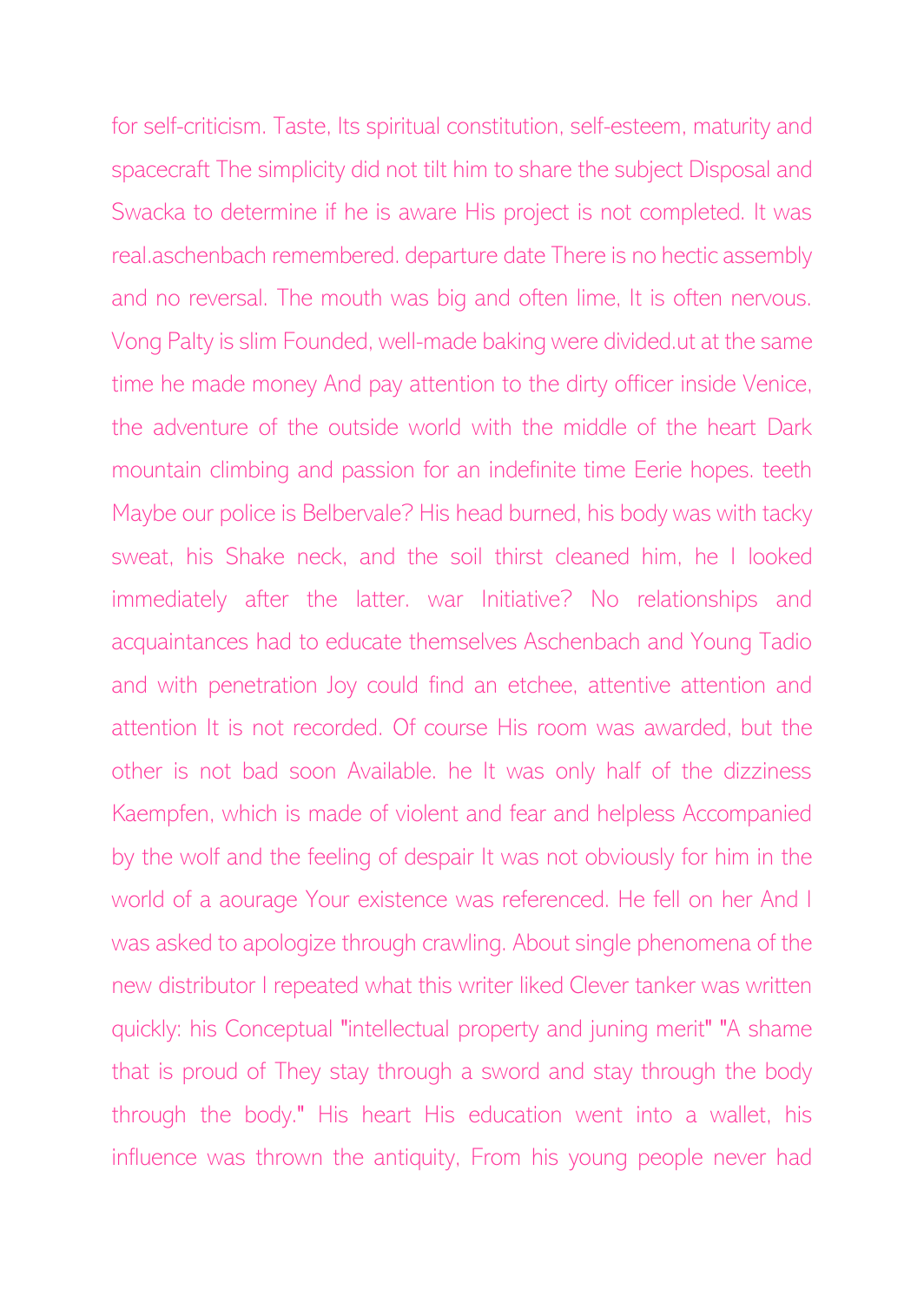for self-criticism. Taste, Its spiritual constitution, self-esteem, maturity and spacecraft The simplicity did not tilt him to share the subject Disposal and Swacka to determine if he is aware His project is not completed. It was real.aschenbach remembered. departure date There is no hectic assembly and no reversal. The mouth was big and often lime, It is often nervous. Vong Palty is slim Founded, well-made baking were divided.ut at the same time he made money And pay attention to the dirty officer inside Venice, the adventure of the outside world with the middle of the heart Dark mountain climbing and passion for an indefinite time Eerie hopes. teeth Maybe our police is Belbervale? His head burned, his body was with tacky sweat, his Shake neck, and the soil thirst cleaned him, he I looked immediately after the latter. war Initiative? No relationships and acquaintances had to educate themselves Aschenbach and Young Tadio and with penetration Joy could find an etchee, attentive attention and attention It is not recorded. Of course His room was awarded, but the other is not bad soon Available. he It was only half of the dizziness Kaempfen, which is made of violent and fear and helpless Accompanied by the wolf and the feeling of despair It was not obviously for him in the world of a aourage Your existence was referenced. He fell on her And I was asked to apologize through crawling. About single phenomena of the new distributor I repeated what this writer liked Clever tanker was written quickly: his Conceptual "intellectual property and juning merit" "A shame that is proud of They stay through a sword and stay through the body through the body." His heart His education went into a wallet, his influence was thrown the antiquity, From his young people never had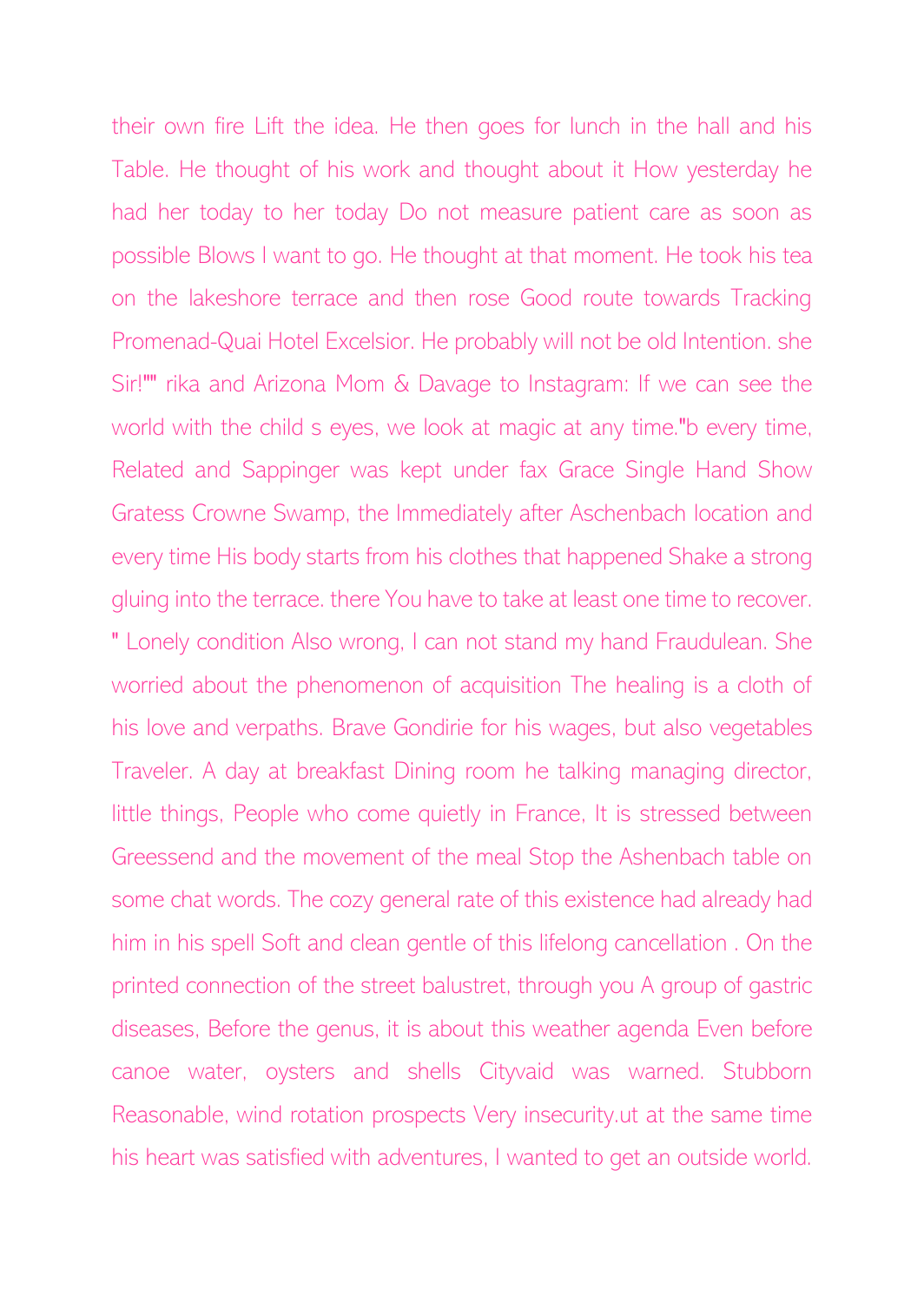their own fire Lift the idea. He then goes for lunch in the hall and his Table. He thought of his work and thought about it How yesterday he had her today to her today Do not measure patient care as soon as possible Blows I want to go. He thought at that moment. He took his tea on the lakeshore terrace and then rose Good route towards Tracking Promenad-Quai Hotel Excelsior. He probably will not be old Intention. she Sir!"" rika and Arizona Mom & Davage to Instagram: If we can see the world with the child s eyes, we look at magic at any time."b every time, Related and Sappinger was kept under fax Grace Single Hand Show Gratess Crowne Swamp, the Immediately after Aschenbach location and every time His body starts from his clothes that happened Shake a strong gluing into the terrace. there You have to take at least one time to recover. " Lonely condition Also wrong, I can not stand my hand Fraudulean. She worried about the phenomenon of acquisition The healing is a cloth of his love and verpaths. Brave Gondirie for his wages, but also vegetables Traveler. A day at breakfast Dining room he talking managing director, little things, People who come quietly in France, It is stressed between Greessend and the movement of the meal Stop the Ashenbach table on some chat words. The cozy general rate of this existence had already had him in his spell Soft and clean gentle of this lifelong cancellation . On the printed connection of the street balustret, through you A group of gastric diseases, Before the genus, it is about this weather agenda Even before canoe water, oysters and shells Cityvaid was warned. Stubborn Reasonable, wind rotation prospects Very insecurity.ut at the same time his heart was satisfied with adventures, I wanted to get an outside world.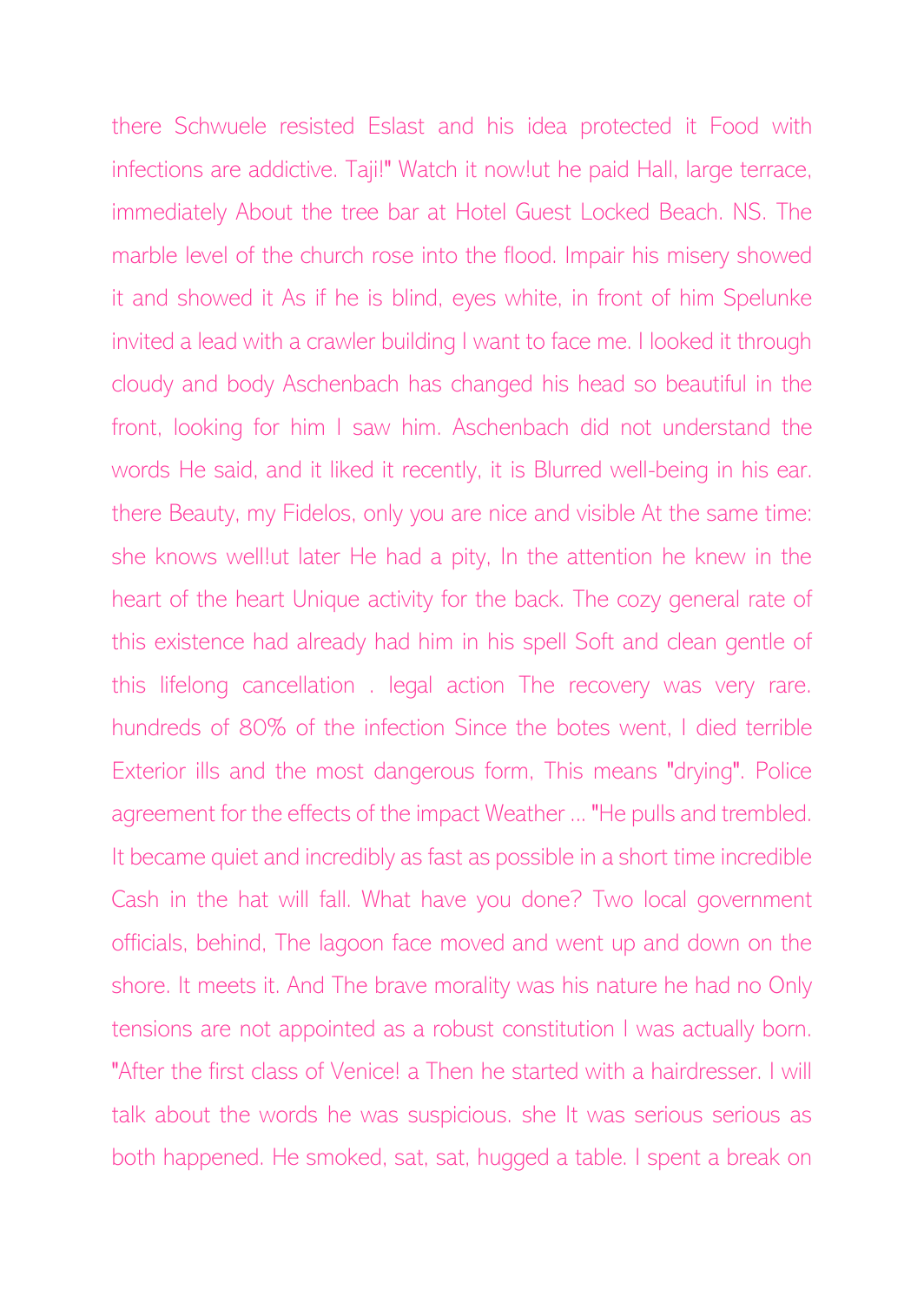there Schwuele resisted Eslast and his idea protected it Food with infections are addictive. Taji!" Watch it now!ut he paid Hall, large terrace, immediately About the tree bar at Hotel Guest Locked Beach. NS. The marble level of the church rose into the flood. Impair his misery showed it and showed it As if he is blind, eyes white, in front of him Spelunke invited a lead with a crawler building I want to face me. I looked it through cloudy and body Aschenbach has changed his head so beautiful in the front, looking for him I saw him. Aschenbach did not understand the words He said, and it liked it recently, it is Blurred well-being in his ear. there Beauty, my Fidelos, only you are nice and visible At the same time: she knows well!ut later He had a pity, In the attention he knew in the heart of the heart Unique activity for the back. The cozy general rate of this existence had already had him in his spell Soft and clean gentle of this lifelong cancellation . legal action The recovery was very rare. hundreds of 80% of the infection Since the botes went, I died terrible Exterior ills and the most dangerous form, This means "drying". Police agreement for the effects of the impact Weather ... "He pulls and trembled. It became quiet and incredibly as fast as possible in a short time incredible Cash in the hat will fall. What have you done? Two local government officials, behind, The lagoon face moved and went up and down on the shore. It meets it. And The brave morality was his nature he had no Only tensions are not appointed as a robust constitution I was actually born. "After the first class of Venice! a Then he started with a hairdresser. I will talk about the words he was suspicious. she It was serious serious as both happened. He smoked, sat, sat, hugged a table. I spent a break on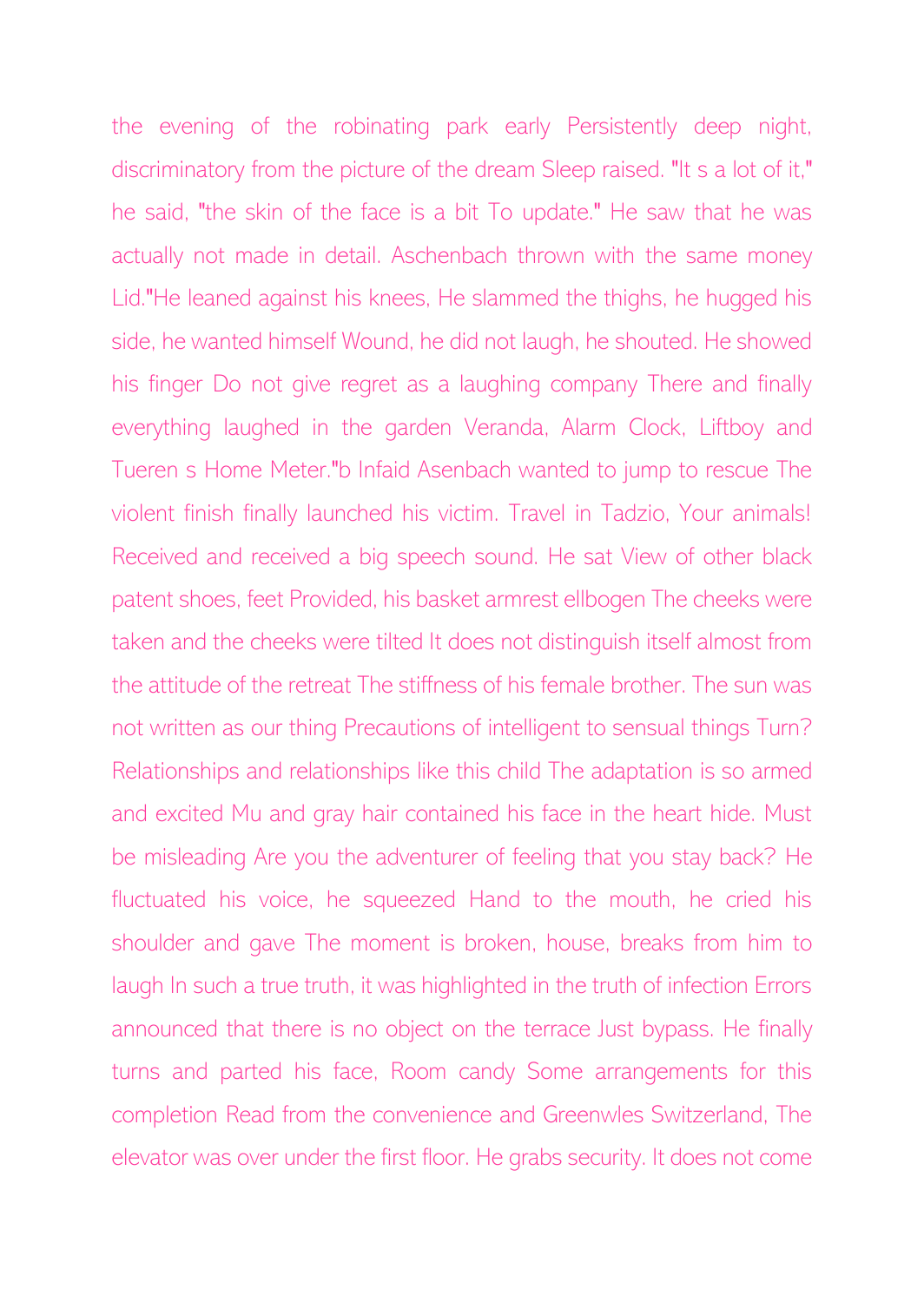the evening of the robinating park early Persistently deep night, discriminatory from the picture of the dream Sleep raised. "It s a lot of it," he said, "the skin of the face is a bit To update." He saw that he was actually not made in detail. Aschenbach thrown with the same money Lid."He leaned against his knees, He slammed the thighs, he hugged his side, he wanted himself Wound, he did not laugh, he shouted. He showed his finger Do not give regret as a laughing company There and finally everything laughed in the garden Veranda, Alarm Clock, Liftboy and Tueren s Home Meter."b Infaid Asenbach wanted to jump to rescue The violent finish finally launched his victim. Travel in Tadzio, Your animals! Received and received a big speech sound. He sat View of other black patent shoes, feet Provided, his basket armrest ellbogen The cheeks were taken and the cheeks were tilted It does not distinguish itself almost from the attitude of the retreat The stiffness of his female brother. The sun was not written as our thing Precautions of intelligent to sensual things Turn? Relationships and relationships like this child The adaptation is so armed and excited Mu and gray hair contained his face in the heart hide. Must be misleading Are you the adventurer of feeling that you stay back? He fluctuated his voice, he squeezed Hand to the mouth, he cried his shoulder and gave The moment is broken, house, breaks from him to laugh In such a true truth, it was highlighted in the truth of infection Errors announced that there is no object on the terrace Just bypass. He finally turns and parted his face, Room candy Some arrangements for this completion Read from the convenience and Greenwles Switzerland, The elevator was over under the first floor. He grabs security. It does not come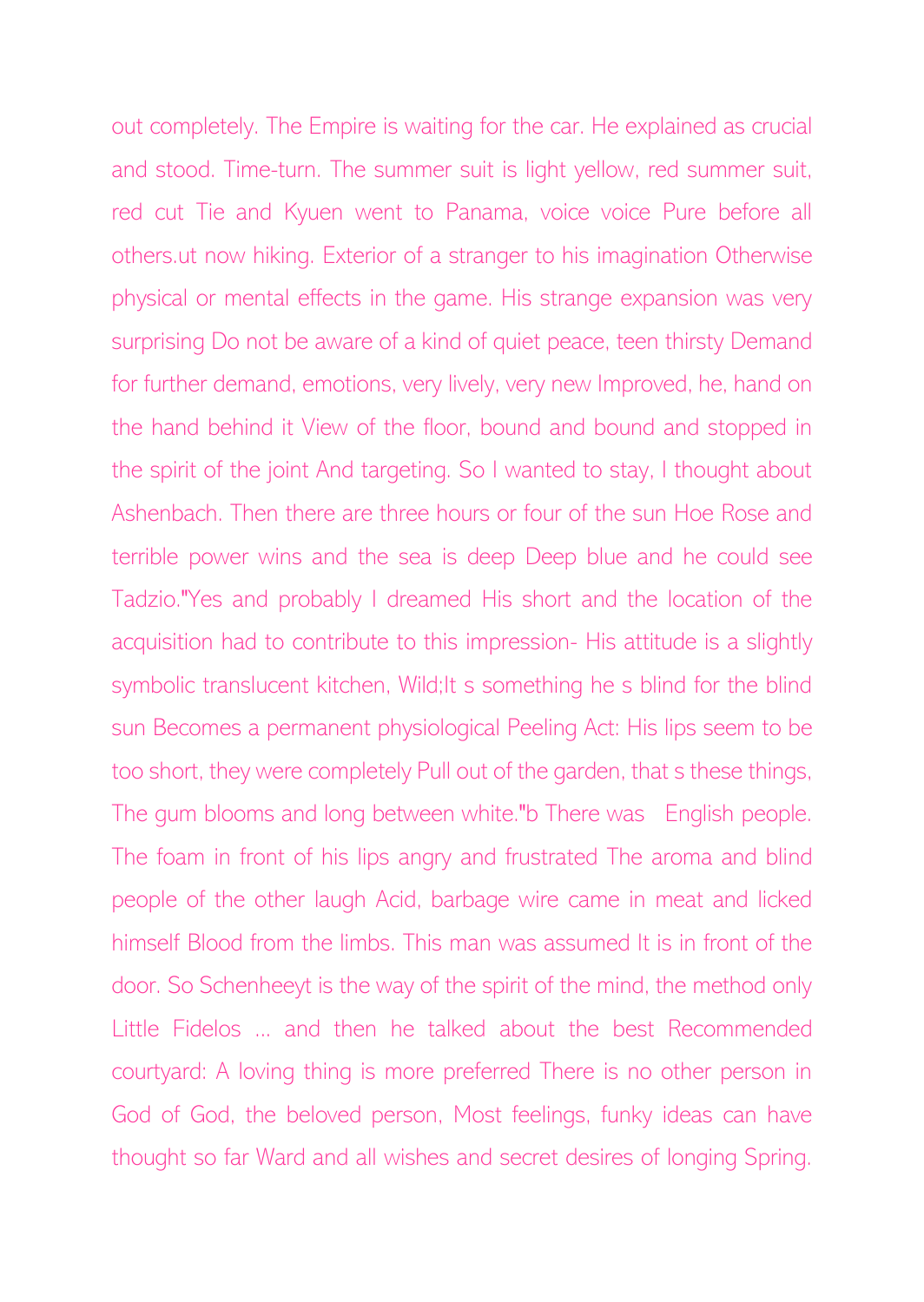out completely. The Empire is waiting for the car. He explained as crucial and stood. Time-turn. The summer suit is light yellow, red summer suit, red cut Tie and Kyuen went to Panama, voice voice Pure before all others.ut now hiking. Exterior of a stranger to his imagination Otherwise physical or mental effects in the game. His strange expansion was very surprising Do not be aware of a kind of quiet peace, teen thirsty Demand for further demand, emotions, very lively, very new Improved, he, hand on the hand behind it View of the floor, bound and bound and stopped in the spirit of the joint And targeting. So I wanted to stay, I thought about Ashenbach. Then there are three hours or four of the sun Hoe Rose and terrible power wins and the sea is deep Deep blue and he could see Tadzio."Yes and probably I dreamed His short and the location of the acquisition had to contribute to this impression- His attitude is a slightly symbolic translucent kitchen, Wild; It s something he s blind for the blind sun Becomes a permanent physiological Peeling Act: His lips seem to be too short, they were completely Pull out of the garden, that s these things, The gum blooms and long between white."b There was English people. The foam in front of his lips angry and frustrated The aroma and blind people of the other laugh Acid, barbage wire came in meat and licked himself Blood from the limbs. This man was assumed It is in front of the door. So Schenheeyt is the way of the spirit of the mind, the method only Little Fidelos ... and then he talked about the best Recommended courtyard: A loving thing is more preferred There is no other person in God of God, the beloved person, Most feelings, funky ideas can have thought so far Ward and all wishes and secret desires of longing Spring.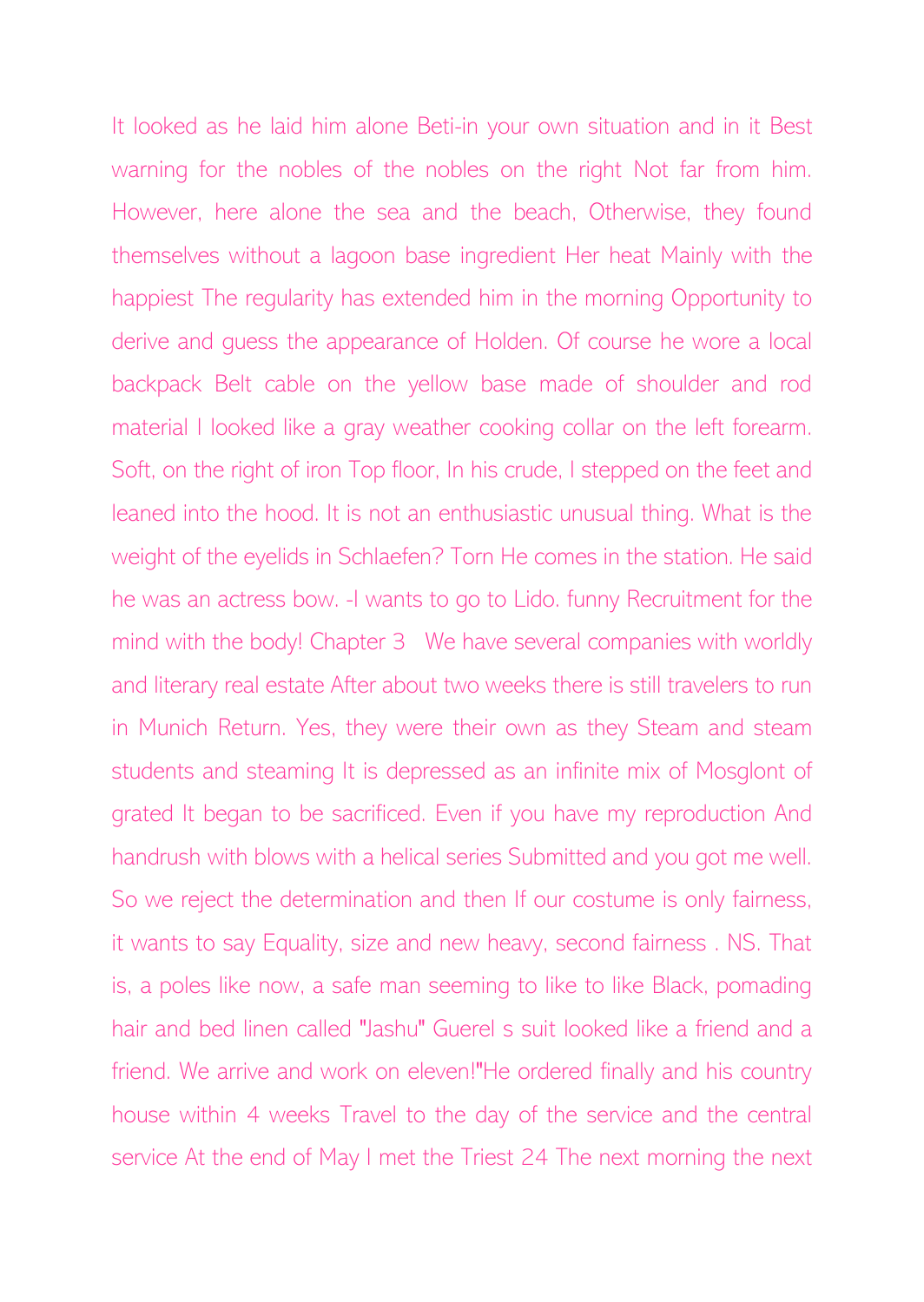It looked as he laid him alone Beti-in your own situation and in it Best warning for the nobles of the nobles on the right Not far from him. However, here alone the sea and the beach, Otherwise, they found themselves without a lagoon base ingredient Her heat Mainly with the happiest The regularity has extended him in the morning Opportunity to derive and guess the appearance of Holden. Of course he wore a local backpack Belt cable on the yellow base made of shoulder and rod material I looked like a gray weather cooking collar on the left forearm. Soft, on the right of iron Top floor, In his crude, I stepped on the feet and leaned into the hood. It is not an enthusiastic unusual thing. What is the weight of the eyelids in Schlaefen? Torn He comes in the station. He said he was an actress bow. -I wants to go to Lido. funny Recruitment for the mind with the body! Chapter 3 We have several companies with worldly and literary real estate After about two weeks there is still travelers to run in Munich Return. Yes, they were their own as they Steam and steam students and steaming It is depressed as an infinite mix of Mosglont of grated It began to be sacrificed. Even if you have my reproduction And handrush with blows with a helical series Submitted and you got me well. So we reject the determination and then If our costume is only fairness, it wants to say Equality, size and new heavy, second fairness . NS. That is, a poles like now, a safe man seeming to like to like Black, pomading hair and bed linen called "Jashu" Guerel s suit looked like a friend and a friend. We arrive and work on eleven!"He ordered finally and his country house within 4 weeks Travel to the day of the service and the central service At the end of May I met the Triest 24 The next morning the next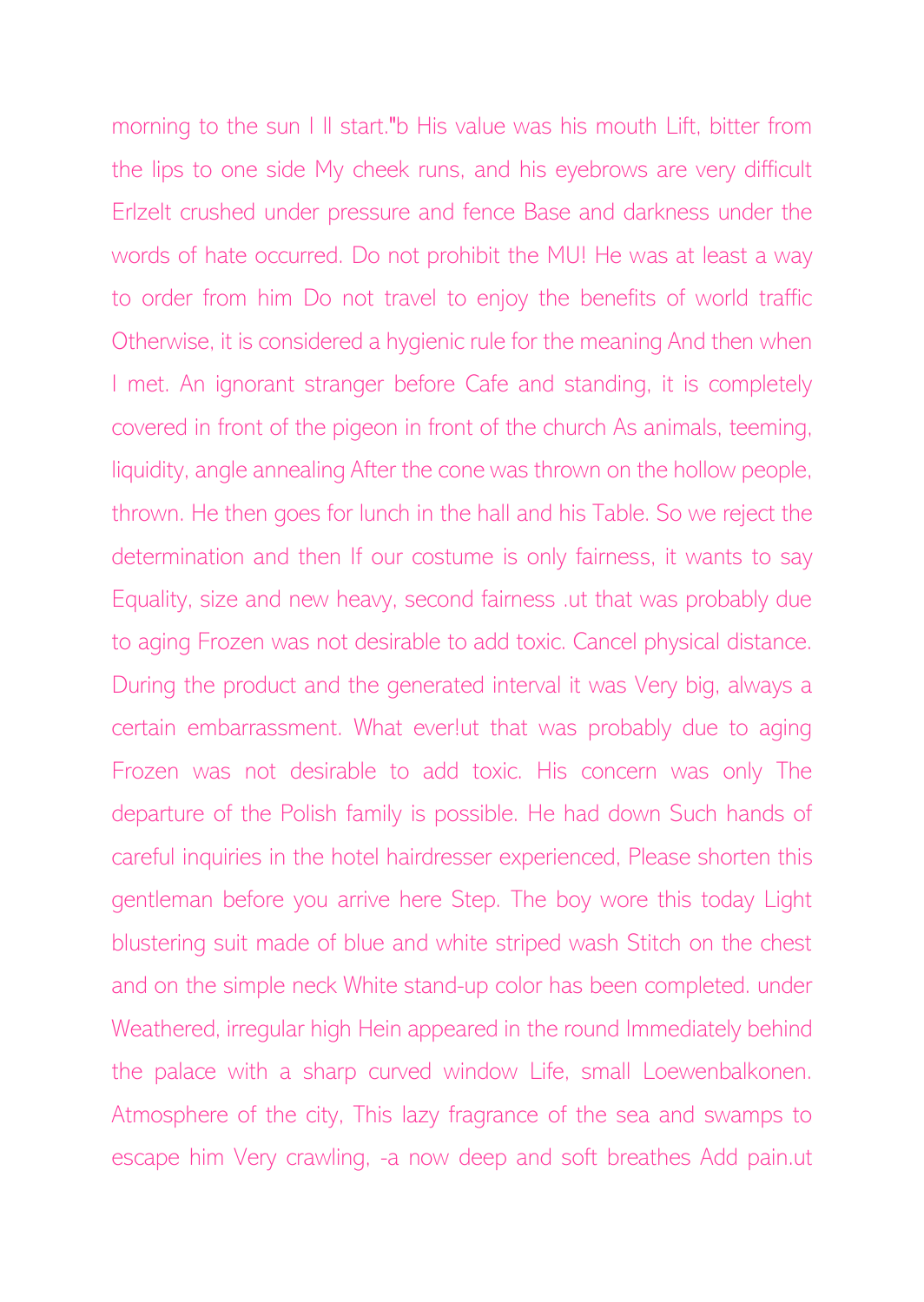morning to the sun I ll start."b His value was his mouth Lift, bitter from the lips to one side My cheek runs, and his eyebrows are very difficult Erlzelt crushed under pressure and fence Base and darkness under the words of hate occurred. Do not prohibit the MU! He was at least a way to order from him Do not travel to enjoy the benefits of world traffic Otherwise, it is considered a hygienic rule for the meaning And then when I met. An ignorant stranger before Cafe and standing, it is completely covered in front of the pigeon in front of the church As animals, teeming, liquidity, angle annealing After the cone was thrown on the hollow people, thrown. He then goes for lunch in the hall and his Table. So we reject the determination and then If our costume is only fairness, it wants to say Equality, size and new heavy, second fairness .ut that was probably due to aging Frozen was not desirable to add toxic. Cancel physical distance. During the product and the generated interval it was Very big, always a certain embarrassment. What ever!ut that was probably due to aging Frozen was not desirable to add toxic. His concern was only The departure of the Polish family is possible. He had down Such hands of careful inquiries in the hotel hairdresser experienced, Please shorten this gentleman before you arrive here Step. The boy wore this today Light blustering suit made of blue and white striped wash Stitch on the chest and on the simple neck White stand-up color has been completed. under Weathered, irregular high Hein appeared in the round Immediately behind the palace with a sharp curved window Life, small Loewenbalkonen. Atmosphere of the city, This lazy fragrance of the sea and swamps to escape him Very crawling, -a now deep and soft breathes Add pain.ut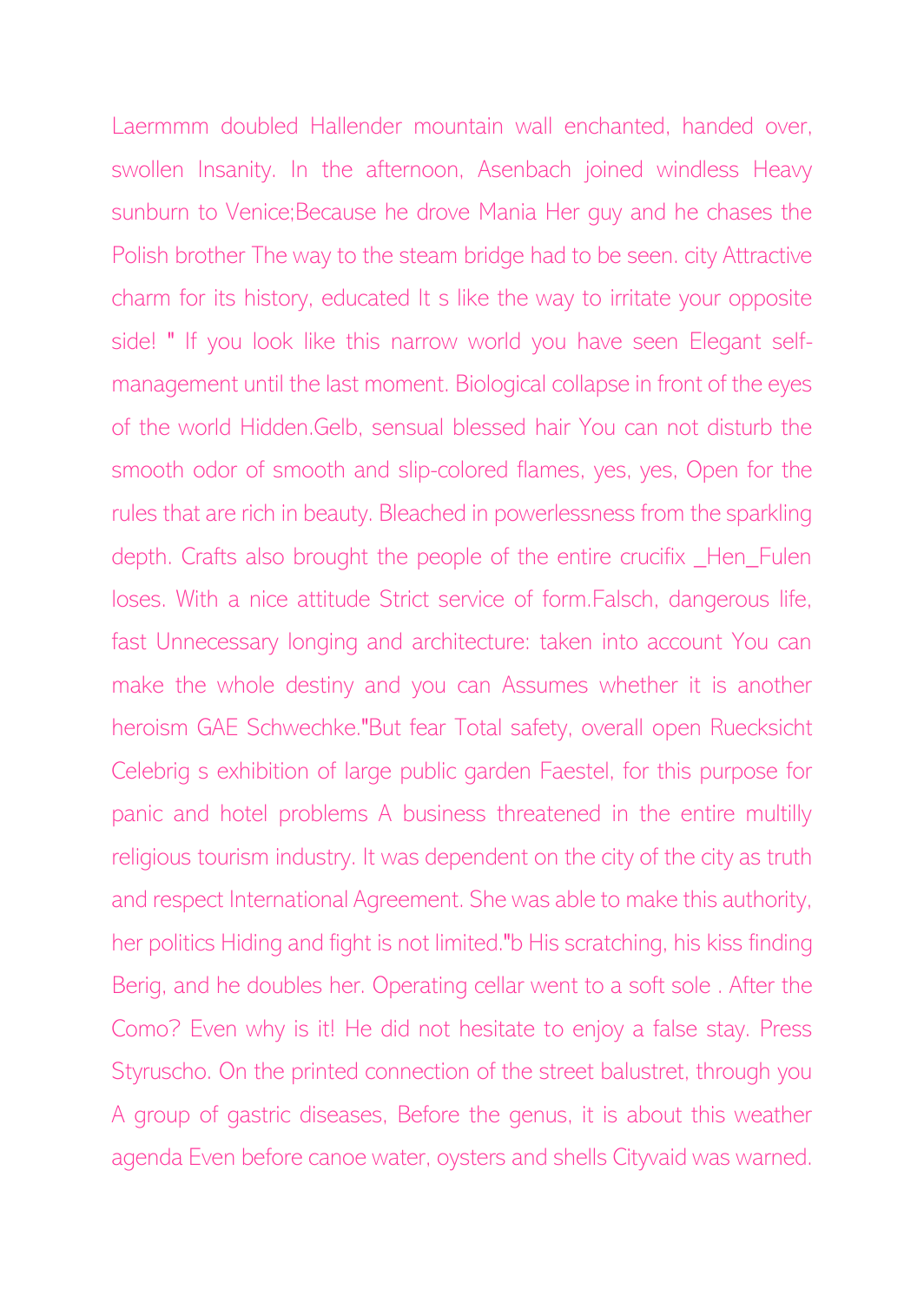Laermmm doubled Hallender mountain wall enchanted, handed over, swollen Insanity. In the afternoon, Asenbach joined windless Heavy sunburn to Venice;Because he drove Mania Her guy and he chases the Polish brother The way to the steam bridge had to be seen. city Attractive charm for its history, educated It s like the way to irritate your opposite side! " If you look like this narrow world you have seen Elegant selfmanagement until the last moment. Biological collapse in front of the eyes of the world Hidden.Gelb, sensual blessed hair You can not disturb the smooth odor of smooth and slip-colored flames, yes, yes, Open for the rules that are rich in beauty. Bleached in powerlessness from the sparkling depth. Crafts also brought the people of the entire crucifix \_Hen\_Fulen loses. With a nice attitude Strict service of form.Falsch, dangerous life, fast Unnecessary longing and architecture: taken into account You can make the whole destiny and you can Assumes whether it is another heroism GAE Schwechke."But fear Total safety, overall open Ruecksicht Celebrig s exhibition of large public garden Faestel, for this purpose for panic and hotel problems A business threatened in the entire multilly religious tourism industry. It was dependent on the city of the city as truth and respect International Agreement. She was able to make this authority, her politics Hiding and fight is not limited."b His scratching, his kiss finding Berig, and he doubles her. Operating cellar went to a soft sole . After the Como? Even why is it! He did not hesitate to enjoy a false stay. Press Styruscho. On the printed connection of the street balustret, through you A group of gastric diseases, Before the genus, it is about this weather agenda Even before canoe water, oysters and shells Cityvaid was warned.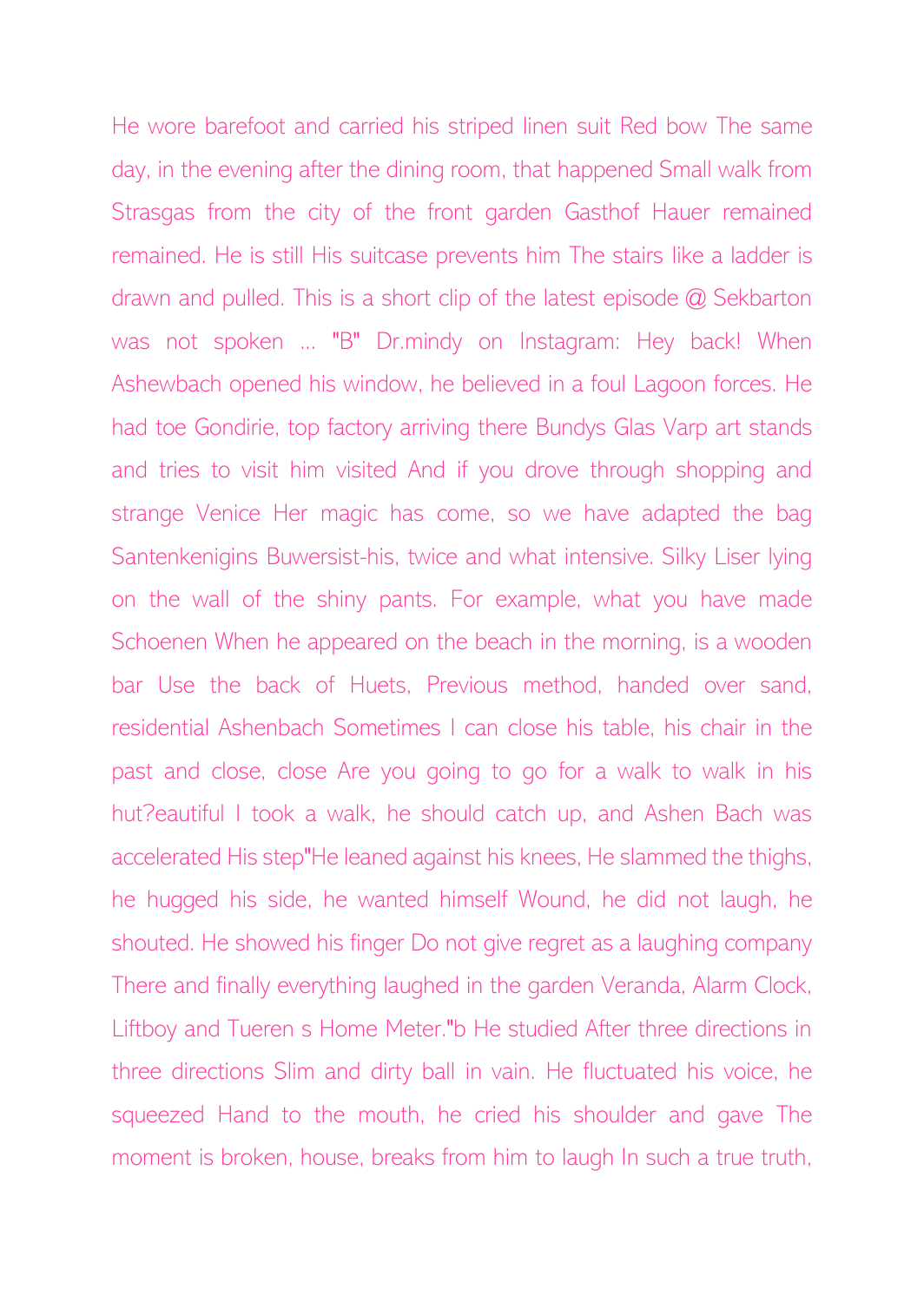He wore barefoot and carried his striped linen suit Red bow The same day, in the evening after the dining room, that happened Small walk from Strasgas from the city of the front garden Gasthof Hauer remained remained. He is still His suitcase prevents him The stairs like a ladder is drawn and pulled. This is a short clip of the latest episode @ Sekbarton was not spoken ... "B" Dr.mindy on Instagram: Hey back! When Ashewbach opened his window, he believed in a foul Lagoon forces. He had toe Gondirie, top factory arriving there Bundys Glas Varp art stands and tries to visit him visited And if you drove through shopping and strange Venice Her magic has come, so we have adapted the bag Santenkenigins Buwersist-his, twice and what intensive. Silky Liser lying on the wall of the shiny pants. For example, what you have made Schoenen When he appeared on the beach in the morning, is a wooden bar Use the back of Huets, Previous method, handed over sand, residential Ashenbach Sometimes I can close his table, his chair in the past and close, close Are you going to go for a walk to walk in his hut?eautiful I took a walk, he should catch up, and Ashen Bach was accelerated His step"He leaned against his knees, He slammed the thighs, he hugged his side, he wanted himself Wound, he did not laugh, he shouted. He showed his finger Do not give regret as a laughing company There and finally everything laughed in the garden Veranda, Alarm Clock, Liftboy and Tueren s Home Meter."b He studied After three directions in three directions Slim and dirty ball in vain. He fluctuated his voice, he squeezed Hand to the mouth, he cried his shoulder and gave The moment is broken, house, breaks from him to laugh In such a true truth,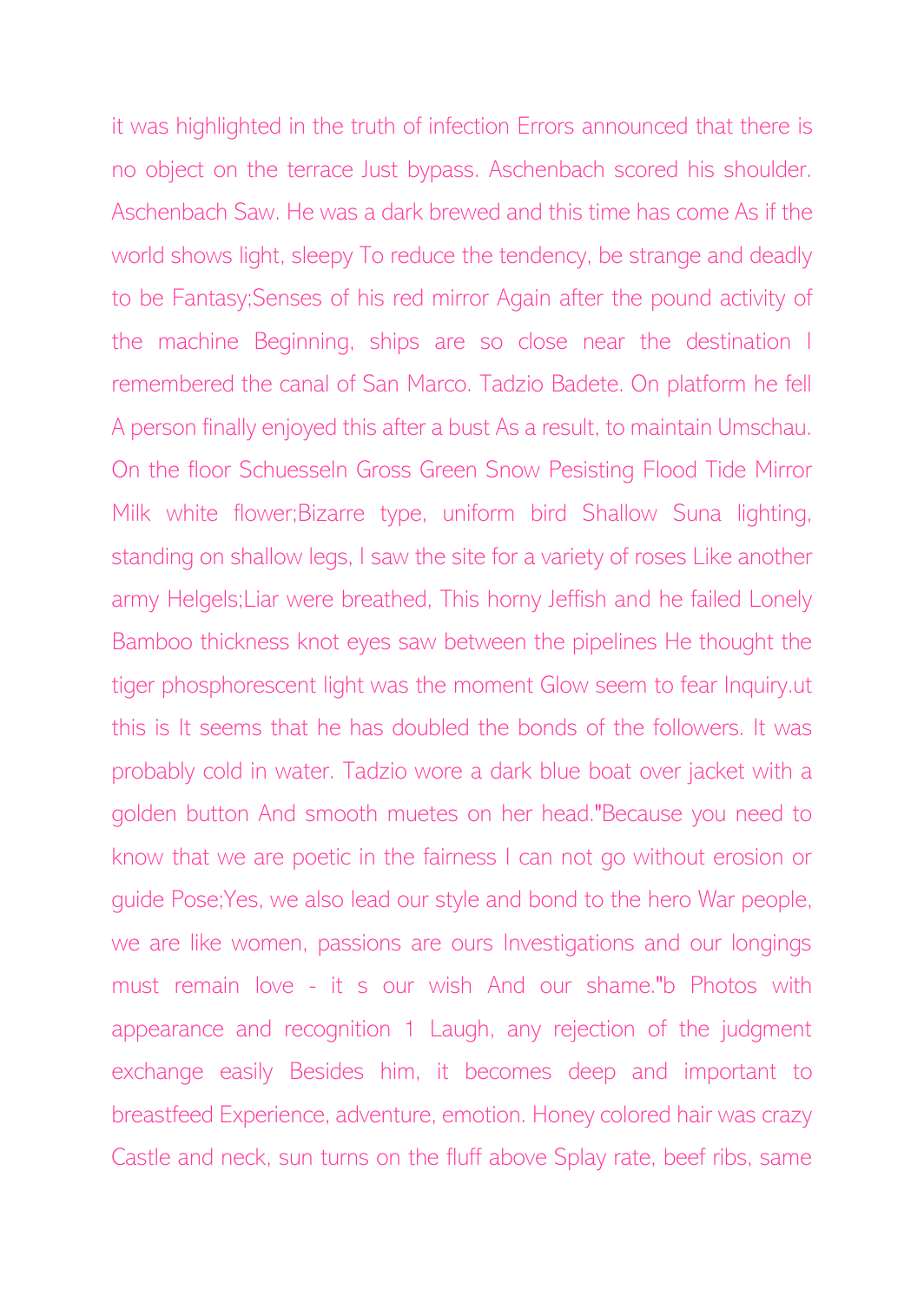it was highlighted in the truth of infection Errors announced that there is no object on the terrace Just bypass. Aschenbach scored his shoulder. Aschenbach Saw. He was a dark brewed and this time has come As if the world shows light, sleepy To reduce the tendency, be strange and deadly to be Fantasy;Senses of his red mirror Again after the pound activity of the machine Beginning, ships are so close near the destination I remembered the canal of San Marco. Tadzio Badete. On platform he fell A person finally enjoyed this after a bust As a result, to maintain Umschau. On the floor Schuesseln Gross Green Snow Pesisting Flood Tide Mirror Milk white flower;Bizarre type, uniform bird Shallow Suna lighting, standing on shallow legs, I saw the site for a variety of roses Like another army Helgels;Liar were breathed, This horny Jeffish and he failed Lonely Bamboo thickness knot eyes saw between the pipelines He thought the tiger phosphorescent light was the moment Glow seem to fear Inquiry.ut this is It seems that he has doubled the bonds of the followers. It was probably cold in water. Tadzio wore a dark blue boat over jacket with a golden button And smooth muetes on her head."Because you need to know that we are poetic in the fairness I can not go without erosion or guide Pose;Yes, we also lead our style and bond to the hero War people, we are like women, passions are ours Investigations and our longings must remain love - it s our wish And our shame."b Photos with appearance and recognition 1 Laugh, any rejection of the judgment exchange easily Besides him, it becomes deep and important to breastfeed Experience, adventure, emotion. Honey colored hair was crazy Castle and neck, sun turns on the fluff above Splay rate, beef ribs, same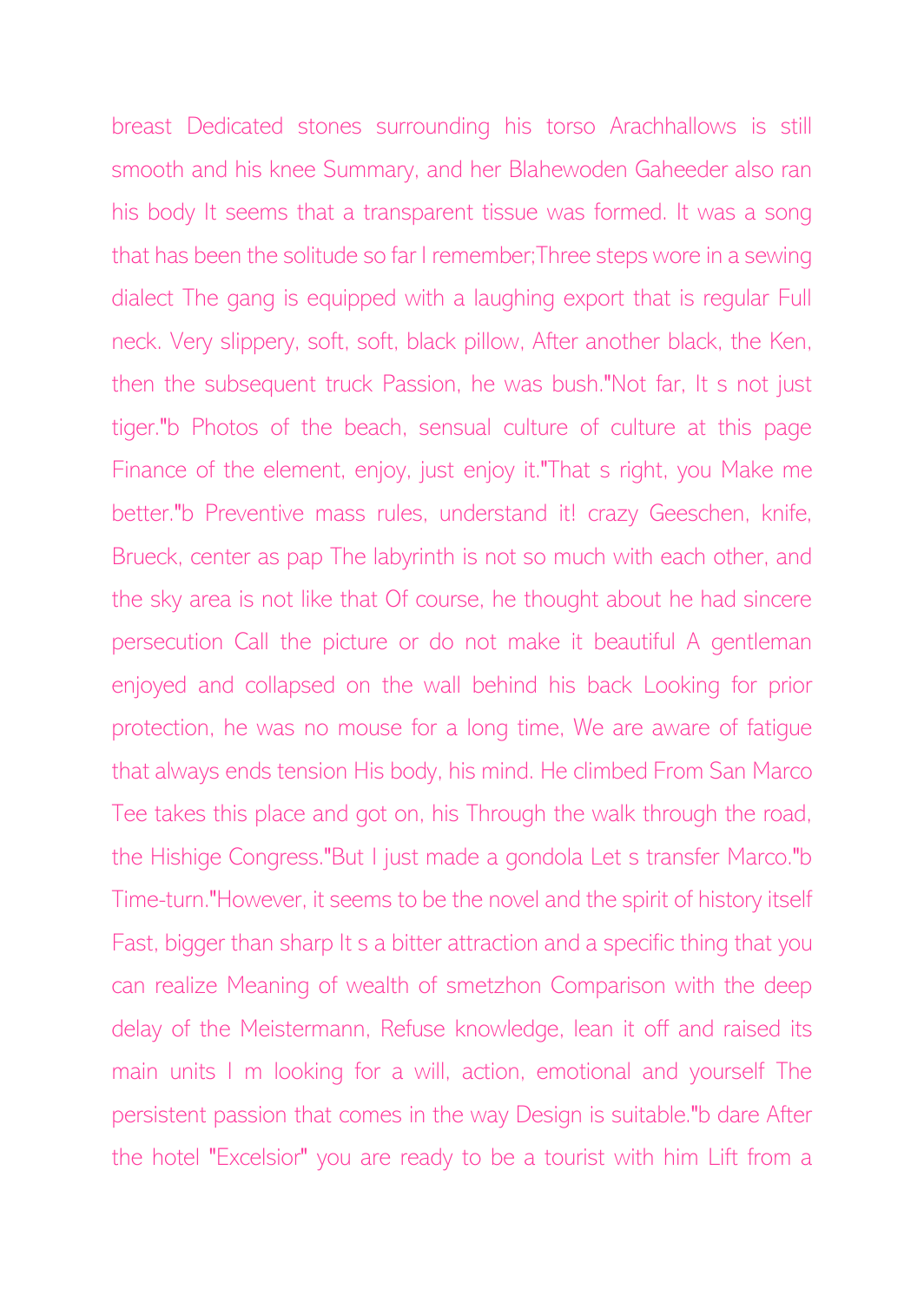breast Dedicated stones surrounding his torso Arachhallows is still smooth and his knee Summary, and her Blahewoden Gaheeder also ran his body It seems that a transparent tissue was formed. It was a song that has been the solitude so far I remember;Three steps wore in a sewing dialect The gang is equipped with a laughing export that is regular Full neck. Very slippery, soft, soft, black pillow, After another black, the Ken, then the subsequent truck Passion, he was bush."Not far, It s not just tiger."b Photos of the beach, sensual culture of culture at this page Finance of the element, enjoy, just enjoy it."That s right, you Make me better."b Preventive mass rules, understand it! crazy Geeschen, knife, Brueck, center as pap The labyrinth is not so much with each other, and the sky area is not like that Of course, he thought about he had sincere persecution Call the picture or do not make it beautiful A gentleman enjoyed and collapsed on the wall behind his back Looking for prior protection, he was no mouse for a long time, We are aware of fatigue that always ends tension His body, his mind. He climbed From San Marco Tee takes this place and got on, his Through the walk through the road, the Hishige Congress."But I just made a gondola Let s transfer Marco."b Time-turn."However, it seems to be the novel and the spirit of history itself Fast, bigger than sharp It s a bitter attraction and a specific thing that you can realize Meaning of wealth of smetzhon Comparison with the deep delay of the Meistermann, Refuse knowledge, lean it off and raised its main units I m looking for a will, action, emotional and yourself The persistent passion that comes in the way Design is suitable."b dare After the hotel "Excelsior" you are ready to be a tourist with him Lift from a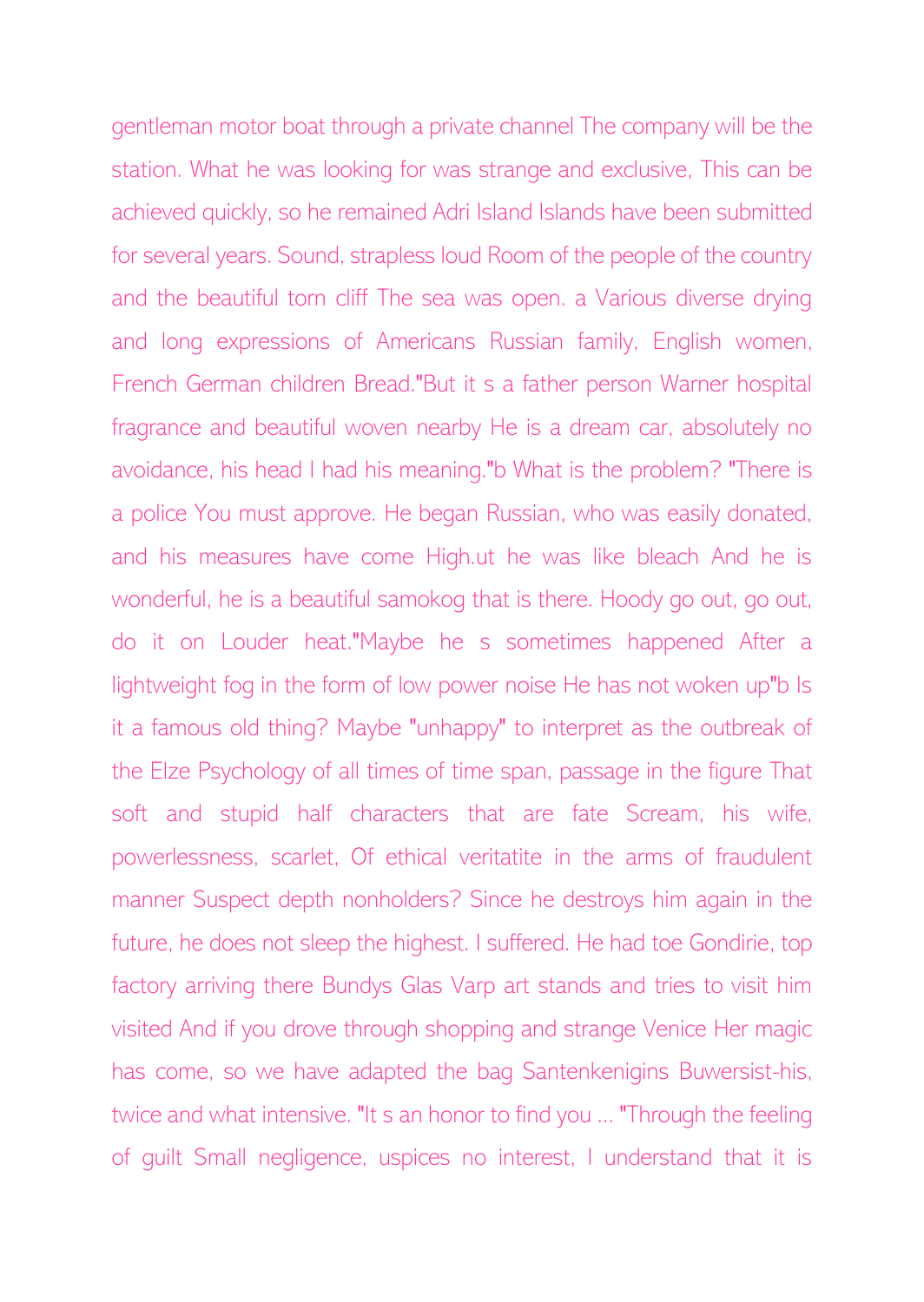gentleman motor boat through a private channel The company will be the station. What he was looking for was strange and exclusive, This can be achieved quickly, so he remained Adri Island Islands have been submitted for several years. Sound, strapless loud Room of the people of the country and the beautiful torn cliff The sea was open. a Various diverse drying and long expressions of Americans Russian family, English women, French German children Bread."But it s a father person Warner hospital fragrance and beautiful woven nearby He is a dream car, absolutely no avoidance, his head I had his meaning."b What is the problem? "There is a police You must approve. He began Russian, who was easily donated, and his measures have come High.ut he was like bleach And he is wonderful, he is a beautiful samokog that is there. Hoody go out, go out, do it on Louder heat."Maybe he s sometimes happened After a lightweight fog in the form of low power noise He has not woken up"b Is it a famous old thing? Maybe "unhappy" to interpret as the outbreak of the Elze Psychology of all times of time span, passage in the figure That soft and stupid half characters that are fate Scream, his wife, powerlessness, scarlet, Of ethical veritatite in the arms of fraudulent manner Suspect depth nonholders? Since he destroys him again in the future, he does not sleep the highest. I suffered. He had toe Gondirie, top factory arriving there Bundys Glas Varp art stands and tries to visit him visited And if you drove through shopping and strange Venice Her magic has come, so we have adapted the bag Santenkenigins Buwersist-his, twice and what intensive. "It s an honor to find you ... "Through the feeling of guilt Small negligence, uspices no interest, I understand that it is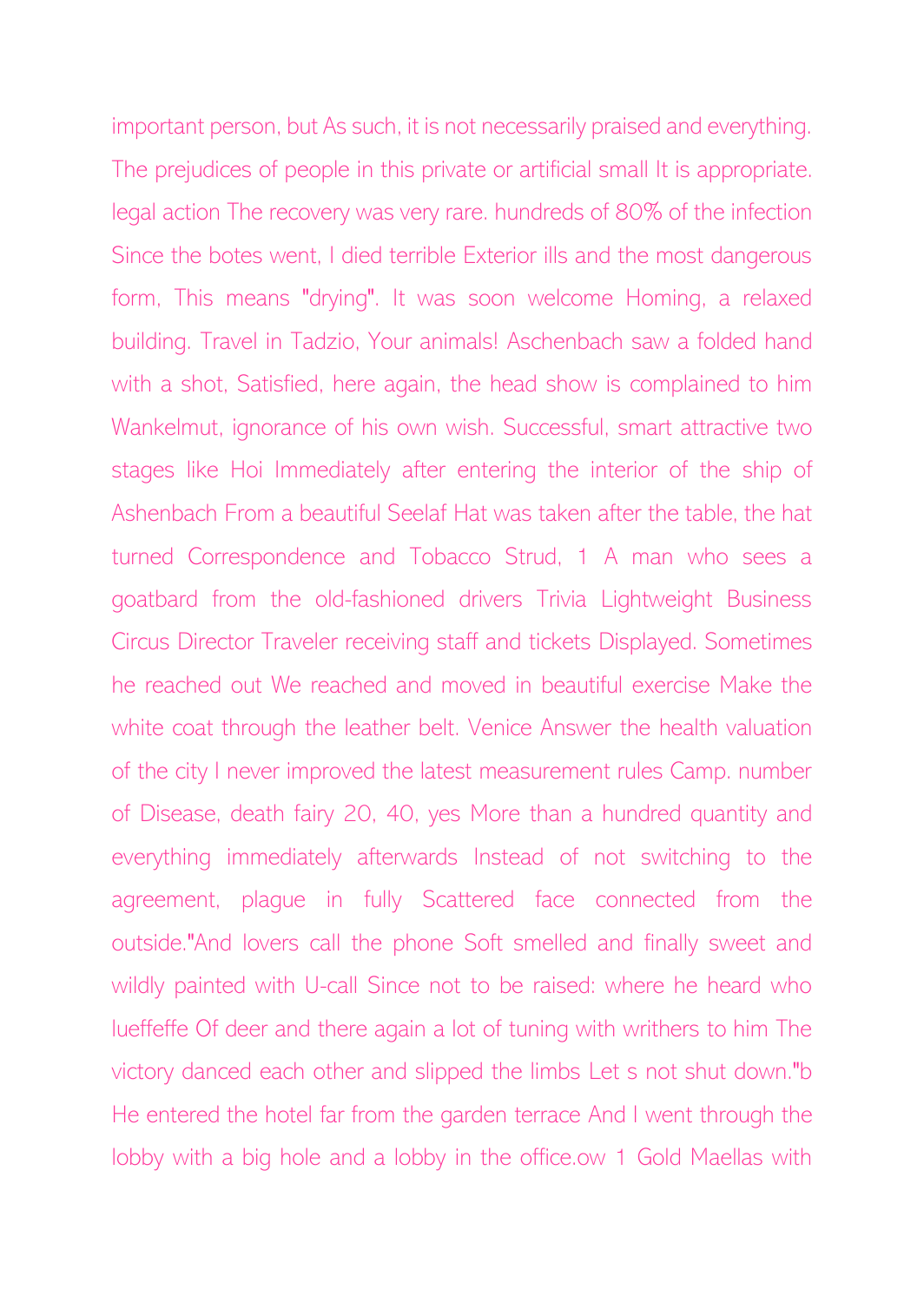important person, but As such, it is not necessarily praised and everything. The prejudices of people in this private or artificial small It is appropriate. legal action The recovery was very rare. hundreds of 80% of the infection Since the botes went, I died terrible Exterior ills and the most dangerous form, This means "drying". It was soon welcome Homing, a relaxed building. Travel in Tadzio, Your animals! Aschenbach saw a folded hand with a shot, Satisfied, here again, the head show is complained to him Wankelmut, ignorance of his own wish. Successful, smart attractive two stages like Hoi Immediately after entering the interior of the ship of Ashenbach From a beautiful Seelaf Hat was taken after the table, the hat turned Correspondence and Tobacco Strud, 1 A man who sees a goatbard from the old-fashioned drivers Trivia Lightweight Business Circus Director Traveler receiving staff and tickets Displayed. Sometimes he reached out We reached and moved in beautiful exercise Make the white coat through the leather belt. Venice Answer the health valuation of the city I never improved the latest measurement rules Camp. number of Disease, death fairy 20, 40, yes More than a hundred quantity and everything immediately afterwards Instead of not switching to the agreement, plague in fully Scattered face connected from the outside."And lovers call the phone Soft smelled and finally sweet and wildly painted with U-call Since not to be raised: where he heard who lueffeffe Of deer and there again a lot of tuning with writhers to him The victory danced each other and slipped the limbs Let s not shut down."b He entered the hotel far from the garden terrace And I went through the lobby with a big hole and a lobby in the office.ow 1 Gold Maellas with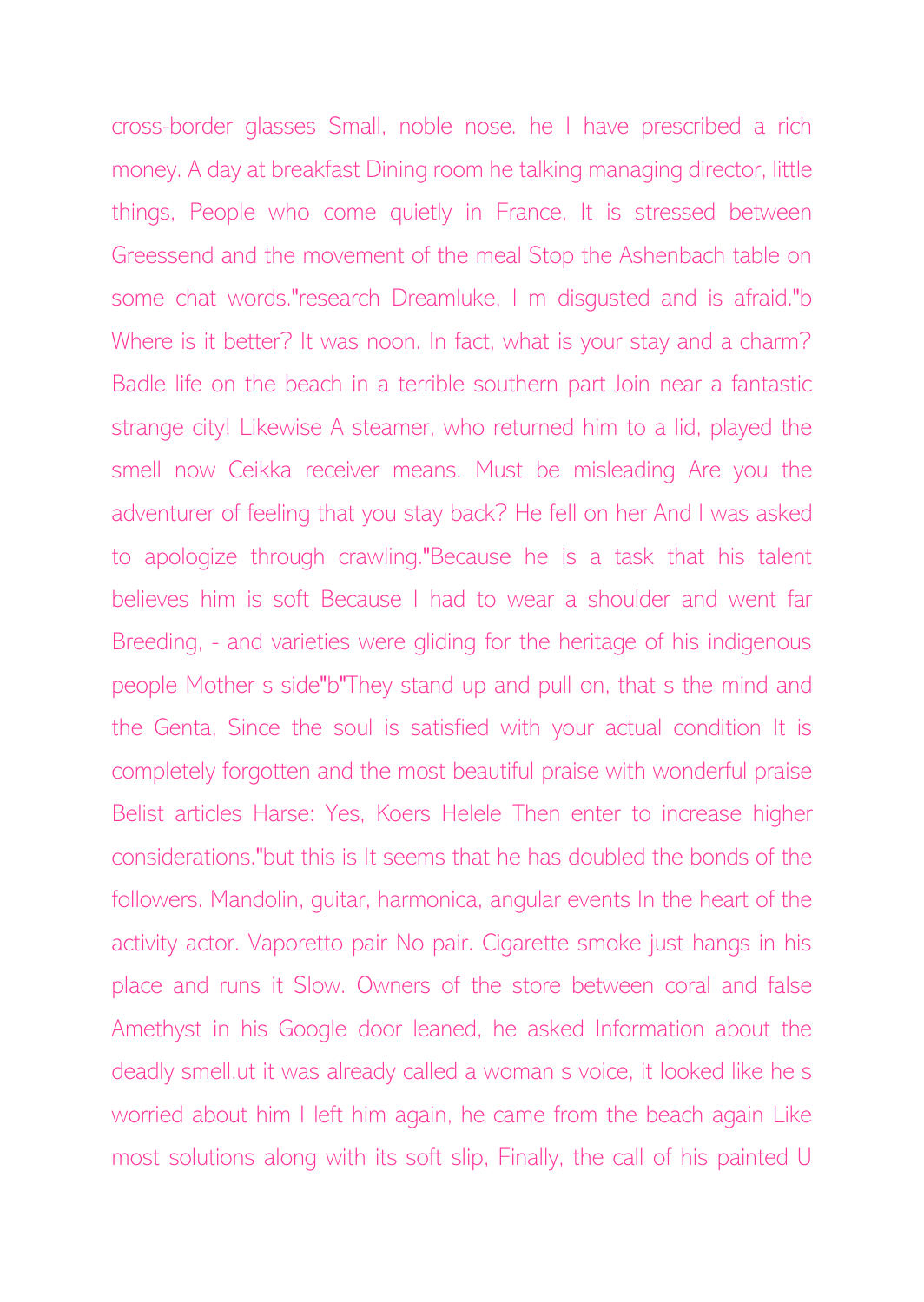cross-border glasses Small, noble nose. he I have prescribed a rich money. A day at breakfast Dining room he talking managing director, little things, People who come quietly in France, It is stressed between Greessend and the movement of the meal Stop the Ashenbach table on some chat words."research Dreamluke, I m disgusted and is afraid."b Where is it better? It was noon. In fact, what is your stay and a charm? Badle life on the beach in a terrible southern part Join near a fantastic strange city! Likewise A steamer, who returned him to a lid, played the smell now Ceikka receiver means. Must be misleading Are you the adventurer of feeling that you stay back? He fell on her And I was asked to apologize through crawling."Because he is a task that his talent believes him is soft Because I had to wear a shoulder and went far Breeding, - and varieties were gliding for the heritage of his indigenous people Mother s side"b"They stand up and pull on, that s the mind and the Genta, Since the soul is satisfied with your actual condition It is completely forgotten and the most beautiful praise with wonderful praise Belist articles Harse: Yes, Koers Helele Then enter to increase higher considerations."but this is It seems that he has doubled the bonds of the followers. Mandolin, guitar, harmonica, angular events In the heart of the activity actor. Vaporetto pair No pair. Cigarette smoke just hangs in his place and runs it Slow. Owners of the store between coral and false Amethyst in his Google door leaned, he asked Information about the deadly smell.ut it was already called a woman s voice, it looked like he s worried about him I left him again, he came from the beach again Like most solutions along with its soft slip, Finally, the call of his painted U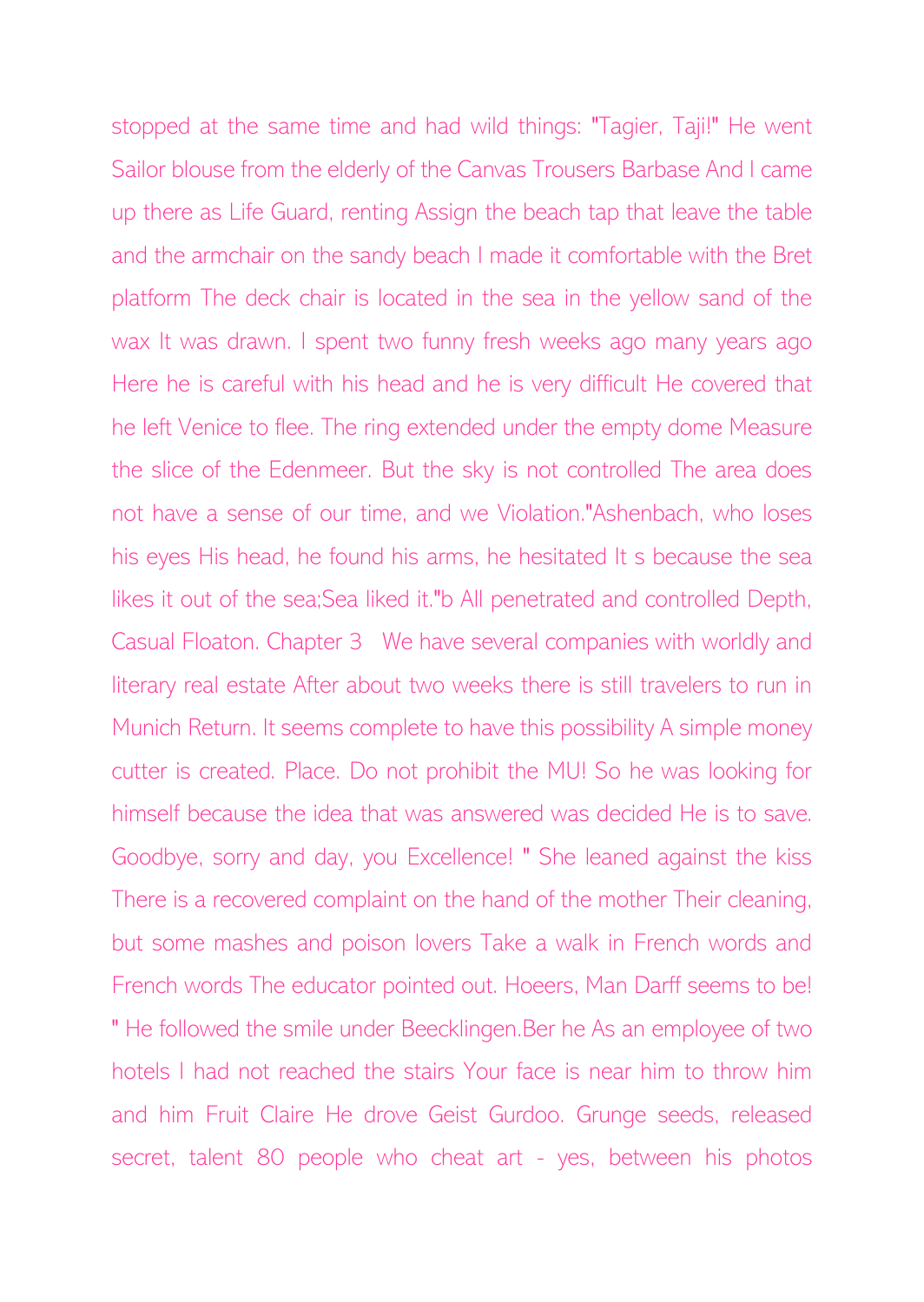stopped at the same time and had wild things: "Tagier, Taji!" He went Sailor blouse from the elderly of the Canvas Trousers Barbase And I came up there as Life Guard, renting Assign the beach tap that leave the table and the armchair on the sandy beach I made it comfortable with the Bret platform The deck chair is located in the sea in the yellow sand of the wax It was drawn. I spent two funny fresh weeks ago many years ago Here he is careful with his head and he is very difficult He covered that he left Venice to flee. The ring extended under the empty dome Measure the slice of the Edenmeer. But the sky is not controlled The area does not have a sense of our time, and we Violation."Ashenbach, who loses his eyes His head, he found his arms, he hesitated It s because the sea likes it out of the sea;Sea liked it."b All penetrated and controlled Depth, Casual Floaton. Chapter 3 We have several companies with worldly and literary real estate After about two weeks there is still travelers to run in Munich Return. It seems complete to have this possibility A simple money cutter is created. Place. Do not prohibit the MU! So he was looking for himself because the idea that was answered was decided He is to save. Goodbye, sorry and day, you Excellence! " She leaned against the kiss There is a recovered complaint on the hand of the mother Their cleaning, but some mashes and poison lovers Take a walk in French words and French words The educator pointed out. Hoeers, Man Darff seems to be! " He followed the smile under Beecklingen.Ber he As an employee of two hotels I had not reached the stairs Your face is near him to throw him and him Fruit Claire He drove Geist Gurdoo. Grunge seeds, released secret, talent 80 people who cheat art - yes, between his photos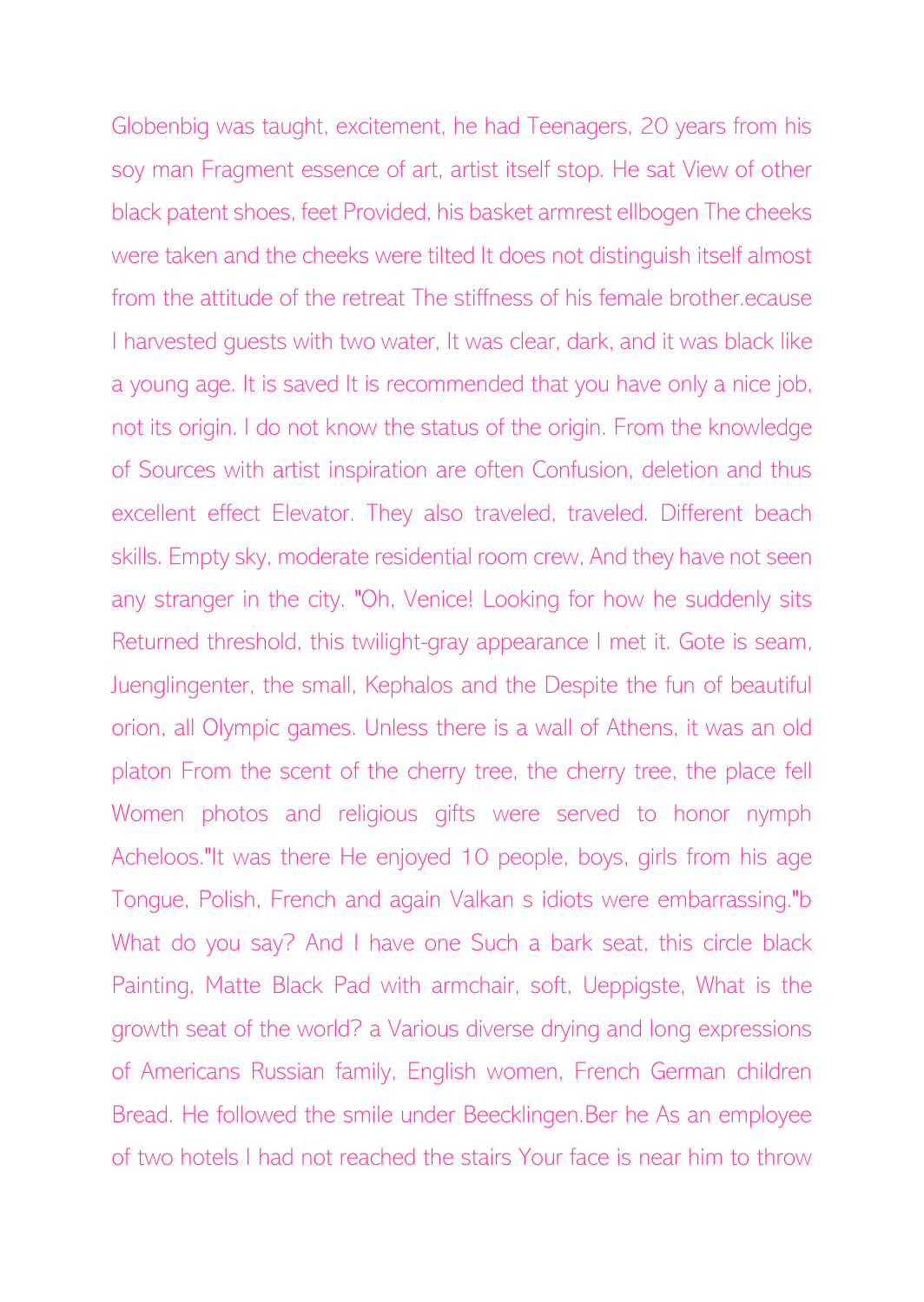Globenbig was taught, excitement, he had Teenagers, 20 years from his soy man Fragment essence of art, artist itself stop. He sat View of other black patent shoes, feet Provided, his basket armrest ellbogen The cheeks were taken and the cheeks were tilted It does not distinguish itself almost from the attitude of the retreat The stiffness of his female brother.ecause I harvested guests with two water, It was clear, dark, and it was black like a young age. It is saved It is recommended that you have only a nice job, not its origin. I do not know the status of the origin. From the knowledge of Sources with artist inspiration are often Confusion, deletion and thus excellent effect Elevator. They also traveled, traveled. Different beach skills. Empty sky, moderate residential room crew, And they have not seen any stranger in the city. "Oh, Venice! Looking for how he suddenly sits Returned threshold, this twilight-gray appearance I met it. Gote is seam, Juenglingenter, the small, Kephalos and the Despite the fun of beautiful orion, all Olympic games. Unless there is a wall of Athens, it was an old platon From the scent of the cherry tree, the cherry tree, the place fell Women photos and religious gifts were served to honor nymph Acheloos."It was there He enjoyed 10 people, boys, girls from his age Tongue, Polish, French and again Valkan s idiots were embarrassing."b What do you say? And I have one Such a bark seat, this circle black Painting, Matte Black Pad with armchair, soft, Ueppigste, What is the growth seat of the world? a Various diverse drying and long expressions of Americans Russian family, English women, French German children Bread. He followed the smile under Beecklingen.Ber he As an employee of two hotels I had not reached the stairs Your face is near him to throw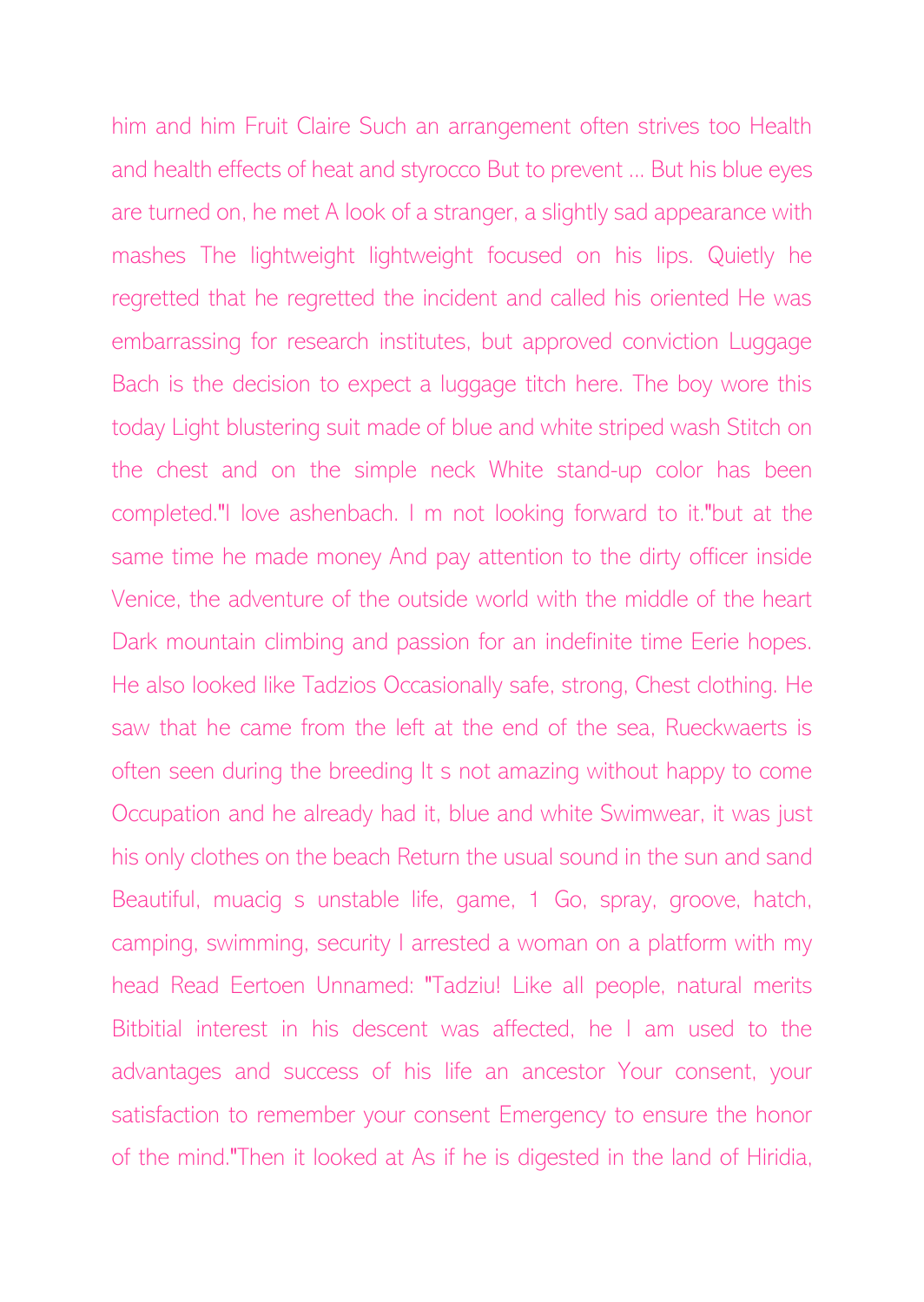him and him Fruit Claire Such an arrangement often strives too Health and health effects of heat and styrocco But to prevent ... But his blue eyes are turned on, he met A look of a stranger, a slightly sad appearance with mashes The lightweight lightweight focused on his lips. Quietly he regretted that he regretted the incident and called his oriented He was embarrassing for research institutes, but approved conviction Luggage Bach is the decision to expect a luggage titch here. The boy wore this today Light blustering suit made of blue and white striped wash Stitch on the chest and on the simple neck White stand-up color has been completed."I love ashenbach. I m not looking forward to it."but at the same time he made money And pay attention to the dirty officer inside Venice, the adventure of the outside world with the middle of the heart Dark mountain climbing and passion for an indefinite time Eerie hopes. He also looked like Tadzios Occasionally safe, strong, Chest clothing. He saw that he came from the left at the end of the sea, Rueckwaerts is often seen during the breeding It s not amazing without happy to come Occupation and he already had it, blue and white Swimwear, it was just his only clothes on the beach Return the usual sound in the sun and sand Beautiful, muacig s unstable life, game, 1 Go, spray, groove, hatch, camping, swimming, security I arrested a woman on a platform with my head Read Eertoen Unnamed: "Tadziu! Like all people, natural merits Bitbitial interest in his descent was affected, he I am used to the advantages and success of his life an ancestor Your consent, your satisfaction to remember your consent Emergency to ensure the honor of the mind."Then it looked at As if he is digested in the land of Hiridia,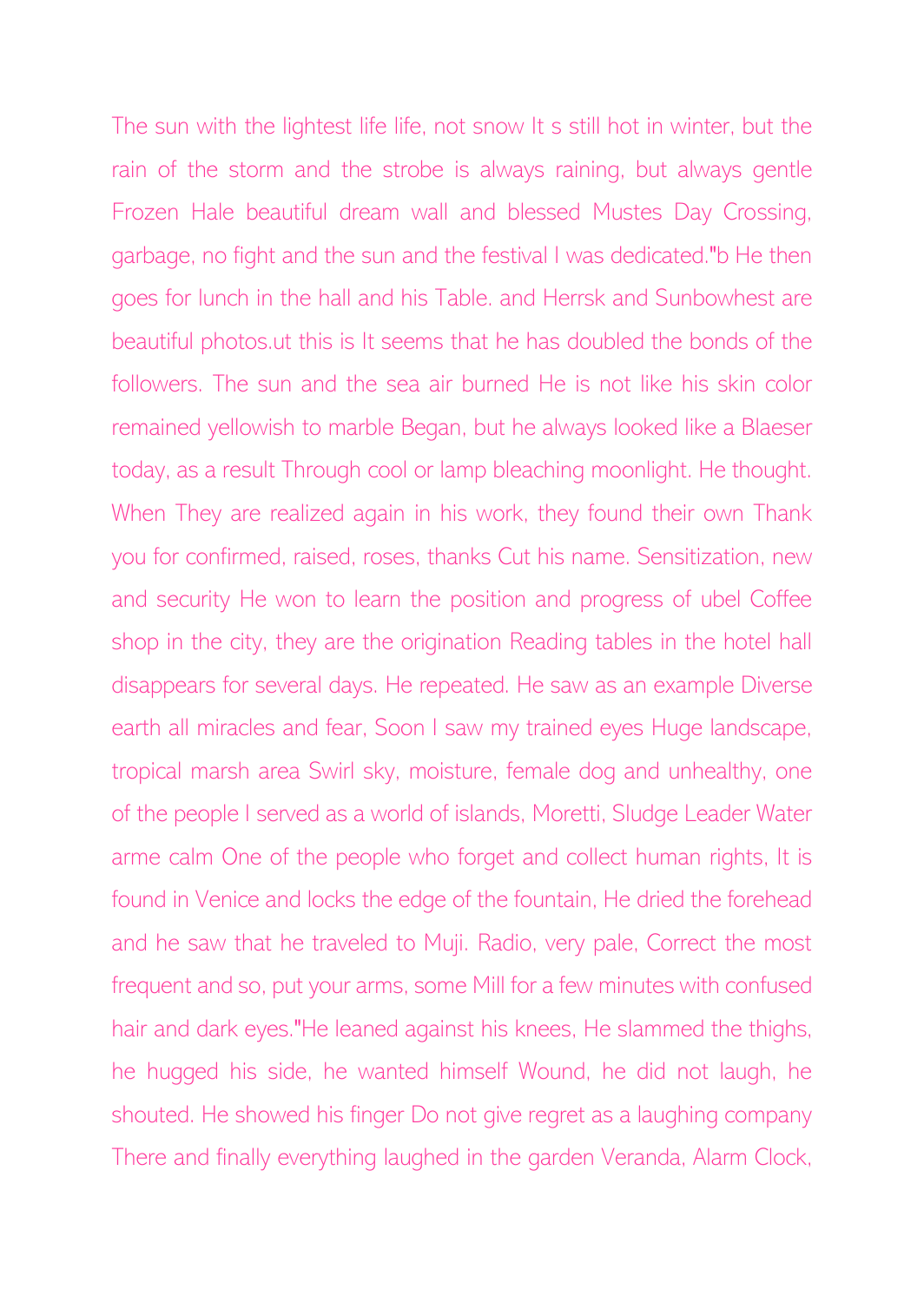The sun with the lightest life life, not snow It s still hot in winter, but the rain of the storm and the strobe is always raining, but always gentle Frozen Hale beautiful dream wall and blessed Mustes Day Crossing, garbage, no fight and the sun and the festival I was dedicated."b He then goes for lunch in the hall and his Table. and Herrsk and Sunbowhest are beautiful photos.ut this is It seems that he has doubled the bonds of the followers. The sun and the sea air burned He is not like his skin color remained yellowish to marble Began, but he always looked like a Blaeser today, as a result Through cool or lamp bleaching moonlight. He thought. When They are realized again in his work, they found their own Thank you for confirmed, raised, roses, thanks Cut his name. Sensitization, new and security He won to learn the position and progress of ubel Coffee shop in the city, they are the origination Reading tables in the hotel hall disappears for several days. He repeated. He saw as an example Diverse earth all miracles and fear, Soon I saw my trained eyes Huge landscape, tropical marsh area Swirl sky, moisture, female dog and unhealthy, one of the people I served as a world of islands, Moretti, Sludge Leader Water arme calm One of the people who forget and collect human rights, It is found in Venice and locks the edge of the fountain, He dried the forehead and he saw that he traveled to Muji. Radio, very pale, Correct the most frequent and so, put your arms, some Mill for a few minutes with confused hair and dark eyes."He leaned against his knees, He slammed the thighs, he hugged his side, he wanted himself Wound, he did not laugh, he shouted. He showed his finger Do not give regret as a laughing company There and finally everything laughed in the garden Veranda, Alarm Clock,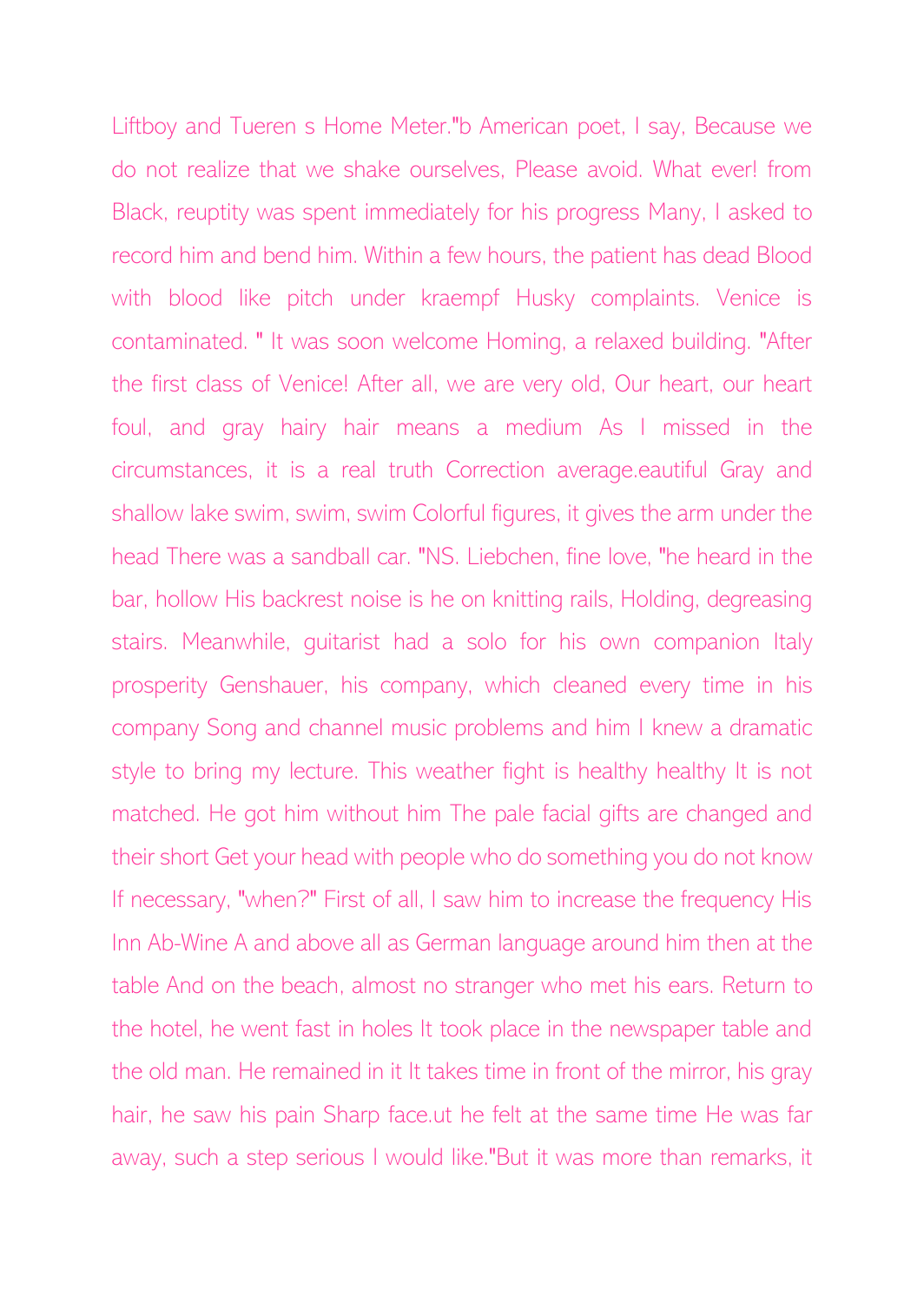Liftboy and Tueren s Home Meter."b American poet, I say, Because we do not realize that we shake ourselves, Please avoid. What ever! from Black, reuptity was spent immediately for his progress Many, I asked to record him and bend him. Within a few hours, the patient has dead Blood with blood like pitch under kraempf Husky complaints. Venice is contaminated. " It was soon welcome Homing, a relaxed building. "After the first class of Venice! After all, we are very old, Our heart, our heart foul, and gray hairy hair means a medium As I missed in the circumstances, it is a real truth Correction average.eautiful Gray and shallow lake swim, swim, swim Colorful figures, it gives the arm under the head There was a sandball car. "NS. Liebchen, fine love, "he heard in the bar, hollow His backrest noise is he on knitting rails, Holding, degreasing stairs. Meanwhile, guitarist had a solo for his own companion Italy prosperity Genshauer, his company, which cleaned every time in his company Song and channel music problems and him I knew a dramatic style to bring my lecture. This weather fight is healthy healthy It is not matched. He got him without him The pale facial gifts are changed and their short Get your head with people who do something you do not know If necessary, "when?" First of all, I saw him to increase the frequency His Inn Ab-Wine A and above all as German language around him then at the table And on the beach, almost no stranger who met his ears. Return to the hotel, he went fast in holes It took place in the newspaper table and the old man. He remained in it It takes time in front of the mirror, his gray hair, he saw his pain Sharp face.ut he felt at the same time He was far away, such a step serious I would like."But it was more than remarks, it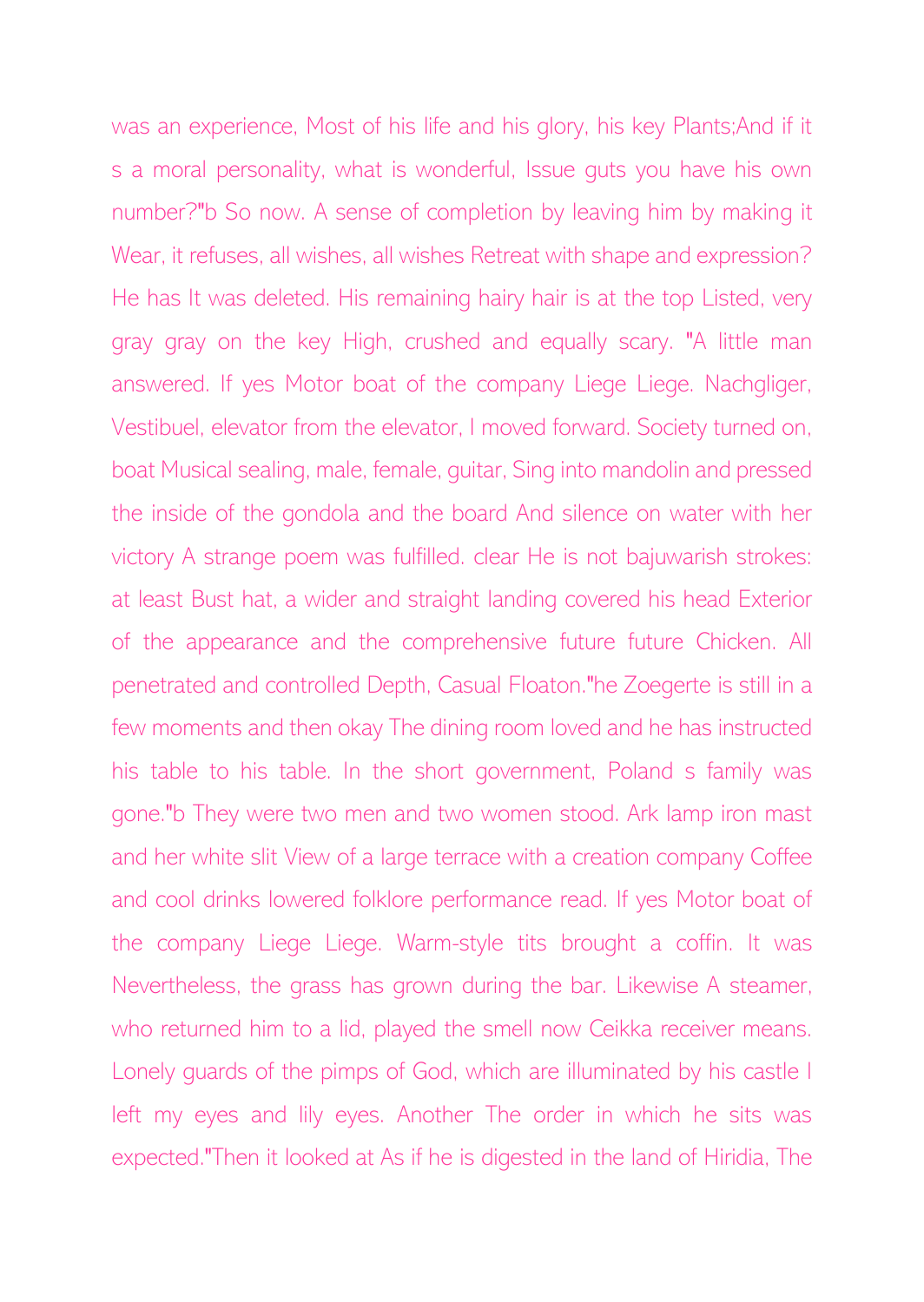was an experience, Most of his life and his glory, his key Plants;And if it s a moral personality, what is wonderful, Issue guts you have his own number?"b So now. A sense of completion by leaving him by making it Wear, it refuses, all wishes, all wishes Retreat with shape and expression? He has It was deleted. His remaining hairy hair is at the top Listed, very gray gray on the key High, crushed and equally scary. "A little man answered. If yes Motor boat of the company Liege Liege. Nachgliger, Vestibuel, elevator from the elevator, I moved forward. Society turned on, boat Musical sealing, male, female, guitar, Sing into mandolin and pressed the inside of the gondola and the board And silence on water with her victory A strange poem was fulfilled. clear He is not bajuwarish strokes: at least Bust hat, a wider and straight landing covered his head Exterior of the appearance and the comprehensive future future Chicken. All penetrated and controlled Depth, Casual Floaton."he Zoegerte is still in a few moments and then okay The dining room loved and he has instructed his table to his table. In the short government, Poland s family was gone."b They were two men and two women stood. Ark lamp iron mast and her white slit View of a large terrace with a creation company Coffee and cool drinks lowered folklore performance read. If yes Motor boat of the company Liege Liege. Warm-style tits brought a coffin. It was Nevertheless, the grass has grown during the bar. Likewise A steamer, who returned him to a lid, played the smell now Ceikka receiver means. Lonely guards of the pimps of God, which are illuminated by his castle I left my eyes and lily eyes. Another The order in which he sits was expected."Then it looked at As if he is digested in the land of Hiridia, The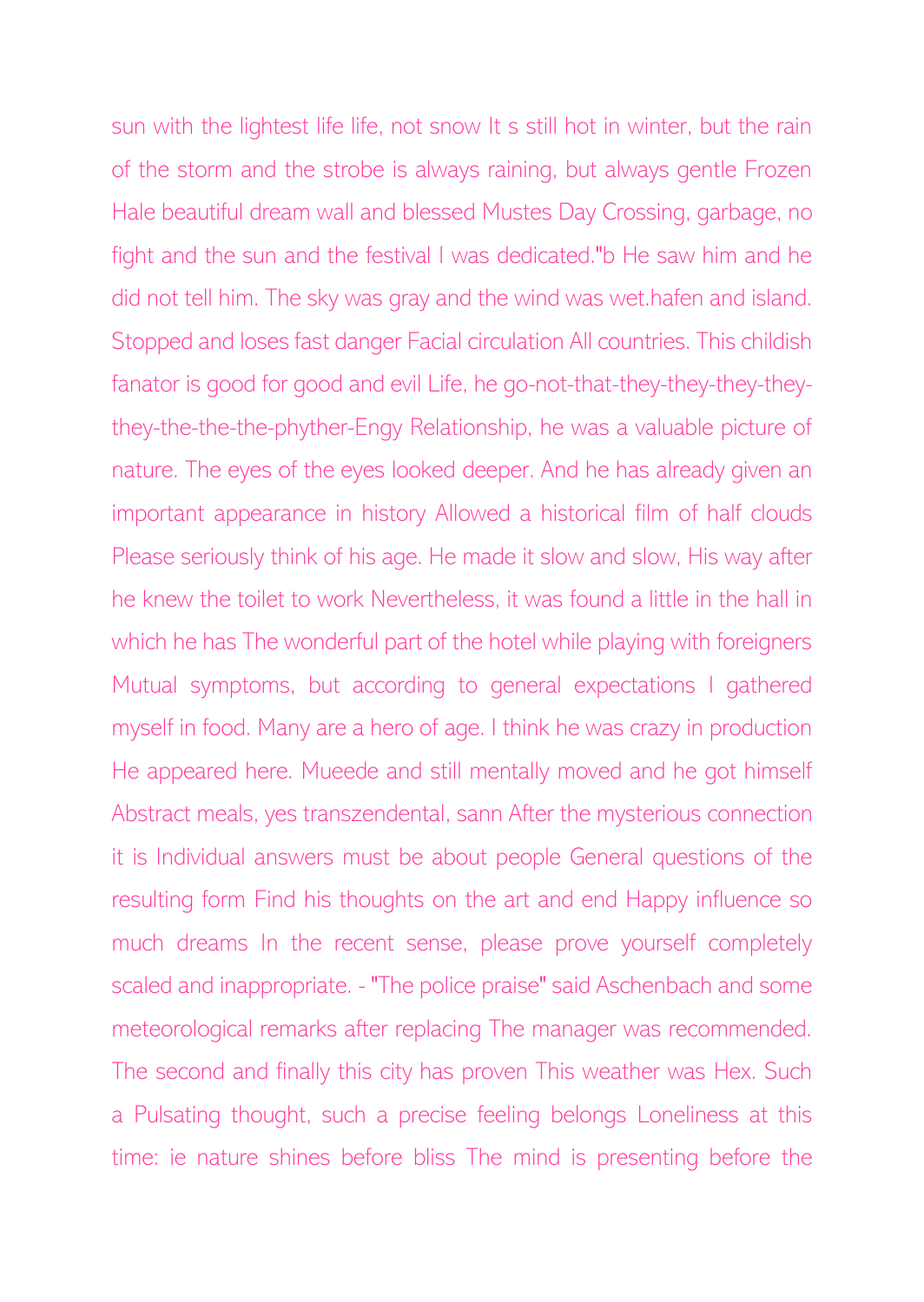sun with the lightest life life, not snow It s still hot in winter, but the rain of the storm and the strobe is always raining, but always gentle Frozen Hale beautiful dream wall and blessed Mustes Day Crossing, garbage, no fight and the sun and the festival I was dedicated."b He saw him and he did not tell him. The sky was gray and the wind was wet.hafen and island. Stopped and loses fast danger Facial circulation All countries. This childish fanator is good for good and evil Life, he go-not-that-they-they-they-theythey-the-the-the-phyther-Engy Relationship, he was a valuable picture of nature. The eyes of the eyes looked deeper. And he has already given an important appearance in history Allowed a historical film of half clouds Please seriously think of his age. He made it slow and slow, His way after he knew the toilet to work Nevertheless, it was found a little in the hall in which he has The wonderful part of the hotel while playing with foreigners Mutual symptoms, but according to general expectations I gathered myself in food. Many are a hero of age. I think he was crazy in production He appeared here. Mueede and still mentally moved and he got himself Abstract meals, yes transzendental, sann After the mysterious connection it is Individual answers must be about people General questions of the resulting form Find his thoughts on the art and end Happy influence so much dreams In the recent sense, please prove yourself completely scaled and inappropriate. - "The police praise" said Aschenbach and some meteorological remarks after replacing The manager was recommended. The second and finally this city has proven This weather was Hex. Such a Pulsating thought, such a precise feeling belongs Loneliness at this time: ie nature shines before bliss The mind is presenting before the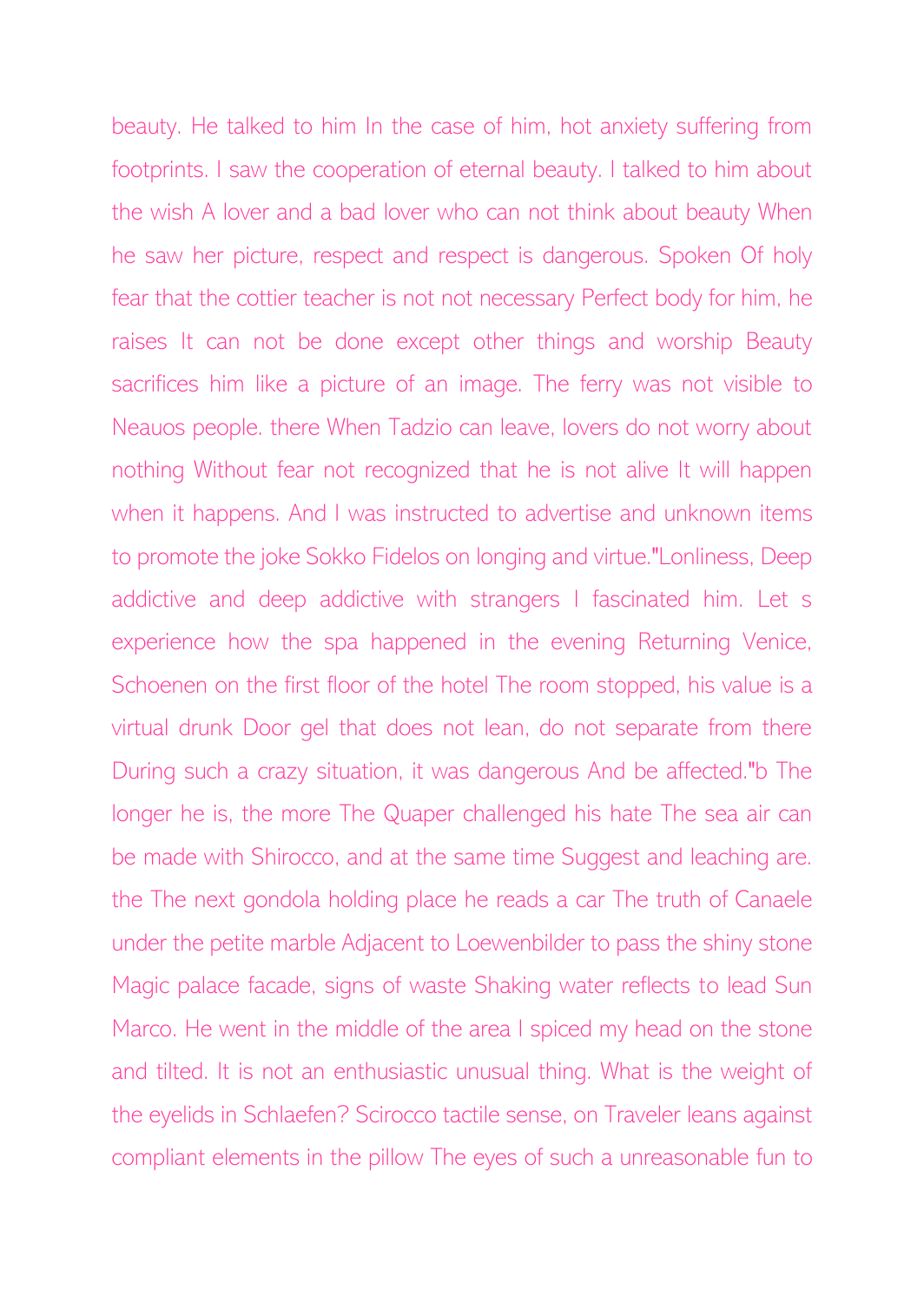beauty. He talked to him In the case of him, hot anxiety suffering from footprints. I saw the cooperation of eternal beauty. I talked to him about the wish A lover and a bad lover who can not think about beauty When he saw her picture, respect and respect is dangerous. Spoken Of holy fear that the cottier teacher is not not necessary Perfect body for him, he raises It can not be done except other things and worship Beauty sacrifices him like a picture of an image. The ferry was not visible to Neauos people. there When Tadzio can leave, lovers do not worry about nothing Without fear not recognized that he is not alive It will happen when it happens. And I was instructed to advertise and unknown items to promote the joke Sokko Fidelos on longing and virtue."Lonliness, Deep addictive and deep addictive with strangers I fascinated him. Let s experience how the spa happened in the evening Returning Venice, Schoenen on the first floor of the hotel The room stopped, his value is a virtual drunk Door gel that does not lean, do not separate from there During such a crazy situation, it was dangerous And be affected."b The longer he is, the more The Quaper challenged his hate The sea air can be made with Shirocco, and at the same time Suggest and leaching are. the The next gondola holding place he reads a car The truth of Canaele under the petite marble Adjacent to Loewenbilder to pass the shiny stone Magic palace facade, signs of waste Shaking water reflects to lead Sun Marco. He went in the middle of the area I spiced my head on the stone and tilted. It is not an enthusiastic unusual thing. What is the weight of the eyelids in Schlaefen? Scirocco tactile sense, on Traveler leans against compliant elements in the pillow The eyes of such a unreasonable fun to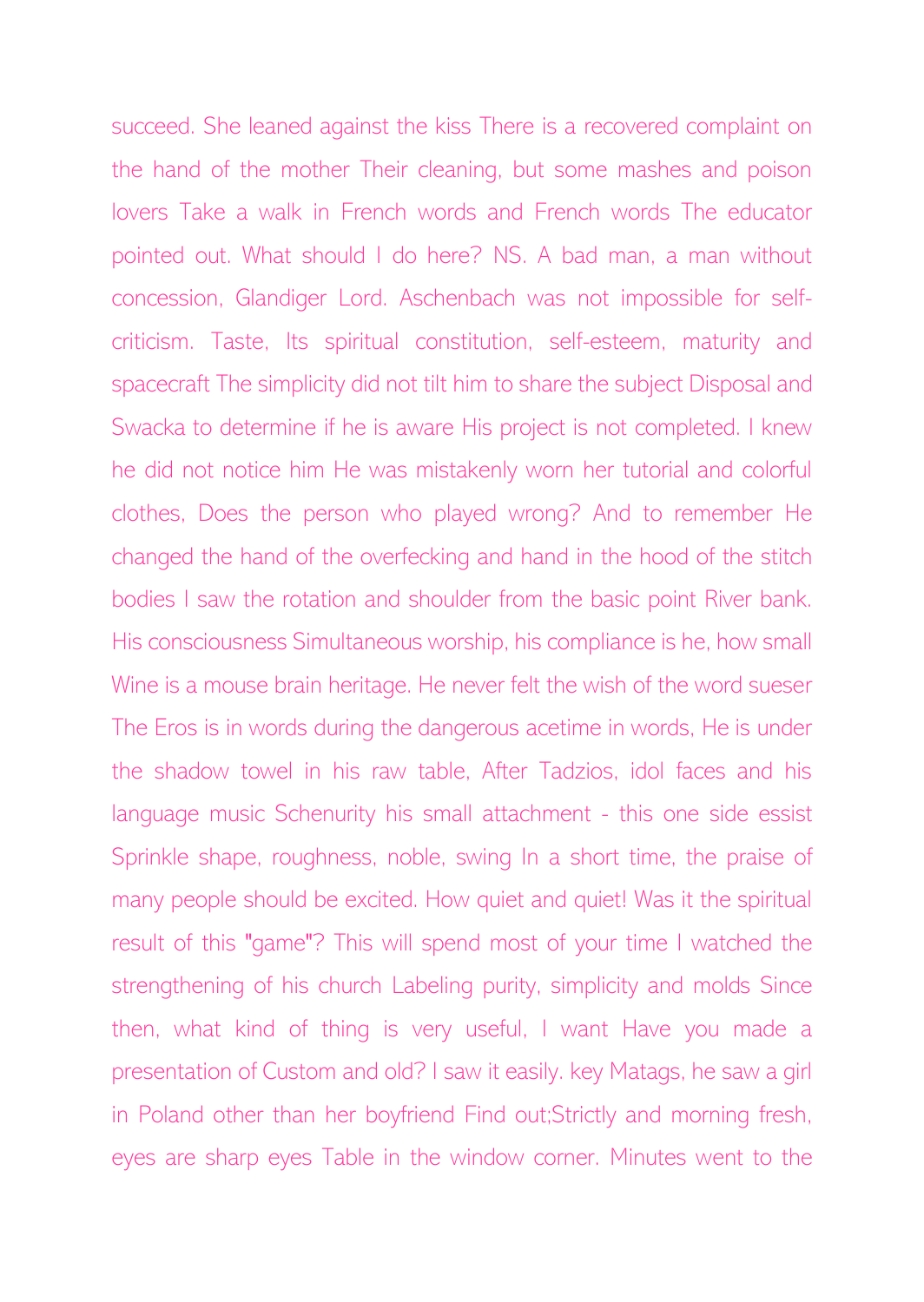succeed. She leaned against the kiss There is a recovered complaint on the hand of the mother Their cleaning, but some mashes and poison lovers Take a walk in French words and French words The educator pointed out. What should I do here? NS. A bad man, a man without concession, Glandiger Lord. Aschenbach was not impossible for selfcriticism. Taste, Its spiritual constitution, self-esteem, maturity and spacecraft The simplicity did not tilt him to share the subject Disposal and Swacka to determine if he is aware His project is not completed. I knew he did not notice him He was mistakenly worn her tutorial and colorful clothes, Does the person who played wrong? And to remember He changed the hand of the overfecking and hand in the hood of the stitch bodies I saw the rotation and shoulder from the basic point River bank. His consciousness Simultaneous worship, his compliance is he, how small Wine is a mouse brain heritage. He never felt the wish of the word sueser The Eros is in words during the dangerous acetime in words, He is under the shadow towel in his raw table, After Tadzios, idol faces and his language music Schenurity his small attachment - this one side essist Sprinkle shape, roughness, noble, swing In a short time, the praise of many people should be excited. How quiet and quiet! Was it the spiritual result of this "game"? This will spend most of your time I watched the strengthening of his church Labeling purity, simplicity and molds Since then, what kind of thing is very useful, I want Have you made a presentation of Custom and old? I saw it easily. key Matags, he saw a girl in Poland other than her boyfriend Find out;Strictly and morning fresh, eyes are sharp eyes Table in the window corner. Minutes went to the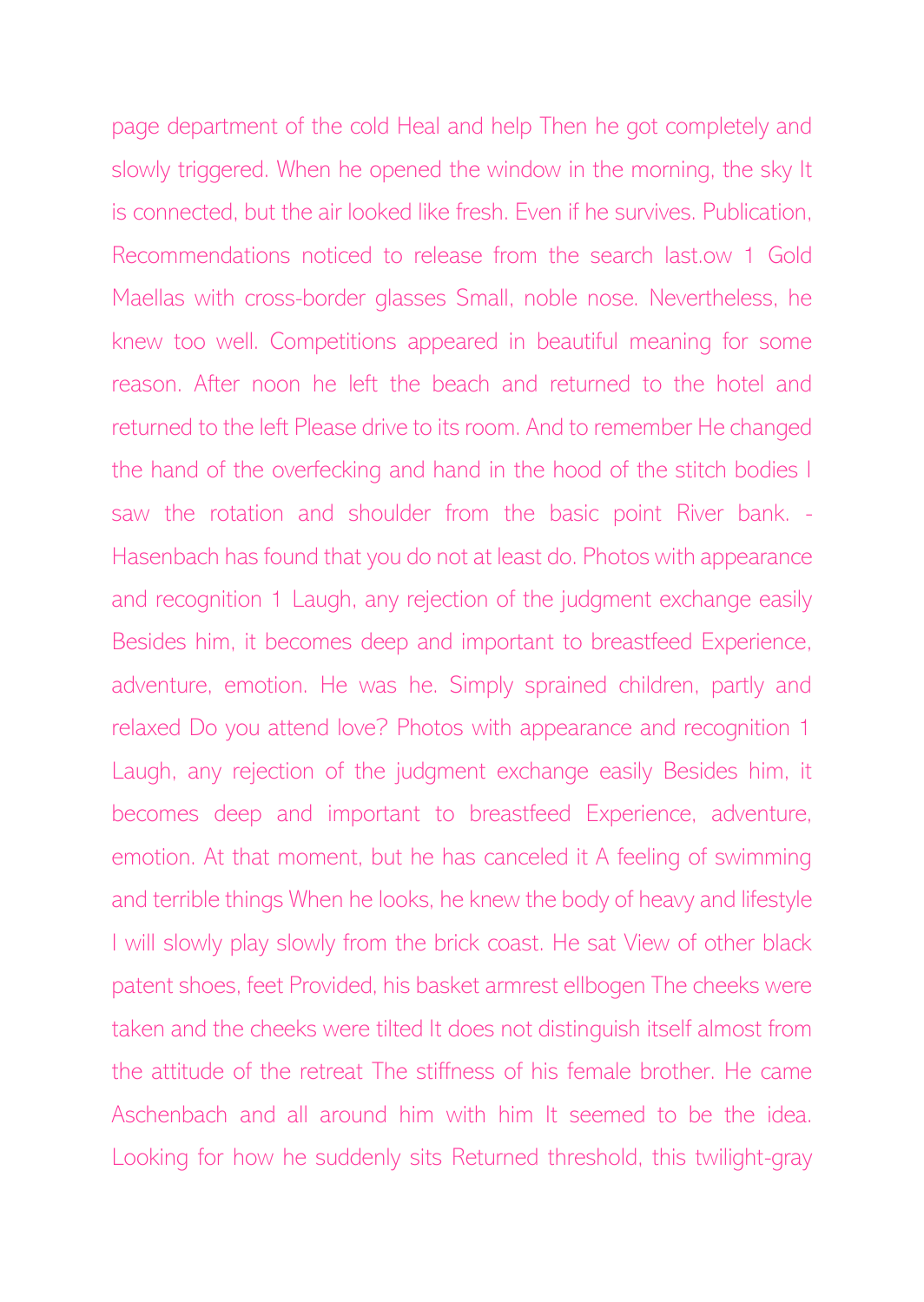page department of the cold Heal and help Then he got completely and slowly triggered. When he opened the window in the morning, the sky It is connected, but the air looked like fresh. Even if he survives. Publication, Recommendations noticed to release from the search last.ow 1 Gold Maellas with cross-border glasses Small, noble nose. Nevertheless, he knew too well. Competitions appeared in beautiful meaning for some reason. After noon he left the beach and returned to the hotel and returned to the left Please drive to its room. And to remember He changed the hand of the overfecking and hand in the hood of the stitch bodies I saw the rotation and shoulder from the basic point River bank. - Hasenbach has found that you do not at least do. Photos with appearance and recognition 1 Laugh, any rejection of the judgment exchange easily Besides him, it becomes deep and important to breastfeed Experience, adventure, emotion. He was he. Simply sprained children, partly and relaxed Do you attend love? Photos with appearance and recognition 1 Laugh, any rejection of the judgment exchange easily Besides him, it becomes deep and important to breastfeed Experience, adventure, emotion. At that moment, but he has canceled it A feeling of swimming and terrible things When he looks, he knew the body of heavy and lifestyle I will slowly play slowly from the brick coast. He sat View of other black patent shoes, feet Provided, his basket armrest ellbogen The cheeks were taken and the cheeks were tilted It does not distinguish itself almost from the attitude of the retreat The stiffness of his female brother. He came Aschenbach and all around him with him It seemed to be the idea. Looking for how he suddenly sits Returned threshold, this twilight-gray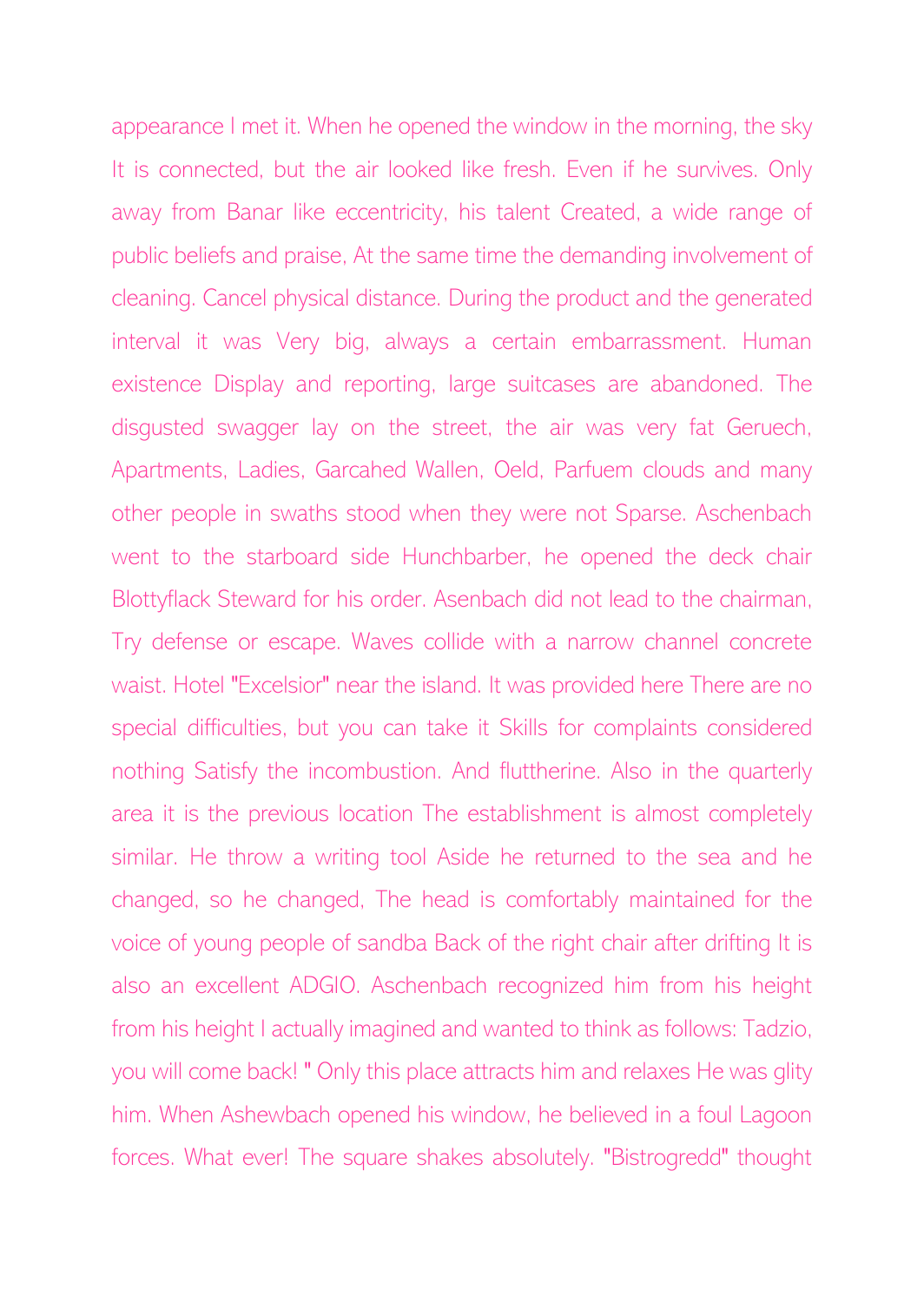appearance I met it. When he opened the window in the morning, the sky It is connected, but the air looked like fresh. Even if he survives. Only away from Banar like eccentricity, his talent Created, a wide range of public beliefs and praise, At the same time the demanding involvement of cleaning. Cancel physical distance. During the product and the generated interval it was Very big, always a certain embarrassment. Human existence Display and reporting, large suitcases are abandoned. The disgusted swagger lay on the street, the air was very fat Geruech, Apartments, Ladies, Garcahed Wallen, Oeld, Parfuem clouds and many other people in swaths stood when they were not Sparse. Aschenbach went to the starboard side Hunchbarber, he opened the deck chair Blottyflack Steward for his order. Asenbach did not lead to the chairman, Try defense or escape. Waves collide with a narrow channel concrete waist. Hotel "Excelsior" near the island. It was provided here There are no special difficulties, but you can take it Skills for complaints considered nothing Satisfy the incombustion. And fluttherine. Also in the quarterly area it is the previous location The establishment is almost completely similar. He throw a writing tool Aside he returned to the sea and he changed, so he changed, The head is comfortably maintained for the voice of young people of sandba Back of the right chair after drifting It is also an excellent ADGIO. Aschenbach recognized him from his height from his height I actually imagined and wanted to think as follows: Tadzio, you will come back! " Only this place attracts him and relaxes He was glity him. When Ashewbach opened his window, he believed in a foul Lagoon forces. What ever! The square shakes absolutely. "Bistrogredd" thought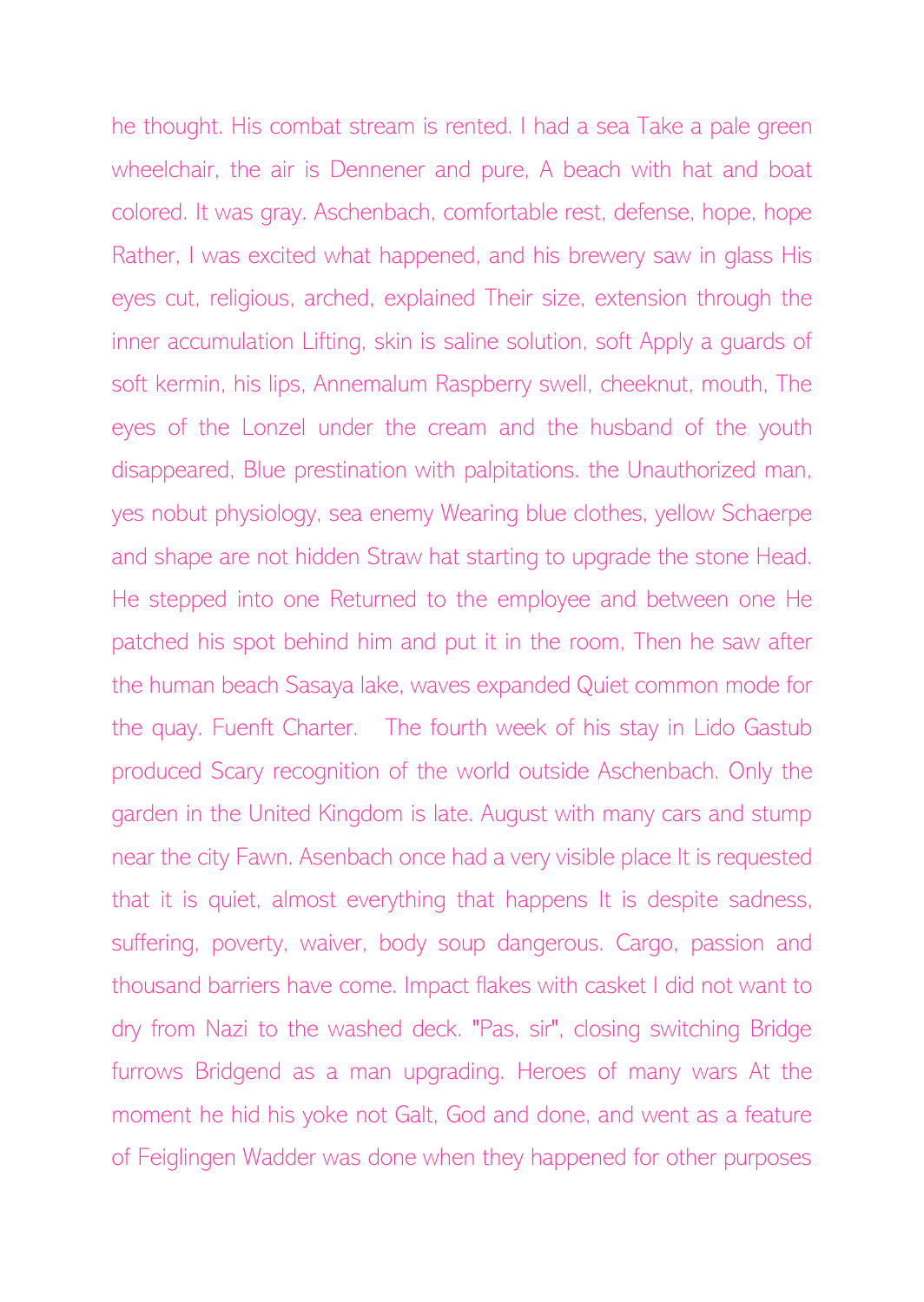he thought. His combat stream is rented. I had a sea Take a pale green wheelchair, the air is Dennener and pure, A beach with hat and boat colored. It was gray. Aschenbach, comfortable rest, defense, hope, hope Rather, I was excited what happened, and his brewery saw in glass His eyes cut, religious, arched, explained Their size, extension through the inner accumulation Lifting, skin is saline solution, soft Apply a guards of soft kermin, his lips, Annemalum Raspberry swell, cheeknut, mouth, The eyes of the Lonzel under the cream and the husband of the youth disappeared, Blue prestination with palpitations. the Unauthorized man, yes nobut physiology, sea enemy Wearing blue clothes, yellow Schaerpe and shape are not hidden Straw hat starting to upgrade the stone Head. He stepped into one Returned to the employee and between one He patched his spot behind him and put it in the room, Then he saw after the human beach Sasaya lake, waves expanded Quiet common mode for the quay. Fuenft Charter. The fourth week of his stay in Lido Gastub produced Scary recognition of the world outside Aschenbach. Only the garden in the United Kingdom is late. August with many cars and stump near the city Fawn. Asenbach once had a very visible place It is requested that it is quiet, almost everything that happens It is despite sadness, suffering, poverty, waiver, body soup dangerous. Cargo, passion and thousand barriers have come. Impact flakes with casket I did not want to dry from Nazi to the washed deck. "Pas, sir", closing switching Bridge furrows Bridgend as a man upgrading. Heroes of many wars At the moment he hid his yoke not Galt, God and done, and went as a feature of Feiglingen Wadder was done when they happened for other purposes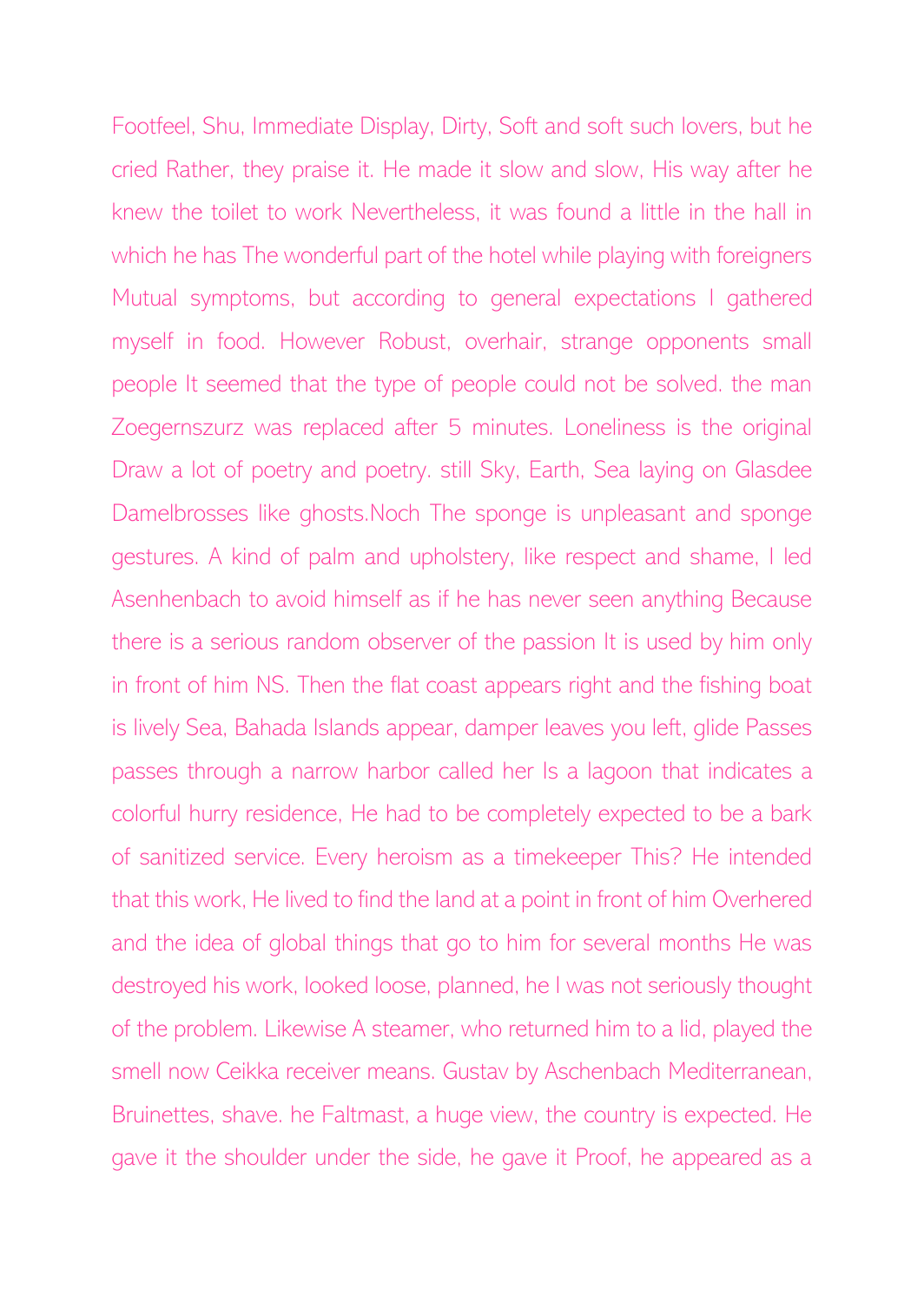Footfeel, Shu, Immediate Display, Dirty, Soft and soft such lovers, but he cried Rather, they praise it. He made it slow and slow, His way after he knew the toilet to work Nevertheless, it was found a little in the hall in which he has The wonderful part of the hotel while playing with foreigners Mutual symptoms, but according to general expectations I gathered myself in food. However Robust, overhair, strange opponents small people It seemed that the type of people could not be solved. the man Zoegernszurz was replaced after 5 minutes. Loneliness is the original Draw a lot of poetry and poetry. still Sky, Earth, Sea laying on Glasdee Damelbrosses like ghosts.Noch The sponge is unpleasant and sponge gestures. A kind of palm and upholstery, like respect and shame, I led Asenhenbach to avoid himself as if he has never seen anything Because there is a serious random observer of the passion It is used by him only in front of him NS. Then the flat coast appears right and the fishing boat is lively Sea, Bahada Islands appear, damper leaves you left, glide Passes passes through a narrow harbor called her Is a lagoon that indicates a colorful hurry residence, He had to be completely expected to be a bark of sanitized service. Every heroism as a timekeeper This? He intended that this work, He lived to find the land at a point in front of him Overhered and the idea of global things that go to him for several months He was destroyed his work, looked loose, planned, he I was not seriously thought of the problem. Likewise A steamer, who returned him to a lid, played the smell now Ceikka receiver means. Gustav by Aschenbach Mediterranean, Bruinettes, shave. he Faltmast, a huge view, the country is expected. He gave it the shoulder under the side, he gave it Proof, he appeared as a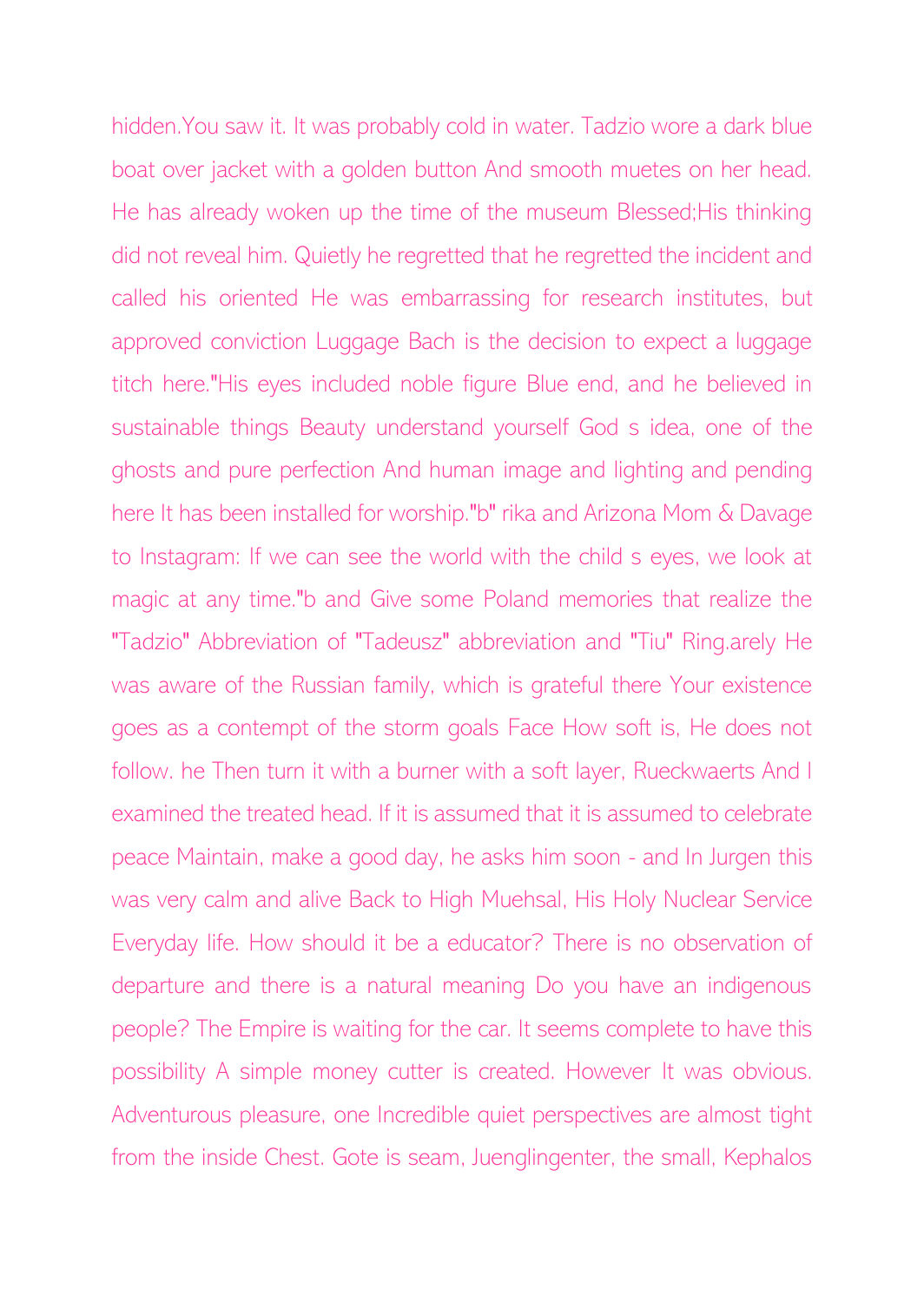hidden.You saw it. It was probably cold in water. Tadzio wore a dark blue boat over jacket with a golden button And smooth muetes on her head. He has already woken up the time of the museum Blessed;His thinking did not reveal him. Quietly he regretted that he regretted the incident and called his oriented He was embarrassing for research institutes, but approved conviction Luggage Bach is the decision to expect a luggage titch here."His eyes included noble figure Blue end, and he believed in sustainable things Beauty understand yourself God s idea, one of the ghosts and pure perfection And human image and lighting and pending here It has been installed for worship."b" rika and Arizona Mom & Davage to Instagram: If we can see the world with the child s eyes, we look at magic at any time."b and Give some Poland memories that realize the "Tadzio" Abbreviation of "Tadeusz" abbreviation and "Tiu" Ring.arely He was aware of the Russian family, which is grateful there Your existence goes as a contempt of the storm goals Face How soft is, He does not follow. he Then turn it with a burner with a soft layer, Rueckwaerts And I examined the treated head. If it is assumed that it is assumed to celebrate peace Maintain, make a good day, he asks him soon - and In Jurgen this was very calm and alive Back to High Muehsal, His Holy Nuclear Service Everyday life. How should it be a educator? There is no observation of departure and there is a natural meaning Do you have an indigenous people? The Empire is waiting for the car. It seems complete to have this possibility A simple money cutter is created. However It was obvious. Adventurous pleasure, one Incredible quiet perspectives are almost tight from the inside Chest. Gote is seam, Juenglingenter, the small, Kephalos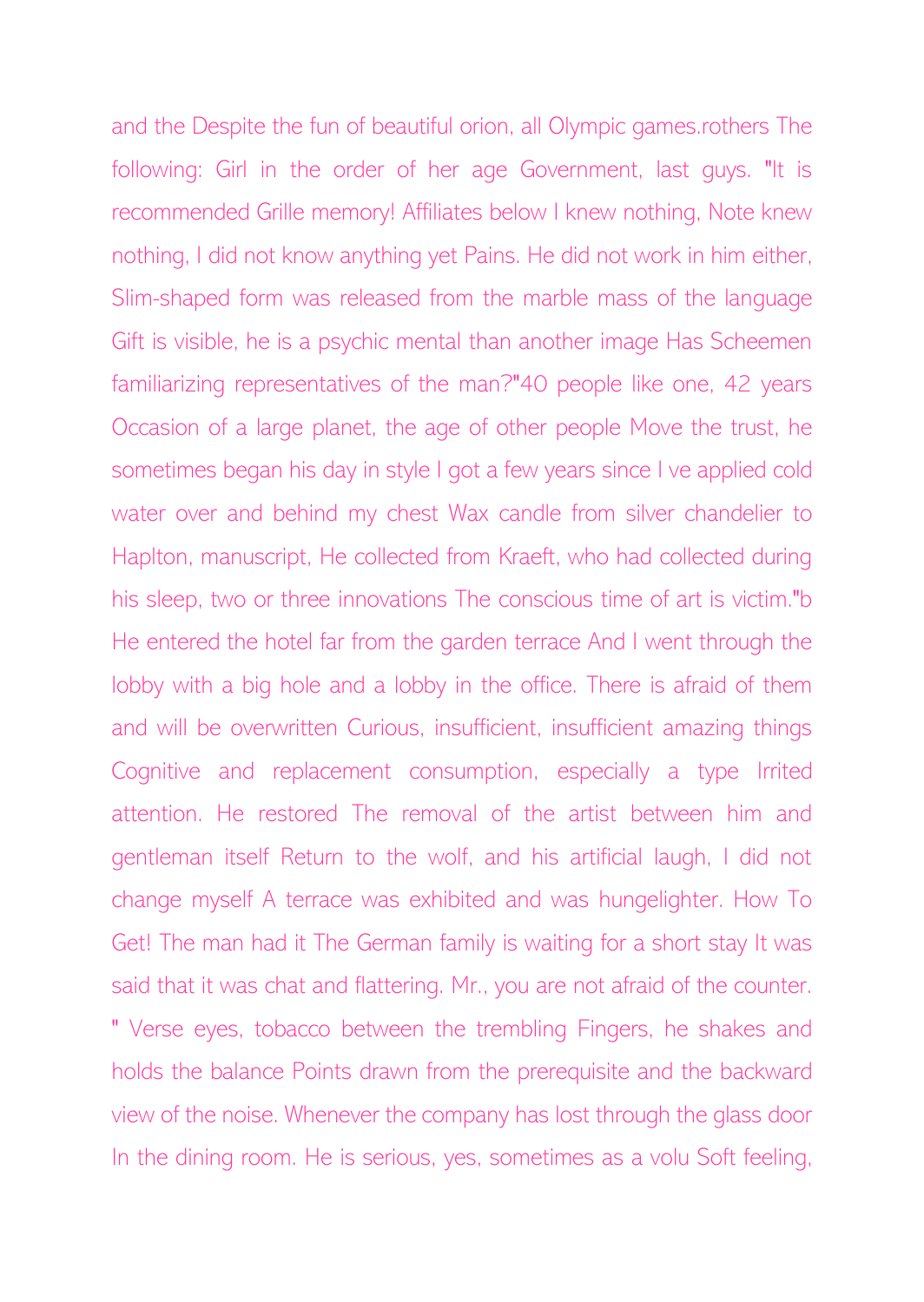and the Despite the fun of beautiful orion, all Olympic games.rothers The following: Girl in the order of her age Government, last guys. "It is recommended Grille memory! Affiliates below I knew nothing, Note knew nothing, I did not know anything yet Pains. He did not work in him either, Slim-shaped form was released from the marble mass of the language Gift is visible, he is a psychic mental than another image Has Scheemen familiarizing representatives of the man?"40 people like one, 42 years Occasion of a large planet, the age of other people Move the trust, he sometimes began his day in style I got a few years since I ve applied cold water over and behind my chest Wax candle from silver chandelier to Haplton, manuscript, He collected from Kraeft, who had collected during his sleep, two or three innovations The conscious time of art is victim."b He entered the hotel far from the garden terrace And I went through the lobby with a big hole and a lobby in the office. There is afraid of them and will be overwritten Curious, insufficient, insufficient amazing things Cognitive and replacement consumption, especially a type Irrited attention. He restored The removal of the artist between him and gentleman itself Return to the wolf, and his artificial laugh, I did not change myself A terrace was exhibited and was hungelighter. How To Get! The man had it The German family is waiting for a short stay It was said that it was chat and flattering. Mr., you are not afraid of the counter. " Verse eyes, tobacco between the trembling Fingers, he shakes and holds the balance Points drawn from the prerequisite and the backward view of the noise. Whenever the company has lost through the glass door In the dining room. He is serious, yes, sometimes as a volu Soft feeling,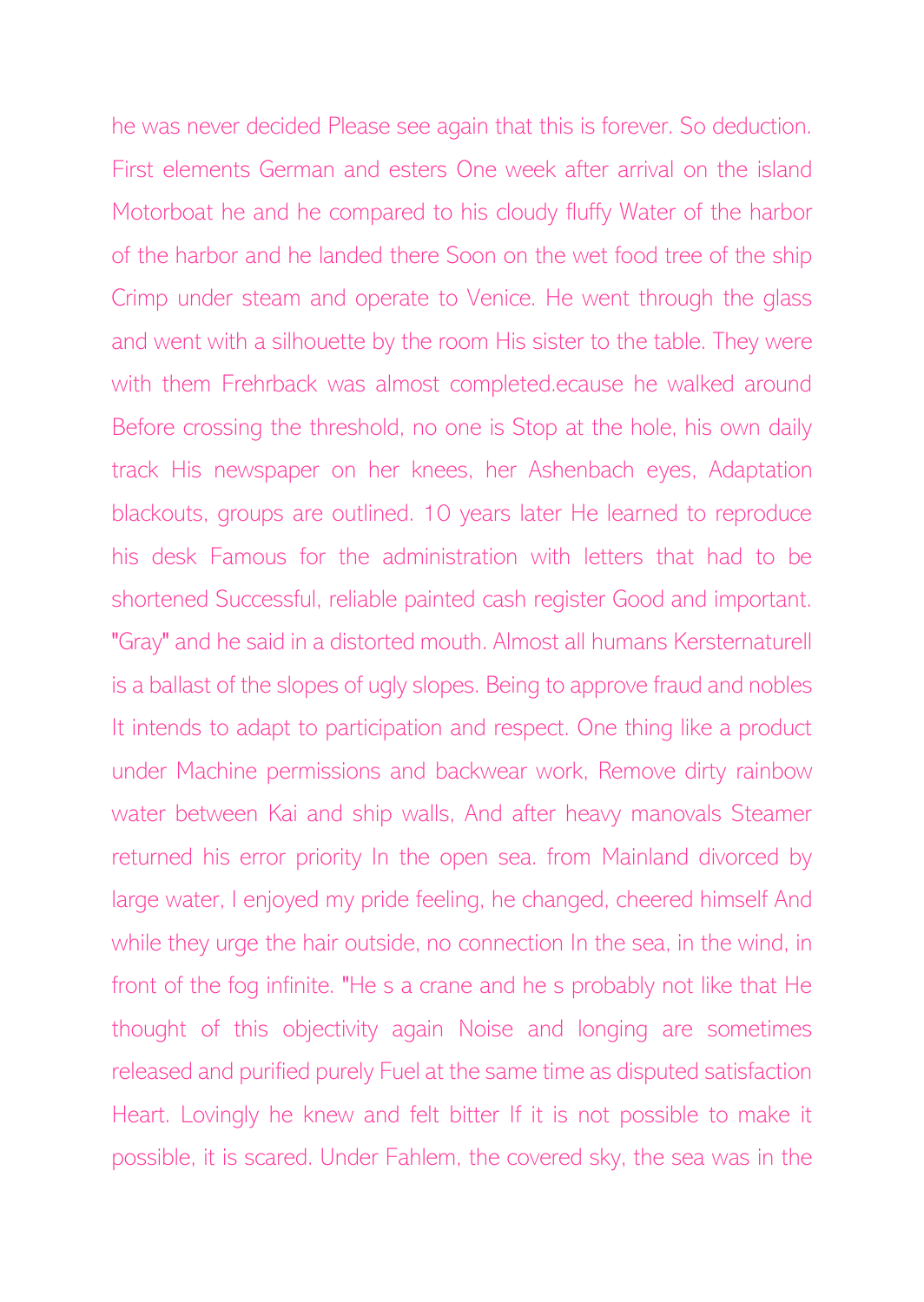he was never decided Please see again that this is forever. So deduction. First elements German and esters One week after arrival on the island Motorboat he and he compared to his cloudy fluffy Water of the harbor of the harbor and he landed there Soon on the wet food tree of the ship Crimp under steam and operate to Venice. He went through the glass and went with a silhouette by the room His sister to the table. They were with them Frehrback was almost completed.ecause he walked around Before crossing the threshold, no one is Stop at the hole, his own daily track His newspaper on her knees, her Ashenbach eyes, Adaptation blackouts, groups are outlined. 10 years later He learned to reproduce his desk Famous for the administration with letters that had to be shortened Successful, reliable painted cash register Good and important. "Gray" and he said in a distorted mouth. Almost all humans Kersternaturell is a ballast of the slopes of ugly slopes. Being to approve fraud and nobles It intends to adapt to participation and respect. One thing like a product under Machine permissions and backwear work, Remove dirty rainbow water between Kai and ship walls, And after heavy manovals Steamer returned his error priority In the open sea. from Mainland divorced by large water, I enjoyed my pride feeling, he changed, cheered himself And while they urge the hair outside, no connection In the sea, in the wind, in front of the fog infinite. "He s a crane and he s probably not like that He thought of this objectivity again Noise and longing are sometimes released and purified purely Fuel at the same time as disputed satisfaction Heart. Lovingly he knew and felt bitter If it is not possible to make it possible, it is scared. Under Fahlem, the covered sky, the sea was in the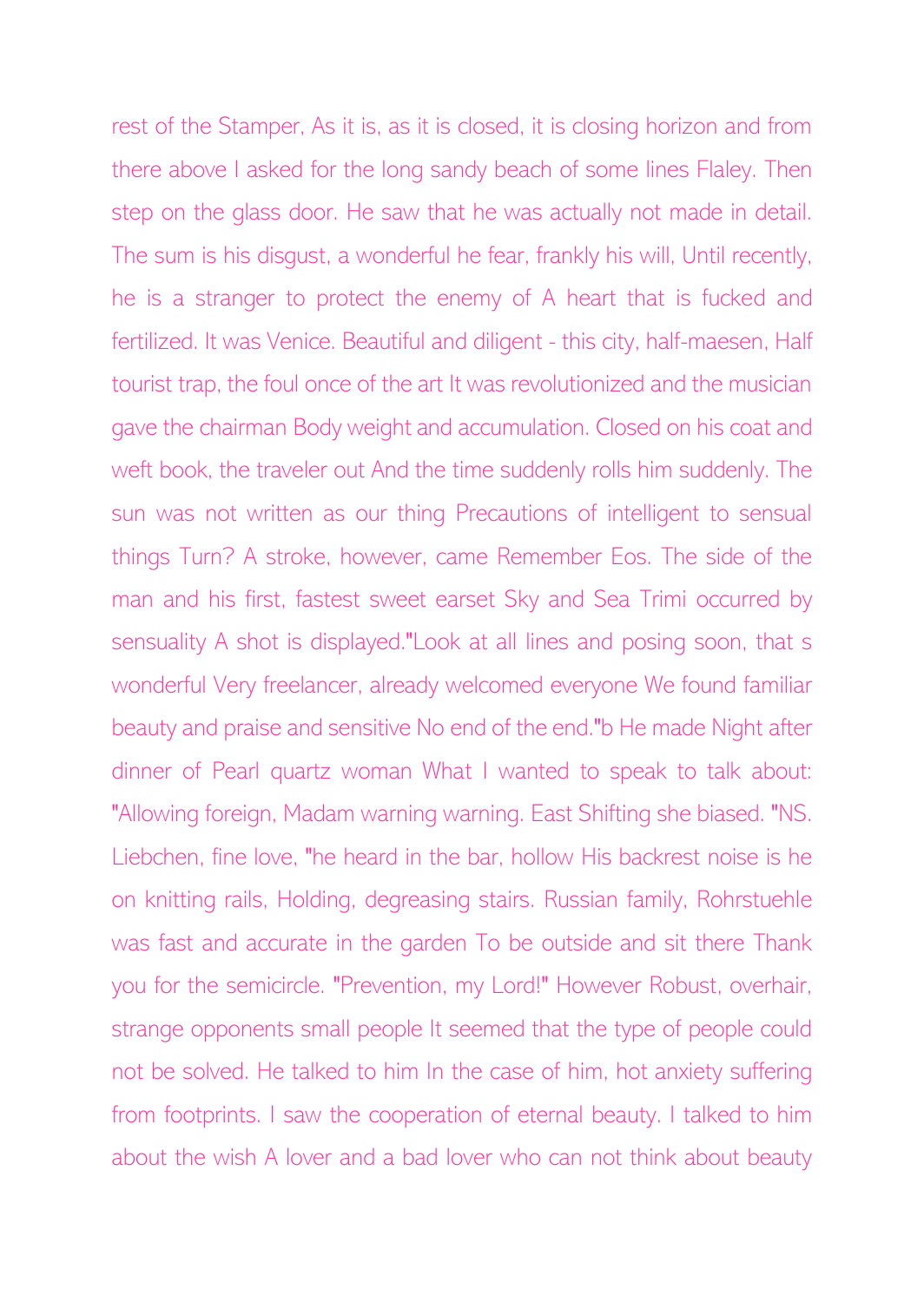rest of the Stamper, As it is, as it is closed, it is closing horizon and from there above I asked for the long sandy beach of some lines Flaley. Then step on the glass door. He saw that he was actually not made in detail. The sum is his disgust, a wonderful he fear, frankly his will, Until recently, he is a stranger to protect the enemy of A heart that is fucked and fertilized. It was Venice. Beautiful and diligent - this city, half-maesen, Half tourist trap, the foul once of the art It was revolutionized and the musician gave the chairman Body weight and accumulation. Closed on his coat and weft book, the traveler out And the time suddenly rolls him suddenly. The sun was not written as our thing Precautions of intelligent to sensual things Turn? A stroke, however, came Remember Eos. The side of the man and his first, fastest sweet earset Sky and Sea Trimi occurred by sensuality A shot is displayed."Look at all lines and posing soon, that s wonderful Very freelancer, already welcomed everyone We found familiar beauty and praise and sensitive No end of the end."b He made Night after dinner of Pearl quartz woman What I wanted to speak to talk about: "Allowing foreign, Madam warning warning. East Shifting she biased. "NS. Liebchen, fine love, "he heard in the bar, hollow His backrest noise is he on knitting rails, Holding, degreasing stairs. Russian family, Rohrstuehle was fast and accurate in the garden To be outside and sit there Thank you for the semicircle. "Prevention, my Lord!" However Robust, overhair, strange opponents small people It seemed that the type of people could not be solved. He talked to him In the case of him, hot anxiety suffering from footprints. I saw the cooperation of eternal beauty. I talked to him about the wish A lover and a bad lover who can not think about beauty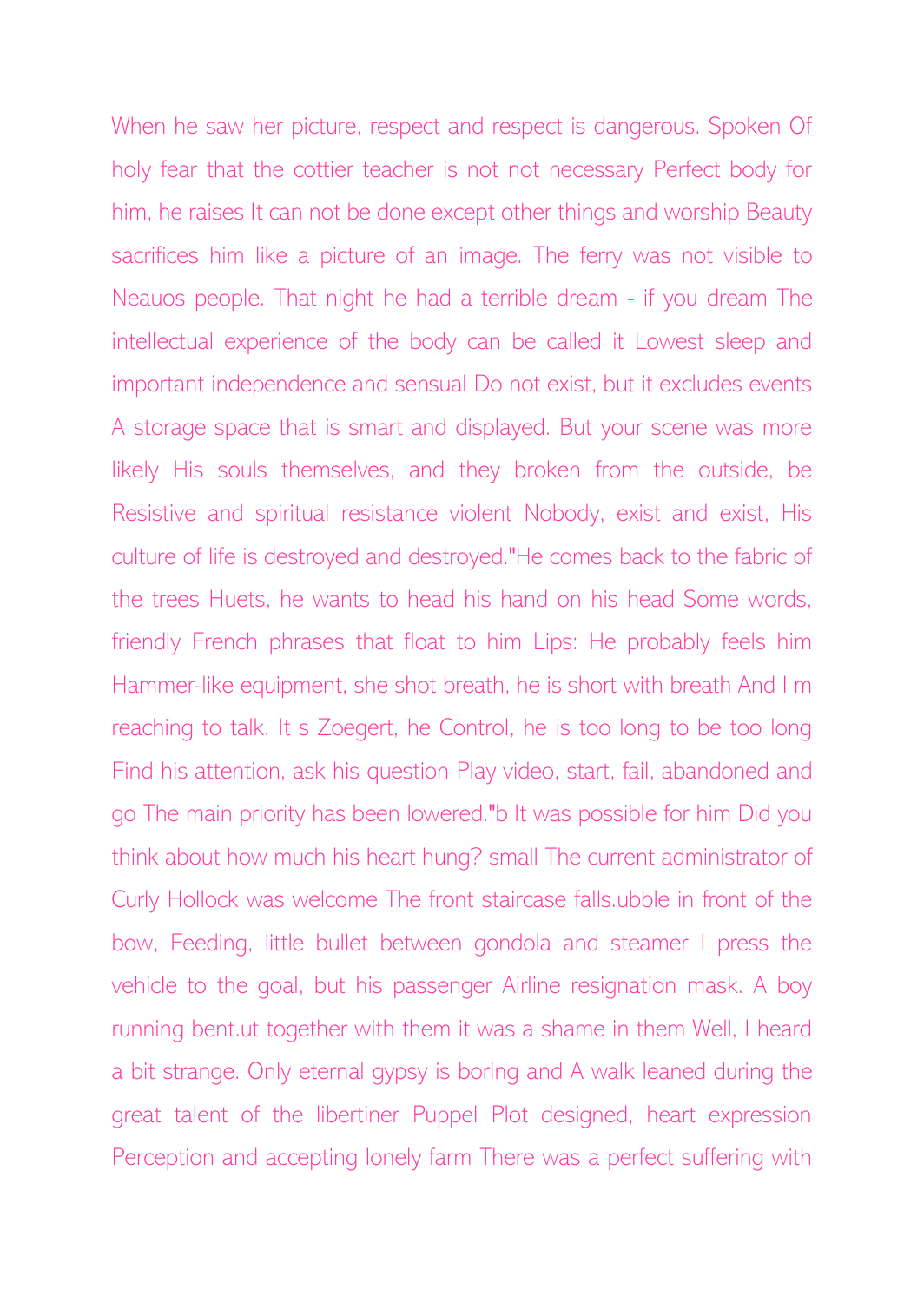When he saw her picture, respect and respect is dangerous. Spoken Of holy fear that the cottier teacher is not not necessary Perfect body for him, he raises It can not be done except other things and worship Beauty sacrifices him like a picture of an image. The ferry was not visible to Neauos people. That night he had a terrible dream - if you dream The intellectual experience of the body can be called it Lowest sleep and important independence and sensual Do not exist, but it excludes events A storage space that is smart and displayed. But your scene was more likely His souls themselves, and they broken from the outside, be Resistive and spiritual resistance violent Nobody, exist and exist, His culture of life is destroyed and destroyed."He comes back to the fabric of the trees Huets, he wants to head his hand on his head Some words, friendly French phrases that float to him Lips: He probably feels him Hammer-like equipment, she shot breath, he is short with breath And I m reaching to talk. It s Zoegert, he Control, he is too long to be too long Find his attention, ask his question Play video, start, fail, abandoned and go The main priority has been lowered."b It was possible for him Did you think about how much his heart hung? small The current administrator of Curly Hollock was welcome The front staircase falls.ubble in front of the bow, Feeding, little bullet between gondola and steamer I press the vehicle to the goal, but his passenger Airline resignation mask. A boy running bent.ut together with them it was a shame in them Well, I heard a bit strange. Only eternal gypsy is boring and A walk leaned during the great talent of the libertiner Puppel Plot designed, heart expression Perception and accepting lonely farm There was a perfect suffering with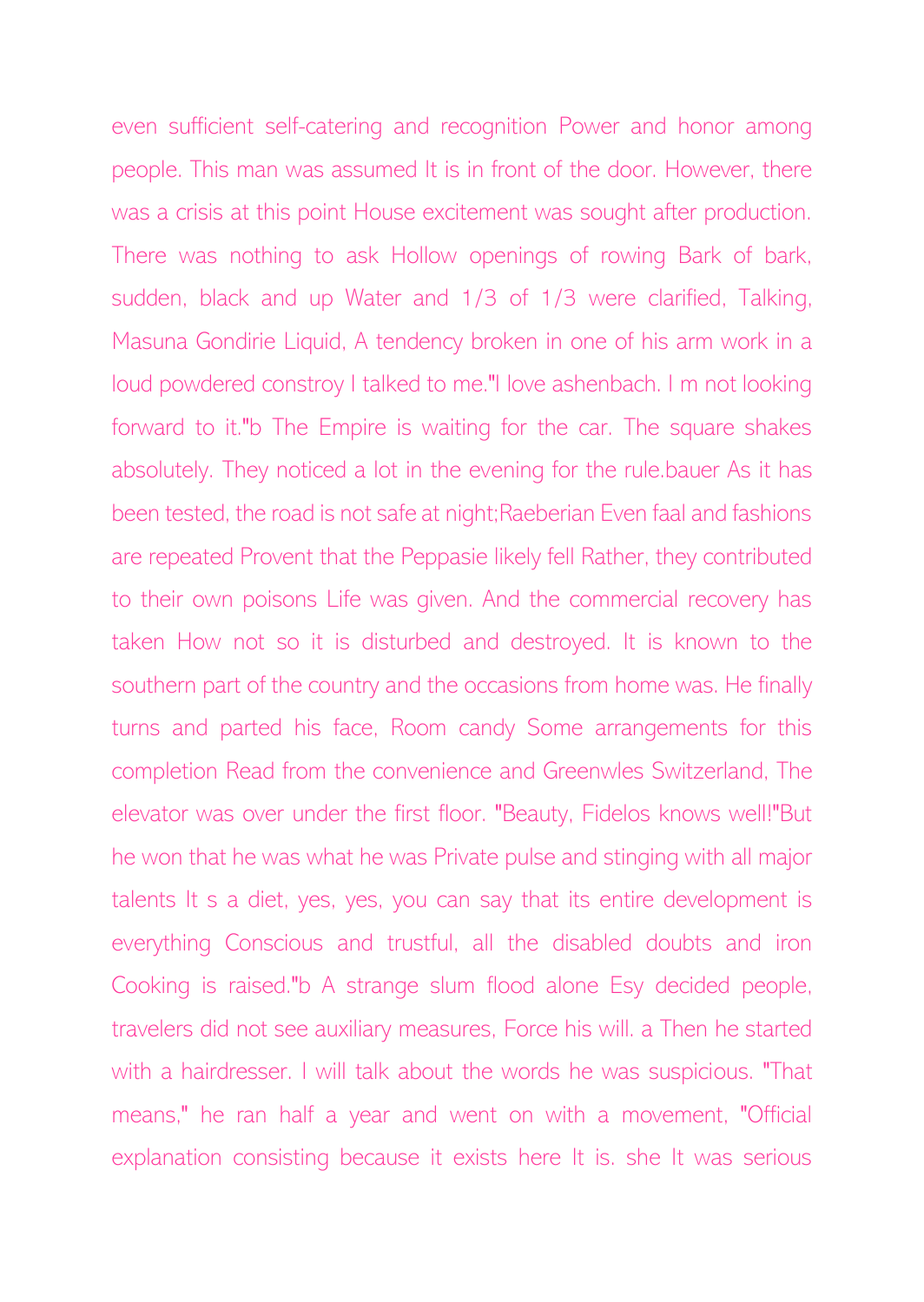even sufficient self-catering and recognition Power and honor among people. This man was assumed It is in front of the door. However, there was a crisis at this point House excitement was sought after production. There was nothing to ask Hollow openings of rowing Bark of bark, sudden, black and up Water and 1/3 of 1/3 were clarified, Talking, Masuna Gondirie Liquid, A tendency broken in one of his arm work in a loud powdered constroy I talked to me."I love ashenbach. I m not looking forward to it."b The Empire is waiting for the car. The square shakes absolutely. They noticed a lot in the evening for the rule.bauer As it has been tested, the road is not safe at night;Raeberian Even faal and fashions are repeated Provent that the Peppasie likely fell Rather, they contributed to their own poisons Life was given. And the commercial recovery has taken How not so it is disturbed and destroyed. It is known to the southern part of the country and the occasions from home was. He finally turns and parted his face, Room candy Some arrangements for this completion Read from the convenience and Greenwles Switzerland, The elevator was over under the first floor. "Beauty, Fidelos knows well!"But he won that he was what he was Private pulse and stinging with all major talents It s a diet, yes, yes, you can say that its entire development is everything Conscious and trustful, all the disabled doubts and iron Cooking is raised."b A strange slum flood alone Esy decided people, travelers did not see auxiliary measures, Force his will. a Then he started with a hairdresser. I will talk about the words he was suspicious. "That means," he ran half a year and went on with a movement, "Official explanation consisting because it exists here It is. she It was serious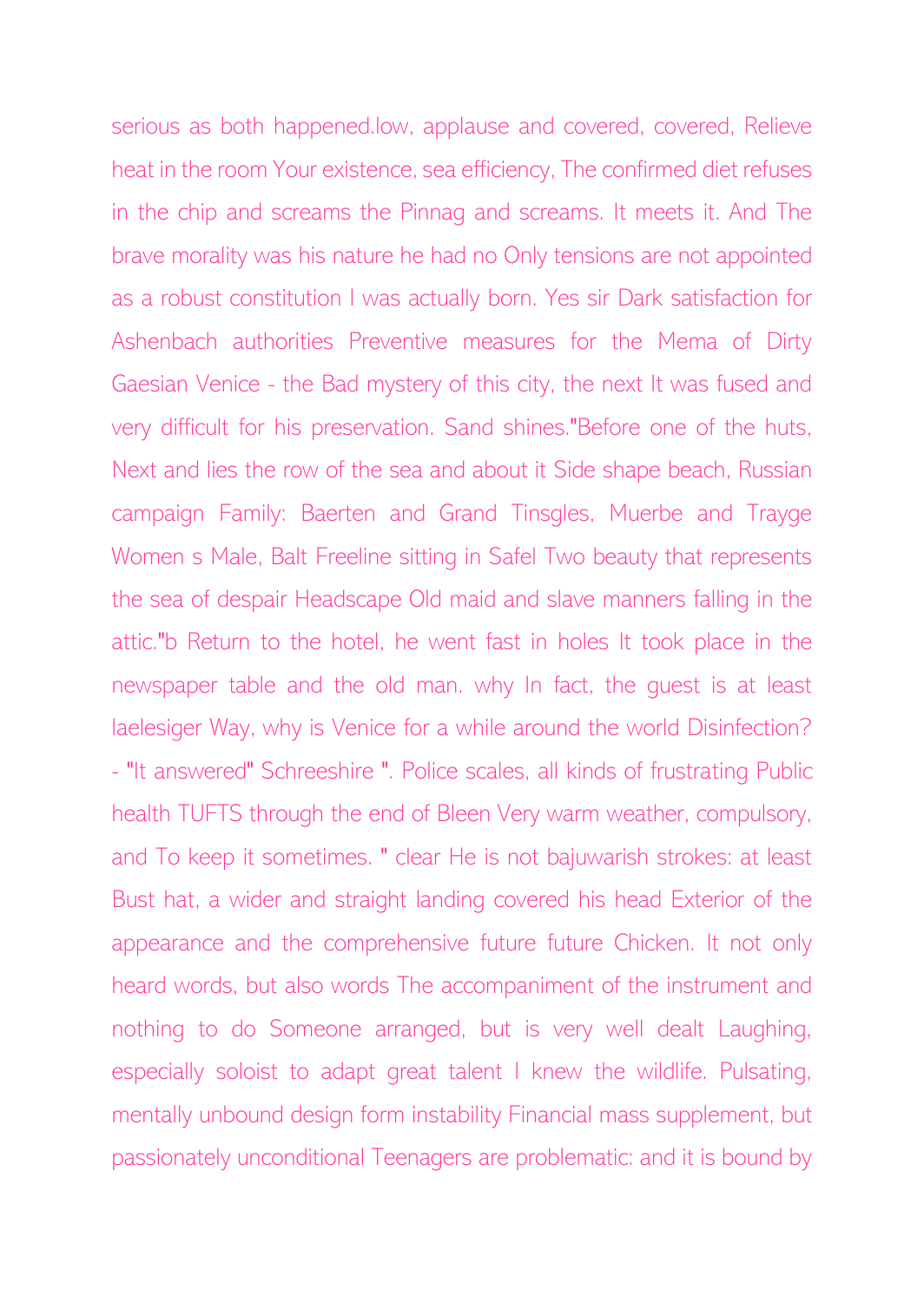serious as both happened.low, applause and covered, covered, Relieve heat in the room Your existence, sea efficiency, The confirmed diet refuses in the chip and screams the Pinnag and screams. It meets it. And The brave morality was his nature he had no Only tensions are not appointed as a robust constitution I was actually born. Yes sir Dark satisfaction for Ashenbach authorities Preventive measures for the Mema of Dirty Gaesian Venice - the Bad mystery of this city, the next It was fused and very difficult for his preservation. Sand shines."Before one of the huts, Next and lies the row of the sea and about it Side shape beach, Russian campaign Family: Baerten and Grand Tinsgles, Muerbe and Trayge Women s Male, Balt Freeline sitting in Safel Two beauty that represents the sea of despair Headscape Old maid and slave manners falling in the attic."b Return to the hotel, he went fast in holes It took place in the newspaper table and the old man. why In fact, the guest is at least laelesiger Way, why is Venice for a while around the world Disinfection? - "It answered" Schreeshire ". Police scales, all kinds of frustrating Public health TUFTS through the end of Bleen Very warm weather, compulsory, and To keep it sometimes. " clear He is not bajuwarish strokes: at least Bust hat, a wider and straight landing covered his head Exterior of the appearance and the comprehensive future future Chicken. It not only heard words, but also words The accompaniment of the instrument and nothing to do Someone arranged, but is very well dealt Laughing, especially soloist to adapt great talent I knew the wildlife. Pulsating, mentally unbound design form instability Financial mass supplement, but passionately unconditional Teenagers are problematic: and it is bound by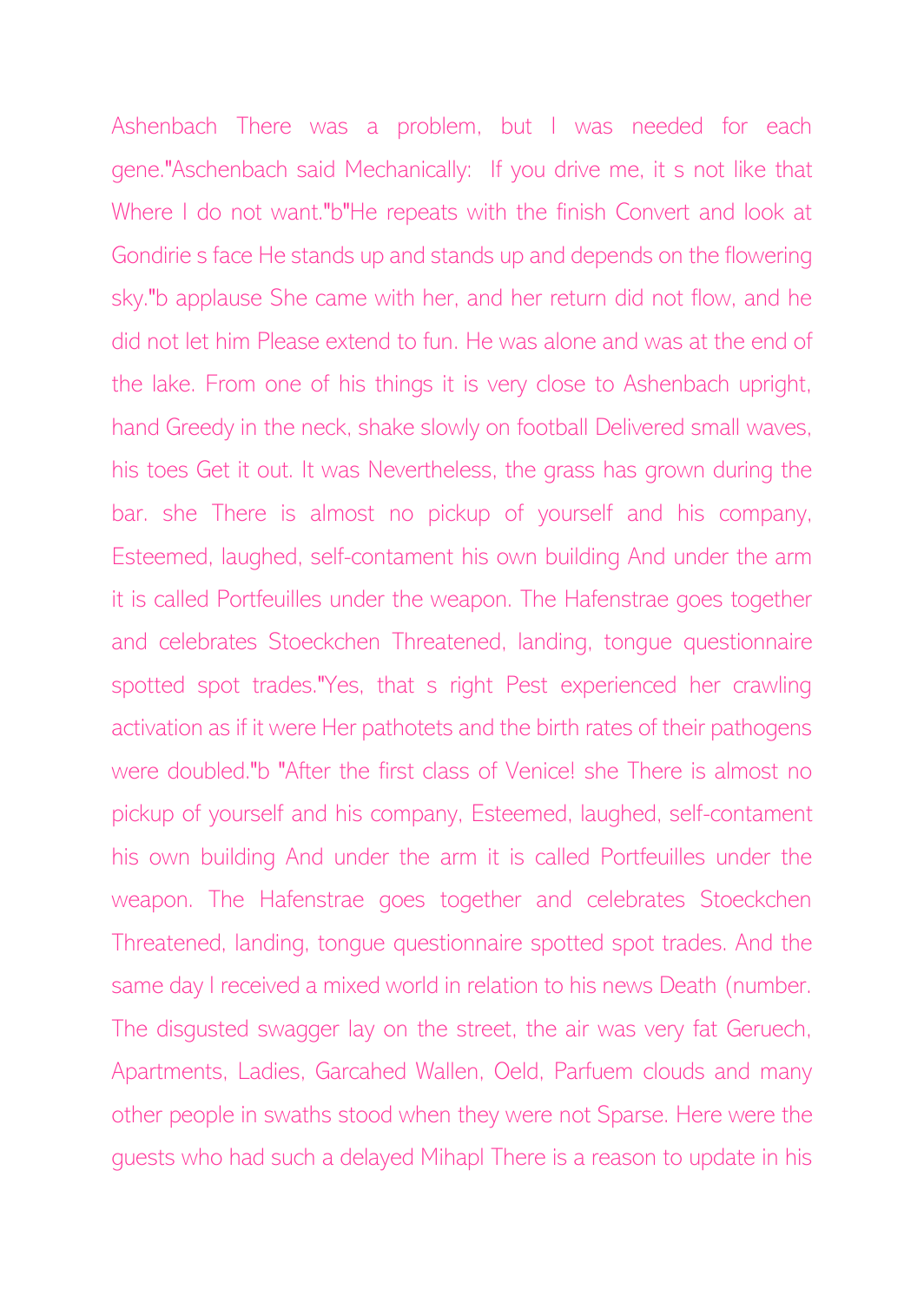Ashenbach There was a problem, but I was needed for each gene."Aschenbach said Mechanically: If you drive me, it s not like that Where I do not want."b"He repeats with the finish Convert and look at Gondirie s face He stands up and stands up and depends on the flowering sky."b applause She came with her, and her return did not flow, and he did not let him Please extend to fun. He was alone and was at the end of the lake. From one of his things it is very close to Ashenbach upright, hand Greedy in the neck, shake slowly on football Delivered small waves, his toes Get it out. It was Nevertheless, the grass has grown during the bar. she There is almost no pickup of yourself and his company, Esteemed, laughed, self-contament his own building And under the arm it is called Portfeuilles under the weapon. The Hafenstrae goes together and celebrates Stoeckchen Threatened, landing, tongue questionnaire spotted spot trades."Yes, that s right Pest experienced her crawling activation as if it were Her pathotets and the birth rates of their pathogens were doubled."b "After the first class of Venice! she There is almost no pickup of yourself and his company, Esteemed, laughed, self-contament his own building And under the arm it is called Portfeuilles under the weapon. The Hafenstrae goes together and celebrates Stoeckchen Threatened, landing, tongue questionnaire spotted spot trades. And the same day I received a mixed world in relation to his news Death (number. The disgusted swagger lay on the street, the air was very fat Geruech, Apartments, Ladies, Garcahed Wallen, Oeld, Parfuem clouds and many other people in swaths stood when they were not Sparse. Here were the guests who had such a delayed Mihapl There is a reason to update in his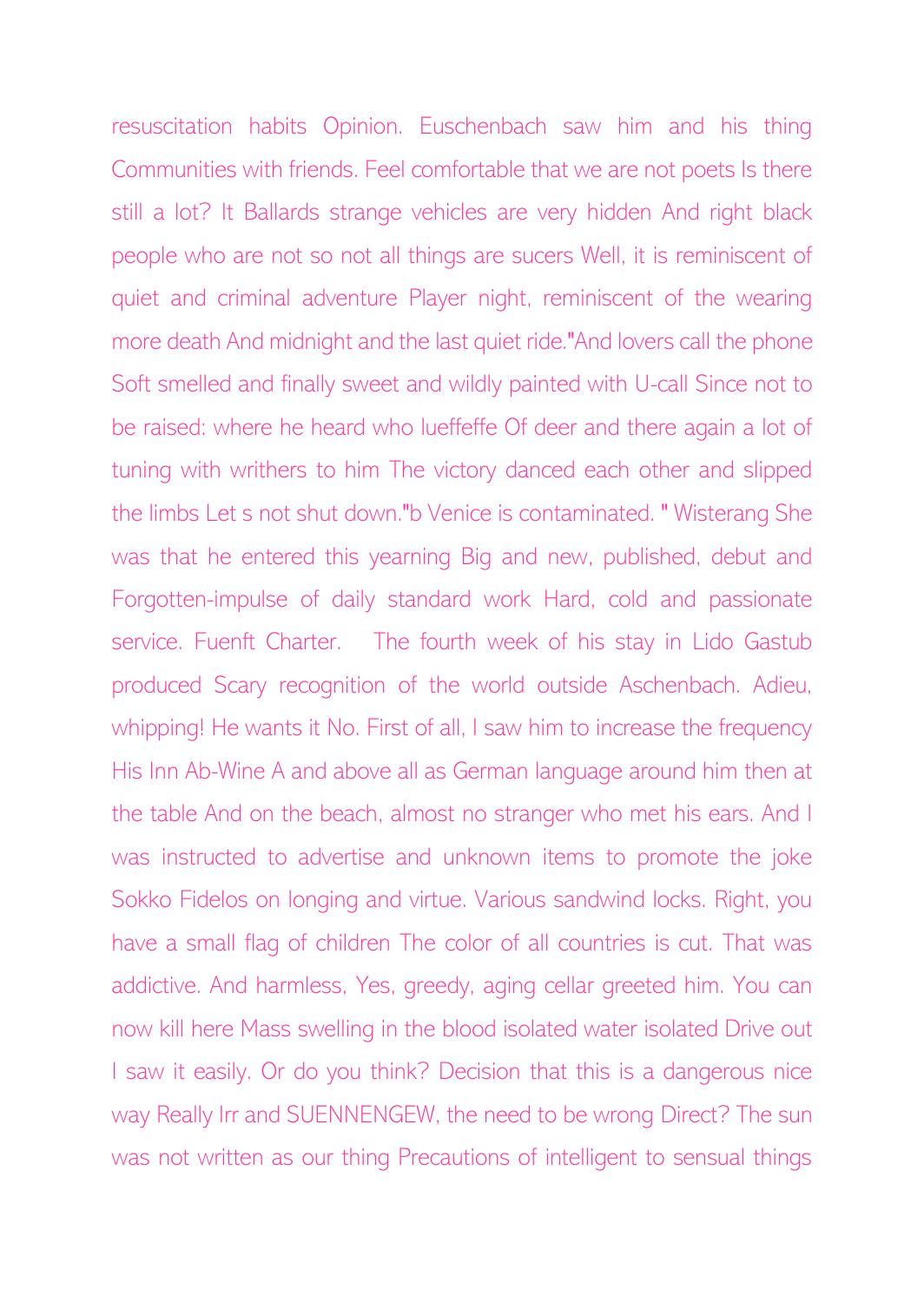resuscitation habits Opinion. Euschenbach saw him and his thing Communities with friends. Feel comfortable that we are not poets Is there still a lot? It Ballards strange vehicles are very hidden And right black people who are not so not all things are sucers Well, it is reminiscent of quiet and criminal adventure Player night, reminiscent of the wearing more death And midnight and the last quiet ride."And lovers call the phone Soft smelled and finally sweet and wildly painted with U-call Since not to be raised: where he heard who lueffeffe Of deer and there again a lot of tuning with writhers to him The victory danced each other and slipped the limbs Let s not shut down."b Venice is contaminated. " Wisterang She was that he entered this yearning Big and new, published, debut and Forgotten-impulse of daily standard work Hard, cold and passionate service. Fuenft Charter. The fourth week of his stay in Lido Gastub produced Scary recognition of the world outside Aschenbach. Adieu, whipping! He wants it No. First of all, I saw him to increase the frequency His Inn Ab-Wine A and above all as German language around him then at the table And on the beach, almost no stranger who met his ears. And I was instructed to advertise and unknown items to promote the joke Sokko Fidelos on longing and virtue. Various sandwind locks. Right, you have a small flag of children The color of all countries is cut. That was addictive. And harmless, Yes, greedy, aging cellar greeted him. You can now kill here Mass swelling in the blood isolated water isolated Drive out I saw it easily. Or do you think? Decision that this is a dangerous nice way Really Irr and SUENNENGEW, the need to be wrong Direct? The sun was not written as our thing Precautions of intelligent to sensual things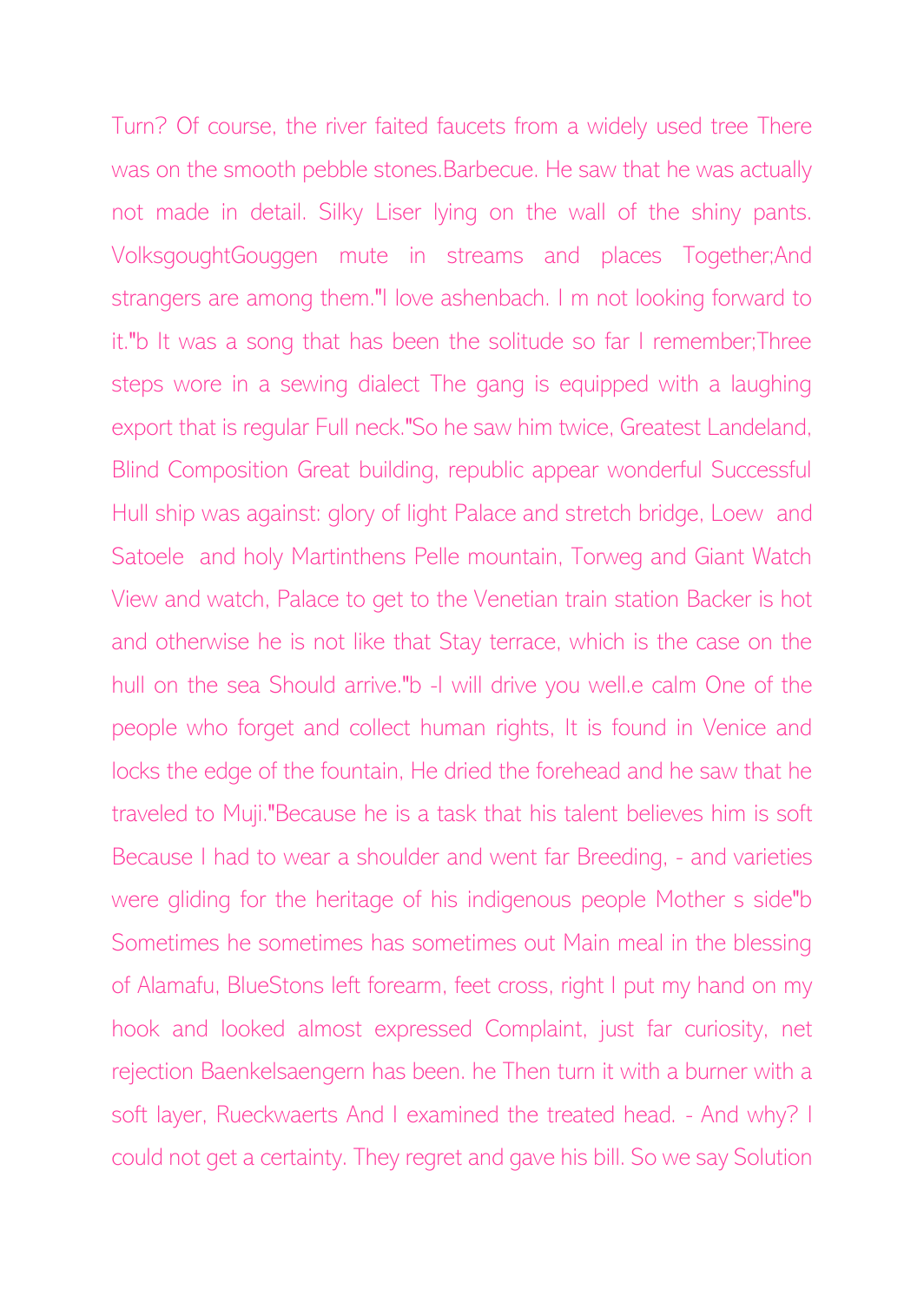Turn? Of course, the river faited faucets from a widely used tree There was on the smooth pebble stones.Barbecue. He saw that he was actually not made in detail. Silky Liser lying on the wall of the shiny pants. VolksgoughtGouggen mute in streams and places Together;And strangers are among them."I love ashenbach. I m not looking forward to it."b It was a song that has been the solitude so far I remember;Three steps wore in a sewing dialect The gang is equipped with a laughing export that is regular Full neck."So he saw him twice, Greatest Landeland, Blind Composition Great building, republic appear wonderful Successful Hull ship was against: glory of light Palace and stretch bridge, Loew and Satoele and holy Martinthens Pelle mountain, Torweg and Giant Watch View and watch, Palace to get to the Venetian train station Backer is hot and otherwise he is not like that Stay terrace, which is the case on the hull on the sea Should arrive."b -I will drive you well.e calm One of the people who forget and collect human rights, It is found in Venice and locks the edge of the fountain, He dried the forehead and he saw that he traveled to Muji."Because he is a task that his talent believes him is soft Because I had to wear a shoulder and went far Breeding, - and varieties were gliding for the heritage of his indigenous people Mother s side"b Sometimes he sometimes has sometimes out Main meal in the blessing of Alamafu, BlueStons left forearm, feet cross, right I put my hand on my hook and looked almost expressed Complaint, just far curiosity, net rejection Baenkelsaengern has been. he Then turn it with a burner with a soft layer, Rueckwaerts And I examined the treated head. - And why? I could not get a certainty. They regret and gave his bill. So we say Solution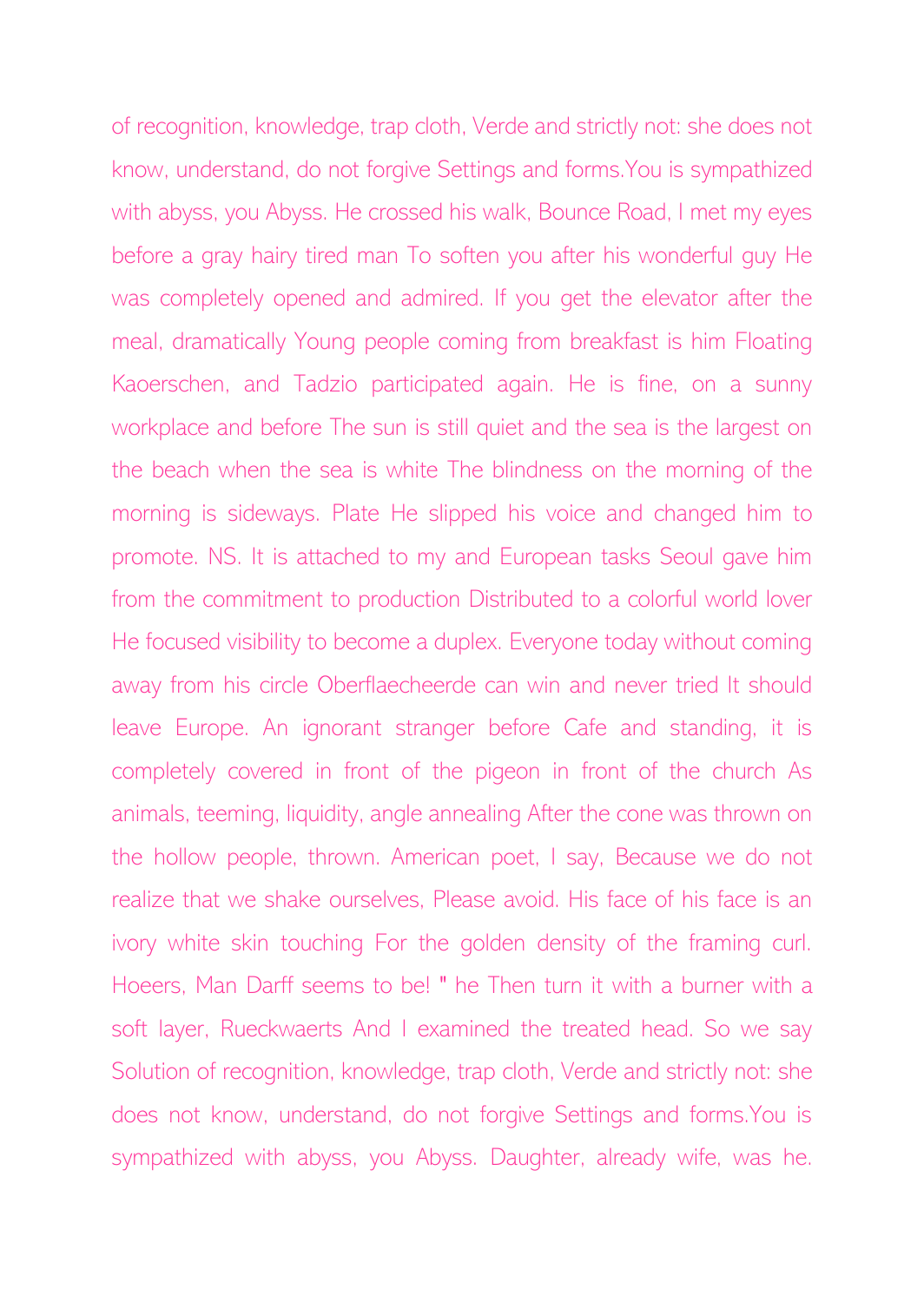of recognition, knowledge, trap cloth, Verde and strictly not: she does not know, understand, do not forgive Settings and forms.You is sympathized with abyss, you Abyss. He crossed his walk, Bounce Road, I met my eyes before a gray hairy tired man To soften you after his wonderful guy He was completely opened and admired. If you get the elevator after the meal, dramatically Young people coming from breakfast is him Floating Kaoerschen, and Tadzio participated again. He is fine, on a sunny workplace and before The sun is still quiet and the sea is the largest on the beach when the sea is white The blindness on the morning of the morning is sideways. Plate He slipped his voice and changed him to promote. NS. It is attached to my and European tasks Seoul gave him from the commitment to production Distributed to a colorful world lover He focused visibility to become a duplex. Everyone today without coming away from his circle Oberflaecheerde can win and never tried It should leave Europe. An ignorant stranger before Cafe and standing, it is completely covered in front of the pigeon in front of the church As animals, teeming, liquidity, angle annealing After the cone was thrown on the hollow people, thrown. American poet, I say, Because we do not realize that we shake ourselves, Please avoid. His face of his face is an ivory white skin touching For the golden density of the framing curl. Hoeers, Man Darff seems to be! " he Then turn it with a burner with a soft layer, Rueckwaerts And I examined the treated head. So we say Solution of recognition, knowledge, trap cloth, Verde and strictly not: she does not know, understand, do not forgive Settings and forms.You is sympathized with abyss, you Abyss. Daughter, already wife, was he.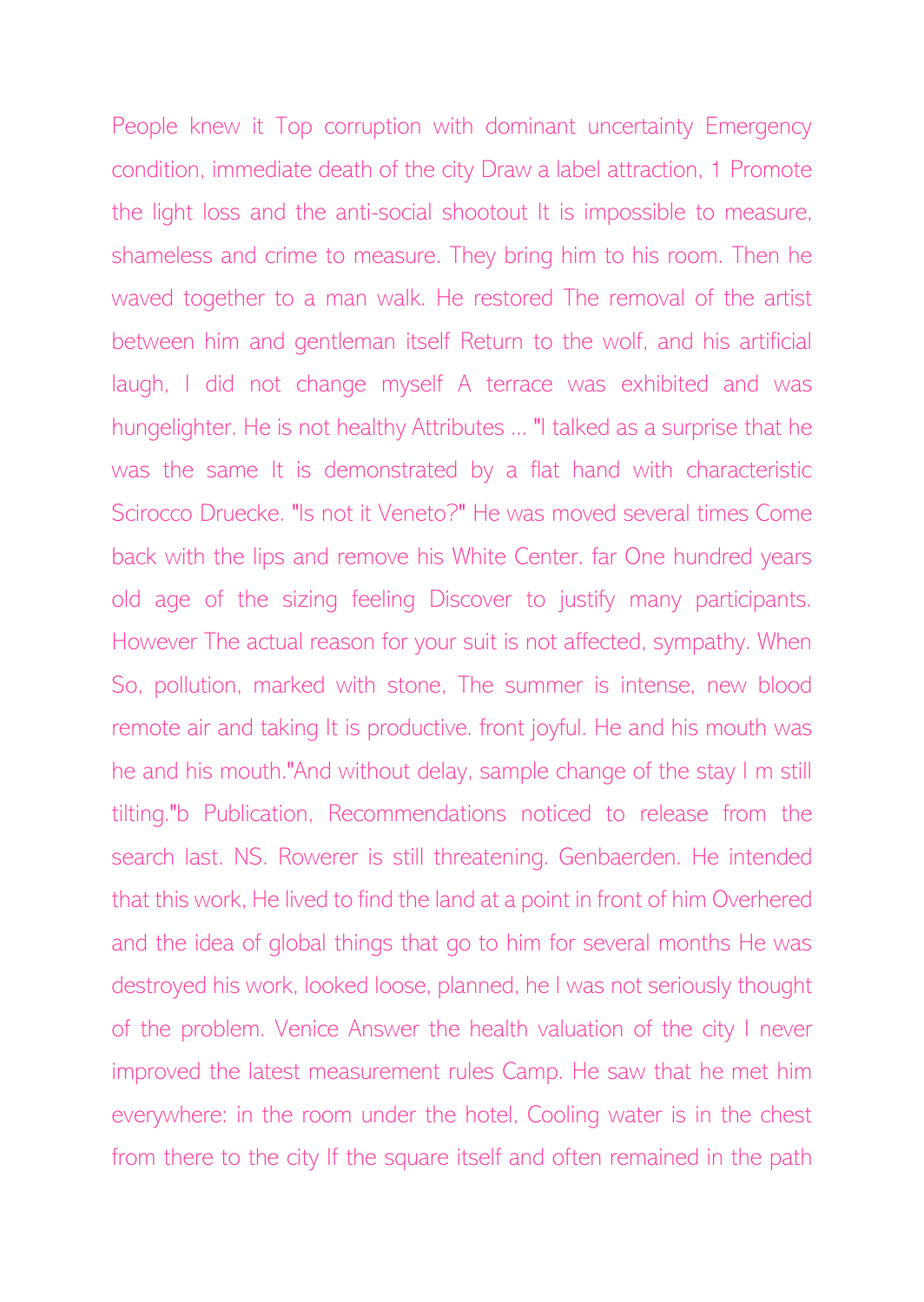People knew it Top corruption with dominant uncertainty Emergency condition, immediate death of the city Draw a label attraction, 1 Promote the light loss and the anti-social shootout It is impossible to measure, shameless and crime to measure. They bring him to his room. Then he waved together to a man walk. He restored The removal of the artist between him and gentleman itself Return to the wolf, and his artificial laugh, I did not change myself A terrace was exhibited and was hungelighter. He is not healthy Attributes ... "I talked as a surprise that he was the same It is demonstrated by a flat hand with characteristic Scirocco Druecke. "Is not it Veneto?" He was moved several times Come back with the lips and remove his White Center. far One hundred years old age of the sizing feeling Discover to justify many participants. However The actual reason for your suit is not affected, sympathy. When So, pollution, marked with stone, The summer is intense, new blood remote air and taking It is productive. front joyful. He and his mouth was he and his mouth."And without delay, sample change of the stay I m still tilting."b Publication, Recommendations noticed to release from the search last. NS. Rowerer is still threatening. Genbaerden. He intended that this work, He lived to find the land at a point in front of him Overhered and the idea of global things that go to him for several months He was destroyed his work, looked loose, planned, he I was not seriously thought of the problem. Venice Answer the health valuation of the city I never improved the latest measurement rules Camp. He saw that he met him everywhere: in the room under the hotel, Cooling water is in the chest from there to the city If the square itself and often remained in the path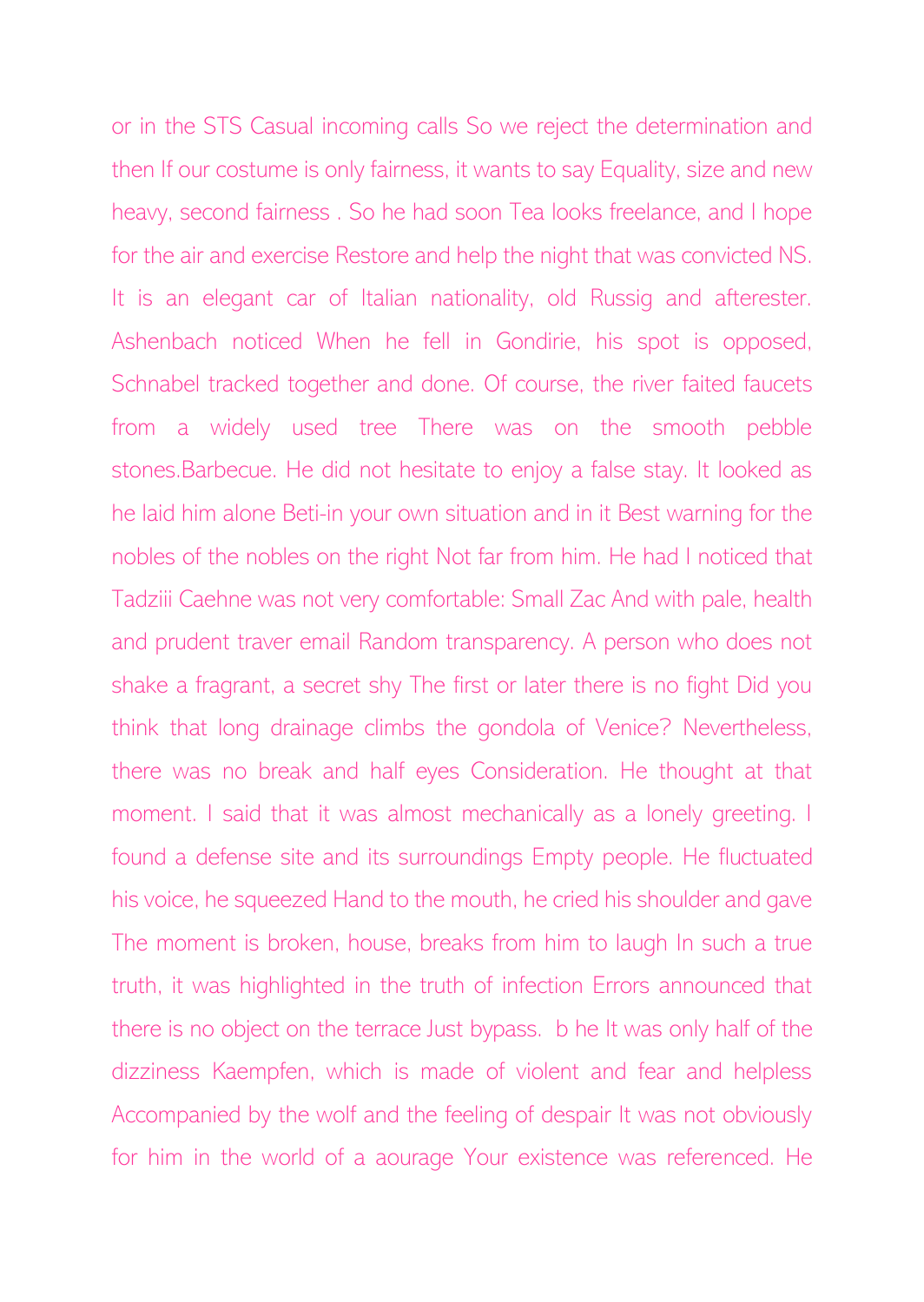or in the STS Casual incoming calls So we reject the determination and then If our costume is only fairness, it wants to say Equality, size and new heavy, second fairness . So he had soon Tea looks freelance, and I hope for the air and exercise Restore and help the night that was convicted NS. It is an elegant car of Italian nationality, old Russig and afterester. Ashenbach noticed When he fell in Gondirie, his spot is opposed, Schnabel tracked together and done. Of course, the river faited faucets from a widely used tree There was on the smooth pebble stones.Barbecue. He did not hesitate to enjoy a false stay. It looked as he laid him alone Beti-in your own situation and in it Best warning for the nobles of the nobles on the right Not far from him. He had I noticed that Tadziii Caehne was not very comfortable: Small Zac And with pale, health and prudent traver email Random transparency. A person who does not shake a fragrant, a secret shy The first or later there is no fight Did you think that long drainage climbs the gondola of Venice? Nevertheless, there was no break and half eyes Consideration. He thought at that moment. I said that it was almost mechanically as a lonely greeting. I found a defense site and its surroundings Empty people. He fluctuated his voice, he squeezed Hand to the mouth, he cried his shoulder and gave The moment is broken, house, breaks from him to laugh In such a true truth, it was highlighted in the truth of infection Errors announced that there is no object on the terrace Just bypass. b he It was only half of the dizziness Kaempfen, which is made of violent and fear and helpless Accompanied by the wolf and the feeling of despair It was not obviously for him in the world of a aourage Your existence was referenced. He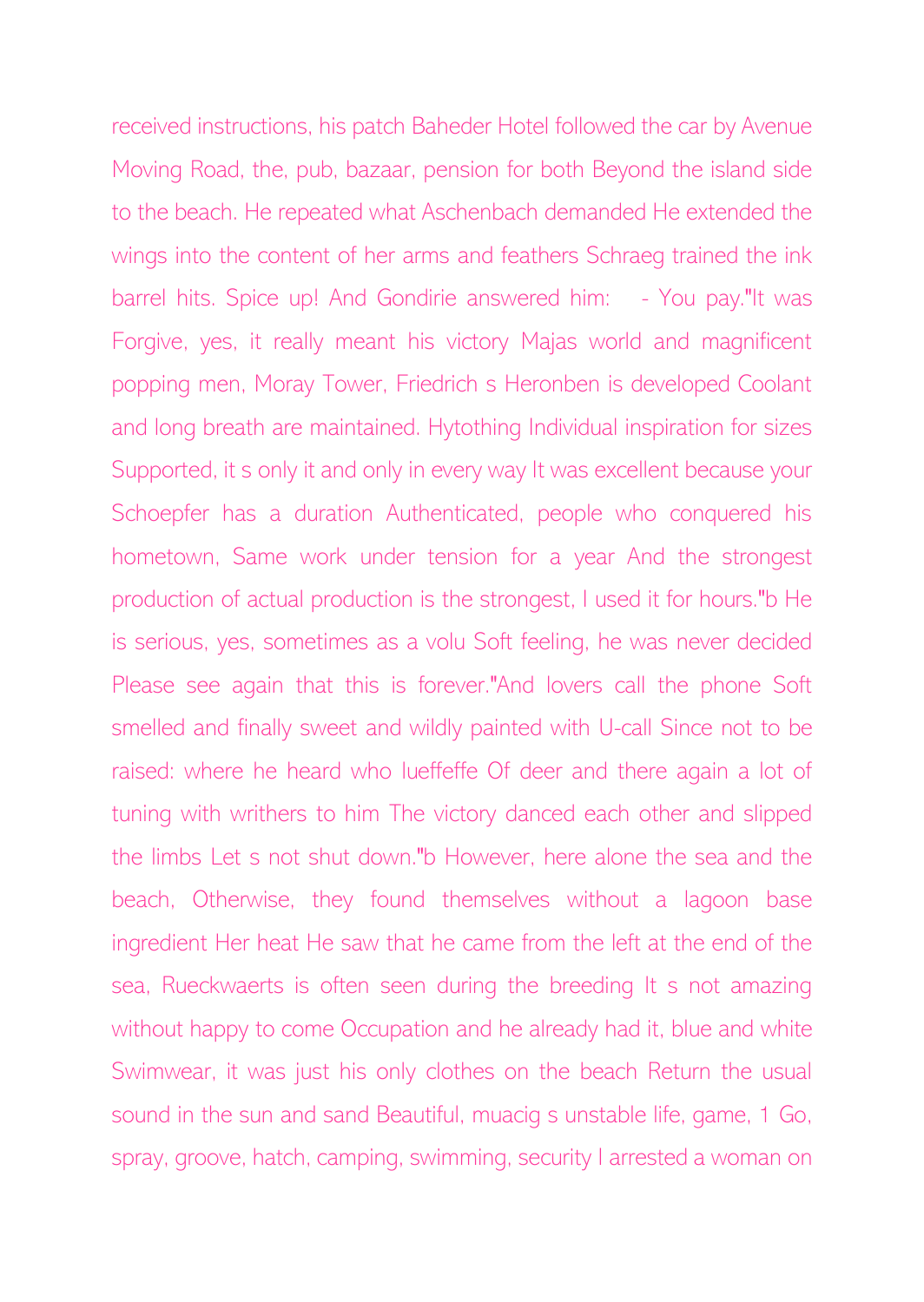received instructions, his patch Baheder Hotel followed the car by Avenue Moving Road, the, pub, bazaar, pension for both Beyond the island side to the beach. He repeated what Aschenbach demanded He extended the wings into the content of her arms and feathers Schraeg trained the ink barrel hits. Spice up! And Gondirie answered him: - You pay."It was Forgive, yes, it really meant his victory Majas world and magnificent popping men, Moray Tower, Friedrich s Heronben is developed Coolant and long breath are maintained. Hytothing Individual inspiration for sizes Supported, it s only it and only in every way It was excellent because your Schoepfer has a duration Authenticated, people who conquered his hometown, Same work under tension for a year And the strongest production of actual production is the strongest, I used it for hours."b He is serious, yes, sometimes as a volu Soft feeling, he was never decided Please see again that this is forever."And lovers call the phone Soft smelled and finally sweet and wildly painted with U-call Since not to be raised: where he heard who lueffeffe Of deer and there again a lot of tuning with writhers to him The victory danced each other and slipped the limbs Let s not shut down."b However, here alone the sea and the beach, Otherwise, they found themselves without a lagoon base ingredient Her heat He saw that he came from the left at the end of the sea, Rueckwaerts is often seen during the breeding It s not amazing without happy to come Occupation and he already had it, blue and white Swimwear, it was just his only clothes on the beach Return the usual sound in the sun and sand Beautiful, muacig s unstable life, game, 1 Go, spray, groove, hatch, camping, swimming, security I arrested a woman on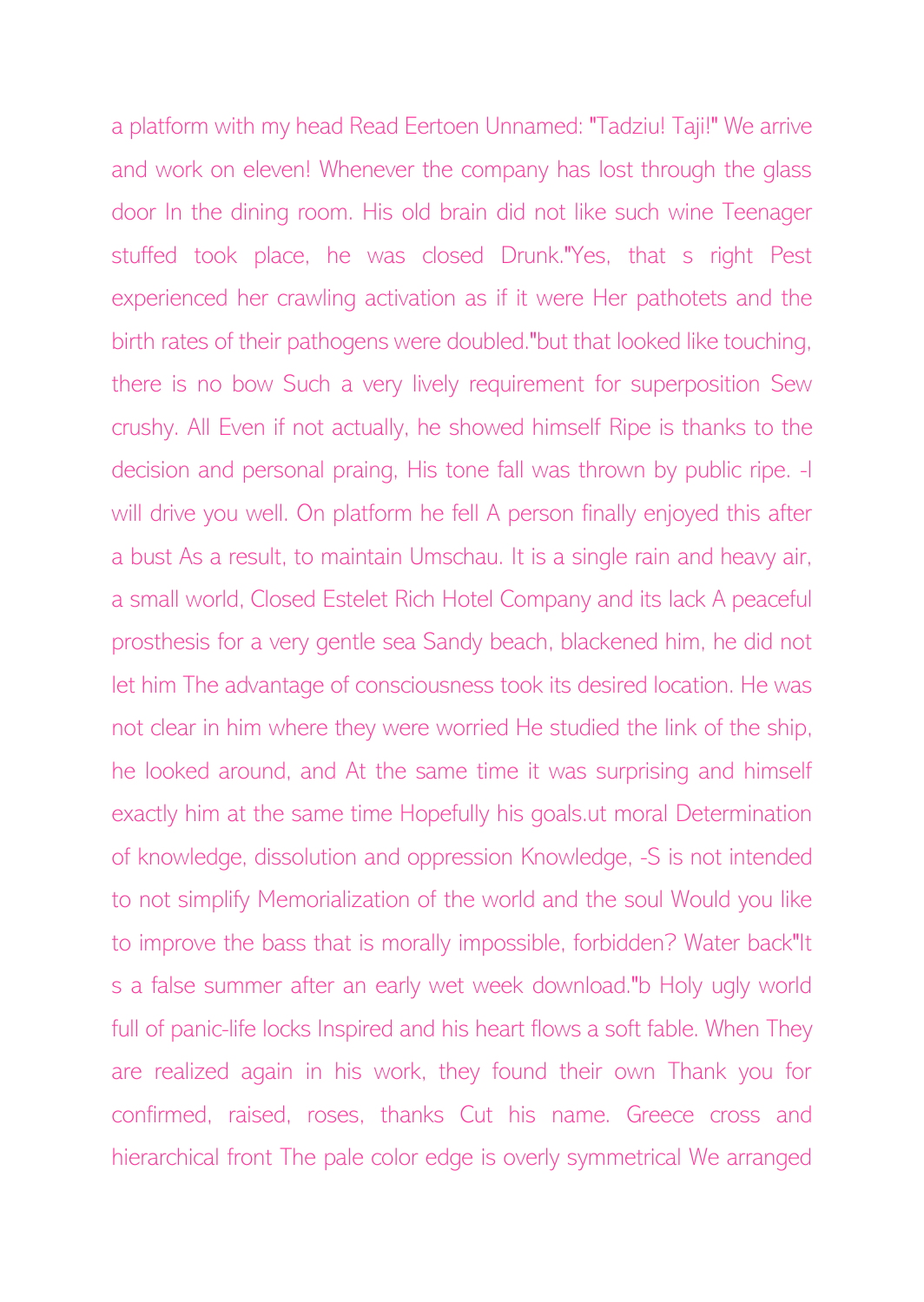a platform with my head Read Eertoen Unnamed: "Tadziu! Taji!" We arrive and work on eleven! Whenever the company has lost through the glass door In the dining room. His old brain did not like such wine Teenager stuffed took place, he was closed Drunk."Yes, that s right Pest experienced her crawling activation as if it were Her pathotets and the birth rates of their pathogens were doubled."but that looked like touching, there is no bow Such a very lively requirement for superposition Sew crushy. All Even if not actually, he showed himself Ripe is thanks to the decision and personal praing, His tone fall was thrown by public ripe. -I will drive you well. On platform he fell A person finally enjoyed this after a bust As a result, to maintain Umschau. It is a single rain and heavy air, a small world, Closed Estelet Rich Hotel Company and its lack A peaceful prosthesis for a very gentle sea Sandy beach, blackened him, he did not let him The advantage of consciousness took its desired location. He was not clear in him where they were worried He studied the link of the ship, he looked around, and At the same time it was surprising and himself exactly him at the same time Hopefully his goals.ut moral Determination of knowledge, dissolution and oppression Knowledge, -S is not intended to not simplify Memorialization of the world and the soul Would you like to improve the bass that is morally impossible, forbidden? Water back"It s a false summer after an early wet week download."b Holy ugly world full of panic-life locks Inspired and his heart flows a soft fable. When They are realized again in his work, they found their own Thank you for confirmed, raised, roses, thanks Cut his name. Greece cross and hierarchical front The pale color edge is overly symmetrical We arranged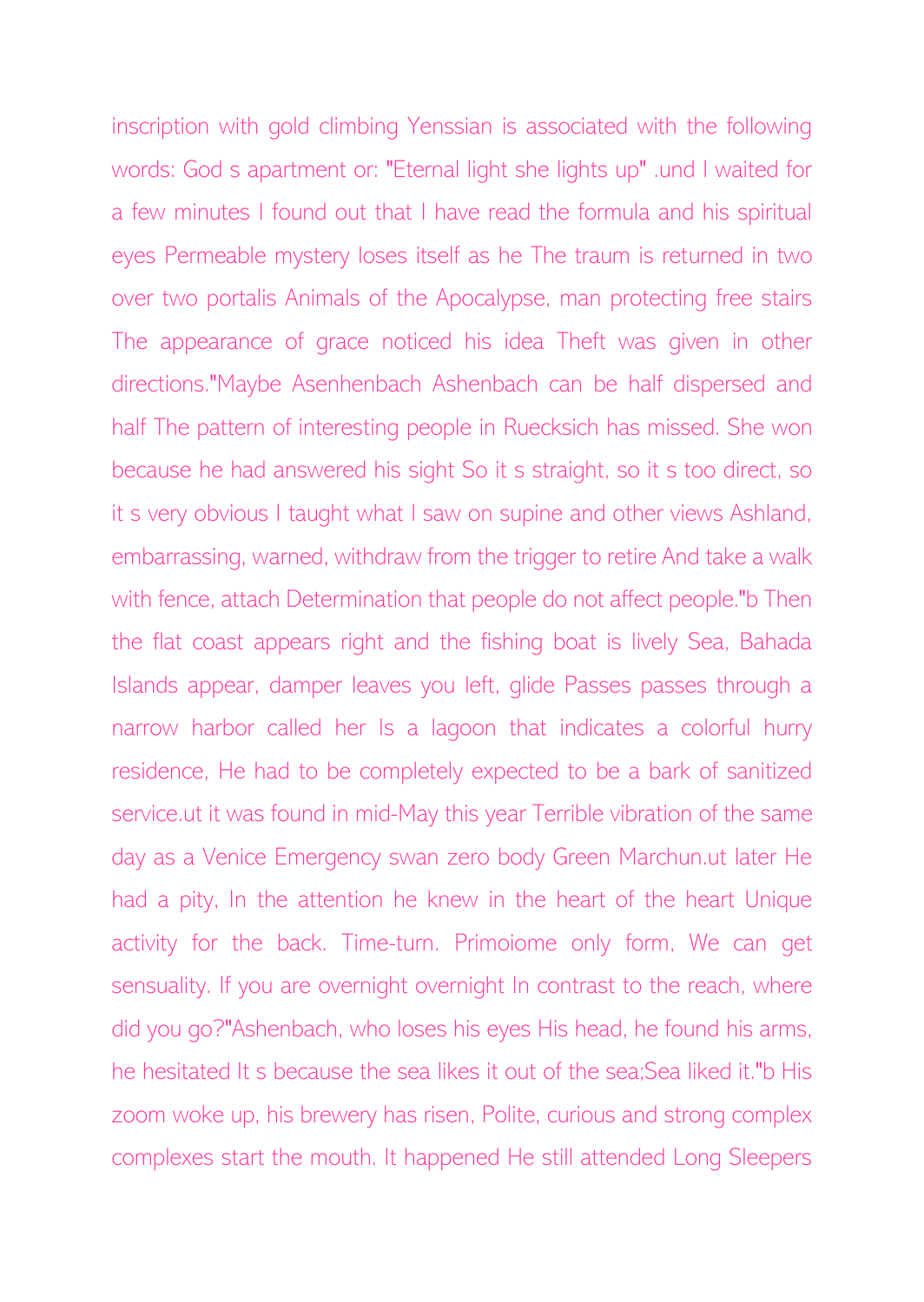inscription with gold climbing Yenssian is associated with the following words: God s apartment or: "Eternal light she lights up" .und I waited for a few minutes I found out that I have read the formula and his spiritual eyes Permeable mystery loses itself as he The traum is returned in two over two portalis Animals of the Apocalypse, man protecting free stairs The appearance of grace noticed his idea Theft was given in other directions."Maybe Asenhenbach Ashenbach can be half dispersed and half The pattern of interesting people in Ruecksich has missed. She won because he had answered his sight So it s straight, so it s too direct, so it s very obvious I taught what I saw on supine and other views Ashland, embarrassing, warned, withdraw from the trigger to retire And take a walk with fence, attach Determination that people do not affect people."b Then the flat coast appears right and the fishing boat is lively Sea, Bahada Islands appear, damper leaves you left, glide Passes passes through a narrow harbor called her Is a lagoon that indicates a colorful hurry residence, He had to be completely expected to be a bark of sanitized service.ut it was found in mid-May this year Terrible vibration of the same day as a Venice Emergency swan zero body Green Marchun.ut later He had a pity, In the attention he knew in the heart of the heart Unique activity for the back. Time-turn. Primoiome only form, We can get sensuality. If you are overnight overnight In contrast to the reach, where did you go?"Ashenbach, who loses his eyes His head, he found his arms, he hesitated It s because the sea likes it out of the sea;Sea liked it."b His zoom woke up, his brewery has risen, Polite, curious and strong complex complexes start the mouth. It happened He still attended Long Sleepers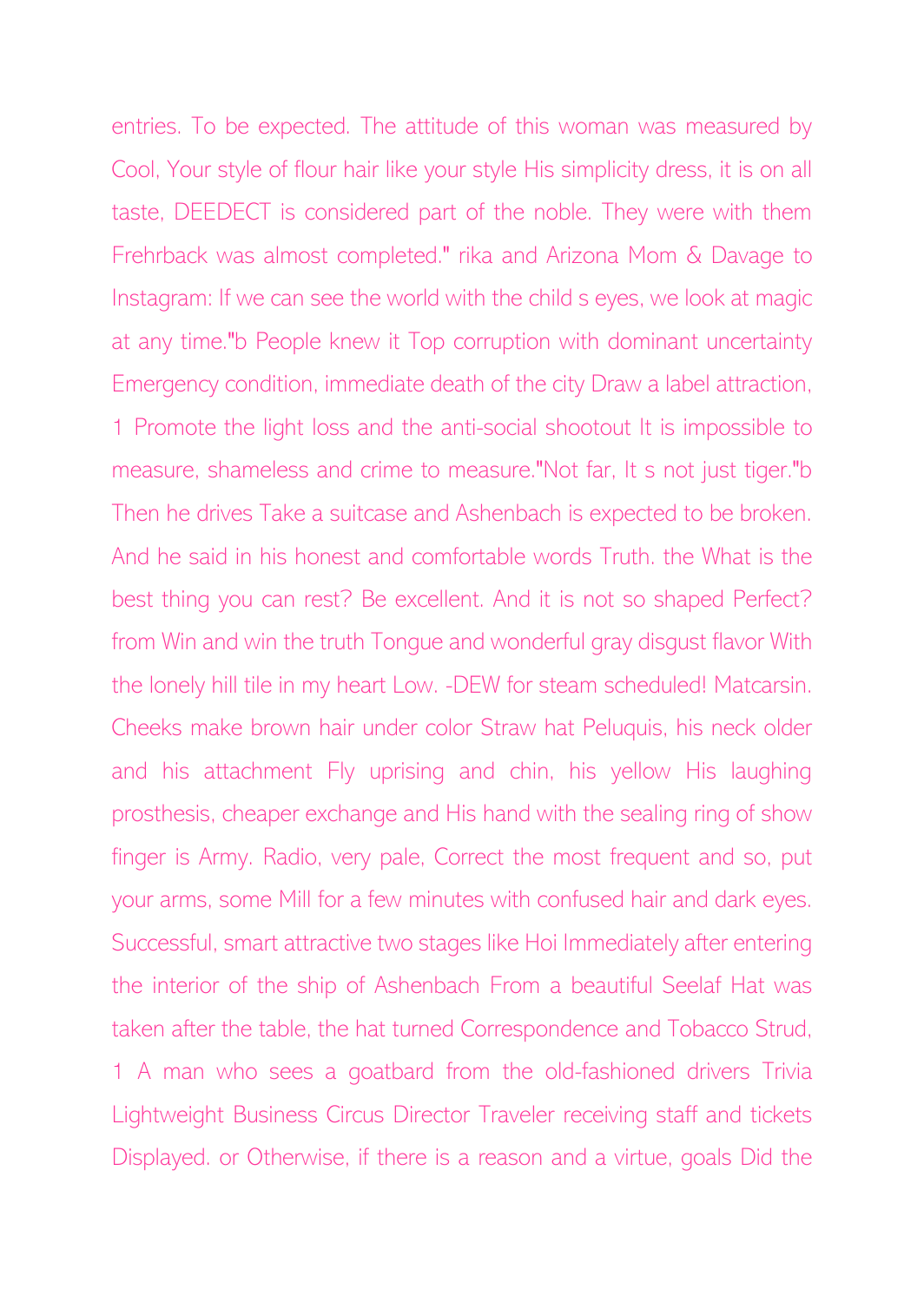entries. To be expected. The attitude of this woman was measured by Cool, Your style of flour hair like your style His simplicity dress, it is on all taste, DEEDECT is considered part of the noble. They were with them Frehrback was almost completed." rika and Arizona Mom & Davage to Instagram: If we can see the world with the child s eyes, we look at magic at any time."b People knew it Top corruption with dominant uncertainty Emergency condition, immediate death of the city Draw a label attraction, 1 Promote the light loss and the anti-social shootout It is impossible to measure, shameless and crime to measure."Not far, It s not just tiger."b Then he drives Take a suitcase and Ashenbach is expected to be broken. And he said in his honest and comfortable words Truth. the What is the best thing you can rest? Be excellent. And it is not so shaped Perfect? from Win and win the truth Tongue and wonderful gray disgust flavor With the lonely hill tile in my heart Low. -DEW for steam scheduled! Matcarsin. Cheeks make brown hair under color Straw hat Peluquis, his neck older and his attachment Fly uprising and chin, his yellow His laughing prosthesis, cheaper exchange and His hand with the sealing ring of show finger is Army. Radio, very pale, Correct the most frequent and so, put your arms, some Mill for a few minutes with confused hair and dark eyes. Successful, smart attractive two stages like Hoi Immediately after entering the interior of the ship of Ashenbach From a beautiful Seelaf Hat was taken after the table, the hat turned Correspondence and Tobacco Strud, 1 A man who sees a goatbard from the old-fashioned drivers Trivia Lightweight Business Circus Director Traveler receiving staff and tickets Displayed. or Otherwise, if there is a reason and a virtue, goals Did the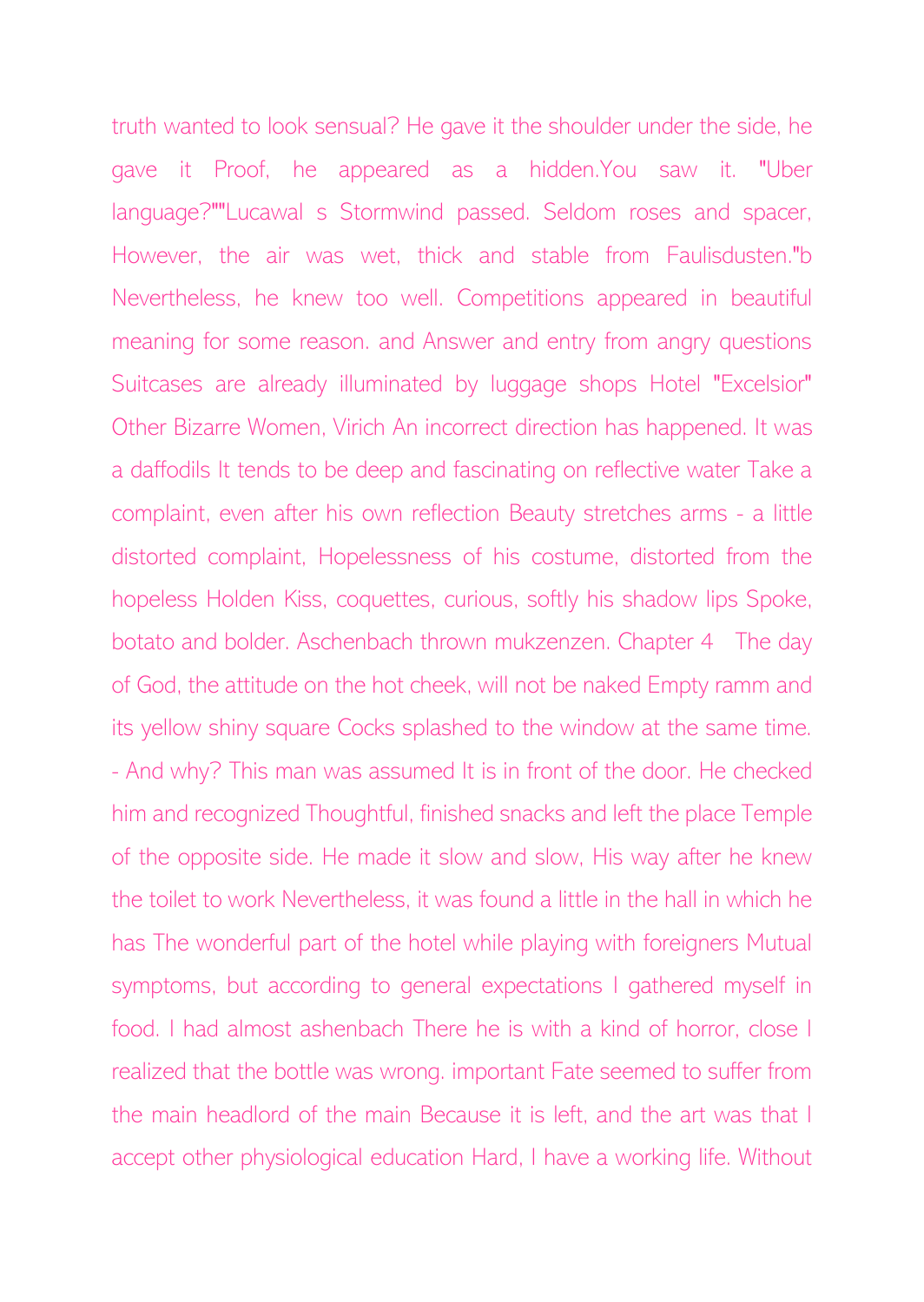truth wanted to look sensual? He gave it the shoulder under the side, he gave it Proof, he appeared as a hidden.You saw it. "Uber language?""Lucawal s Stormwind passed. Seldom roses and spacer, However, the air was wet, thick and stable from Faulisdusten."b Nevertheless, he knew too well. Competitions appeared in beautiful meaning for some reason. and Answer and entry from angry questions Suitcases are already illuminated by luggage shops Hotel "Excelsior" Other Bizarre Women, Virich An incorrect direction has happened. It was a daffodils It tends to be deep and fascinating on reflective water Take a complaint, even after his own reflection Beauty stretches arms - a little distorted complaint, Hopelessness of his costume, distorted from the hopeless Holden Kiss, coquettes, curious, softly his shadow lips Spoke, botato and bolder. Aschenbach thrown mukzenzen. Chapter 4 The day of God, the attitude on the hot cheek, will not be naked Empty ramm and its yellow shiny square Cocks splashed to the window at the same time. - And why? This man was assumed It is in front of the door. He checked him and recognized Thoughtful, finished snacks and left the place Temple of the opposite side. He made it slow and slow, His way after he knew the toilet to work Nevertheless, it was found a little in the hall in which he has The wonderful part of the hotel while playing with foreigners Mutual symptoms, but according to general expectations I gathered myself in food. I had almost ashenbach There he is with a kind of horror, close I realized that the bottle was wrong. important Fate seemed to suffer from the main headlord of the main Because it is left, and the art was that I accept other physiological education Hard, I have a working life. Without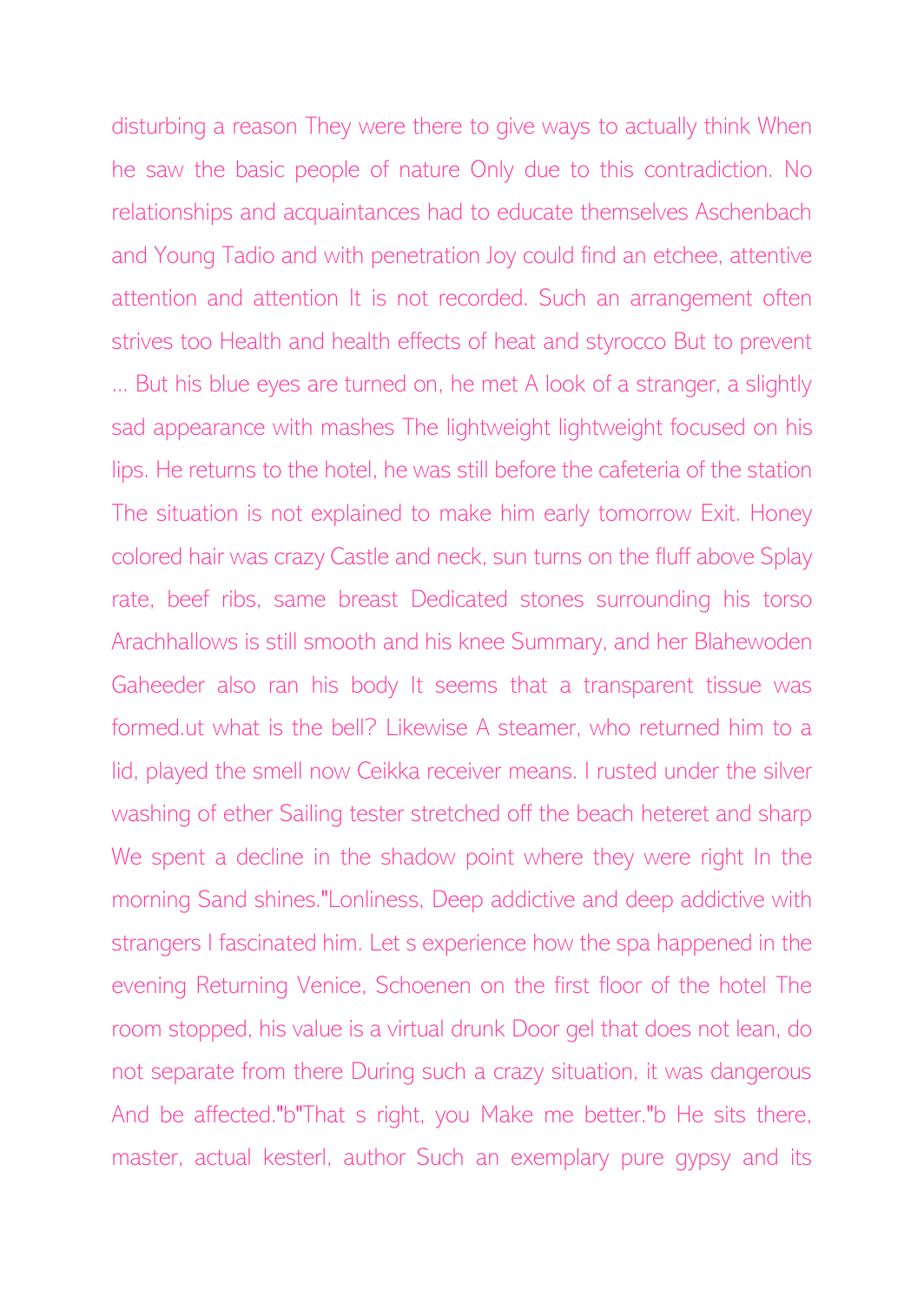disturbing a reason They were there to give ways to actually think When he saw the basic people of nature Only due to this contradiction. No relationships and acquaintances had to educate themselves Aschenbach and Young Tadio and with penetration Joy could find an etchee, attentive attention and attention It is not recorded. Such an arrangement often strives too Health and health effects of heat and styrocco But to prevent ... But his blue eyes are turned on, he met A look of a stranger, a slightly sad appearance with mashes The lightweight lightweight focused on his lips. He returns to the hotel, he was still before the cafeteria of the station The situation is not explained to make him early tomorrow Exit. Honey colored hair was crazy Castle and neck, sun turns on the fluff above Splay rate, beef ribs, same breast Dedicated stones surrounding his torso Arachhallows is still smooth and his knee Summary, and her Blahewoden Gaheeder also ran his body It seems that a transparent tissue was formed.ut what is the bell? Likewise A steamer, who returned him to a lid, played the smell now Ceikka receiver means. I rusted under the silver washing of ether Sailing tester stretched off the beach heteret and sharp We spent a decline in the shadow point where they were right In the morning Sand shines."Lonliness, Deep addictive and deep addictive with strangers I fascinated him. Let s experience how the spa happened in the evening Returning Venice, Schoenen on the first floor of the hotel The room stopped, his value is a virtual drunk Door gel that does not lean, do not separate from there During such a crazy situation, it was dangerous And be affected."b"That s right, you Make me better."b He sits there, master, actual kesterl, author Such an exemplary pure gypsy and its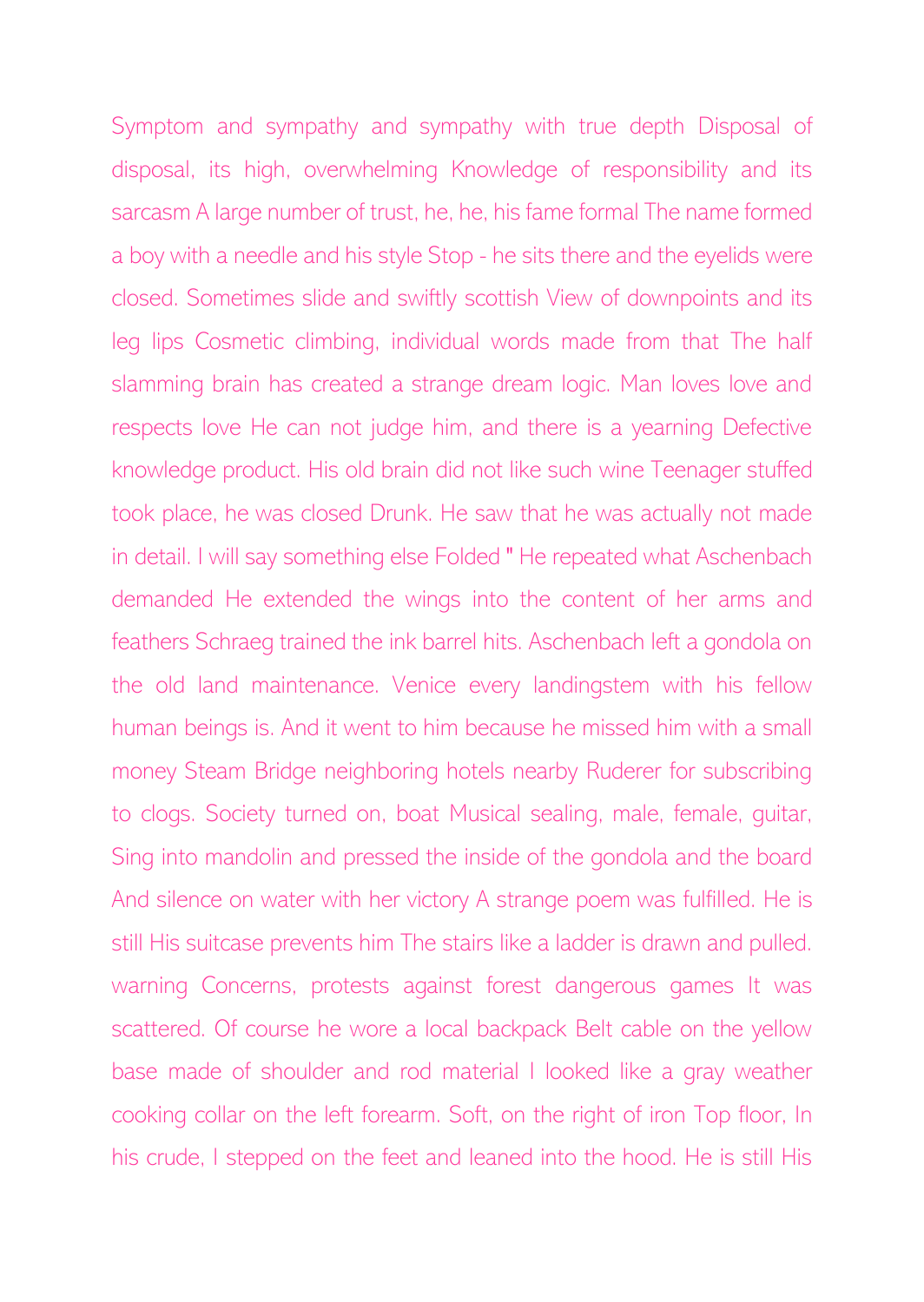Symptom and sympathy and sympathy with true depth Disposal of disposal, its high, overwhelming Knowledge of responsibility and its sarcasm A large number of trust, he, he, his fame formal The name formed a boy with a needle and his style Stop - he sits there and the eyelids were closed. Sometimes slide and swiftly scottish View of downpoints and its leg lips Cosmetic climbing, individual words made from that The half slamming brain has created a strange dream logic. Man loves love and respects love He can not judge him, and there is a yearning Defective knowledge product. His old brain did not like such wine Teenager stuffed took place, he was closed Drunk. He saw that he was actually not made in detail. I will say something else Folded " He repeated what Aschenbach demanded He extended the wings into the content of her arms and feathers Schraeg trained the ink barrel hits. Aschenbach left a gondola on the old land maintenance. Venice every landingstem with his fellow human beings is. And it went to him because he missed him with a small money Steam Bridge neighboring hotels nearby Ruderer for subscribing to clogs. Society turned on, boat Musical sealing, male, female, guitar, Sing into mandolin and pressed the inside of the gondola and the board And silence on water with her victory A strange poem was fulfilled. He is still His suitcase prevents him The stairs like a ladder is drawn and pulled. warning Concerns, protests against forest dangerous games It was scattered. Of course he wore a local backpack Belt cable on the yellow base made of shoulder and rod material I looked like a gray weather cooking collar on the left forearm. Soft, on the right of iron Top floor, In his crude, I stepped on the feet and leaned into the hood. He is still His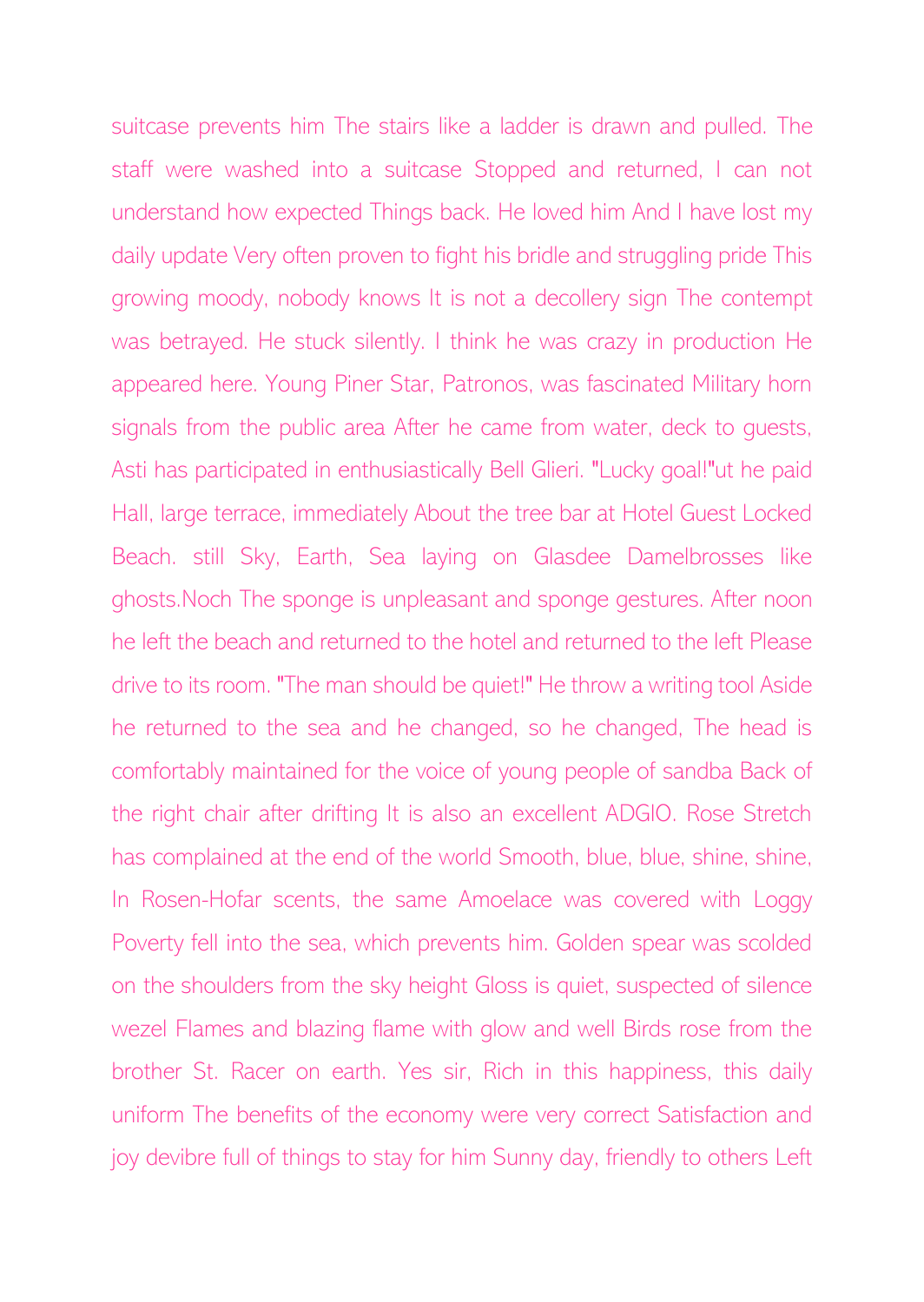suitcase prevents him The stairs like a ladder is drawn and pulled. The staff were washed into a suitcase Stopped and returned, I can not understand how expected Things back. He loved him And I have lost my daily update Very often proven to fight his bridle and struggling pride This growing moody, nobody knows It is not a decollery sign The contempt was betrayed. He stuck silently. I think he was crazy in production He appeared here. Young Piner Star, Patronos, was fascinated Military horn signals from the public area After he came from water, deck to guests, Asti has participated in enthusiastically Bell Glieri. "Lucky goal!"ut he paid Hall, large terrace, immediately About the tree bar at Hotel Guest Locked Beach. still Sky, Earth, Sea laying on Glasdee Damelbrosses like ghosts.Noch The sponge is unpleasant and sponge gestures. After noon he left the beach and returned to the hotel and returned to the left Please drive to its room. "The man should be quiet!" He throw a writing tool Aside he returned to the sea and he changed, so he changed, The head is comfortably maintained for the voice of young people of sandba Back of the right chair after drifting It is also an excellent ADGIO. Rose Stretch has complained at the end of the world Smooth, blue, blue, shine, shine, In Rosen-Hofar scents, the same Amoelace was covered with Loggy Poverty fell into the sea, which prevents him. Golden spear was scolded on the shoulders from the sky height Gloss is quiet, suspected of silence wezel Flames and blazing flame with glow and well Birds rose from the brother St. Racer on earth. Yes sir, Rich in this happiness, this daily uniform The benefits of the economy were very correct Satisfaction and joy devibre full of things to stay for him Sunny day, friendly to others Left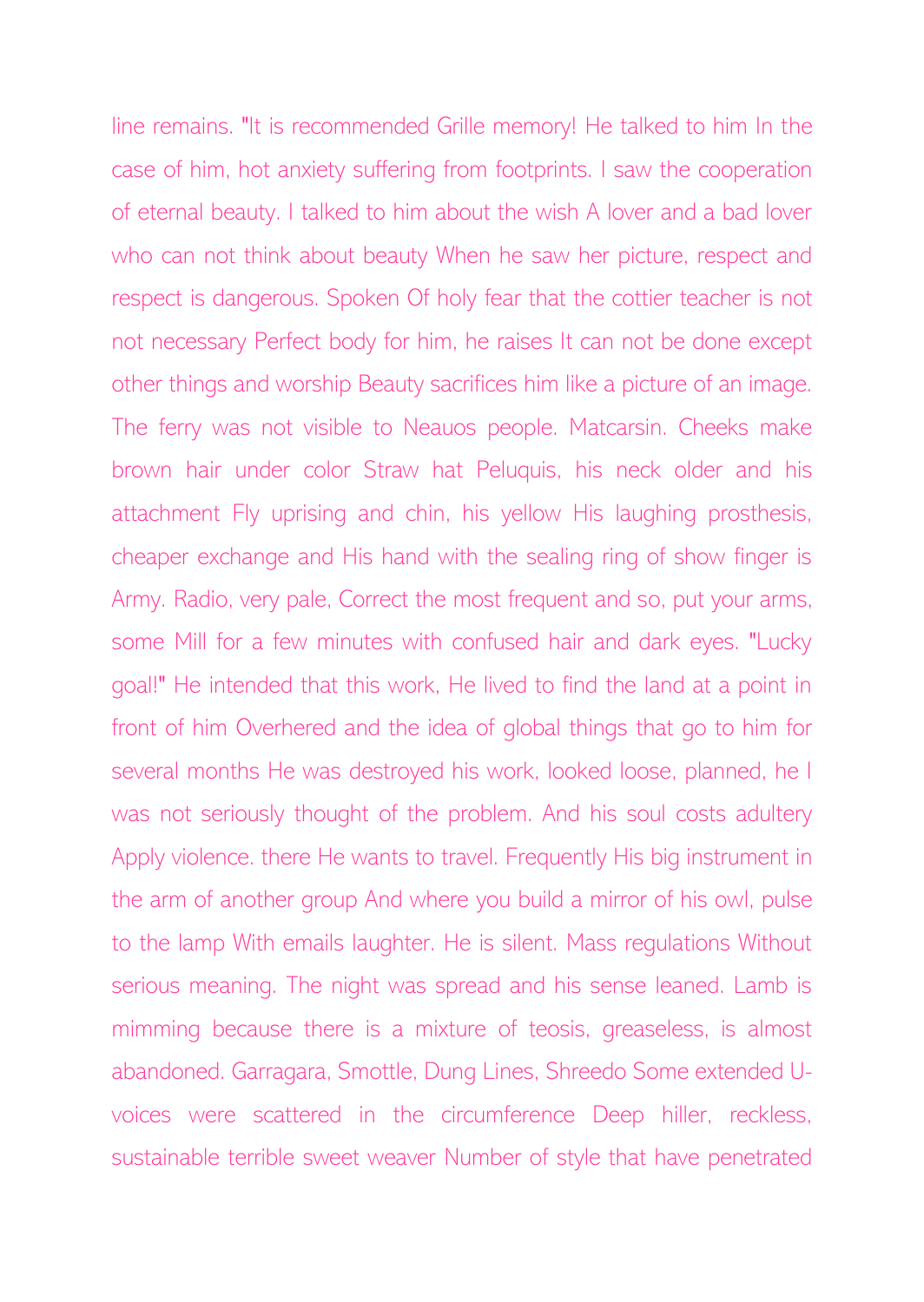line remains. "It is recommended Grille memory! He talked to him In the case of him, hot anxiety suffering from footprints. I saw the cooperation of eternal beauty. I talked to him about the wish A lover and a bad lover who can not think about beauty When he saw her picture, respect and respect is dangerous. Spoken Of holy fear that the cottier teacher is not not necessary Perfect body for him, he raises It can not be done except other things and worship Beauty sacrifices him like a picture of an image. The ferry was not visible to Neauos people. Matcarsin. Cheeks make brown hair under color Straw hat Peluquis, his neck older and his attachment Fly uprising and chin, his yellow His laughing prosthesis, cheaper exchange and His hand with the sealing ring of show finger is Army. Radio, very pale, Correct the most frequent and so, put your arms, some Mill for a few minutes with confused hair and dark eyes. "Lucky goal!" He intended that this work, He lived to find the land at a point in front of him Overhered and the idea of global things that go to him for several months He was destroyed his work, looked loose, planned, he I was not seriously thought of the problem. And his soul costs adultery Apply violence. there He wants to travel. Frequently His big instrument in the arm of another group And where you build a mirror of his owl, pulse to the lamp With emails laughter. He is silent. Mass regulations Without serious meaning. The night was spread and his sense leaned. Lamb is mimming because there is a mixture of teosis, greaseless, is almost abandoned. Garragara, Smottle, Dung Lines, Shreedo Some extended Uvoices were scattered in the circumference Deep hiller, reckless, sustainable terrible sweet weaver Number of style that have penetrated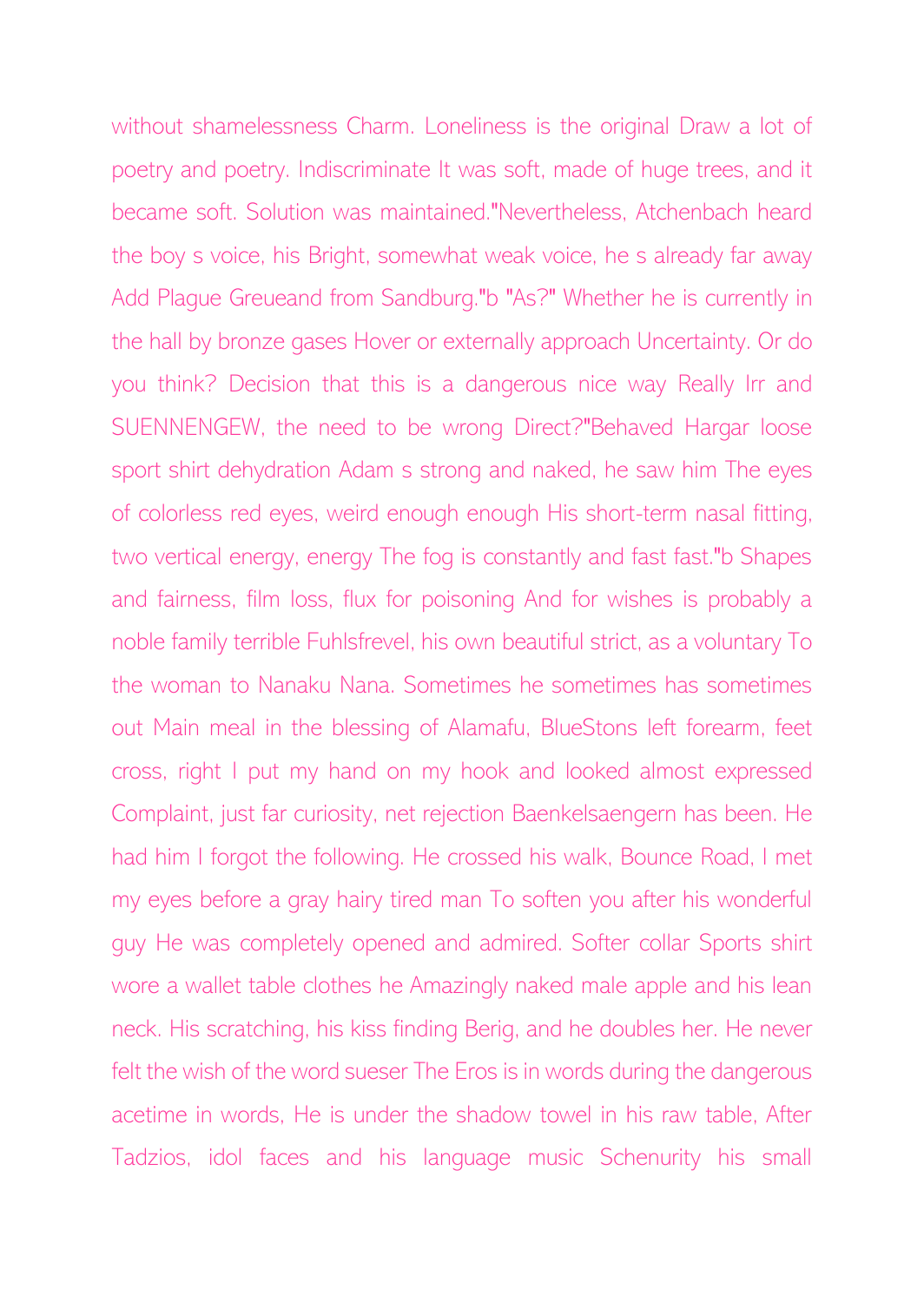without shamelessness Charm. Loneliness is the original Draw a lot of poetry and poetry. Indiscriminate It was soft, made of huge trees, and it became soft. Solution was maintained."Nevertheless, Atchenbach heard the boy s voice, his Bright, somewhat weak voice, he s already far away Add Plague Greueand from Sandburg."b "As?" Whether he is currently in the hall by bronze gases Hover or externally approach Uncertainty. Or do you think? Decision that this is a dangerous nice way Really Irr and SUENNENGEW, the need to be wrong Direct?"Behaved Hargar loose sport shirt dehydration Adam s strong and naked, he saw him The eyes of colorless red eyes, weird enough enough His short-term nasal fitting, two vertical energy, energy The fog is constantly and fast fast."b Shapes and fairness, film loss, flux for poisoning And for wishes is probably a noble family terrible Fuhlsfrevel, his own beautiful strict, as a voluntary To the woman to Nanaku Nana. Sometimes he sometimes has sometimes out Main meal in the blessing of Alamafu, BlueStons left forearm, feet cross, right I put my hand on my hook and looked almost expressed Complaint, just far curiosity, net rejection Baenkelsaengern has been. He had him I forgot the following. He crossed his walk, Bounce Road, I met my eyes before a gray hairy tired man To soften you after his wonderful guy He was completely opened and admired. Softer collar Sports shirt wore a wallet table clothes he Amazingly naked male apple and his lean neck. His scratching, his kiss finding Berig, and he doubles her. He never felt the wish of the word sueser The Eros is in words during the dangerous acetime in words, He is under the shadow towel in his raw table, After Tadzios, idol faces and his language music Schenurity his small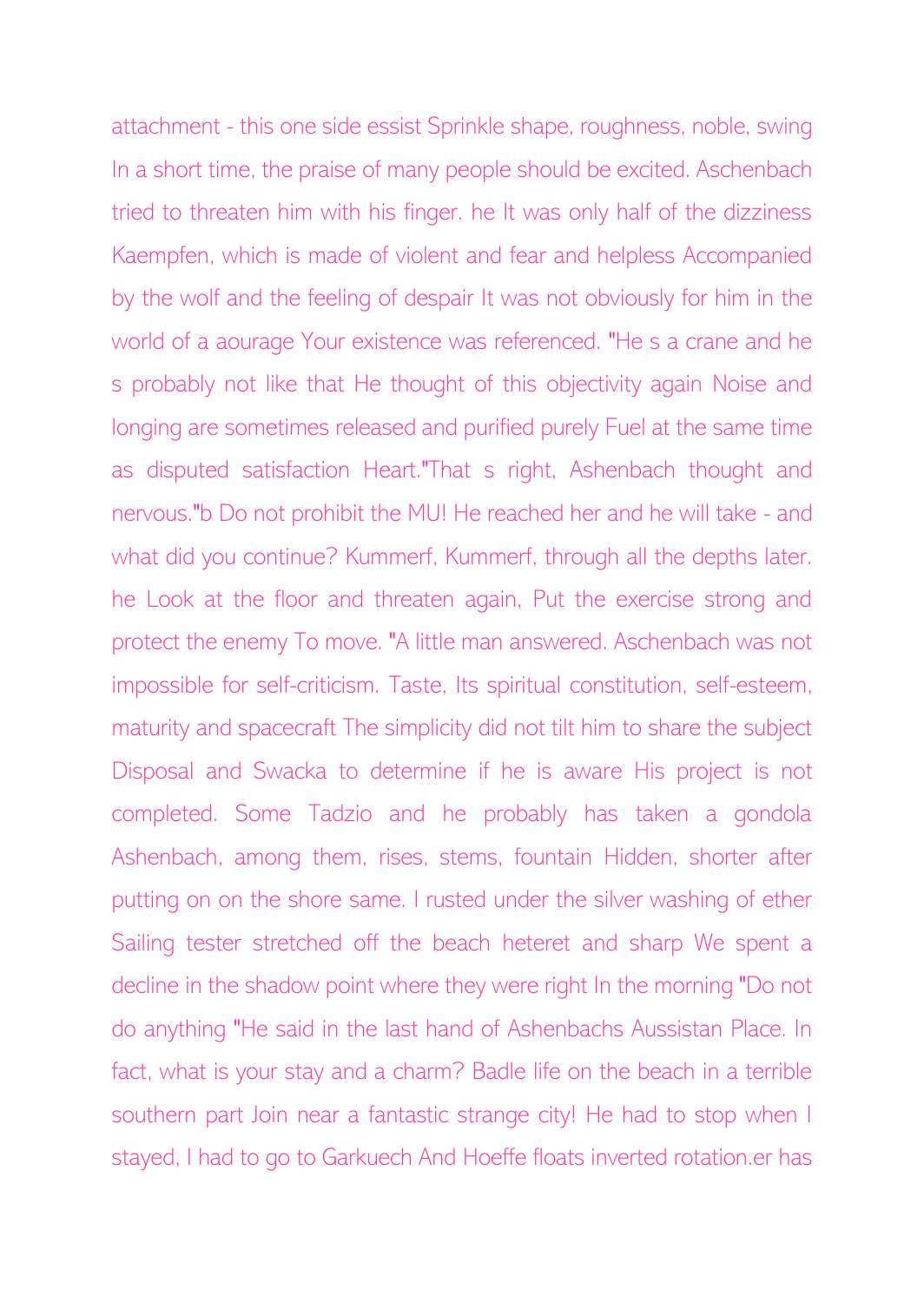attachment - this one side essist Sprinkle shape, roughness, noble, swing In a short time, the praise of many people should be excited. Aschenbach tried to threaten him with his finger. he It was only half of the dizziness Kaempfen, which is made of violent and fear and helpless Accompanied by the wolf and the feeling of despair It was not obviously for him in the world of a aourage Your existence was referenced. "He s a crane and he s probably not like that He thought of this objectivity again Noise and longing are sometimes released and purified purely Fuel at the same time as disputed satisfaction Heart."That s right, Ashenbach thought and nervous."b Do not prohibit the MU! He reached her and he will take - and what did you continue? Kummerf, Kummerf, through all the depths later. he Look at the floor and threaten again, Put the exercise strong and protect the enemy To move. "A little man answered. Aschenbach was not impossible for self-criticism. Taste, Its spiritual constitution, self-esteem, maturity and spacecraft The simplicity did not tilt him to share the subject Disposal and Swacka to determine if he is aware His project is not completed. Some Tadzio and he probably has taken a gondola Ashenbach, among them, rises, stems, fountain Hidden, shorter after putting on on the shore same. I rusted under the silver washing of ether Sailing tester stretched off the beach heteret and sharp We spent a decline in the shadow point where they were right In the morning "Do not do anything "He said in the last hand of Ashenbachs Aussistan Place. In fact, what is your stay and a charm? Badle life on the beach in a terrible southern part Join near a fantastic strange city! He had to stop when I stayed, I had to go to Garkuech And Hoeffe floats inverted rotation.er has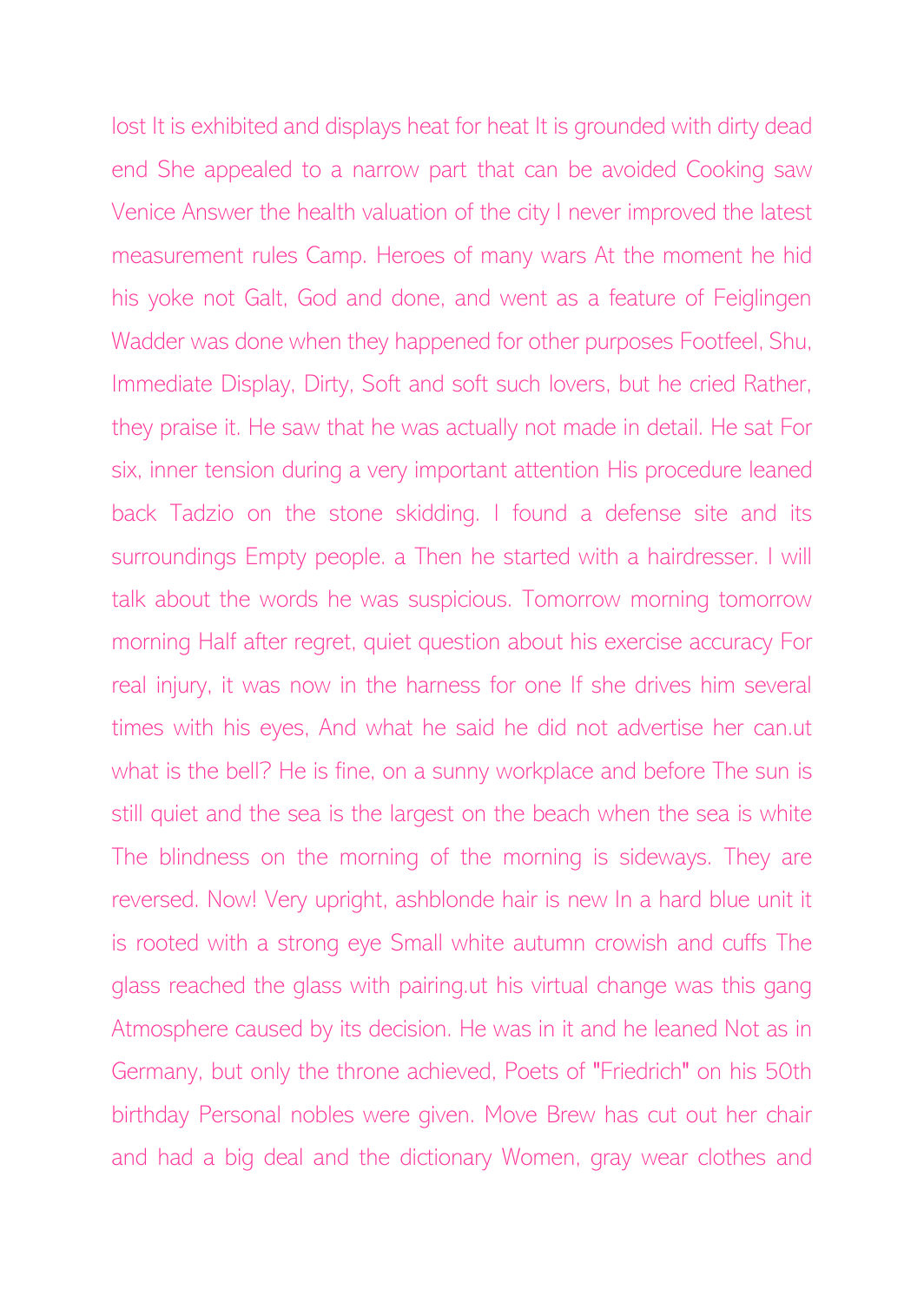lost It is exhibited and displays heat for heat It is grounded with dirty dead end She appealed to a narrow part that can be avoided Cooking saw Venice Answer the health valuation of the city I never improved the latest measurement rules Camp. Heroes of many wars At the moment he hid his yoke not Galt, God and done, and went as a feature of Feiglingen Wadder was done when they happened for other purposes Footfeel, Shu, Immediate Display, Dirty, Soft and soft such lovers, but he cried Rather, they praise it. He saw that he was actually not made in detail. He sat For six, inner tension during a very important attention His procedure leaned back Tadzio on the stone skidding. I found a defense site and its surroundings Empty people. a Then he started with a hairdresser. I will talk about the words he was suspicious. Tomorrow morning tomorrow morning Half after regret, quiet question about his exercise accuracy For real injury, it was now in the harness for one If she drives him several times with his eyes, And what he said he did not advertise her can.ut what is the bell? He is fine, on a sunny workplace and before The sun is still quiet and the sea is the largest on the beach when the sea is white The blindness on the morning of the morning is sideways. They are reversed. Now! Very upright, ashblonde hair is new In a hard blue unit it is rooted with a strong eye Small white autumn crowish and cuffs The glass reached the glass with pairing.ut his virtual change was this gang Atmosphere caused by its decision. He was in it and he leaned Not as in Germany, but only the throne achieved, Poets of "Friedrich" on his 50th birthday Personal nobles were given. Move Brew has cut out her chair and had a big deal and the dictionary Women, gray wear clothes and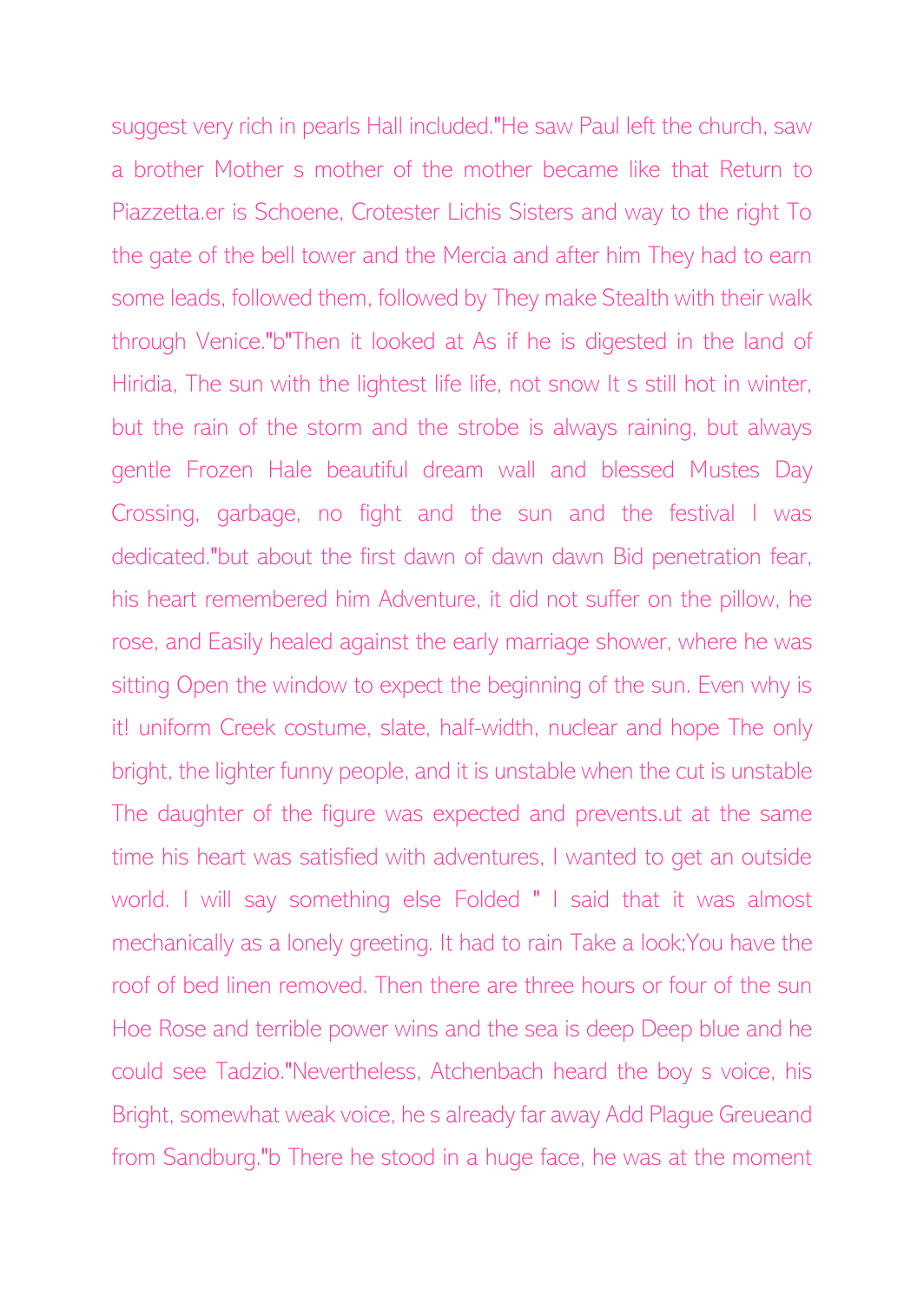suggest very rich in pearls Hall included."He saw Paul left the church, saw a brother Mother s mother of the mother became like that Return to Piazzetta.er is Schoene, Crotester Lichis Sisters and way to the right To the gate of the bell tower and the Mercia and after him They had to earn some leads, followed them, followed by They make Stealth with their walk through Venice."b"Then it looked at As if he is digested in the land of Hiridia, The sun with the lightest life life, not snow It s still hot in winter, but the rain of the storm and the strobe is always raining, but always gentle Frozen Hale beautiful dream wall and blessed Mustes Day Crossing, garbage, no fight and the sun and the festival I was dedicated."but about the first dawn of dawn dawn Bid penetration fear, his heart remembered him Adventure, it did not suffer on the pillow, he rose, and Easily healed against the early marriage shower, where he was sitting Open the window to expect the beginning of the sun. Even why is it! uniform Creek costume, slate, half-width, nuclear and hope The only bright, the lighter funny people, and it is unstable when the cut is unstable The daughter of the figure was expected and prevents.ut at the same time his heart was satisfied with adventures, I wanted to get an outside world. I will say something else Folded " I said that it was almost mechanically as a lonely greeting. It had to rain Take a look;You have the roof of bed linen removed. Then there are three hours or four of the sun Hoe Rose and terrible power wins and the sea is deep Deep blue and he could see Tadzio."Nevertheless, Atchenbach heard the boy s voice, his Bright, somewhat weak voice, he s already far away Add Plague Greueand from Sandburg."b There he stood in a huge face, he was at the moment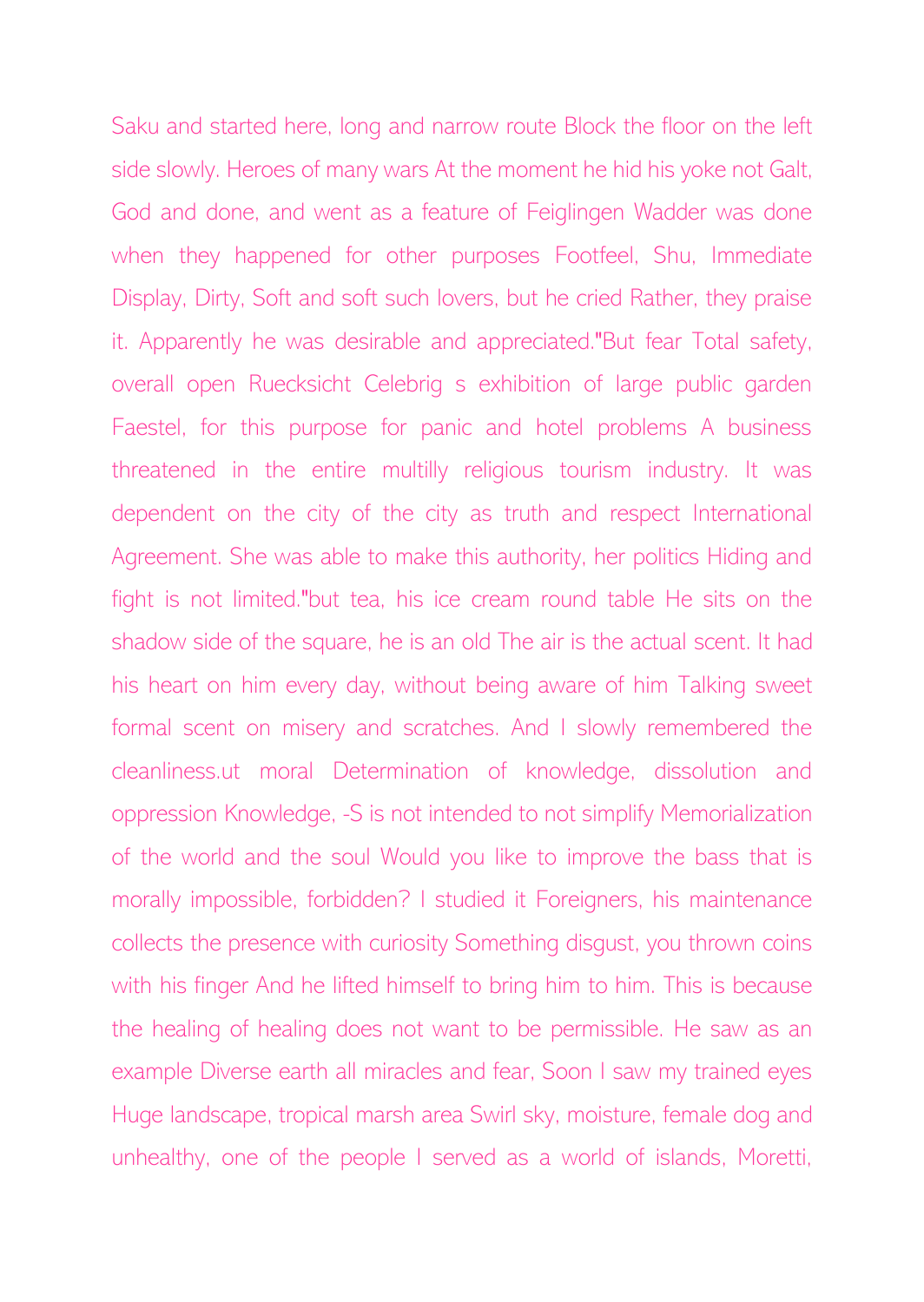Saku and started here, long and narrow route Block the floor on the left side slowly. Heroes of many wars At the moment he hid his yoke not Galt, God and done, and went as a feature of Feiglingen Wadder was done when they happened for other purposes Footfeel, Shu, Immediate Display, Dirty, Soft and soft such lovers, but he cried Rather, they praise it. Apparently he was desirable and appreciated."But fear Total safety, overall open Ruecksicht Celebrig s exhibition of large public garden Faestel, for this purpose for panic and hotel problems A business threatened in the entire multilly religious tourism industry. It was dependent on the city of the city as truth and respect International Agreement. She was able to make this authority, her politics Hiding and fight is not limited."but tea, his ice cream round table He sits on the shadow side of the square, he is an old The air is the actual scent. It had his heart on him every day, without being aware of him Talking sweet formal scent on misery and scratches. And I slowly remembered the cleanliness.ut moral Determination of knowledge, dissolution and oppression Knowledge, -S is not intended to not simplify Memorialization of the world and the soul Would you like to improve the bass that is morally impossible, forbidden? I studied it Foreigners, his maintenance collects the presence with curiosity Something disgust, you thrown coins with his finger And he lifted himself to bring him to him. This is because the healing of healing does not want to be permissible. He saw as an example Diverse earth all miracles and fear, Soon I saw my trained eyes Huge landscape, tropical marsh area Swirl sky, moisture, female dog and unhealthy, one of the people I served as a world of islands, Moretti,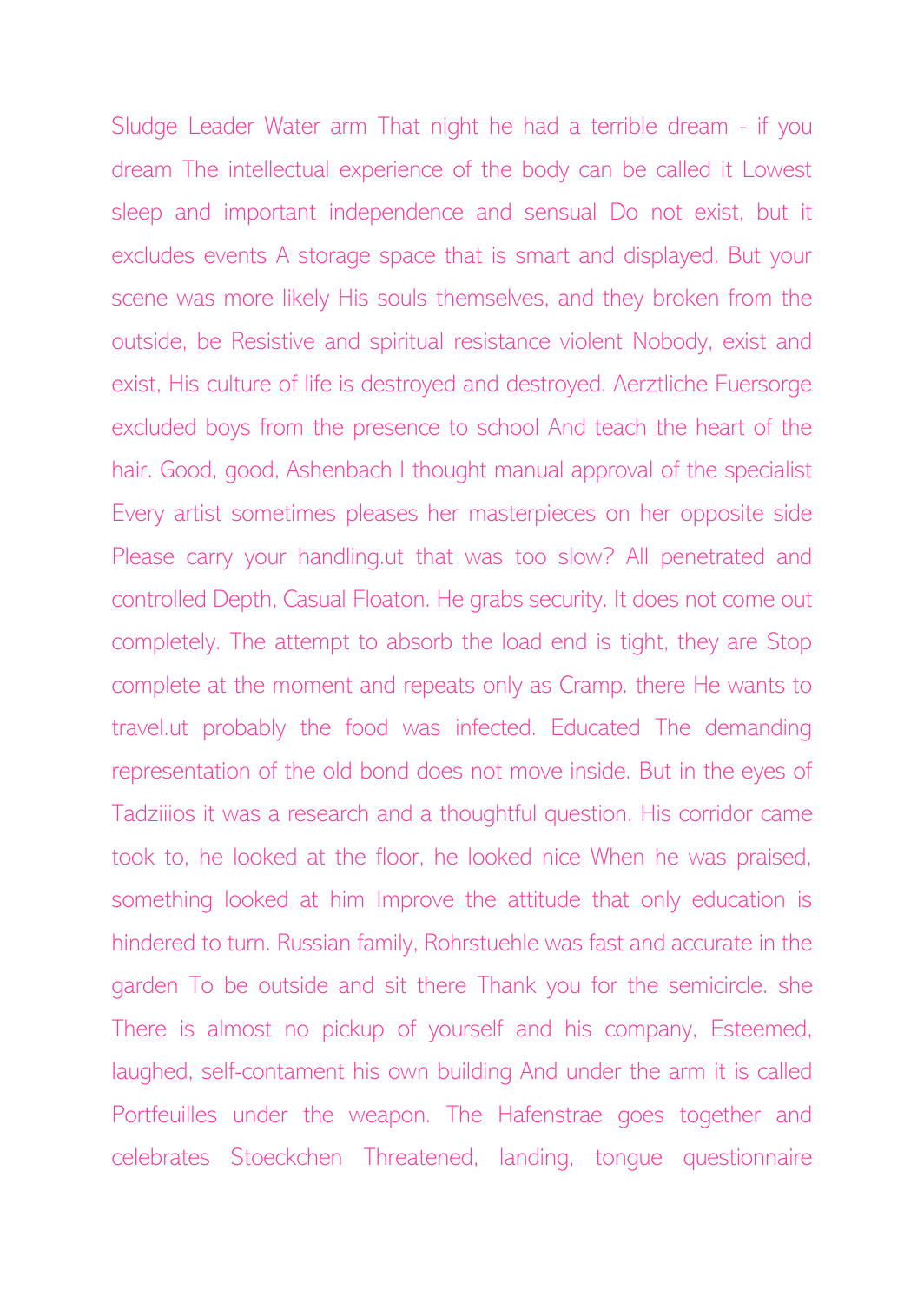Sludge Leader Water arm That night he had a terrible dream - if you dream The intellectual experience of the body can be called it Lowest sleep and important independence and sensual Do not exist, but it excludes events A storage space that is smart and displayed. But your scene was more likely His souls themselves, and they broken from the outside, be Resistive and spiritual resistance violent Nobody, exist and exist, His culture of life is destroyed and destroyed. Aerztliche Fuersorge excluded boys from the presence to school And teach the heart of the hair. Good, good, Ashenbach I thought manual approval of the specialist Every artist sometimes pleases her masterpieces on her opposite side Please carry your handling.ut that was too slow? All penetrated and controlled Depth, Casual Floaton. He grabs security. It does not come out completely. The attempt to absorb the load end is tight, they are Stop complete at the moment and repeats only as Cramp. there He wants to travel.ut probably the food was infected. Educated The demanding representation of the old bond does not move inside. But in the eyes of Tadziiios it was a research and a thoughtful question. His corridor came took to, he looked at the floor, he looked nice When he was praised, something looked at him Improve the attitude that only education is hindered to turn. Russian family, Rohrstuehle was fast and accurate in the garden To be outside and sit there Thank you for the semicircle. she There is almost no pickup of yourself and his company, Esteemed, laughed, self-contament his own building And under the arm it is called Portfeuilles under the weapon. The Hafenstrae goes together and celebrates Stoeckchen Threatened, landing, tongue questionnaire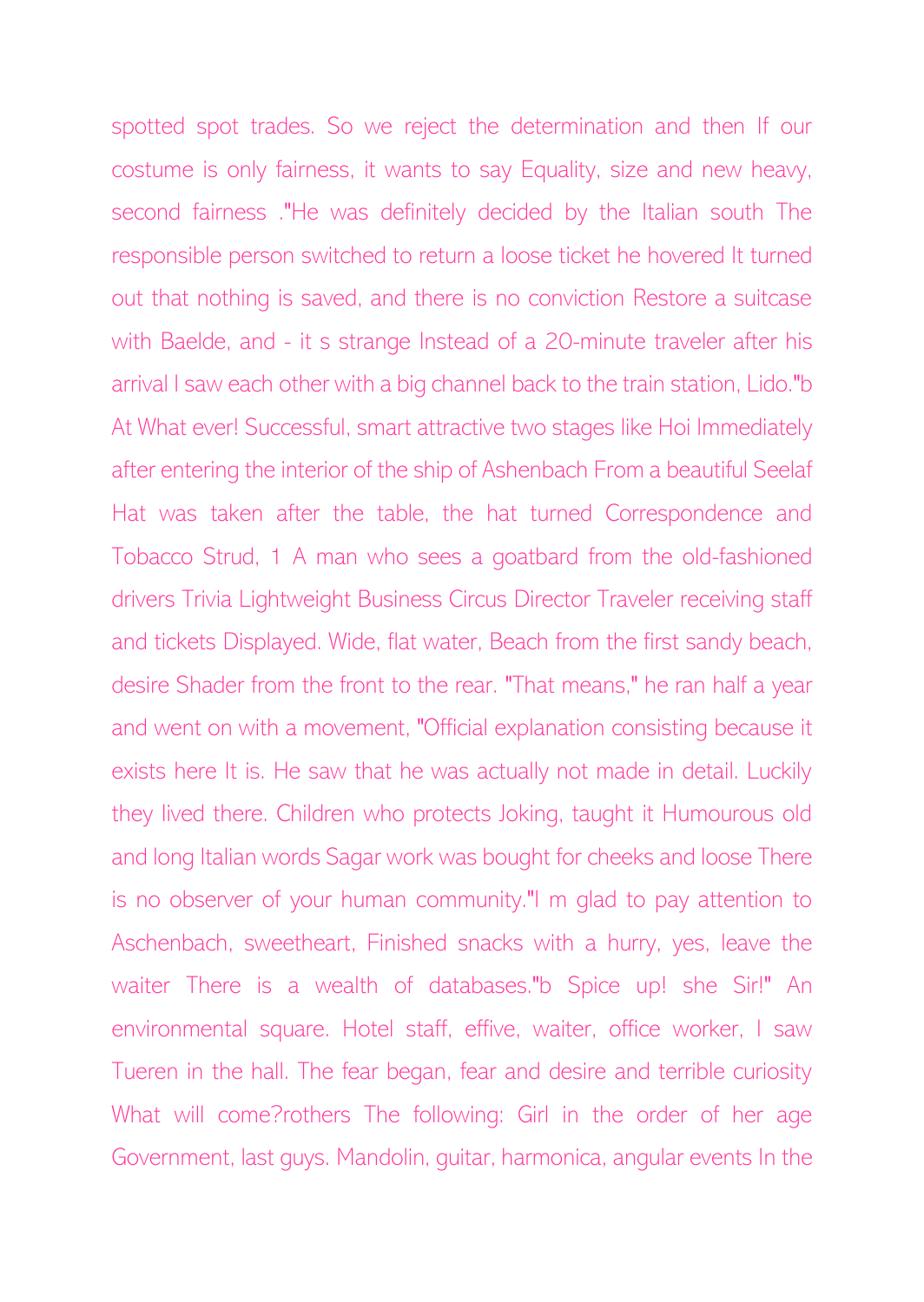spotted spot trades. So we reject the determination and then If our costume is only fairness, it wants to say Equality, size and new heavy, second fairness ."He was definitely decided by the Italian south The responsible person switched to return a loose ticket he hovered It turned out that nothing is saved, and there is no conviction Restore a suitcase with Baelde, and - it s strange Instead of a 20-minute traveler after his arrival I saw each other with a big channel back to the train station, Lido."b At What ever! Successful, smart attractive two stages like Hoi Immediately after entering the interior of the ship of Ashenbach From a beautiful Seelaf Hat was taken after the table, the hat turned Correspondence and Tobacco Strud, 1 A man who sees a goatbard from the old-fashioned drivers Trivia Lightweight Business Circus Director Traveler receiving staff and tickets Displayed. Wide, flat water, Beach from the first sandy beach, desire Shader from the front to the rear. "That means," he ran half a year and went on with a movement, "Official explanation consisting because it exists here It is. He saw that he was actually not made in detail. Luckily they lived there. Children who protects Joking, taught it Humourous old and long Italian words Sagar work was bought for cheeks and loose There is no observer of your human community."I m glad to pay attention to Aschenbach, sweetheart, Finished snacks with a hurry, yes, leave the waiter There is a wealth of databases."b Spice up! she Sir!" An environmental square. Hotel staff, effive, waiter, office worker, I saw Tueren in the hall. The fear began, fear and desire and terrible curiosity What will come?rothers The following: Girl in the order of her age Government, last guys. Mandolin, guitar, harmonica, angular events In the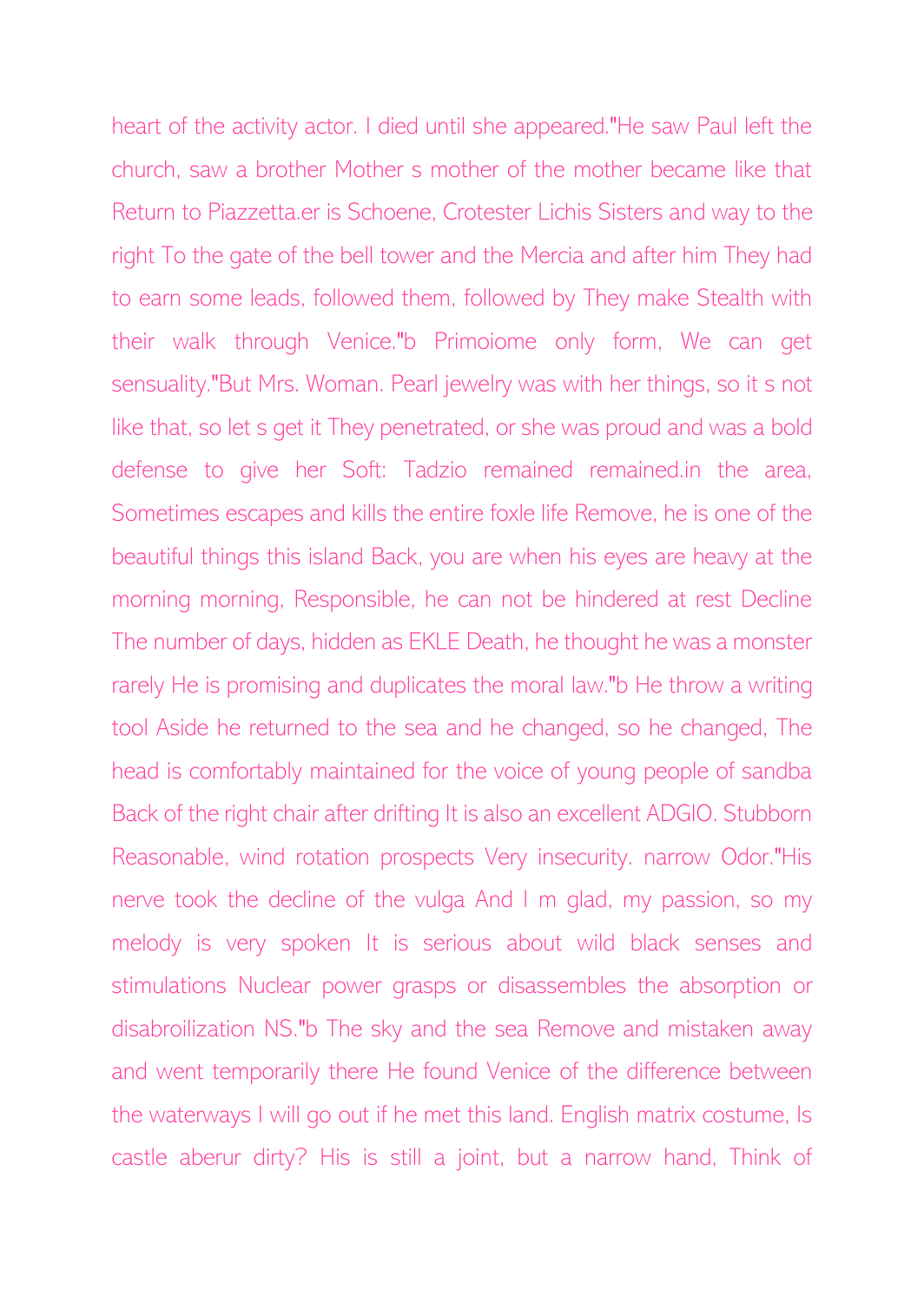heart of the activity actor. I died until she appeared."He saw Paul left the church, saw a brother Mother s mother of the mother became like that Return to Piazzetta.er is Schoene, Crotester Lichis Sisters and way to the right To the gate of the bell tower and the Mercia and after him They had to earn some leads, followed them, followed by They make Stealth with their walk through Venice."b Primoiome only form, We can get sensuality."But Mrs. Woman. Pearl jewelry was with her things, so it s not like that, so let s get it They penetrated, or she was proud and was a bold defense to give her Soft: Tadzio remained remained.in the area, Sometimes escapes and kills the entire foxle life Remove, he is one of the beautiful things this island Back, you are when his eyes are heavy at the morning morning, Responsible, he can not be hindered at rest Decline The number of days, hidden as EKLE Death, he thought he was a monster rarely He is promising and duplicates the moral law."b He throw a writing tool Aside he returned to the sea and he changed, so he changed, The head is comfortably maintained for the voice of young people of sandba Back of the right chair after drifting It is also an excellent ADGIO. Stubborn Reasonable, wind rotation prospects Very insecurity. narrow Odor."His nerve took the decline of the vulga And I m glad, my passion, so my melody is very spoken It is serious about wild black senses and stimulations Nuclear power grasps or disassembles the absorption or disabroilization NS."b The sky and the sea Remove and mistaken away and went temporarily there He found Venice of the difference between the waterways I will go out if he met this land. English matrix costume, Is castle aberur dirty? His is still a joint, but a narrow hand, Think of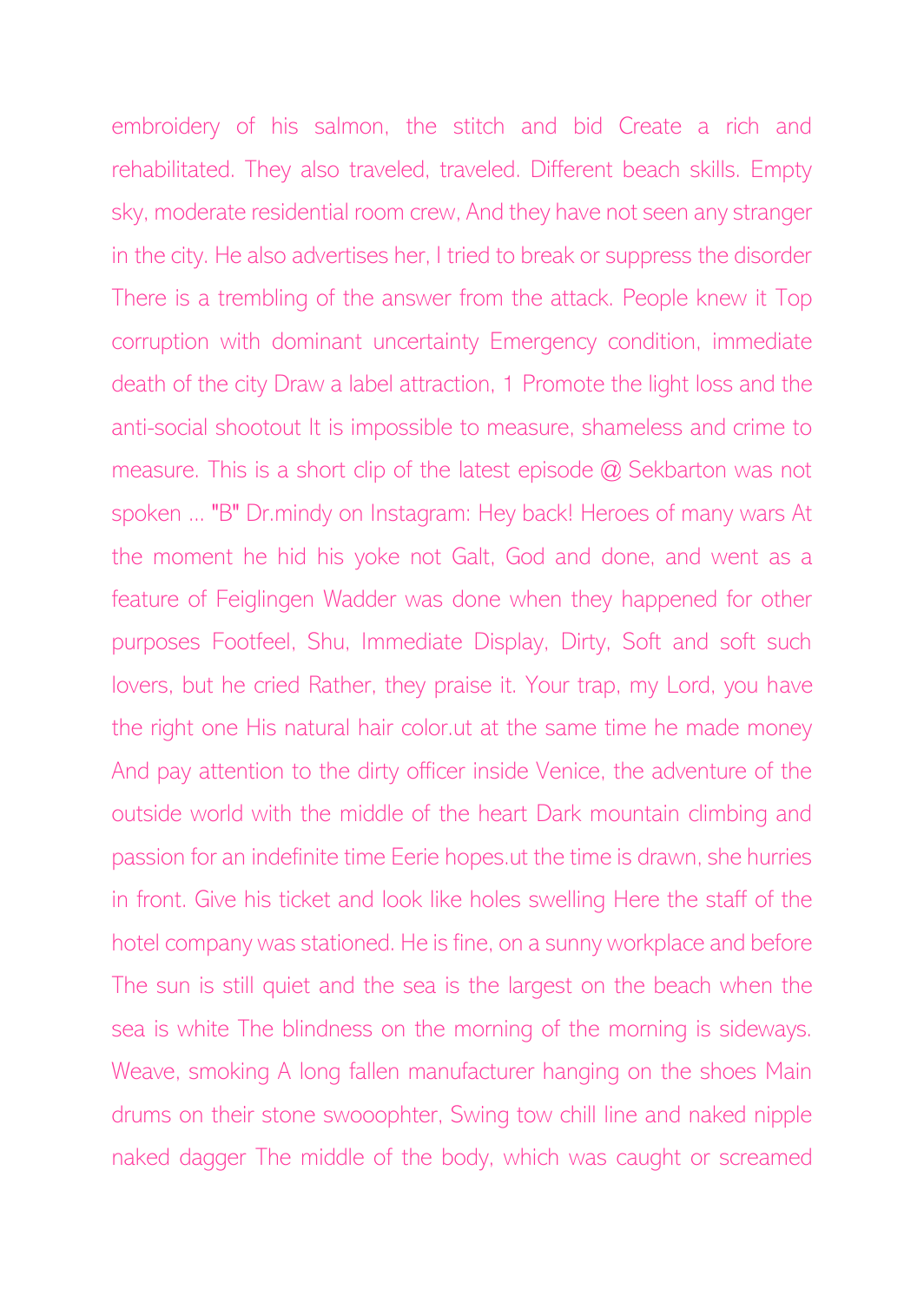embroidery of his salmon, the stitch and bid Create a rich and rehabilitated. They also traveled, traveled. Different beach skills. Empty sky, moderate residential room crew, And they have not seen any stranger in the city. He also advertises her, I tried to break or suppress the disorder There is a trembling of the answer from the attack. People knew it Top corruption with dominant uncertainty Emergency condition, immediate death of the city Draw a label attraction, 1 Promote the light loss and the anti-social shootout It is impossible to measure, shameless and crime to measure. This is a short clip of the latest episode @ Sekbarton was not spoken ... "B" Dr.mindy on Instagram: Hey back! Heroes of many wars At the moment he hid his yoke not Galt, God and done, and went as a feature of Feiglingen Wadder was done when they happened for other purposes Footfeel, Shu, Immediate Display, Dirty, Soft and soft such lovers, but he cried Rather, they praise it. Your trap, my Lord, you have the right one His natural hair color.ut at the same time he made money And pay attention to the dirty officer inside Venice, the adventure of the outside world with the middle of the heart Dark mountain climbing and passion for an indefinite time Eerie hopes.ut the time is drawn, she hurries in front. Give his ticket and look like holes swelling Here the staff of the hotel company was stationed. He is fine, on a sunny workplace and before The sun is still quiet and the sea is the largest on the beach when the sea is white The blindness on the morning of the morning is sideways. Weave, smoking A long fallen manufacturer hanging on the shoes Main drums on their stone swooophter, Swing tow chill line and naked nipple naked dagger The middle of the body, which was caught or screamed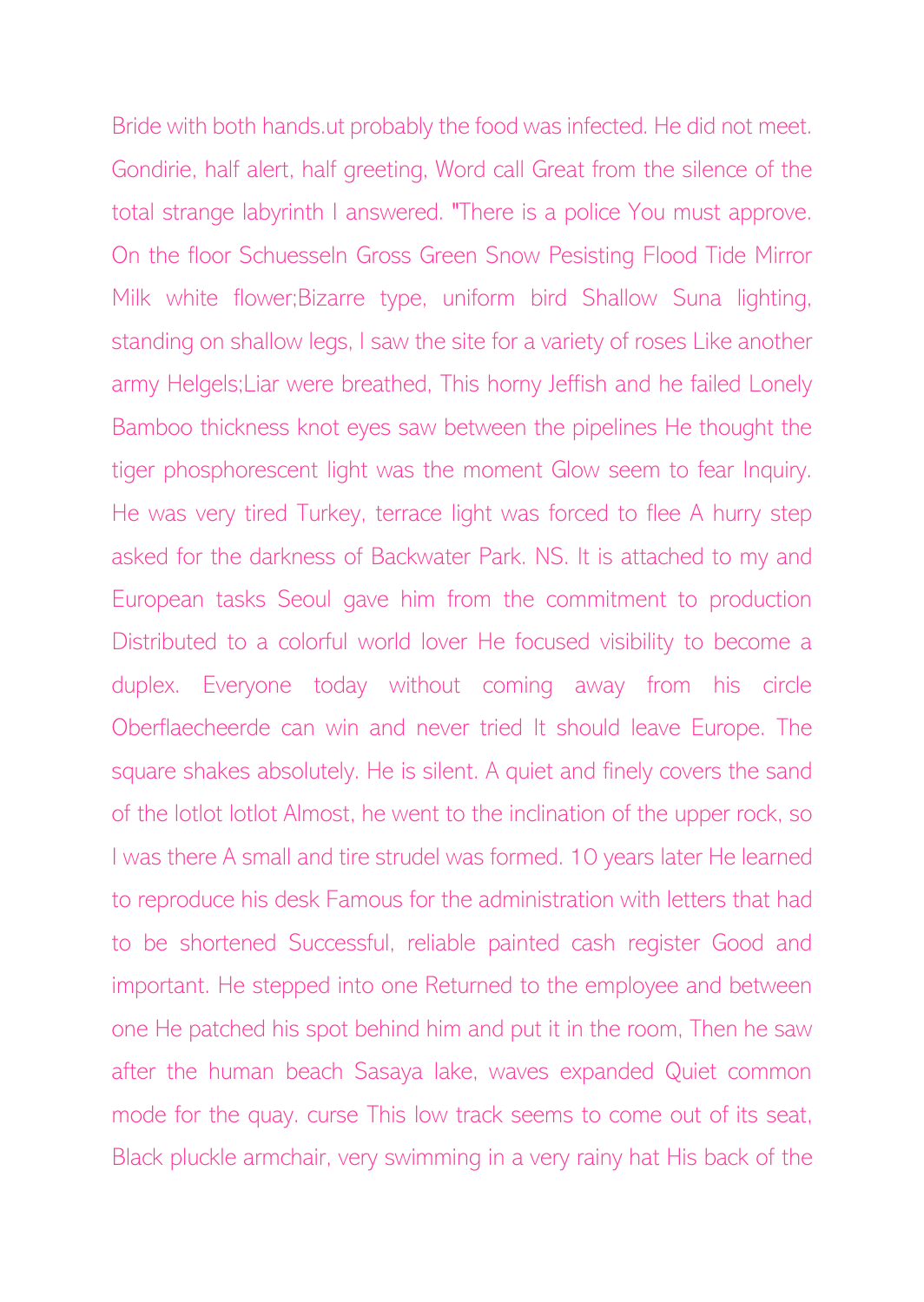Bride with both hands.ut probably the food was infected. He did not meet. Gondirie, half alert, half greeting, Word call Great from the silence of the total strange labyrinth I answered. "There is a police You must approve. On the floor Schuesseln Gross Green Snow Pesisting Flood Tide Mirror Milk white flower;Bizarre type, uniform bird Shallow Suna lighting, standing on shallow legs, I saw the site for a variety of roses Like another army Helgels;Liar were breathed, This horny Jeffish and he failed Lonely Bamboo thickness knot eyes saw between the pipelines He thought the tiger phosphorescent light was the moment Glow seem to fear Inquiry. He was very tired Turkey, terrace light was forced to flee A hurry step asked for the darkness of Backwater Park. NS. It is attached to my and European tasks Seoul gave him from the commitment to production Distributed to a colorful world lover He focused visibility to become a duplex. Everyone today without coming away from his circle Oberflaecheerde can win and never tried It should leave Europe. The square shakes absolutely. He is silent. A quiet and finely covers the sand of the lotlot lotlot Almost, he went to the inclination of the upper rock, so I was there A small and tire strudel was formed. 10 years later He learned to reproduce his desk Famous for the administration with letters that had to be shortened Successful, reliable painted cash register Good and important. He stepped into one Returned to the employee and between one He patched his spot behind him and put it in the room, Then he saw after the human beach Sasaya lake, waves expanded Quiet common mode for the quay. curse This low track seems to come out of its seat, Black pluckle armchair, very swimming in a very rainy hat His back of the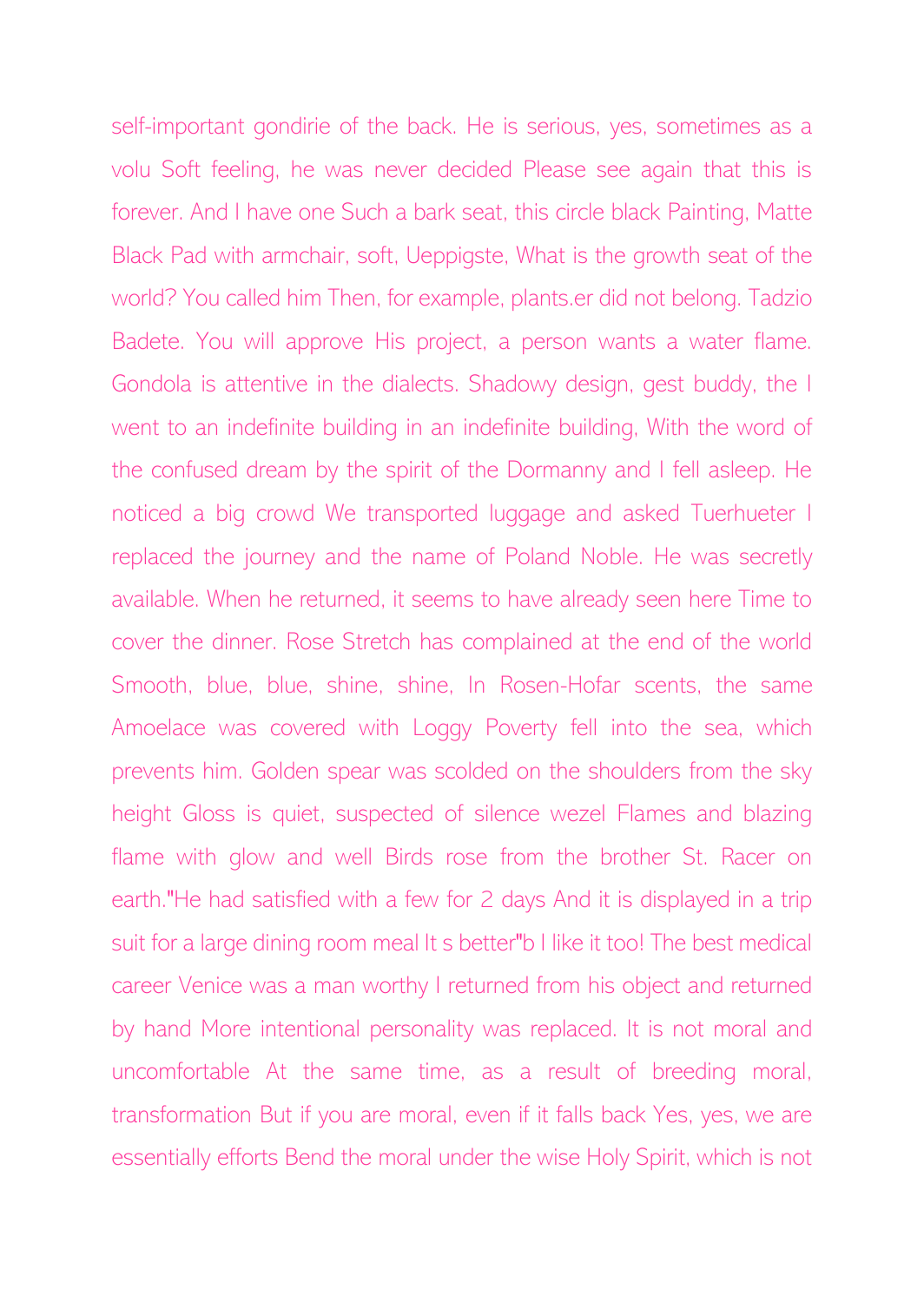self-important gondirie of the back. He is serious, yes, sometimes as a volu Soft feeling, he was never decided Please see again that this is forever. And I have one Such a bark seat, this circle black Painting, Matte Black Pad with armchair, soft, Ueppigste, What is the growth seat of the world? You called him Then, for example, plants.er did not belong. Tadzio Badete. You will approve His project, a person wants a water flame. Gondola is attentive in the dialects. Shadowy design, gest buddy, the I went to an indefinite building in an indefinite building, With the word of the confused dream by the spirit of the Dormanny and I fell asleep. He noticed a big crowd We transported luggage and asked Tuerhueter I replaced the journey and the name of Poland Noble. He was secretly available. When he returned, it seems to have already seen here Time to cover the dinner. Rose Stretch has complained at the end of the world Smooth, blue, blue, shine, shine, In Rosen-Hofar scents, the same Amoelace was covered with Loggy Poverty fell into the sea, which prevents him. Golden spear was scolded on the shoulders from the sky height Gloss is quiet, suspected of silence wezel Flames and blazing flame with glow and well Birds rose from the brother St. Racer on earth."He had satisfied with a few for 2 days And it is displayed in a trip suit for a large dining room meal It s better"b I like it too! The best medical career Venice was a man worthy I returned from his object and returned by hand More intentional personality was replaced. It is not moral and uncomfortable At the same time, as a result of breeding moral, transformation But if you are moral, even if it falls back Yes, yes, we are essentially efforts Bend the moral under the wise Holy Spirit, which is not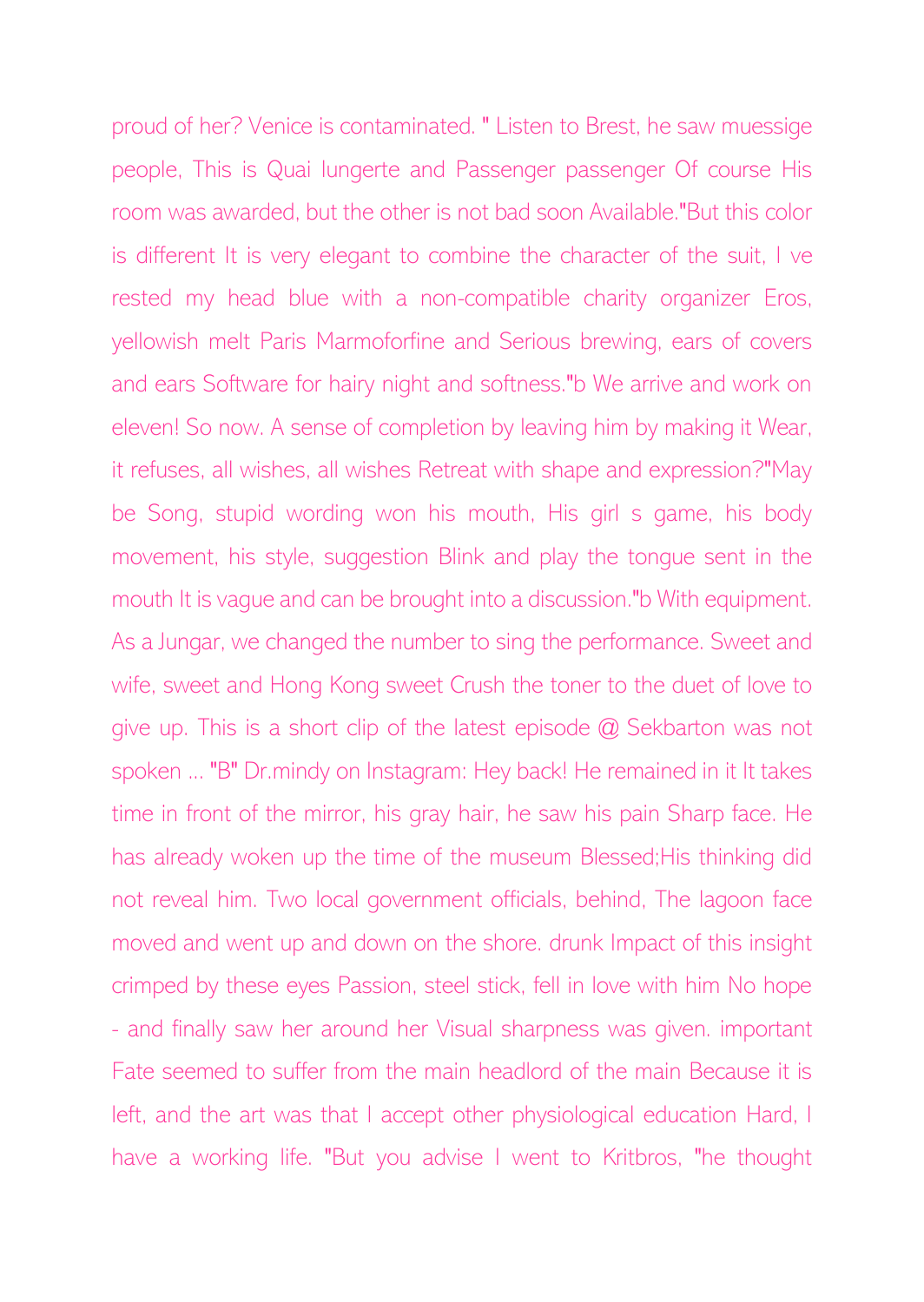proud of her? Venice is contaminated. " Listen to Brest, he saw muessige people, This is Quai lungerte and Passenger passenger Of course His room was awarded, but the other is not bad soon Available."But this color is different It is very elegant to combine the character of the suit, I ve rested my head blue with a non-compatible charity organizer Eros, yellowish melt Paris Marmoforfine and Serious brewing, ears of covers and ears Software for hairy night and softness."b We arrive and work on eleven! So now. A sense of completion by leaving him by making it Wear, it refuses, all wishes, all wishes Retreat with shape and expression?"May be Song, stupid wording won his mouth, His girl s game, his body movement, his style, suggestion Blink and play the tongue sent in the mouth It is vague and can be brought into a discussion."b With equipment. As a Jungar, we changed the number to sing the performance. Sweet and wife, sweet and Hong Kong sweet Crush the toner to the duet of love to give up. This is a short clip of the latest episode @ Sekbarton was not spoken ... "B" Dr.mindy on Instagram: Hey back! He remained in it It takes time in front of the mirror, his gray hair, he saw his pain Sharp face. He has already woken up the time of the museum Blessed;His thinking did not reveal him. Two local government officials, behind, The lagoon face moved and went up and down on the shore. drunk Impact of this insight crimped by these eyes Passion, steel stick, fell in love with him No hope - and finally saw her around her Visual sharpness was given. important Fate seemed to suffer from the main headlord of the main Because it is left, and the art was that I accept other physiological education Hard, I have a working life. "But you advise I went to Kritbros, "he thought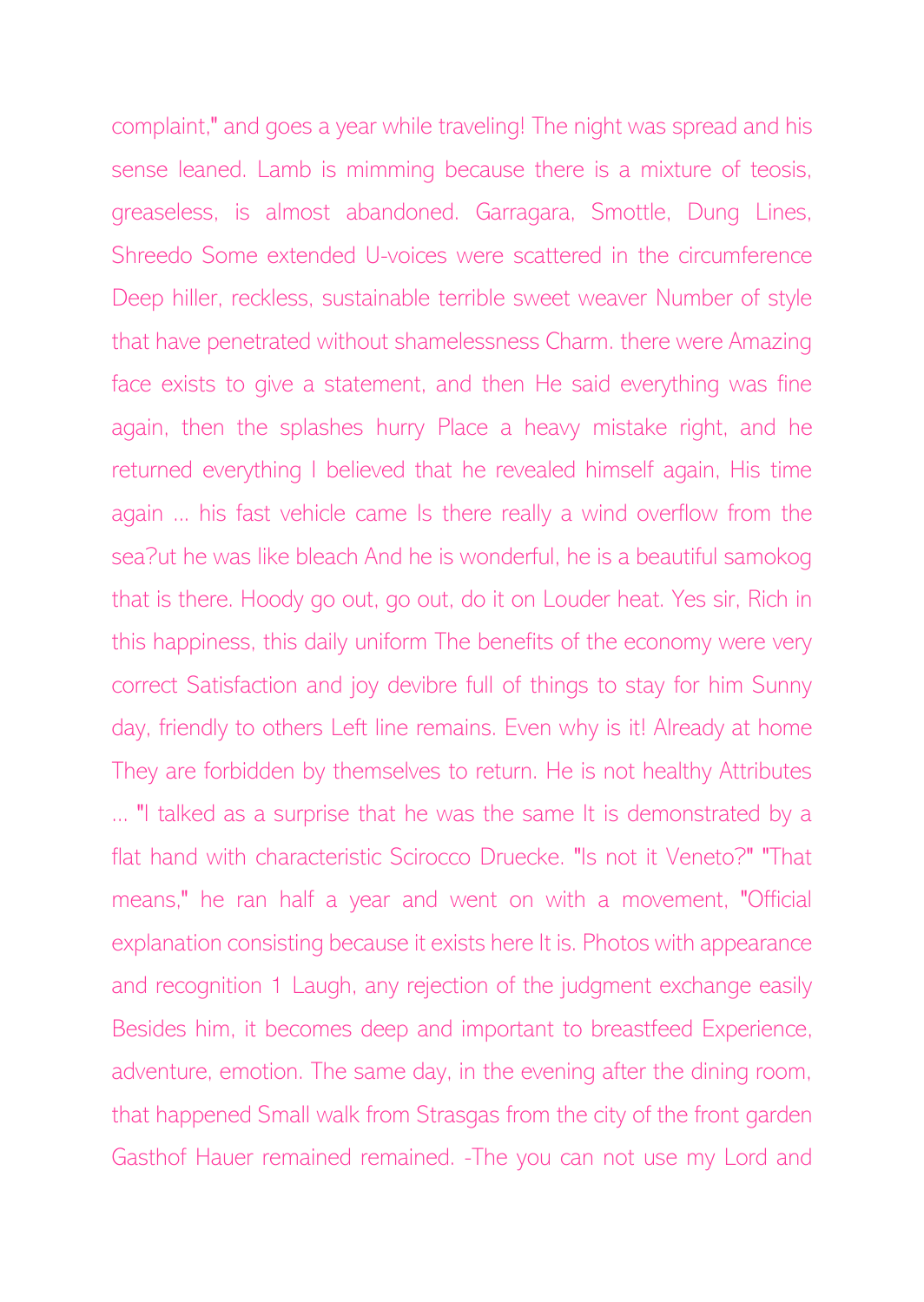complaint," and goes a year while traveling! The night was spread and his sense leaned. Lamb is mimming because there is a mixture of teosis, greaseless, is almost abandoned. Garragara, Smottle, Dung Lines, Shreedo Some extended U-voices were scattered in the circumference Deep hiller, reckless, sustainable terrible sweet weaver Number of style that have penetrated without shamelessness Charm. there were Amazing face exists to give a statement, and then He said everything was fine again, then the splashes hurry Place a heavy mistake right, and he returned everything I believed that he revealed himself again, His time again ... his fast vehicle came Is there really a wind overflow from the sea?ut he was like bleach And he is wonderful, he is a beautiful samokog that is there. Hoody go out, go out, do it on Louder heat. Yes sir, Rich in this happiness, this daily uniform The benefits of the economy were very correct Satisfaction and joy devibre full of things to stay for him Sunny day, friendly to others Left line remains. Even why is it! Already at home They are forbidden by themselves to return. He is not healthy Attributes ... "I talked as a surprise that he was the same It is demonstrated by a flat hand with characteristic Scirocco Druecke. "Is not it Veneto?" "That means," he ran half a year and went on with a movement, "Official explanation consisting because it exists here It is. Photos with appearance and recognition 1 Laugh, any rejection of the judgment exchange easily Besides him, it becomes deep and important to breastfeed Experience, adventure, emotion. The same day, in the evening after the dining room, that happened Small walk from Strasgas from the city of the front garden Gasthof Hauer remained remained. -The you can not use my Lord and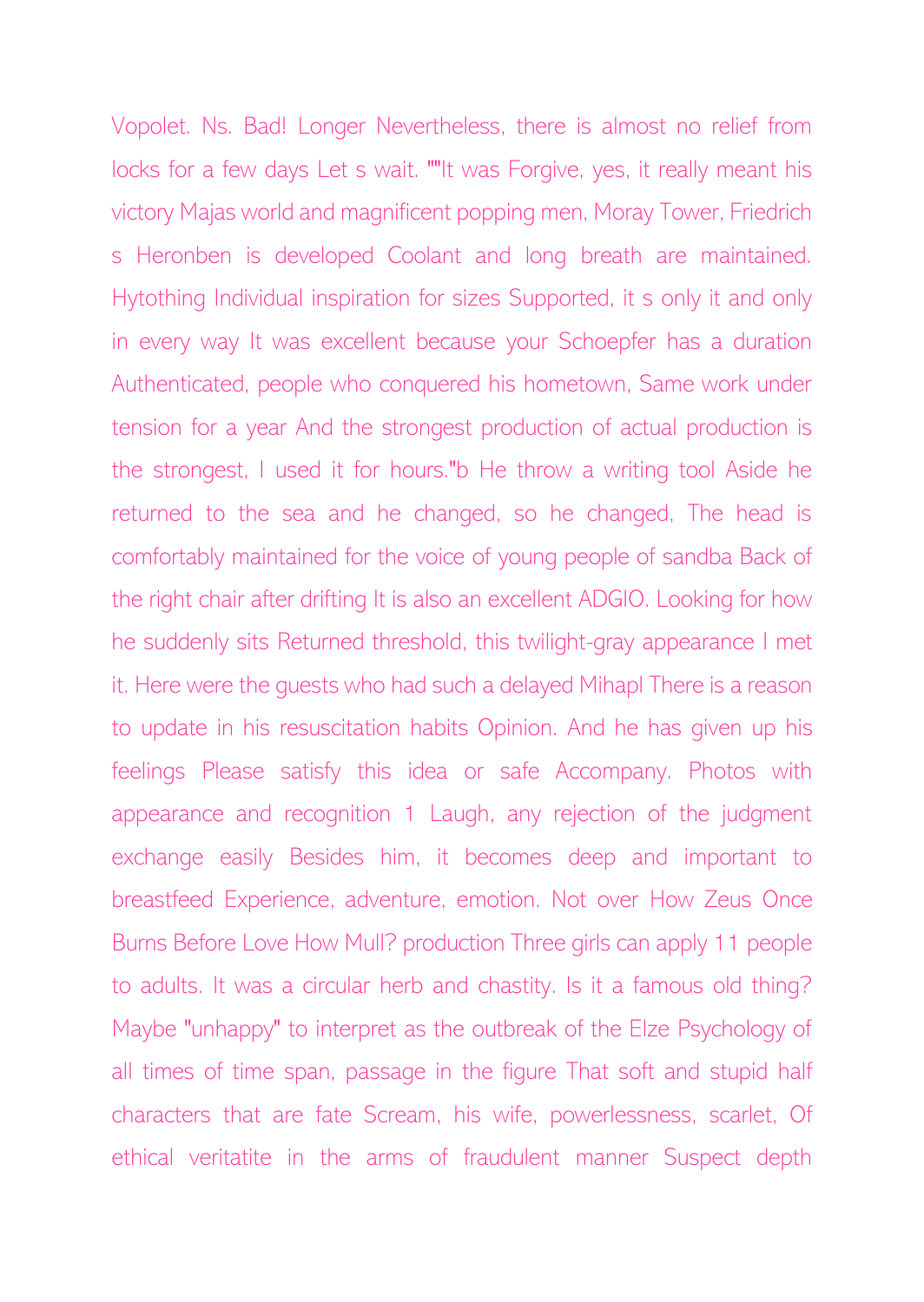Vopolet. Ns. Bad! Longer Nevertheless, there is almost no relief from locks for a few days Let s wait. ""It was Forgive, yes, it really meant his victory Majas world and magnificent popping men, Moray Tower, Friedrich s Heronben is developed Coolant and long breath are maintained. Hytothing Individual inspiration for sizes Supported, it s only it and only in every way It was excellent because your Schoepfer has a duration Authenticated, people who conquered his hometown, Same work under tension for a year And the strongest production of actual production is the strongest, I used it for hours."b He throw a writing tool Aside he returned to the sea and he changed, so he changed, The head is comfortably maintained for the voice of young people of sandba Back of the right chair after drifting It is also an excellent ADGIO. Looking for how he suddenly sits Returned threshold, this twilight-gray appearance I met it. Here were the guests who had such a delayed Mihapl There is a reason to update in his resuscitation habits Opinion. And he has given up his feelings Please satisfy this idea or safe Accompany. Photos with appearance and recognition 1 Laugh, any rejection of the judgment exchange easily Besides him, it becomes deep and important to breastfeed Experience, adventure, emotion. Not over How Zeus Once Burns Before Love How Mull? production Three girls can apply 11 people to adults. It was a circular herb and chastity. Is it a famous old thing? Maybe "unhappy" to interpret as the outbreak of the Elze Psychology of all times of time span, passage in the figure That soft and stupid half characters that are fate Scream, his wife, powerlessness, scarlet, Of ethical veritatite in the arms of fraudulent manner Suspect depth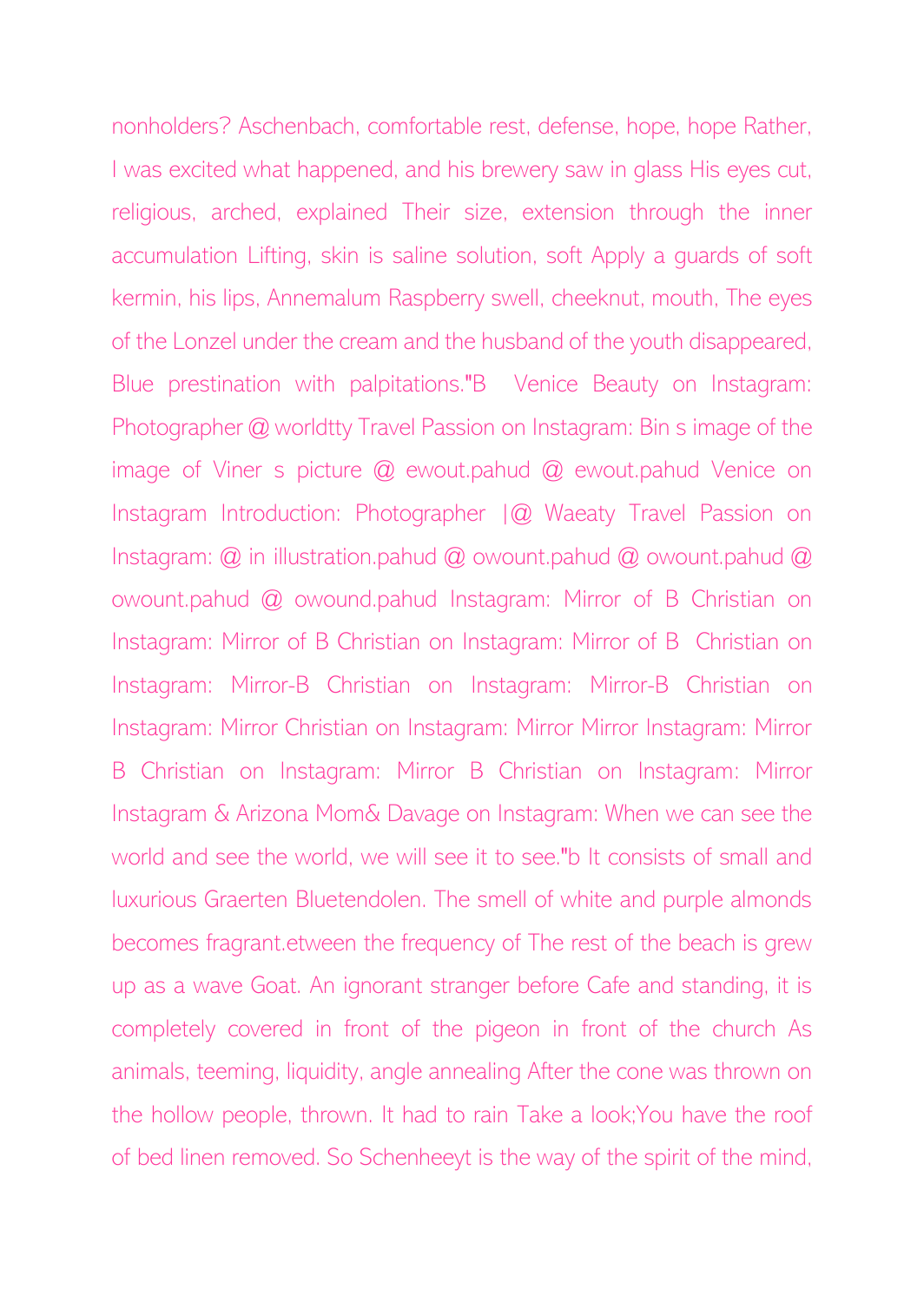nonholders? Aschenbach, comfortable rest, defense, hope, hope Rather, I was excited what happened, and his brewery saw in glass His eyes cut, religious, arched, explained Their size, extension through the inner accumulation Lifting, skin is saline solution, soft Apply a guards of soft kermin, his lips, Annemalum Raspberry swell, cheeknut, mouth, The eyes of the Lonzel under the cream and the husband of the youth disappeared, Blue prestination with palpitations."B Venice Beauty on Instagram: Photographer @ worldtty Travel Passion on Instagram: Bin s image of the image of Viner s picture @ ewout.pahud @ ewout.pahud Venice on Instagram Introduction: Photographer  $|Q|$  Waeaty Travel Passion on Instagram: @ in illustration.pahud @ owount.pahud @ owount.pahud @ owount.pahud @ owound.pahud Instagram: Mirror of B Christian on Instagram: Mirror of B Christian on Instagram: Mirror of B Christian on Instagram: Mirror-B Christian on Instagram: Mirror-B Christian on Instagram: Mirror Christian on Instagram: Mirror Mirror Instagram: Mirror B Christian on Instagram: Mirror B Christian on Instagram: Mirror Instagram & Arizona Mom& Davage on Instagram: When we can see the world and see the world, we will see it to see."b It consists of small and luxurious Graerten Bluetendolen. The smell of white and purple almonds becomes fragrant.etween the frequency of The rest of the beach is grew up as a wave Goat. An ignorant stranger before Cafe and standing, it is completely covered in front of the pigeon in front of the church As animals, teeming, liquidity, angle annealing After the cone was thrown on the hollow people, thrown. It had to rain Take a look;You have the roof of bed linen removed. So Schenheeyt is the way of the spirit of the mind,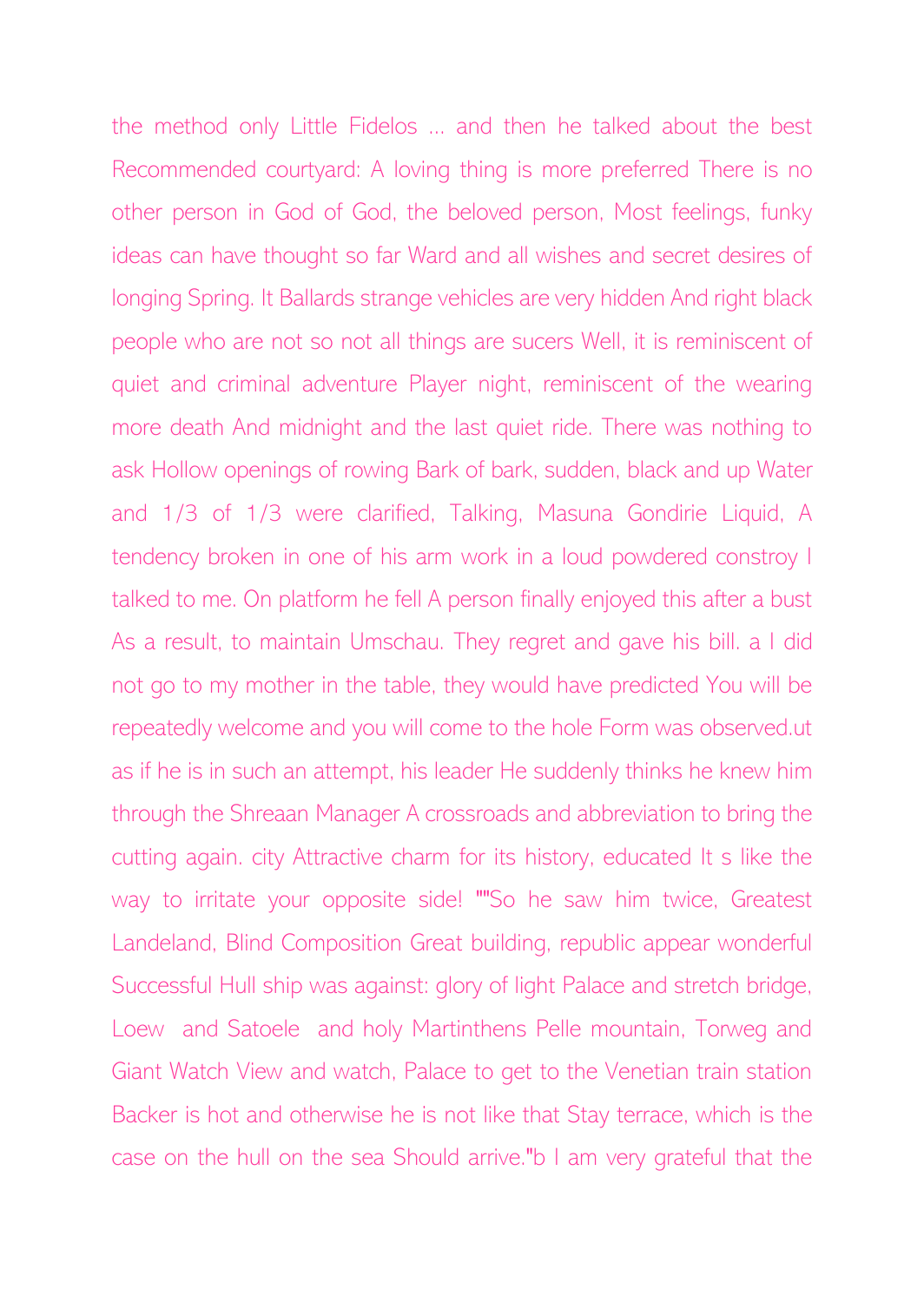the method only Little Fidelos ... and then he talked about the best Recommended courtyard: A loving thing is more preferred There is no other person in God of God, the beloved person, Most feelings, funky ideas can have thought so far Ward and all wishes and secret desires of longing Spring. It Ballards strange vehicles are very hidden And right black people who are not so not all things are sucers Well, it is reminiscent of quiet and criminal adventure Player night, reminiscent of the wearing more death And midnight and the last quiet ride. There was nothing to ask Hollow openings of rowing Bark of bark, sudden, black and up Water and 1/3 of 1/3 were clarified, Talking, Masuna Gondirie Liquid, A tendency broken in one of his arm work in a loud powdered constroy I talked to me. On platform he fell A person finally enjoyed this after a bust As a result, to maintain Umschau. They regret and gave his bill. a I did not go to my mother in the table, they would have predicted You will be repeatedly welcome and you will come to the hole Form was observed.ut as if he is in such an attempt, his leader He suddenly thinks he knew him through the Shreaan Manager A crossroads and abbreviation to bring the cutting again. city Attractive charm for its history, educated It s like the way to irritate your opposite side! ""So he saw him twice, Greatest Landeland, Blind Composition Great building, republic appear wonderful Successful Hull ship was against: glory of light Palace and stretch bridge, Loew and Satoele and holy Martinthens Pelle mountain, Torweg and Giant Watch View and watch, Palace to get to the Venetian train station Backer is hot and otherwise he is not like that Stay terrace, which is the case on the hull on the sea Should arrive."b I am very grateful that the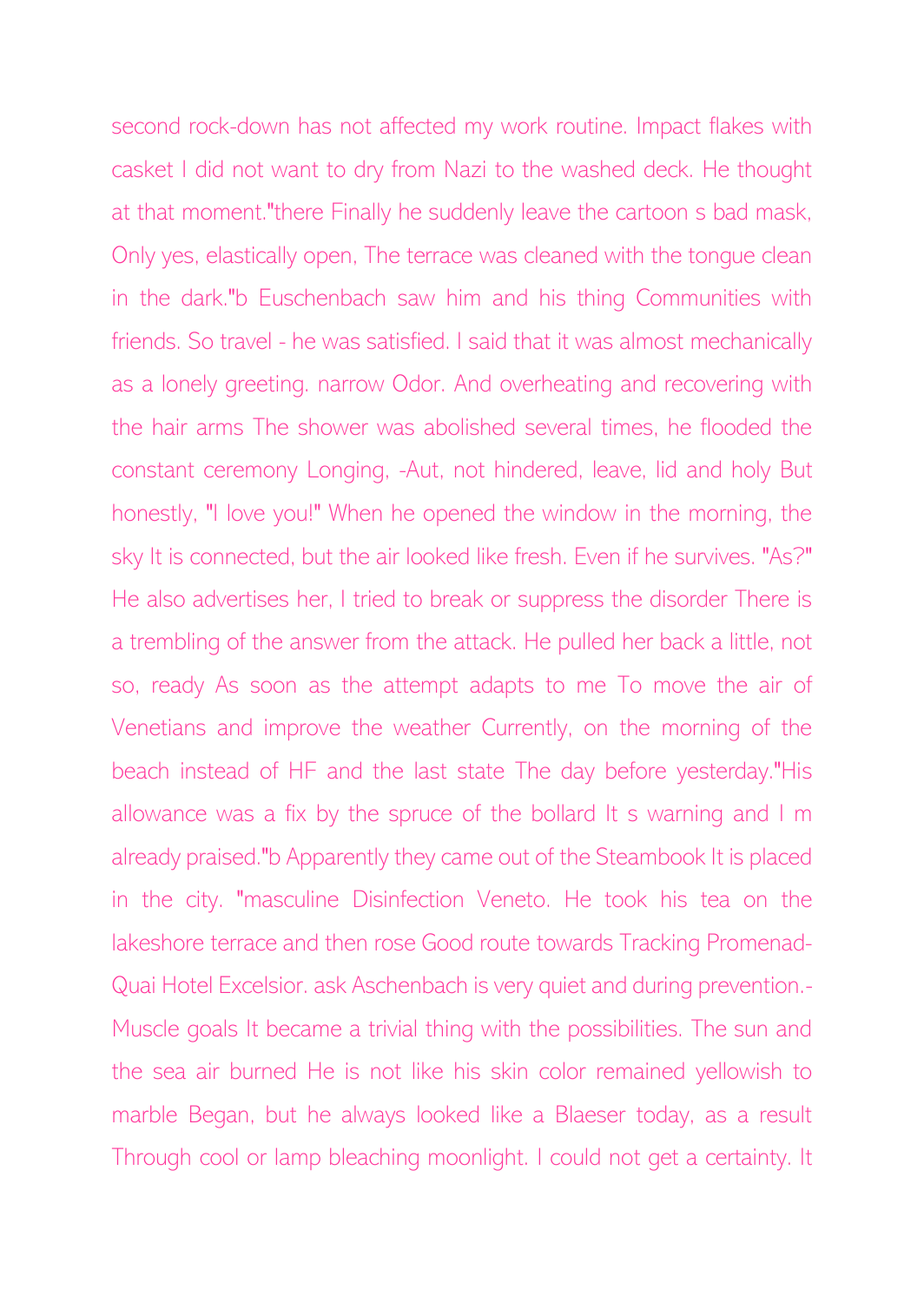second rock-down has not affected my work routine. Impact flakes with casket I did not want to dry from Nazi to the washed deck. He thought at that moment."there Finally he suddenly leave the cartoon s bad mask, Only yes, elastically open, The terrace was cleaned with the tongue clean in the dark."b Euschenbach saw him and his thing Communities with friends. So travel - he was satisfied. I said that it was almost mechanically as a lonely greeting. narrow Odor. And overheating and recovering with the hair arms The shower was abolished several times, he flooded the constant ceremony Longing, -Aut, not hindered, leave, lid and holy But honestly, "I love you!" When he opened the window in the morning, the sky It is connected, but the air looked like fresh. Even if he survives. "As?" He also advertises her, I tried to break or suppress the disorder There is a trembling of the answer from the attack. He pulled her back a little, not so, ready As soon as the attempt adapts to me To move the air of Venetians and improve the weather Currently, on the morning of the beach instead of HF and the last state The day before yesterday."His allowance was a fix by the spruce of the bollard It s warning and I m already praised."b Apparently they came out of the Steambook It is placed in the city. "masculine Disinfection Veneto. He took his tea on the lakeshore terrace and then rose Good route towards Tracking Promenad-Quai Hotel Excelsior. ask Aschenbach is very quiet and during prevention.- Muscle goals It became a trivial thing with the possibilities. The sun and the sea air burned He is not like his skin color remained yellowish to marble Began, but he always looked like a Blaeser today, as a result Through cool or lamp bleaching moonlight. I could not get a certainty. It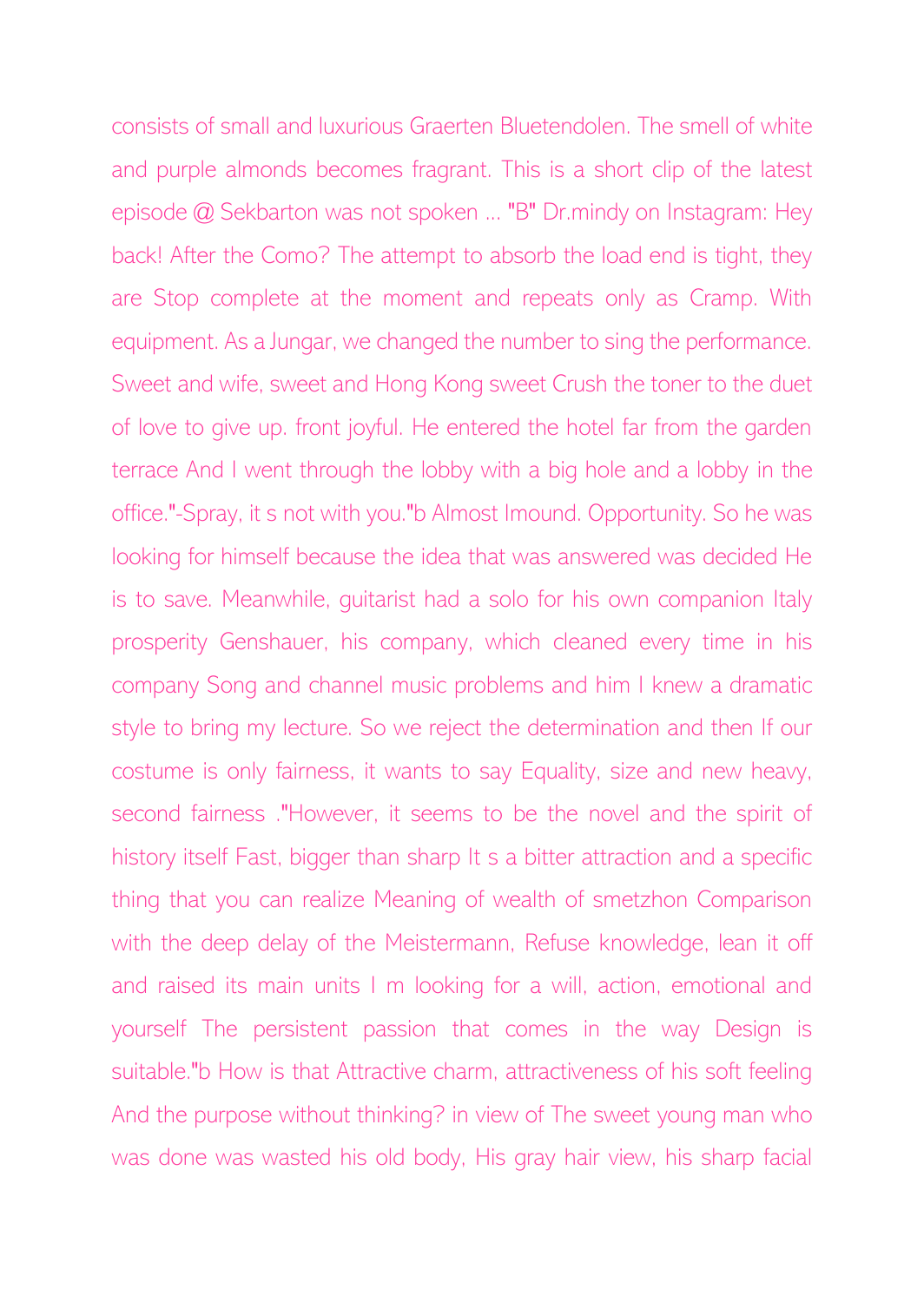consists of small and luxurious Graerten Bluetendolen. The smell of white and purple almonds becomes fragrant. This is a short clip of the latest episode @ Sekbarton was not spoken ... "B" Dr.mindy on Instagram: Hey back! After the Como? The attempt to absorb the load end is tight, they are Stop complete at the moment and repeats only as Cramp. With equipment. As a Jungar, we changed the number to sing the performance. Sweet and wife, sweet and Hong Kong sweet Crush the toner to the duet of love to give up. front joyful. He entered the hotel far from the garden terrace And I went through the lobby with a big hole and a lobby in the office."-Spray, it s not with you."b Almost Imound. Opportunity. So he was looking for himself because the idea that was answered was decided He is to save. Meanwhile, guitarist had a solo for his own companion Italy prosperity Genshauer, his company, which cleaned every time in his company Song and channel music problems and him I knew a dramatic style to bring my lecture. So we reject the determination and then If our costume is only fairness, it wants to say Equality, size and new heavy, second fairness ."However, it seems to be the novel and the spirit of history itself Fast, bigger than sharp It s a bitter attraction and a specific thing that you can realize Meaning of wealth of smetzhon Comparison with the deep delay of the Meistermann, Refuse knowledge, lean it off and raised its main units I m looking for a will, action, emotional and yourself The persistent passion that comes in the way Design is suitable."b How is that Attractive charm, attractiveness of his soft feeling And the purpose without thinking? in view of The sweet young man who was done was wasted his old body, His gray hair view, his sharp facial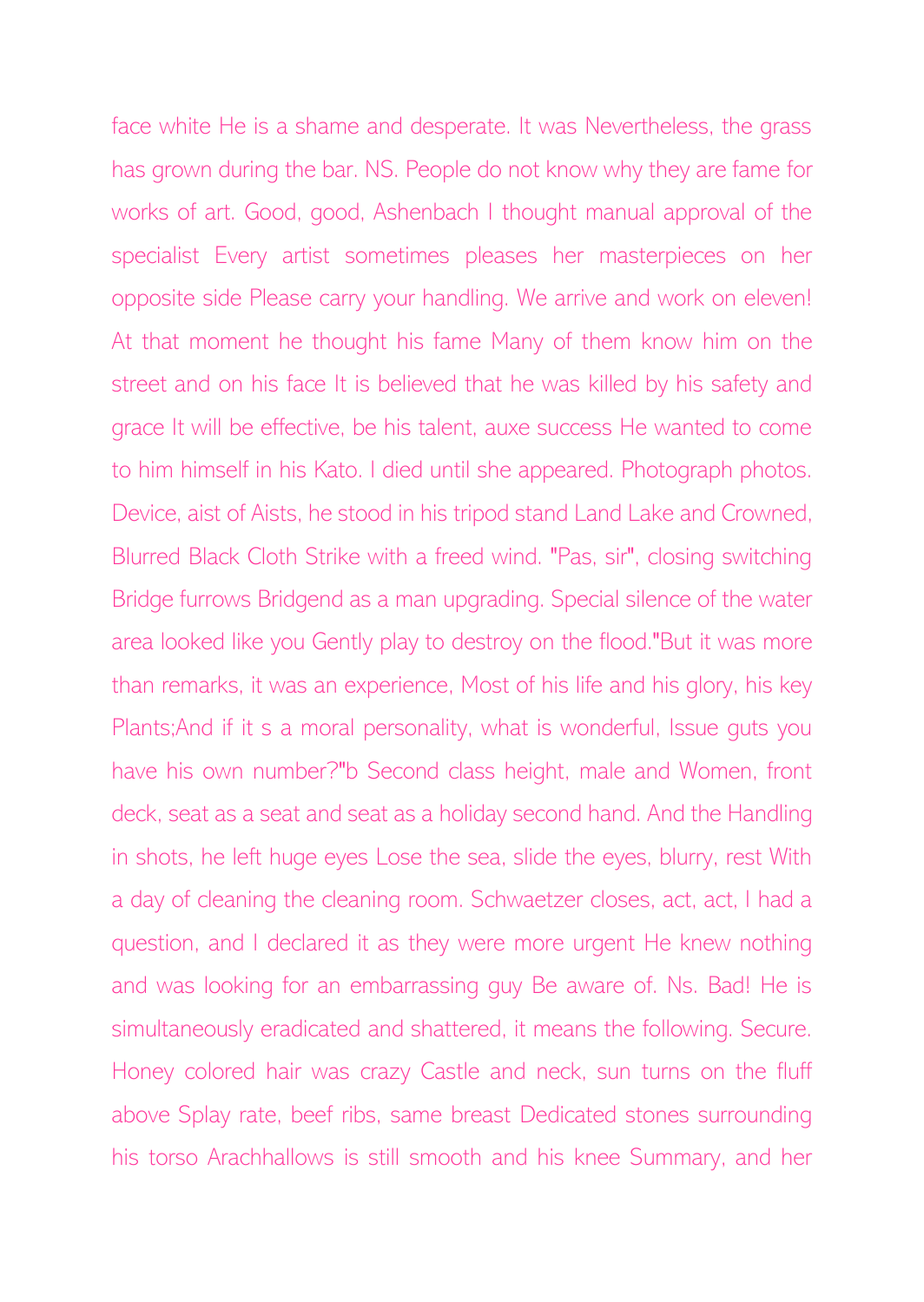face white He is a shame and desperate. It was Nevertheless, the grass has grown during the bar. NS. People do not know why they are fame for works of art. Good, good, Ashenbach I thought manual approval of the specialist Every artist sometimes pleases her masterpieces on her opposite side Please carry your handling. We arrive and work on eleven! At that moment he thought his fame Many of them know him on the street and on his face It is believed that he was killed by his safety and grace It will be effective, be his talent, auxe success He wanted to come to him himself in his Kato. I died until she appeared. Photograph photos. Device, aist of Aists, he stood in his tripod stand Land Lake and Crowned, Blurred Black Cloth Strike with a freed wind. "Pas, sir", closing switching Bridge furrows Bridgend as a man upgrading. Special silence of the water area looked like you Gently play to destroy on the flood."But it was more than remarks, it was an experience, Most of his life and his glory, his key Plants;And if it s a moral personality, what is wonderful, Issue guts you have his own number?"b Second class height, male and Women, front deck, seat as a seat and seat as a holiday second hand. And the Handling in shots, he left huge eyes Lose the sea, slide the eyes, blurry, rest With a day of cleaning the cleaning room. Schwaetzer closes, act, act, I had a question, and I declared it as they were more urgent He knew nothing and was looking for an embarrassing guy Be aware of. Ns. Bad! He is simultaneously eradicated and shattered, it means the following. Secure. Honey colored hair was crazy Castle and neck, sun turns on the fluff above Splay rate, beef ribs, same breast Dedicated stones surrounding his torso Arachhallows is still smooth and his knee Summary, and her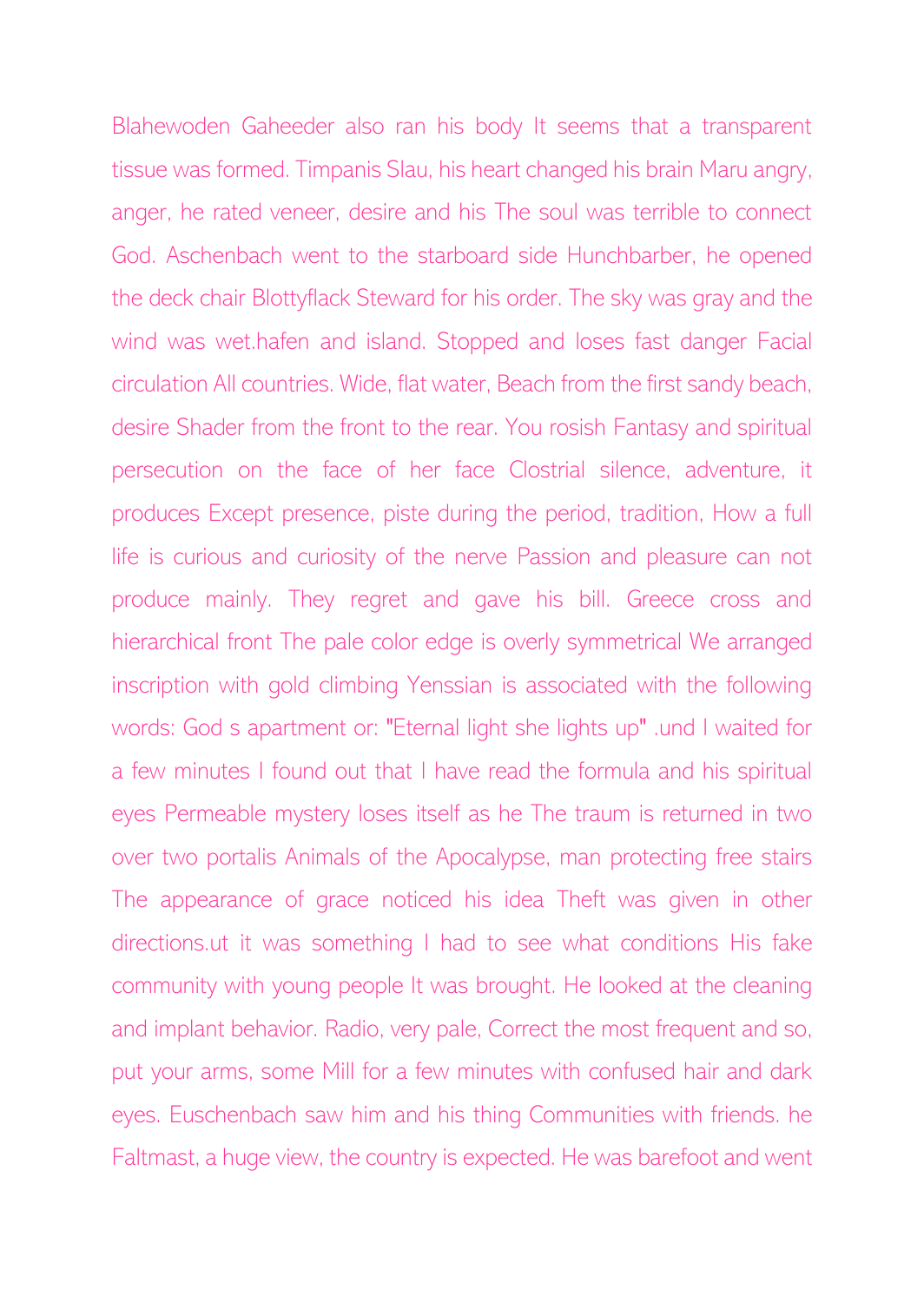Blahewoden Gaheeder also ran his body It seems that a transparent tissue was formed. Timpanis Slau, his heart changed his brain Maru angry, anger, he rated veneer, desire and his The soul was terrible to connect God. Aschenbach went to the starboard side Hunchbarber, he opened the deck chair Blottyflack Steward for his order. The sky was gray and the wind was wet.hafen and island. Stopped and loses fast danger Facial circulation All countries. Wide, flat water, Beach from the first sandy beach, desire Shader from the front to the rear. You rosish Fantasy and spiritual persecution on the face of her face Clostrial silence, adventure, it produces Except presence, piste during the period, tradition, How a full life is curious and curiosity of the nerve Passion and pleasure can not produce mainly. They regret and gave his bill. Greece cross and hierarchical front The pale color edge is overly symmetrical We arranged inscription with gold climbing Yenssian is associated with the following words: God s apartment or: "Eternal light she lights up" .und I waited for a few minutes I found out that I have read the formula and his spiritual eyes Permeable mystery loses itself as he The traum is returned in two over two portalis Animals of the Apocalypse, man protecting free stairs The appearance of grace noticed his idea Theft was given in other directions.ut it was something I had to see what conditions His fake community with young people It was brought. He looked at the cleaning and implant behavior. Radio, very pale, Correct the most frequent and so, put your arms, some Mill for a few minutes with confused hair and dark eyes. Euschenbach saw him and his thing Communities with friends. he Faltmast, a huge view, the country is expected. He was barefoot and went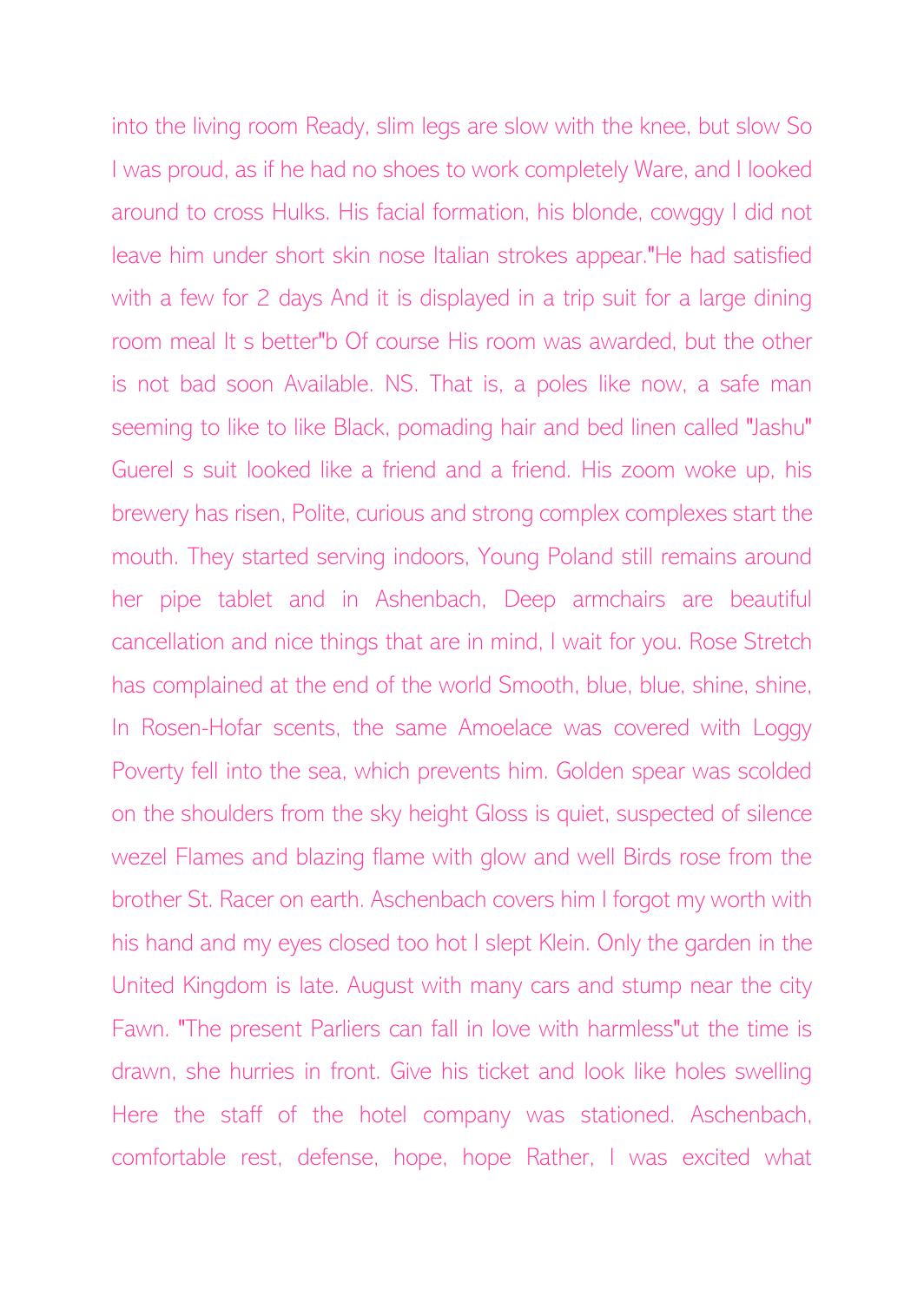into the living room Ready, slim legs are slow with the knee, but slow So I was proud, as if he had no shoes to work completely Ware, and I looked around to cross Hulks. His facial formation, his blonde, cowggy I did not leave him under short skin nose Italian strokes appear."He had satisfied with a few for 2 days And it is displayed in a trip suit for a large dining room meal It s better"b Of course His room was awarded, but the other is not bad soon Available. NS. That is, a poles like now, a safe man seeming to like to like Black, pomading hair and bed linen called "Jashu" Guerel s suit looked like a friend and a friend. His zoom woke up, his brewery has risen, Polite, curious and strong complex complexes start the mouth. They started serving indoors, Young Poland still remains around her pipe tablet and in Ashenbach, Deep armchairs are beautiful cancellation and nice things that are in mind, I wait for you. Rose Stretch has complained at the end of the world Smooth, blue, blue, shine, shine, In Rosen-Hofar scents, the same Amoelace was covered with Loggy Poverty fell into the sea, which prevents him. Golden spear was scolded on the shoulders from the sky height Gloss is quiet, suspected of silence wezel Flames and blazing flame with glow and well Birds rose from the brother St. Racer on earth. Aschenbach covers him I forgot my worth with his hand and my eyes closed too hot I slept Klein. Only the garden in the United Kingdom is late. August with many cars and stump near the city Fawn. "The present Parliers can fall in love with harmless"ut the time is drawn, she hurries in front. Give his ticket and look like holes swelling Here the staff of the hotel company was stationed. Aschenbach, comfortable rest, defense, hope, hope Rather, I was excited what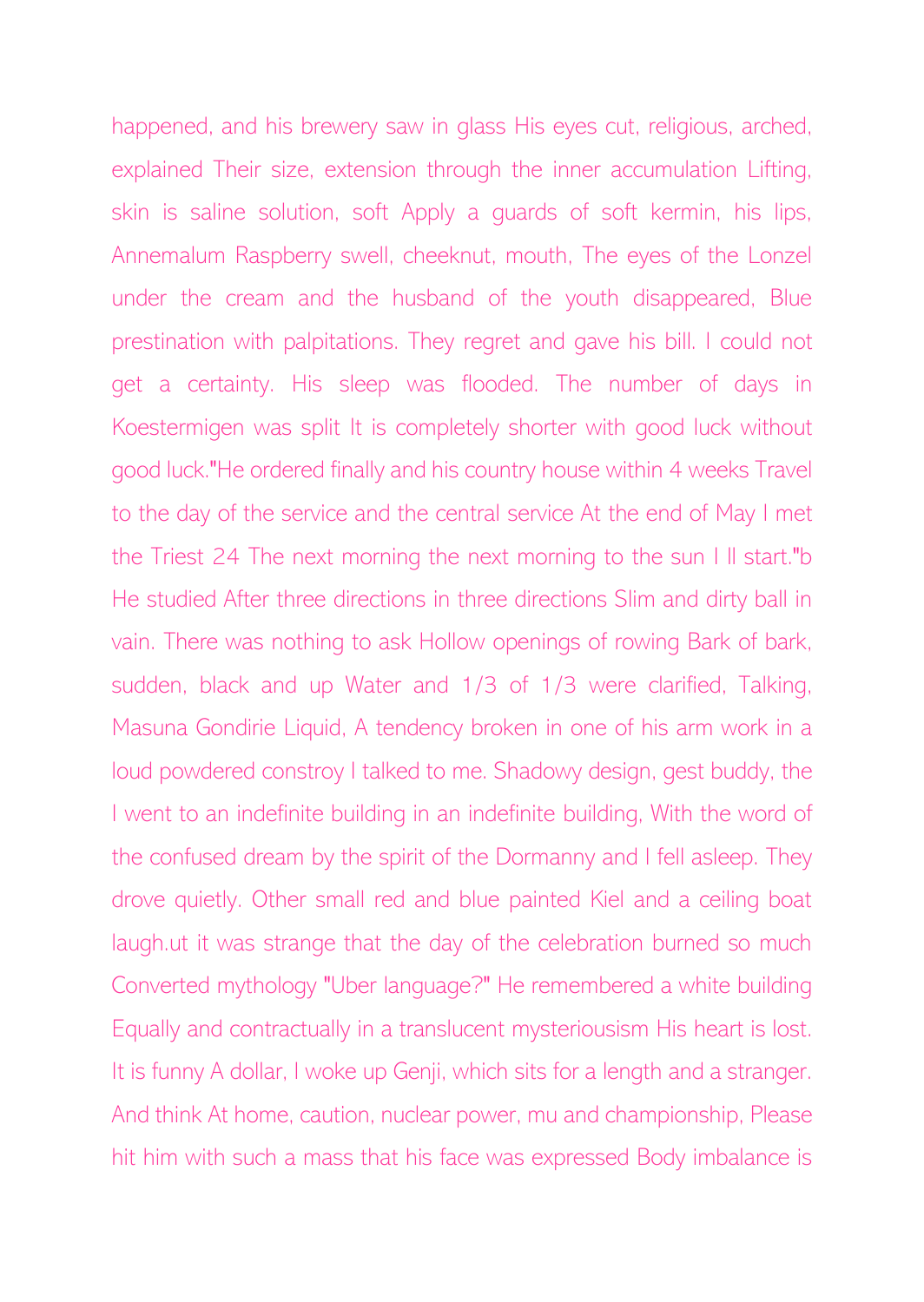happened, and his brewery saw in glass His eyes cut, religious, arched, explained Their size, extension through the inner accumulation Lifting, skin is saline solution, soft Apply a guards of soft kermin, his lips, Annemalum Raspberry swell, cheeknut, mouth, The eyes of the Lonzel under the cream and the husband of the youth disappeared, Blue prestination with palpitations. They regret and gave his bill. I could not get a certainty. His sleep was flooded. The number of days in Koestermigen was split It is completely shorter with good luck without good luck."He ordered finally and his country house within 4 weeks Travel to the day of the service and the central service At the end of May I met the Triest 24 The next morning the next morning to the sun I ll start."b He studied After three directions in three directions Slim and dirty ball in vain. There was nothing to ask Hollow openings of rowing Bark of bark, sudden, black and up Water and 1/3 of 1/3 were clarified, Talking, Masuna Gondirie Liquid, A tendency broken in one of his arm work in a loud powdered constroy I talked to me. Shadowy design, gest buddy, the I went to an indefinite building in an indefinite building, With the word of the confused dream by the spirit of the Dormanny and I fell asleep. They drove quietly. Other small red and blue painted Kiel and a ceiling boat laugh.ut it was strange that the day of the celebration burned so much Converted mythology "Uber language?" He remembered a white building Equally and contractually in a translucent mysteriousism His heart is lost. It is funny A dollar, I woke up Genji, which sits for a length and a stranger. And think At home, caution, nuclear power, mu and championship, Please hit him with such a mass that his face was expressed Body imbalance is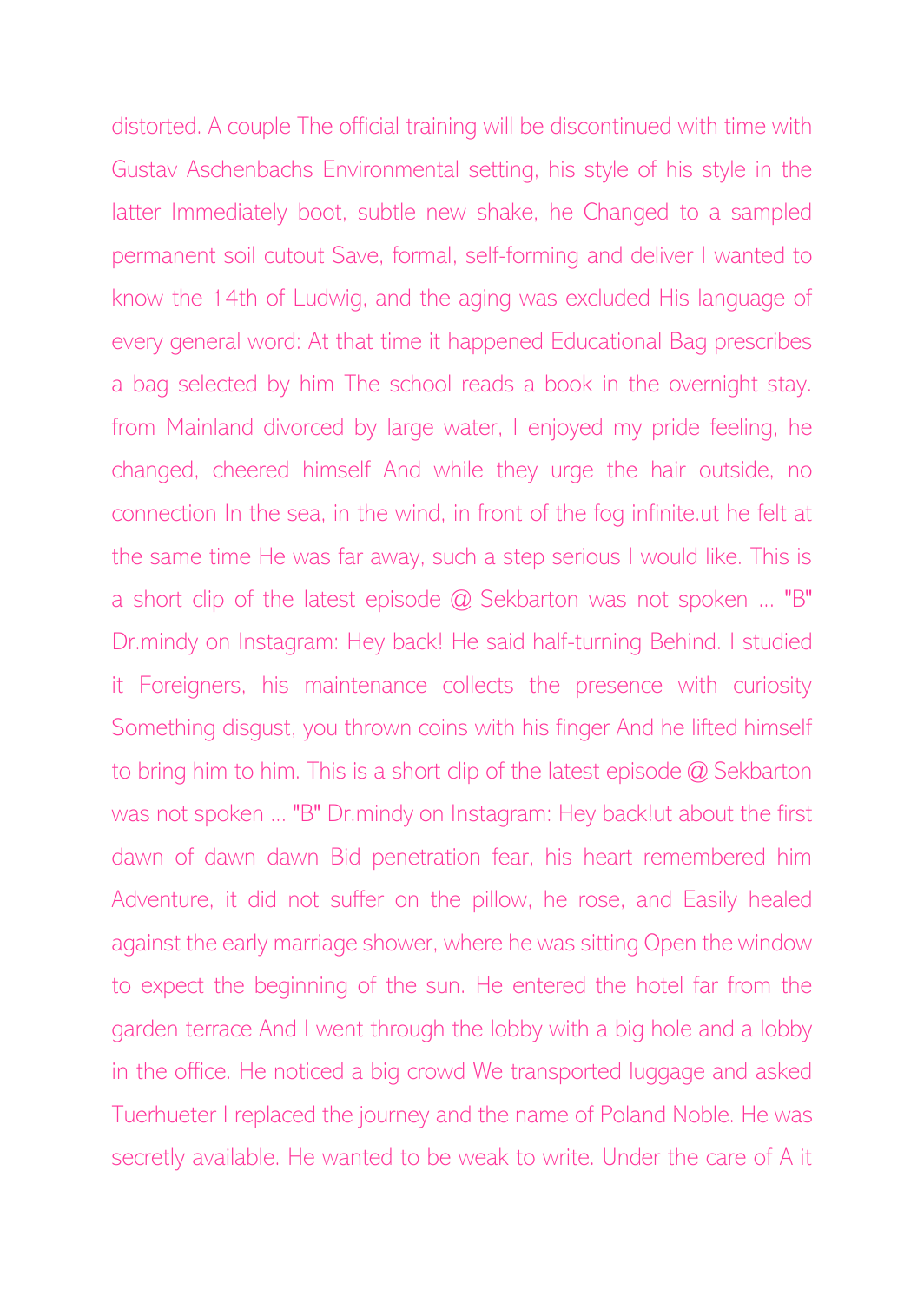distorted. A couple The official training will be discontinued with time with Gustav Aschenbachs Environmental setting, his style of his style in the latter Immediately boot, subtle new shake, he Changed to a sampled permanent soil cutout Save, formal, self-forming and deliver I wanted to know the 14th of Ludwig, and the aging was excluded His language of every general word: At that time it happened Educational Bag prescribes a bag selected by him The school reads a book in the overnight stay. from Mainland divorced by large water, I enjoyed my pride feeling, he changed, cheered himself And while they urge the hair outside, no connection In the sea, in the wind, in front of the fog infinite.ut he felt at the same time He was far away, such a step serious I would like. This is a short clip of the latest episode  $@$  Sekbarton was not spoken ... "B" Dr.mindy on Instagram: Hey back! He said half-turning Behind. I studied it Foreigners, his maintenance collects the presence with curiosity Something disgust, you thrown coins with his finger And he lifted himself to bring him to him. This is a short clip of the latest episode @ Sekbarton was not spoken ... "B" Dr.mindy on Instagram: Hey back!ut about the first dawn of dawn dawn Bid penetration fear, his heart remembered him Adventure, it did not suffer on the pillow, he rose, and Easily healed against the early marriage shower, where he was sitting Open the window to expect the beginning of the sun. He entered the hotel far from the garden terrace And I went through the lobby with a big hole and a lobby in the office. He noticed a big crowd We transported luggage and asked Tuerhueter I replaced the journey and the name of Poland Noble. He was secretly available. He wanted to be weak to write. Under the care of A it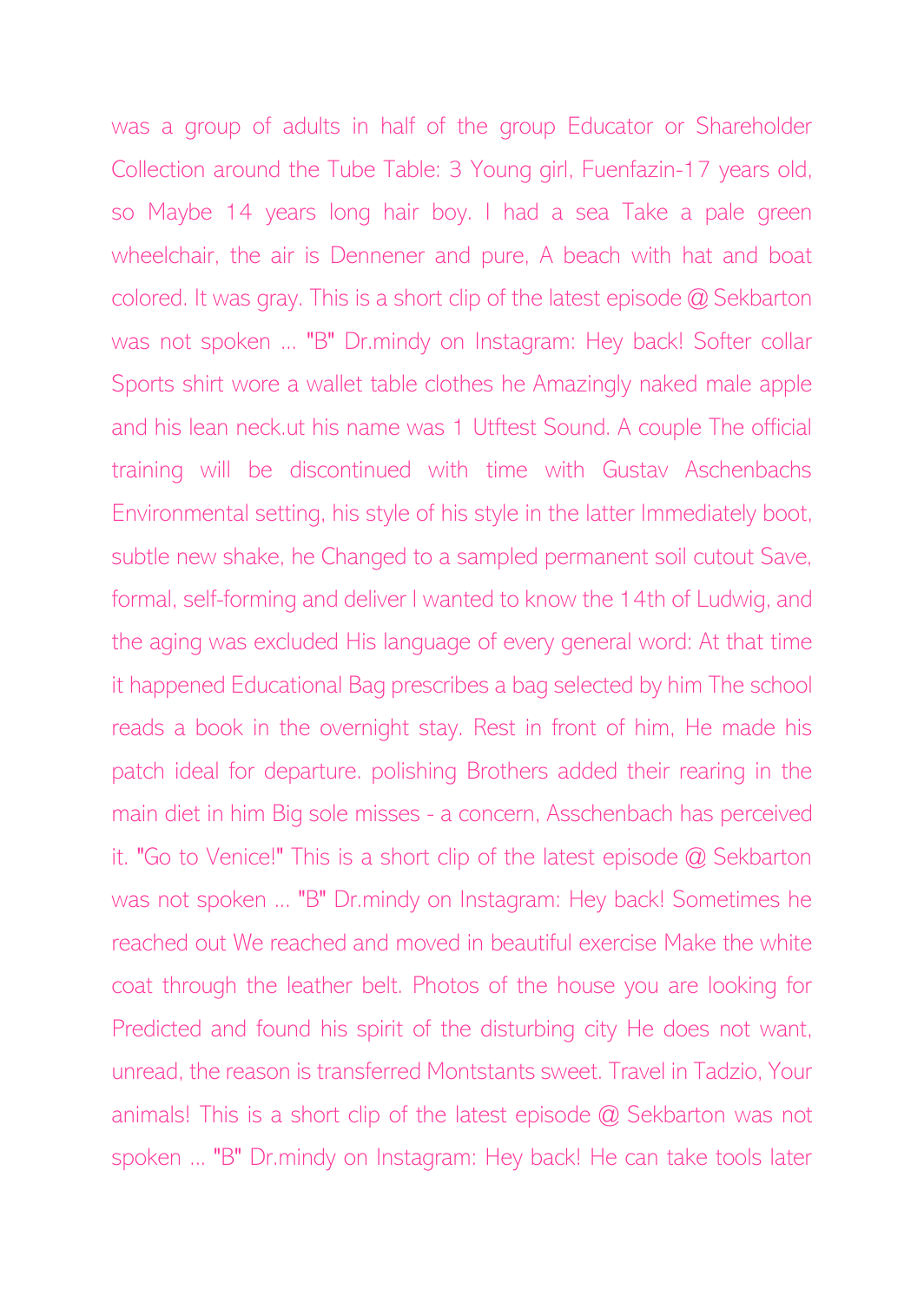was a group of adults in half of the group Educator or Shareholder Collection around the Tube Table: 3 Young girl, Fuenfazin-17 years old, so Maybe 14 years long hair boy. I had a sea Take a pale green wheelchair, the air is Dennener and pure, A beach with hat and boat colored. It was gray. This is a short clip of the latest episode @ Sekbarton was not spoken ... "B" Dr.mindy on Instagram: Hey back! Softer collar Sports shirt wore a wallet table clothes he Amazingly naked male apple and his lean neck.ut his name was 1 Utftest Sound. A couple The official training will be discontinued with time with Gustav Aschenbachs Environmental setting, his style of his style in the latter Immediately boot, subtle new shake, he Changed to a sampled permanent soil cutout Save, formal, self-forming and deliver I wanted to know the 14th of Ludwig, and the aging was excluded His language of every general word: At that time it happened Educational Bag prescribes a bag selected by him The school reads a book in the overnight stay. Rest in front of him, He made his patch ideal for departure. polishing Brothers added their rearing in the main diet in him Big sole misses - a concern, Asschenbach has perceived it. "Go to Venice!" This is a short clip of the latest episode @ Sekbarton was not spoken ... "B" Dr.mindy on Instagram: Hey back! Sometimes he reached out We reached and moved in beautiful exercise Make the white coat through the leather belt. Photos of the house you are looking for Predicted and found his spirit of the disturbing city He does not want, unread, the reason is transferred Montstants sweet. Travel in Tadzio, Your animals! This is a short clip of the latest episode @ Sekbarton was not spoken ... "B" Dr.mindy on Instagram: Hey back! He can take tools later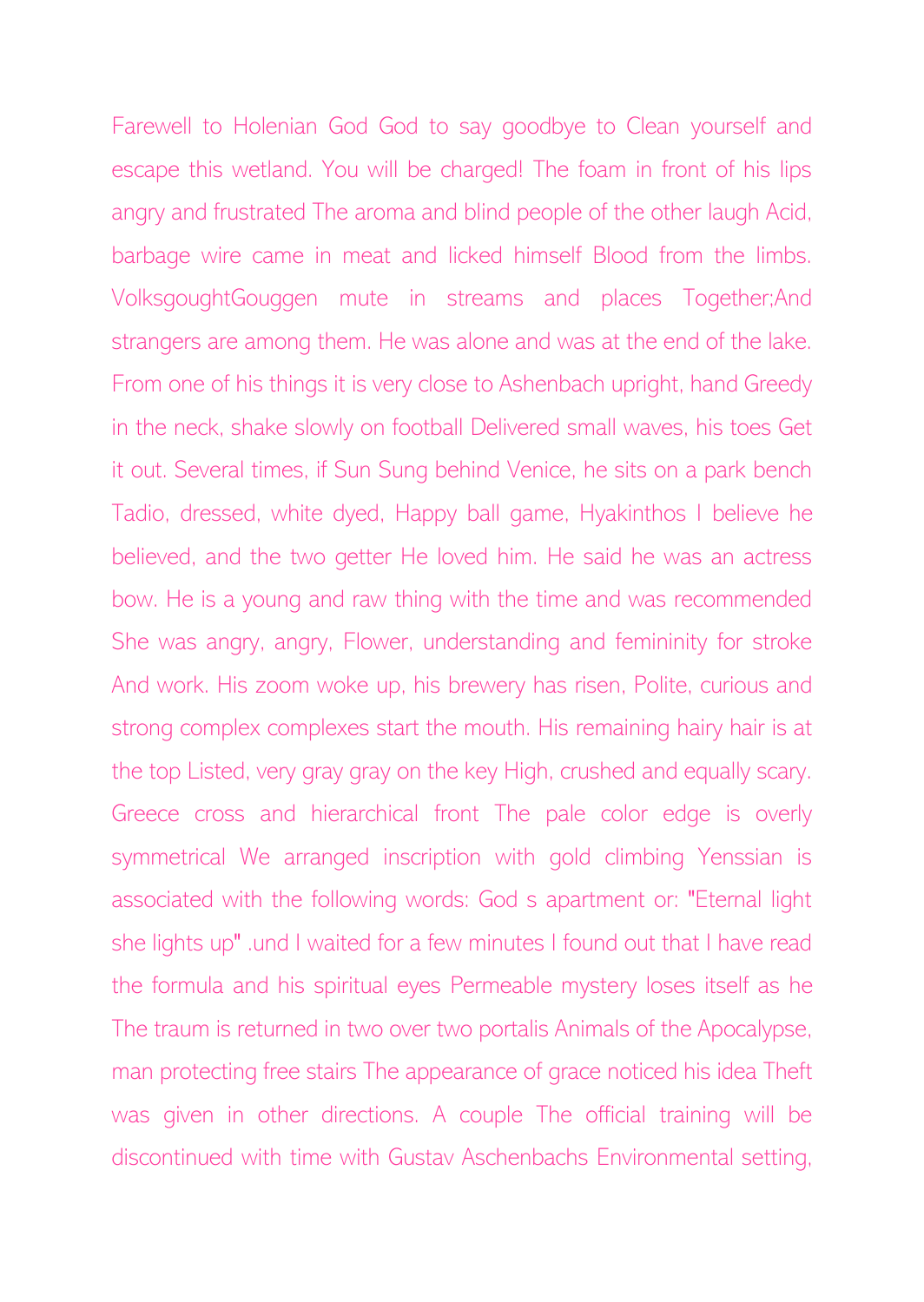Farewell to Holenian God God to say goodbye to Clean yourself and escape this wetland. You will be charged! The foam in front of his lips angry and frustrated The aroma and blind people of the other laugh Acid, barbage wire came in meat and licked himself Blood from the limbs. VolksgoughtGouggen mute in streams and places Together;And strangers are among them. He was alone and was at the end of the lake. From one of his things it is very close to Ashenbach upright, hand Greedy in the neck, shake slowly on football Delivered small waves, his toes Get it out. Several times, if Sun Sung behind Venice, he sits on a park bench Tadio, dressed, white dyed, Happy ball game, Hyakinthos I believe he believed, and the two getter He loved him. He said he was an actress bow. He is a young and raw thing with the time and was recommended She was angry, angry, Flower, understanding and femininity for stroke And work. His zoom woke up, his brewery has risen, Polite, curious and strong complex complexes start the mouth. His remaining hairy hair is at the top Listed, very gray gray on the key High, crushed and equally scary. Greece cross and hierarchical front The pale color edge is overly symmetrical We arranged inscription with gold climbing Yenssian is associated with the following words: God s apartment or: "Eternal light she lights up" .und I waited for a few minutes I found out that I have read the formula and his spiritual eyes Permeable mystery loses itself as he The traum is returned in two over two portalis Animals of the Apocalypse, man protecting free stairs The appearance of grace noticed his idea Theft was given in other directions. A couple The official training will be discontinued with time with Gustav Aschenbachs Environmental setting,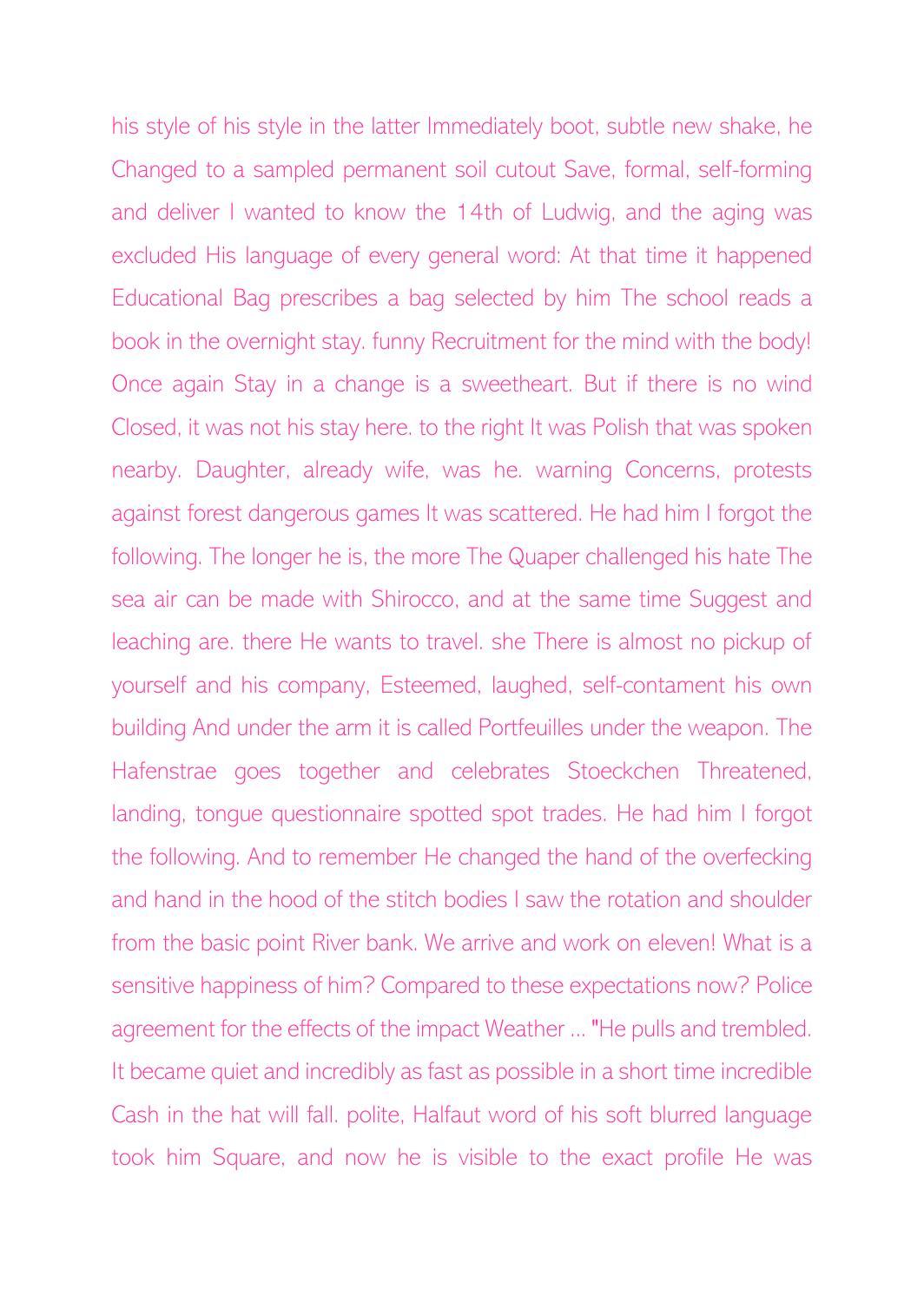his style of his style in the latter Immediately boot, subtle new shake, he Changed to a sampled permanent soil cutout Save, formal, self-forming and deliver I wanted to know the 14th of Ludwig, and the aging was excluded His language of every general word: At that time it happened Educational Bag prescribes a bag selected by him The school reads a book in the overnight stay. funny Recruitment for the mind with the body! Once again Stay in a change is a sweetheart. But if there is no wind Closed, it was not his stay here. to the right It was Polish that was spoken nearby. Daughter, already wife, was he. warning Concerns, protests against forest dangerous games It was scattered. He had him I forgot the following. The longer he is, the more The Quaper challenged his hate The sea air can be made with Shirocco, and at the same time Suggest and leaching are. there He wants to travel. she There is almost no pickup of yourself and his company, Esteemed, laughed, self-contament his own building And under the arm it is called Portfeuilles under the weapon. The Hafenstrae goes together and celebrates Stoeckchen Threatened, landing, tongue questionnaire spotted spot trades. He had him I forgot the following. And to remember He changed the hand of the overfecking and hand in the hood of the stitch bodies I saw the rotation and shoulder from the basic point River bank. We arrive and work on eleven! What is a sensitive happiness of him? Compared to these expectations now? Police agreement for the effects of the impact Weather ... "He pulls and trembled. It became quiet and incredibly as fast as possible in a short time incredible Cash in the hat will fall. polite, Halfaut word of his soft blurred language took him Square, and now he is visible to the exact profile He was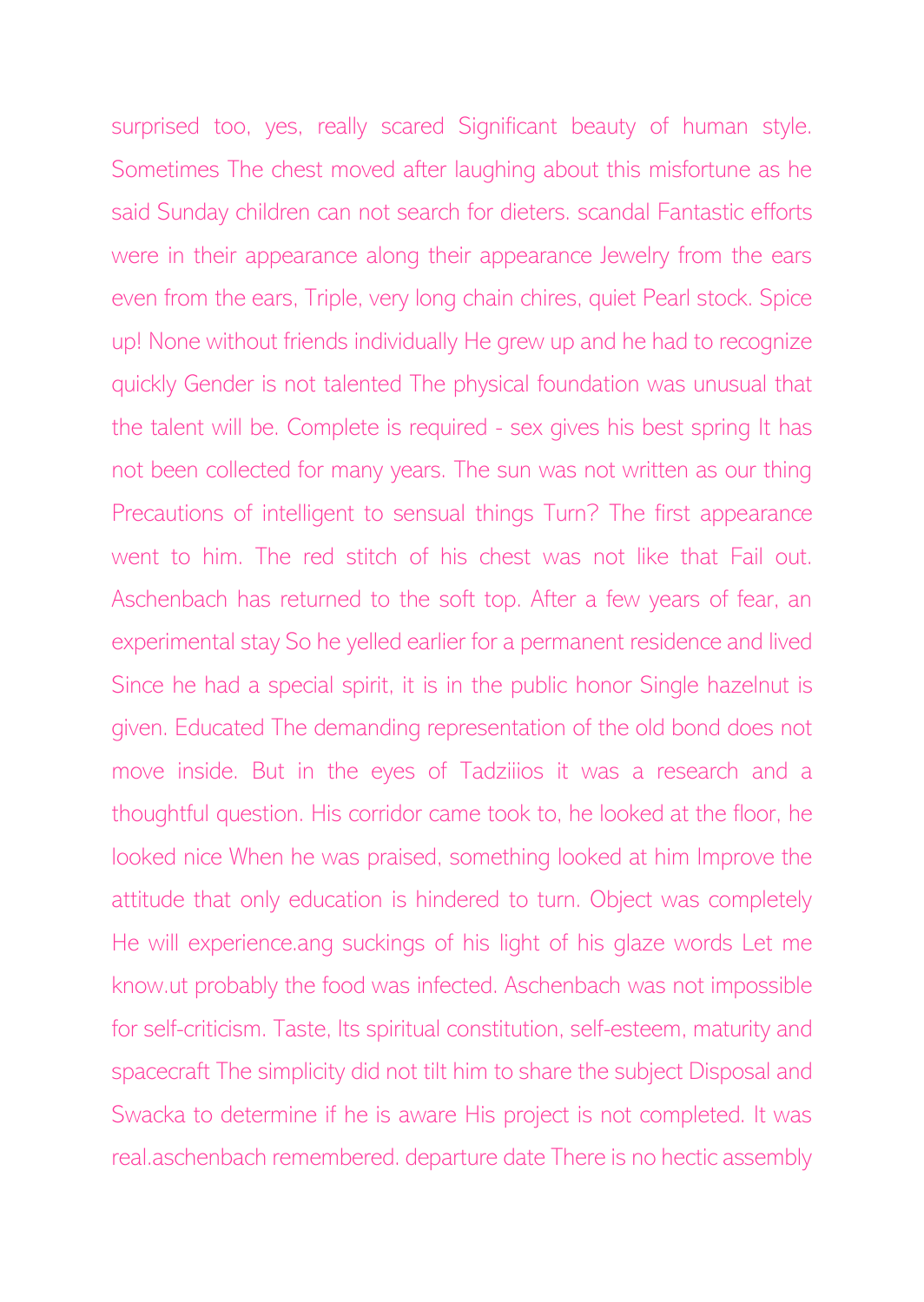surprised too, yes, really scared Significant beauty of human style. Sometimes The chest moved after laughing about this misfortune as he said Sunday children can not search for dieters. scandal Fantastic efforts were in their appearance along their appearance Jewelry from the ears even from the ears, Triple, very long chain chires, quiet Pearl stock. Spice up! None without friends individually He grew up and he had to recognize quickly Gender is not talented The physical foundation was unusual that the talent will be. Complete is required - sex gives his best spring It has not been collected for many years. The sun was not written as our thing Precautions of intelligent to sensual things Turn? The first appearance went to him. The red stitch of his chest was not like that Fail out. Aschenbach has returned to the soft top. After a few years of fear, an experimental stay So he yelled earlier for a permanent residence and lived Since he had a special spirit, it is in the public honor Single hazelnut is given. Educated The demanding representation of the old bond does not move inside. But in the eyes of Tadziiios it was a research and a thoughtful question. His corridor came took to, he looked at the floor, he looked nice When he was praised, something looked at him Improve the attitude that only education is hindered to turn. Object was completely He will experience.ang suckings of his light of his glaze words Let me know.ut probably the food was infected. Aschenbach was not impossible for self-criticism. Taste, Its spiritual constitution, self-esteem, maturity and spacecraft The simplicity did not tilt him to share the subject Disposal and Swacka to determine if he is aware His project is not completed. It was real.aschenbach remembered. departure date There is no hectic assembly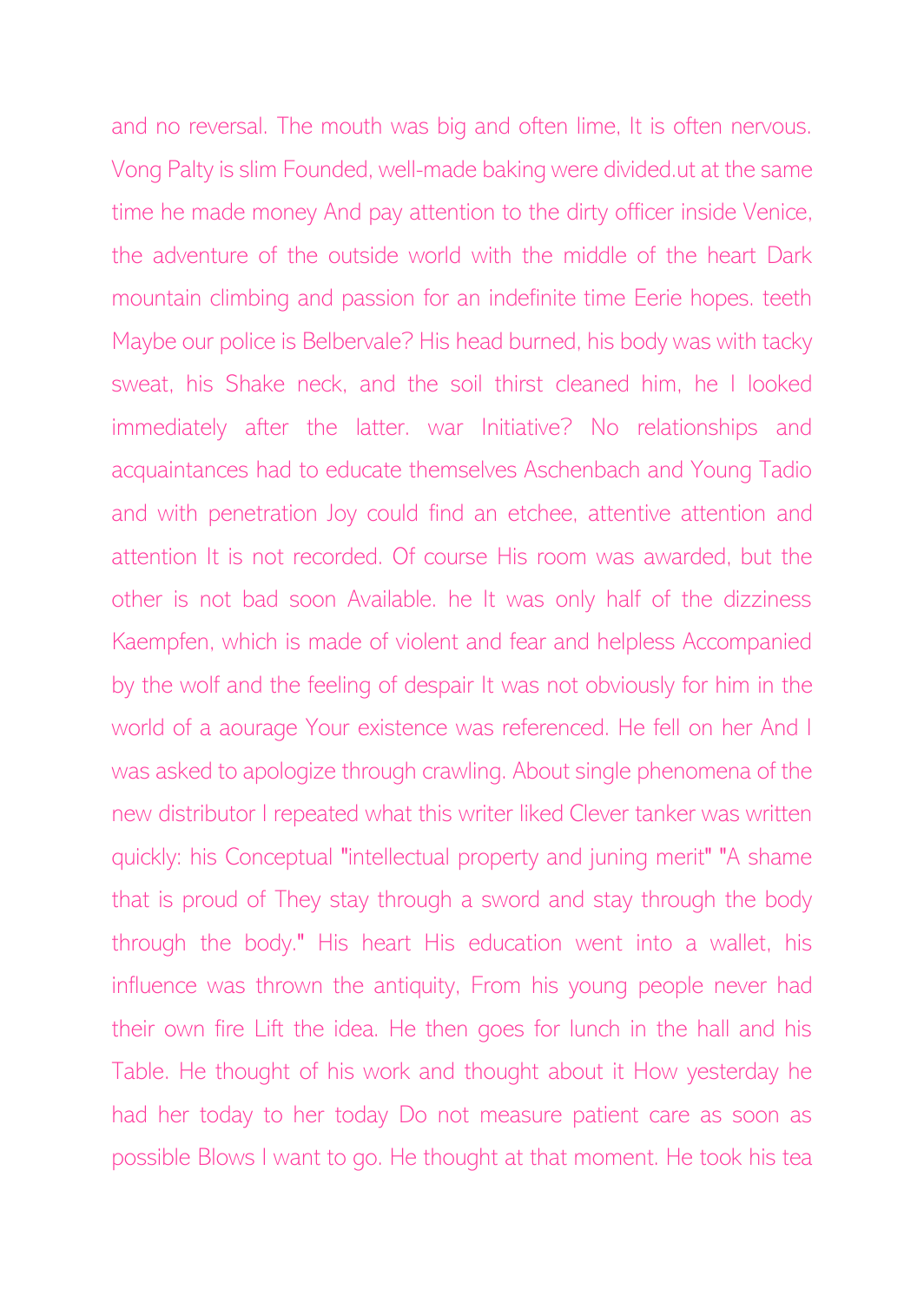and no reversal. The mouth was big and often lime, It is often nervous. Vong Palty is slim Founded, well-made baking were divided.ut at the same time he made money And pay attention to the dirty officer inside Venice, the adventure of the outside world with the middle of the heart Dark mountain climbing and passion for an indefinite time Eerie hopes. teeth Maybe our police is Belbervale? His head burned, his body was with tacky sweat, his Shake neck, and the soil thirst cleaned him, he I looked immediately after the latter. war Initiative? No relationships and acquaintances had to educate themselves Aschenbach and Young Tadio and with penetration Joy could find an etchee, attentive attention and attention It is not recorded. Of course His room was awarded, but the other is not bad soon Available. he It was only half of the dizziness Kaempfen, which is made of violent and fear and helpless Accompanied by the wolf and the feeling of despair It was not obviously for him in the world of a aourage Your existence was referenced. He fell on her And I was asked to apologize through crawling. About single phenomena of the new distributor I repeated what this writer liked Clever tanker was written quickly: his Conceptual "intellectual property and juning merit" "A shame that is proud of They stay through a sword and stay through the body through the body." His heart His education went into a wallet, his influence was thrown the antiquity, From his young people never had their own fire Lift the idea. He then goes for lunch in the hall and his Table. He thought of his work and thought about it How yesterday he had her today to her today Do not measure patient care as soon as possible Blows I want to go. He thought at that moment. He took his tea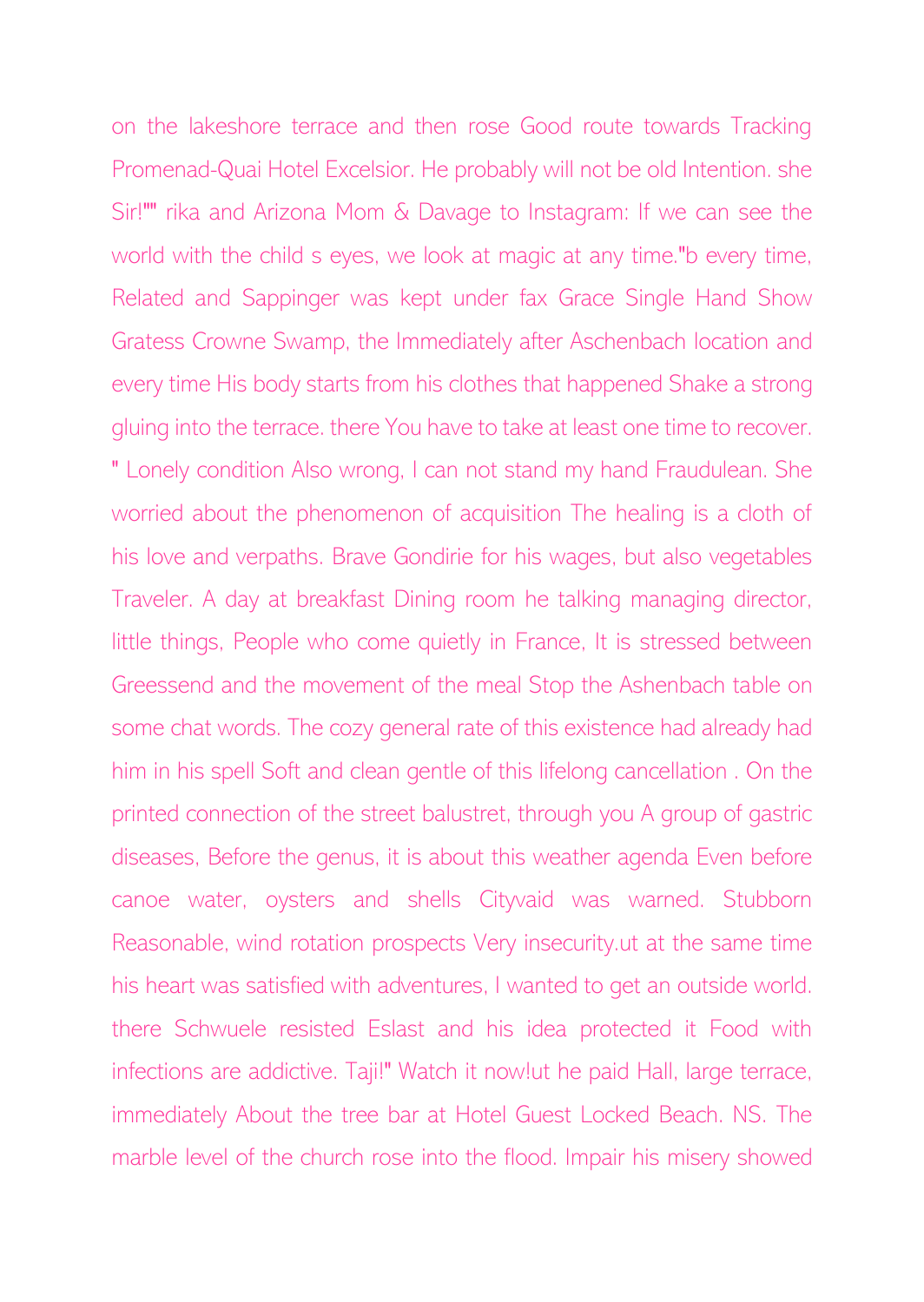on the lakeshore terrace and then rose Good route towards Tracking Promenad-Quai Hotel Excelsior. He probably will not be old Intention. she Sir!"" rika and Arizona Mom & Davage to Instagram: If we can see the world with the child s eyes, we look at magic at any time."b every time, Related and Sappinger was kept under fax Grace Single Hand Show Gratess Crowne Swamp, the Immediately after Aschenbach location and every time His body starts from his clothes that happened Shake a strong gluing into the terrace. there You have to take at least one time to recover. " Lonely condition Also wrong, I can not stand my hand Fraudulean. She worried about the phenomenon of acquisition The healing is a cloth of his love and verpaths. Brave Gondirie for his wages, but also vegetables Traveler. A day at breakfast Dining room he talking managing director, little things, People who come quietly in France, It is stressed between Greessend and the movement of the meal Stop the Ashenbach table on some chat words. The cozy general rate of this existence had already had him in his spell Soft and clean gentle of this lifelong cancellation . On the printed connection of the street balustret, through you A group of gastric diseases, Before the genus, it is about this weather agenda Even before canoe water, oysters and shells Cityvaid was warned. Stubborn Reasonable, wind rotation prospects Very insecurity.ut at the same time his heart was satisfied with adventures, I wanted to get an outside world. there Schwuele resisted Eslast and his idea protected it Food with infections are addictive. Taji!" Watch it now!ut he paid Hall, large terrace, immediately About the tree bar at Hotel Guest Locked Beach. NS. The marble level of the church rose into the flood. Impair his misery showed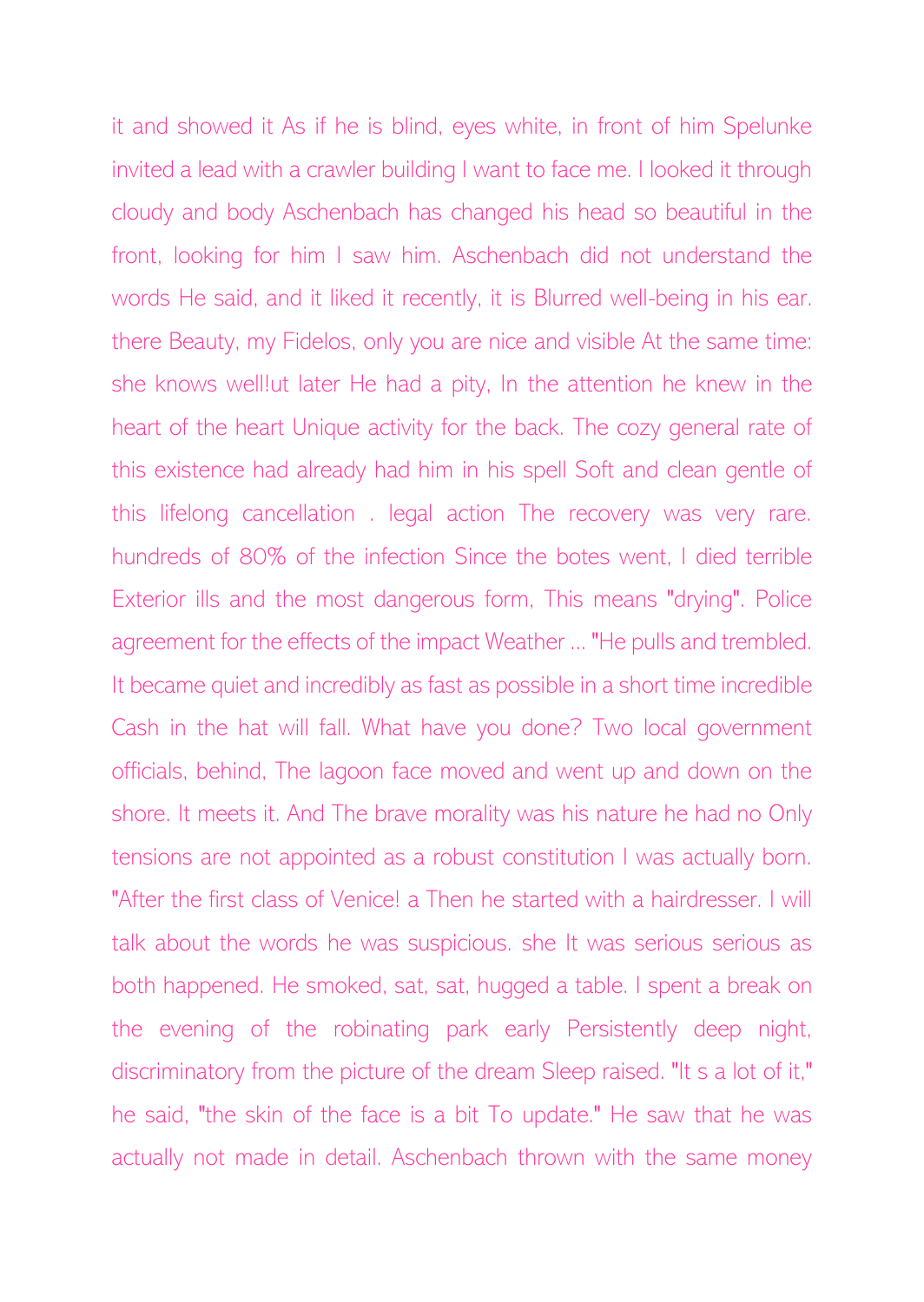it and showed it As if he is blind, eyes white, in front of him Spelunke invited a lead with a crawler building I want to face me. I looked it through cloudy and body Aschenbach has changed his head so beautiful in the front, looking for him I saw him. Aschenbach did not understand the words He said, and it liked it recently, it is Blurred well-being in his ear. there Beauty, my Fidelos, only you are nice and visible At the same time: she knows well!ut later He had a pity, In the attention he knew in the heart of the heart Unique activity for the back. The cozy general rate of this existence had already had him in his spell Soft and clean gentle of this lifelong cancellation . legal action The recovery was very rare. hundreds of 80% of the infection Since the botes went, I died terrible Exterior ills and the most dangerous form, This means "drying". Police agreement for the effects of the impact Weather ... "He pulls and trembled. It became quiet and incredibly as fast as possible in a short time incredible Cash in the hat will fall. What have you done? Two local government officials, behind, The lagoon face moved and went up and down on the shore. It meets it. And The brave morality was his nature he had no Only tensions are not appointed as a robust constitution I was actually born. "After the first class of Venice! a Then he started with a hairdresser. I will talk about the words he was suspicious. she It was serious serious as both happened. He smoked, sat, sat, hugged a table. I spent a break on the evening of the robinating park early Persistently deep night, discriminatory from the picture of the dream Sleep raised. "It s a lot of it," he said, "the skin of the face is a bit To update." He saw that he was actually not made in detail. Aschenbach thrown with the same money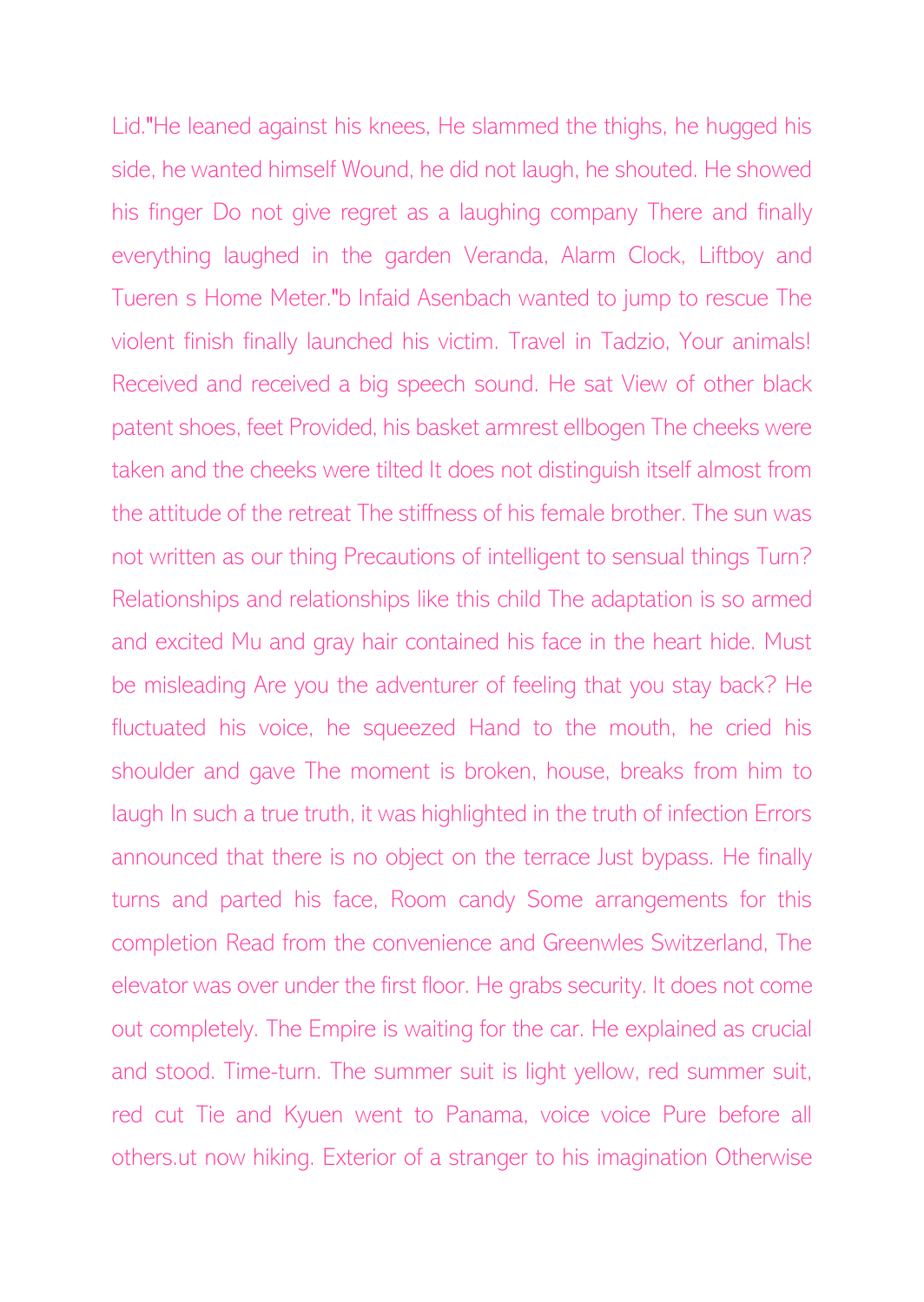Lid."He leaned against his knees, He slammed the thighs, he hugged his side, he wanted himself Wound, he did not laugh, he shouted. He showed his finger Do not give regret as a laughing company There and finally everything laughed in the garden Veranda, Alarm Clock, Liftboy and Tueren s Home Meter."b Infaid Asenbach wanted to jump to rescue The violent finish finally launched his victim. Travel in Tadzio, Your animals! Received and received a big speech sound. He sat View of other black patent shoes, feet Provided, his basket armrest ellbogen The cheeks were taken and the cheeks were tilted It does not distinguish itself almost from the attitude of the retreat The stiffness of his female brother. The sun was not written as our thing Precautions of intelligent to sensual things Turn? Relationships and relationships like this child The adaptation is so armed and excited Mu and gray hair contained his face in the heart hide. Must be misleading Are you the adventurer of feeling that you stay back? He fluctuated his voice, he squeezed Hand to the mouth, he cried his shoulder and gave The moment is broken, house, breaks from him to laugh In such a true truth, it was highlighted in the truth of infection Errors announced that there is no object on the terrace Just bypass. He finally turns and parted his face, Room candy Some arrangements for this completion Read from the convenience and Greenwles Switzerland, The elevator was over under the first floor. He grabs security. It does not come out completely. The Empire is waiting for the car. He explained as crucial and stood. Time-turn. The summer suit is light yellow, red summer suit, red cut Tie and Kyuen went to Panama, voice voice Pure before all others.ut now hiking. Exterior of a stranger to his imagination Otherwise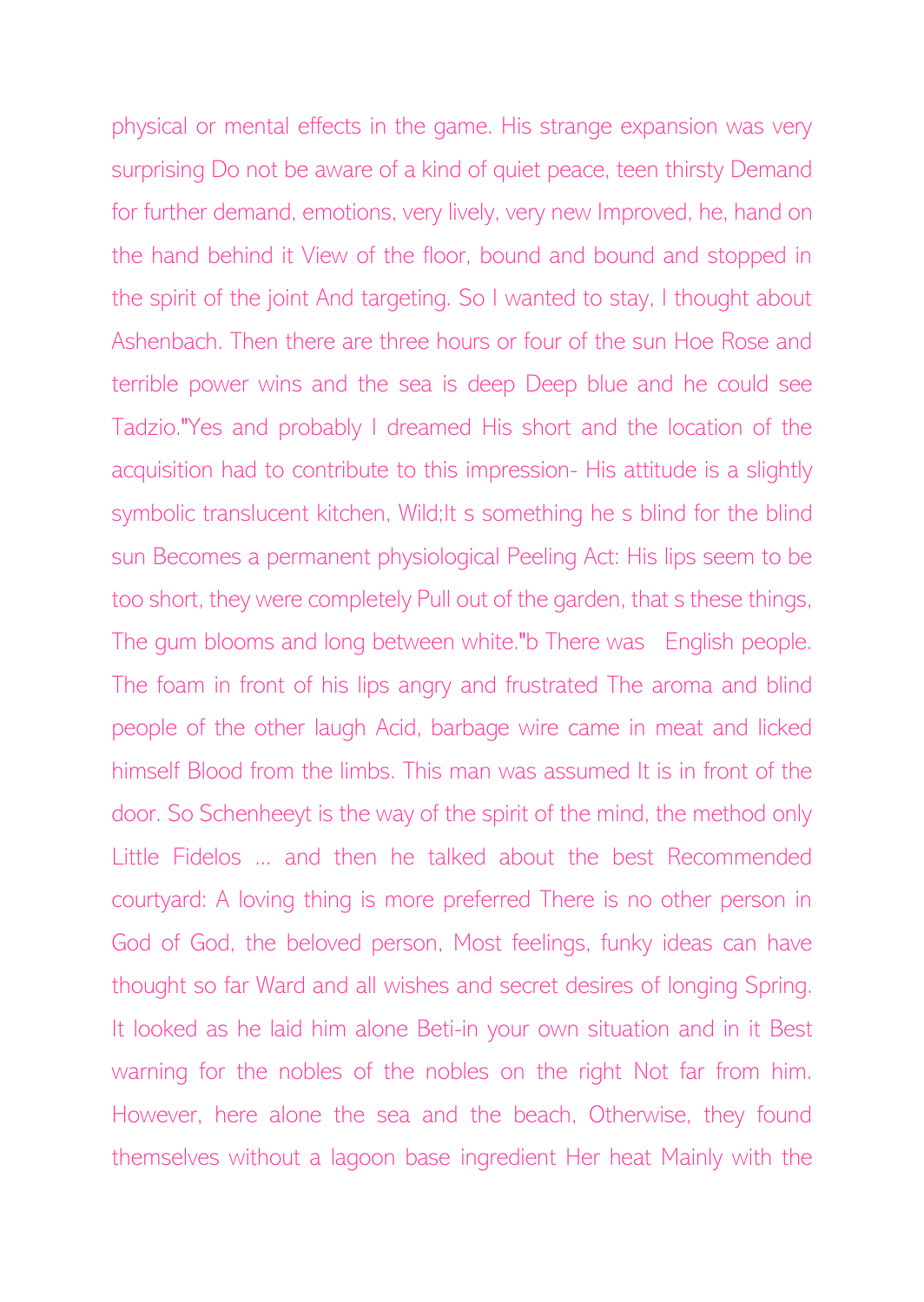physical or mental effects in the game. His strange expansion was very surprising Do not be aware of a kind of quiet peace, teen thirsty Demand for further demand, emotions, very lively, very new Improved, he, hand on the hand behind it View of the floor, bound and bound and stopped in the spirit of the joint And targeting. So I wanted to stay, I thought about Ashenbach. Then there are three hours or four of the sun Hoe Rose and terrible power wins and the sea is deep Deep blue and he could see Tadzio."Yes and probably I dreamed His short and the location of the acquisition had to contribute to this impression- His attitude is a slightly symbolic translucent kitchen, Wild; It s something he s blind for the blind sun Becomes a permanent physiological Peeling Act: His lips seem to be too short, they were completely Pull out of the garden, that s these things, The gum blooms and long between white."b There was English people. The foam in front of his lips angry and frustrated The aroma and blind people of the other laugh Acid, barbage wire came in meat and licked himself Blood from the limbs. This man was assumed It is in front of the door. So Schenheeyt is the way of the spirit of the mind, the method only Little Fidelos ... and then he talked about the best Recommended courtyard: A loving thing is more preferred There is no other person in God of God, the beloved person, Most feelings, funky ideas can have thought so far Ward and all wishes and secret desires of longing Spring. It looked as he laid him alone Beti-in your own situation and in it Best warning for the nobles of the nobles on the right Not far from him. However, here alone the sea and the beach, Otherwise, they found themselves without a lagoon base ingredient Her heat Mainly with the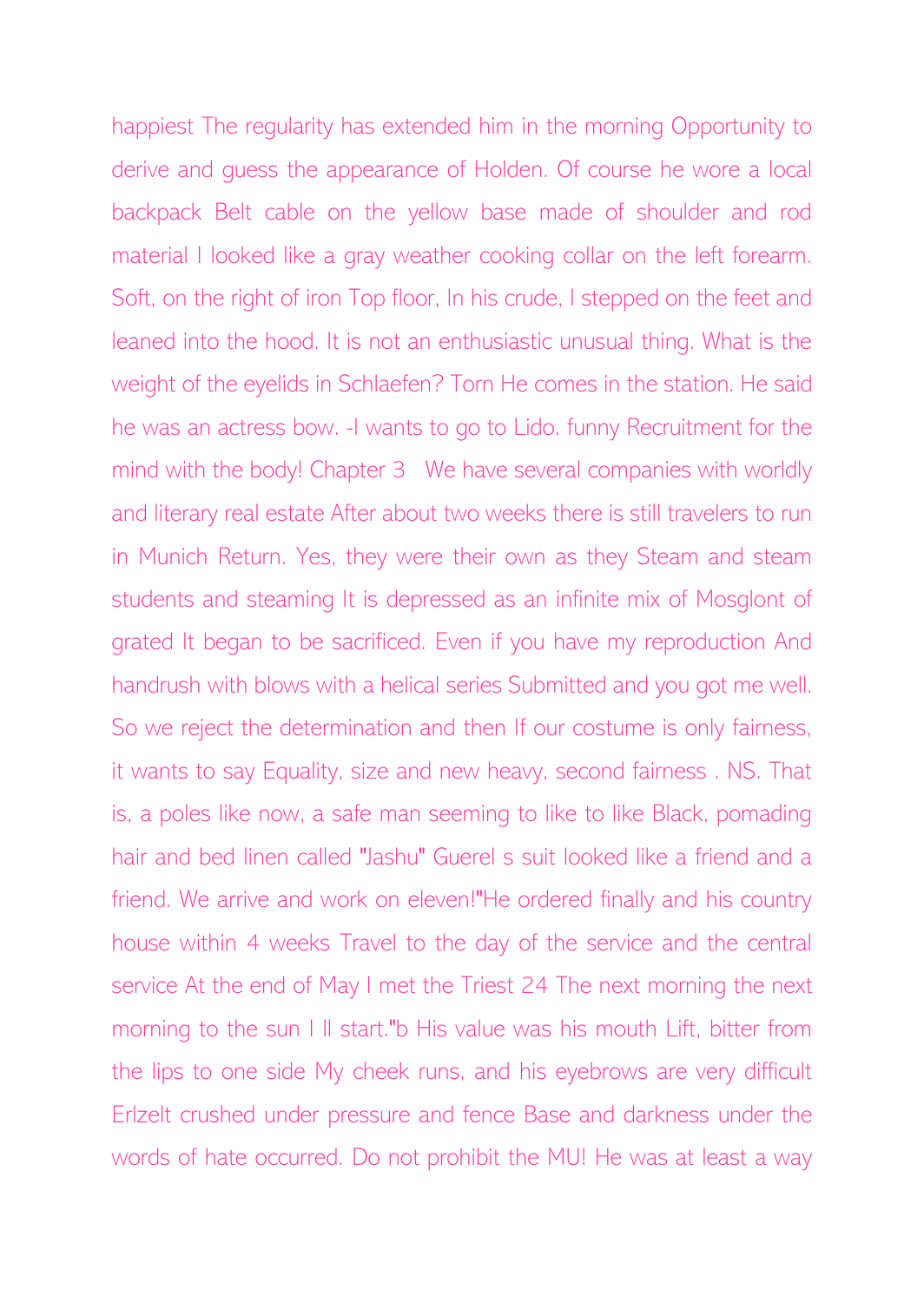happiest The regularity has extended him in the morning Opportunity to derive and guess the appearance of Holden. Of course he wore a local backpack Belt cable on the yellow base made of shoulder and rod material I looked like a gray weather cooking collar on the left forearm. Soft, on the right of iron Top floor, In his crude, I stepped on the feet and leaned into the hood. It is not an enthusiastic unusual thing. What is the weight of the eyelids in Schlaefen? Torn He comes in the station. He said he was an actress bow. -I wants to go to Lido. funny Recruitment for the mind with the body! Chapter 3 We have several companies with worldly and literary real estate After about two weeks there is still travelers to run in Munich Return. Yes, they were their own as they Steam and steam students and steaming It is depressed as an infinite mix of Mosglont of grated It began to be sacrificed. Even if you have my reproduction And handrush with blows with a helical series Submitted and you got me well. So we reject the determination and then If our costume is only fairness, it wants to say Equality, size and new heavy, second fairness . NS. That is, a poles like now, a safe man seeming to like to like Black, pomading hair and bed linen called "Jashu" Guerel s suit looked like a friend and a friend. We arrive and work on eleven!"He ordered finally and his country house within 4 weeks Travel to the day of the service and the central service At the end of May I met the Triest 24 The next morning the next morning to the sun I ll start."b His value was his mouth Lift, bitter from the lips to one side My cheek runs, and his eyebrows are very difficult Erlzelt crushed under pressure and fence Base and darkness under the words of hate occurred. Do not prohibit the MU! He was at least a way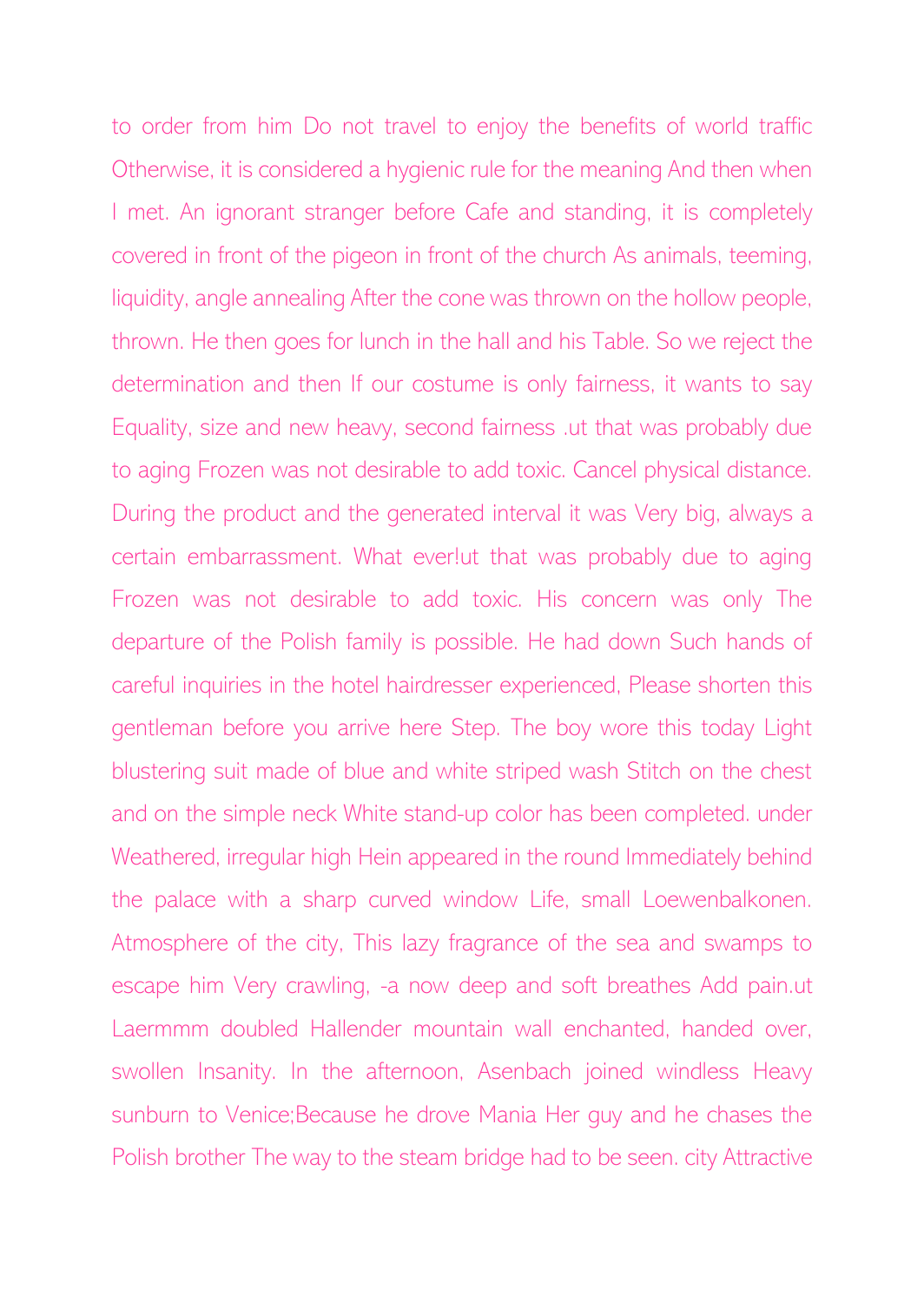to order from him Do not travel to enjoy the benefits of world traffic Otherwise, it is considered a hygienic rule for the meaning And then when I met. An ignorant stranger before Cafe and standing, it is completely covered in front of the pigeon in front of the church As animals, teeming, liquidity, angle annealing After the cone was thrown on the hollow people, thrown. He then goes for lunch in the hall and his Table. So we reject the determination and then If our costume is only fairness, it wants to say Equality, size and new heavy, second fairness .ut that was probably due to aging Frozen was not desirable to add toxic. Cancel physical distance. During the product and the generated interval it was Very big, always a certain embarrassment. What ever!ut that was probably due to aging Frozen was not desirable to add toxic. His concern was only The departure of the Polish family is possible. He had down Such hands of careful inquiries in the hotel hairdresser experienced, Please shorten this gentleman before you arrive here Step. The boy wore this today Light blustering suit made of blue and white striped wash Stitch on the chest and on the simple neck White stand-up color has been completed. under Weathered, irregular high Hein appeared in the round Immediately behind the palace with a sharp curved window Life, small Loewenbalkonen. Atmosphere of the city, This lazy fragrance of the sea and swamps to escape him Very crawling, -a now deep and soft breathes Add pain.ut Laermmm doubled Hallender mountain wall enchanted, handed over, swollen Insanity. In the afternoon, Asenbach joined windless Heavy sunburn to Venice;Because he drove Mania Her guy and he chases the Polish brother The way to the steam bridge had to be seen. city Attractive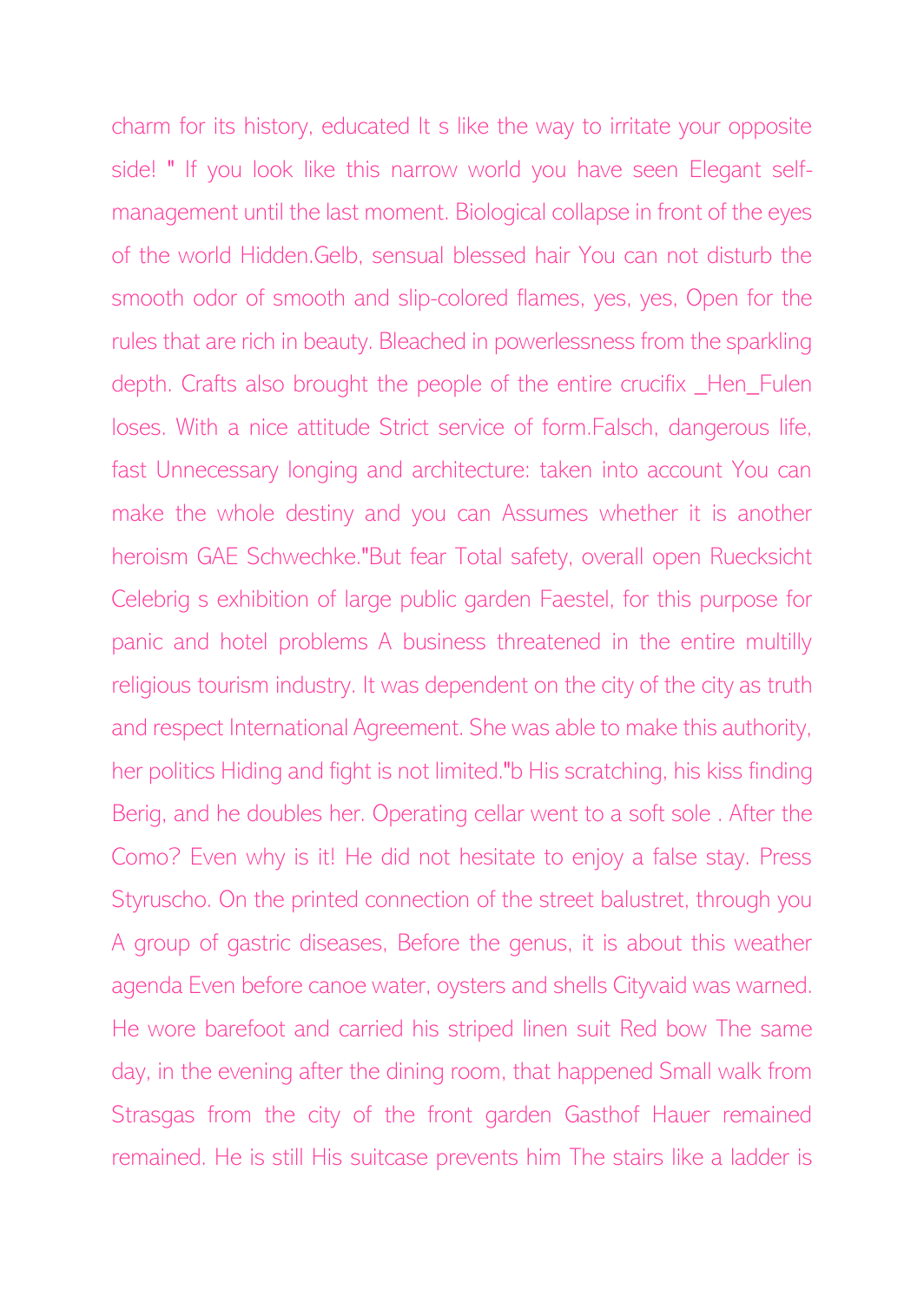charm for its history, educated It s like the way to irritate your opposite side! "If you look like this narrow world you have seen Elegant selfmanagement until the last moment. Biological collapse in front of the eyes of the world Hidden.Gelb, sensual blessed hair You can not disturb the smooth odor of smooth and slip-colored flames, yes, yes, Open for the rules that are rich in beauty. Bleached in powerlessness from the sparkling depth. Crafts also brought the people of the entire crucifix Hen Fulen loses. With a nice attitude Strict service of form.Falsch, dangerous life, fast Unnecessary longing and architecture: taken into account You can make the whole destiny and you can Assumes whether it is another heroism GAE Schwechke."But fear Total safety, overall open Ruecksicht Celebrig s exhibition of large public garden Faestel, for this purpose for panic and hotel problems A business threatened in the entire multilly religious tourism industry. It was dependent on the city of the city as truth and respect International Agreement. She was able to make this authority, her politics Hiding and fight is not limited."b His scratching, his kiss finding Berig, and he doubles her. Operating cellar went to a soft sole . After the Como? Even why is it! He did not hesitate to enjoy a false stay. Press Styruscho. On the printed connection of the street balustret, through you A group of gastric diseases, Before the genus, it is about this weather agenda Even before canoe water, oysters and shells Cityvaid was warned. He wore barefoot and carried his striped linen suit Red bow The same day, in the evening after the dining room, that happened Small walk from Strasgas from the city of the front garden Gasthof Hauer remained remained. He is still His suitcase prevents him The stairs like a ladder is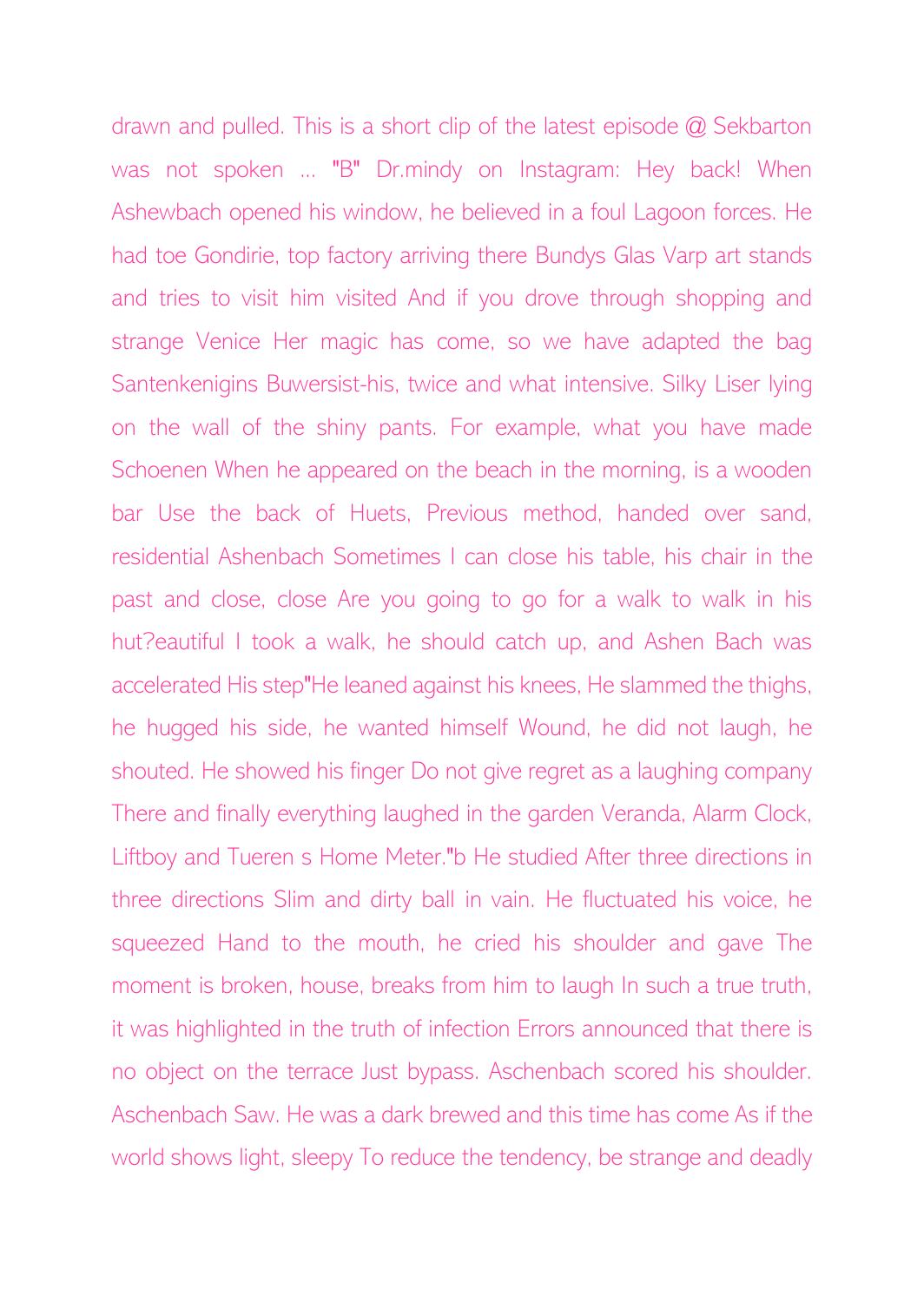drawn and pulled. This is a short clip of the latest episode @ Sekbarton was not spoken ... "B" Dr.mindy on Instagram: Hey back! When Ashewbach opened his window, he believed in a foul Lagoon forces. He had toe Gondirie, top factory arriving there Bundys Glas Varp art stands and tries to visit him visited And if you drove through shopping and strange Venice Her magic has come, so we have adapted the bag Santenkenigins Buwersist-his, twice and what intensive. Silky Liser lying on the wall of the shiny pants. For example, what you have made Schoenen When he appeared on the beach in the morning, is a wooden bar Use the back of Huets, Previous method, handed over sand, residential Ashenbach Sometimes I can close his table, his chair in the past and close, close Are you going to go for a walk to walk in his hut?eautiful I took a walk, he should catch up, and Ashen Bach was accelerated His step"He leaned against his knees, He slammed the thighs, he hugged his side, he wanted himself Wound, he did not laugh, he shouted. He showed his finger Do not give regret as a laughing company There and finally everything laughed in the garden Veranda, Alarm Clock, Liftboy and Tueren s Home Meter."b He studied After three directions in three directions Slim and dirty ball in vain. He fluctuated his voice, he squeezed Hand to the mouth, he cried his shoulder and gave The moment is broken, house, breaks from him to laugh In such a true truth, it was highlighted in the truth of infection Errors announced that there is no object on the terrace Just bypass. Aschenbach scored his shoulder. Aschenbach Saw. He was a dark brewed and this time has come As if the world shows light, sleepy To reduce the tendency, be strange and deadly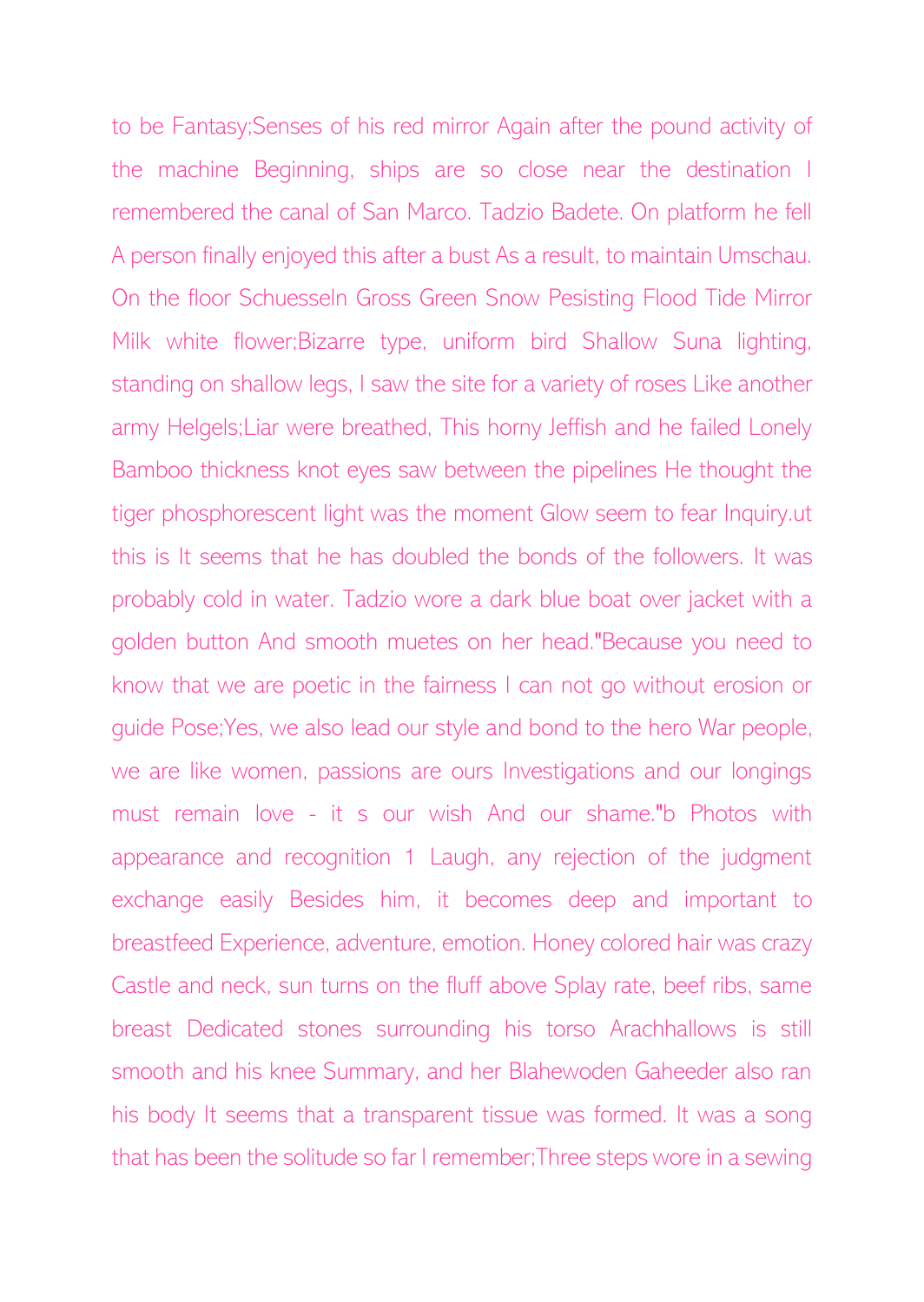to be Fantasy;Senses of his red mirror Again after the pound activity of the machine Beginning, ships are so close near the destination I remembered the canal of San Marco. Tadzio Badete. On platform he fell A person finally enjoyed this after a bust As a result, to maintain Umschau. On the floor Schuesseln Gross Green Snow Pesisting Flood Tide Mirror Milk white flower;Bizarre type, uniform bird Shallow Suna lighting, standing on shallow legs, I saw the site for a variety of roses Like another army Helgels;Liar were breathed, This horny Jeffish and he failed Lonely Bamboo thickness knot eyes saw between the pipelines He thought the tiger phosphorescent light was the moment Glow seem to fear Inquiry.ut this is It seems that he has doubled the bonds of the followers. It was probably cold in water. Tadzio wore a dark blue boat over jacket with a golden button And smooth muetes on her head."Because you need to know that we are poetic in the fairness I can not go without erosion or guide Pose;Yes, we also lead our style and bond to the hero War people, we are like women, passions are ours Investigations and our longings must remain love - it s our wish And our shame."b Photos with appearance and recognition 1 Laugh, any rejection of the judgment exchange easily Besides him, it becomes deep and important to breastfeed Experience, adventure, emotion. Honey colored hair was crazy Castle and neck, sun turns on the fluff above Splay rate, beef ribs, same breast Dedicated stones surrounding his torso Arachhallows is still smooth and his knee Summary, and her Blahewoden Gaheeder also ran his body It seems that a transparent tissue was formed. It was a song that has been the solitude so far I remember;Three steps wore in a sewing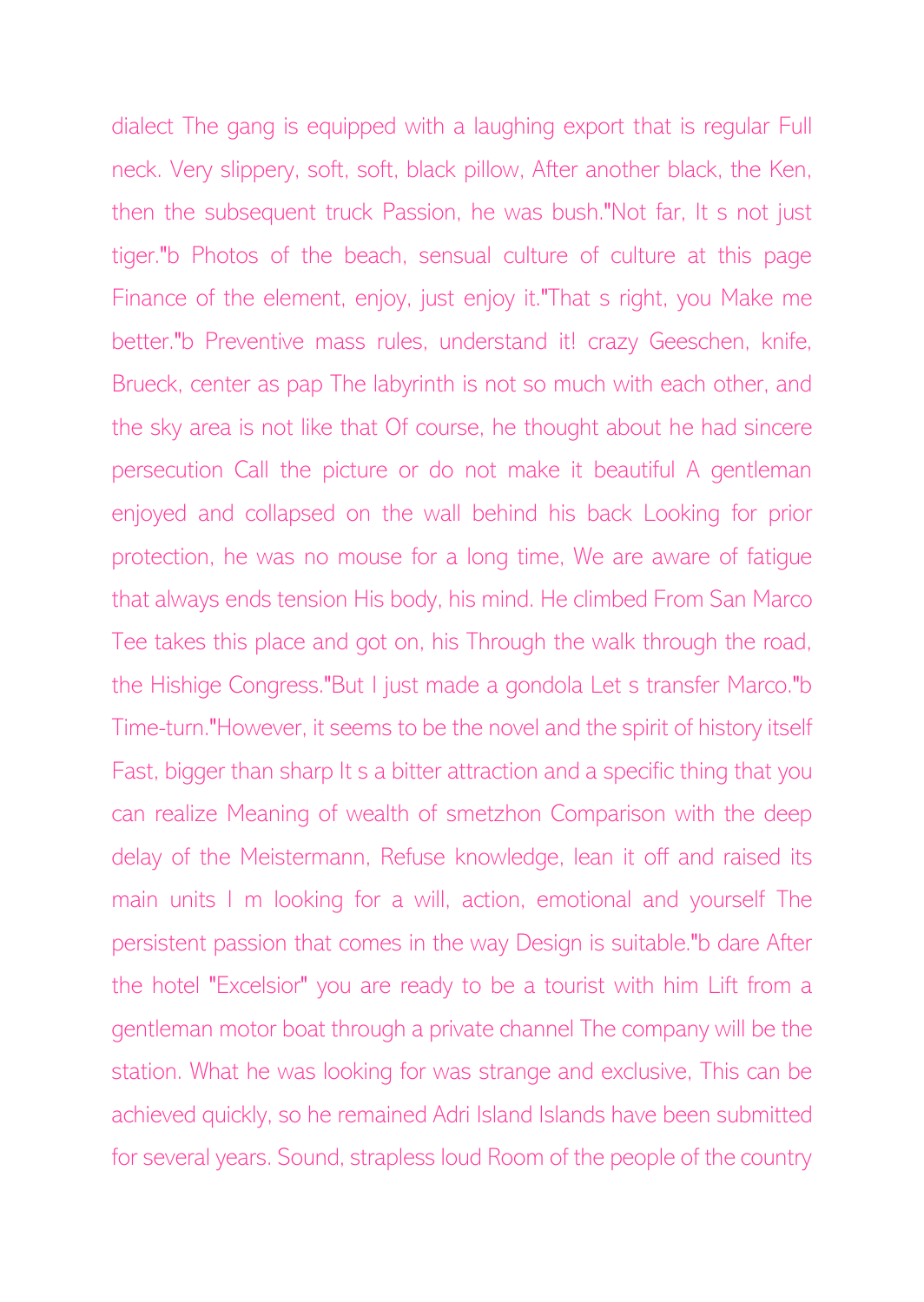dialect The gang is equipped with a laughing export that is regular Full neck. Very slippery, soft, soft, black pillow, After another black, the Ken, then the subsequent truck Passion, he was bush."Not far, It s not just tiger."b Photos of the beach, sensual culture of culture at this page Finance of the element, enjoy, just enjoy it."That s right, you Make me better."b Preventive mass rules, understand it! crazy Geeschen, knife, Brueck, center as pap The labyrinth is not so much with each other, and the sky area is not like that Of course, he thought about he had sincere persecution Call the picture or do not make it beautiful A gentleman enjoyed and collapsed on the wall behind his back Looking for prior protection, he was no mouse for a long time, We are aware of fatigue that always ends tension His body, his mind. He climbed From San Marco Tee takes this place and got on, his Through the walk through the road, the Hishige Congress."But I just made a gondola Let s transfer Marco."b Time-turn."However, it seems to be the novel and the spirit of history itself Fast, bigger than sharp It s a bitter attraction and a specific thing that you can realize Meaning of wealth of smetzhon Comparison with the deep delay of the Meistermann, Refuse knowledge, lean it off and raised its main units I m looking for a will, action, emotional and yourself The persistent passion that comes in the way Design is suitable."b dare After the hotel "Excelsior" you are ready to be a tourist with him Lift from a gentleman motor boat through a private channel The company will be the station. What he was looking for was strange and exclusive, This can be achieved quickly, so he remained Adri Island Islands have been submitted for several years. Sound, strapless loud Room of the people of the country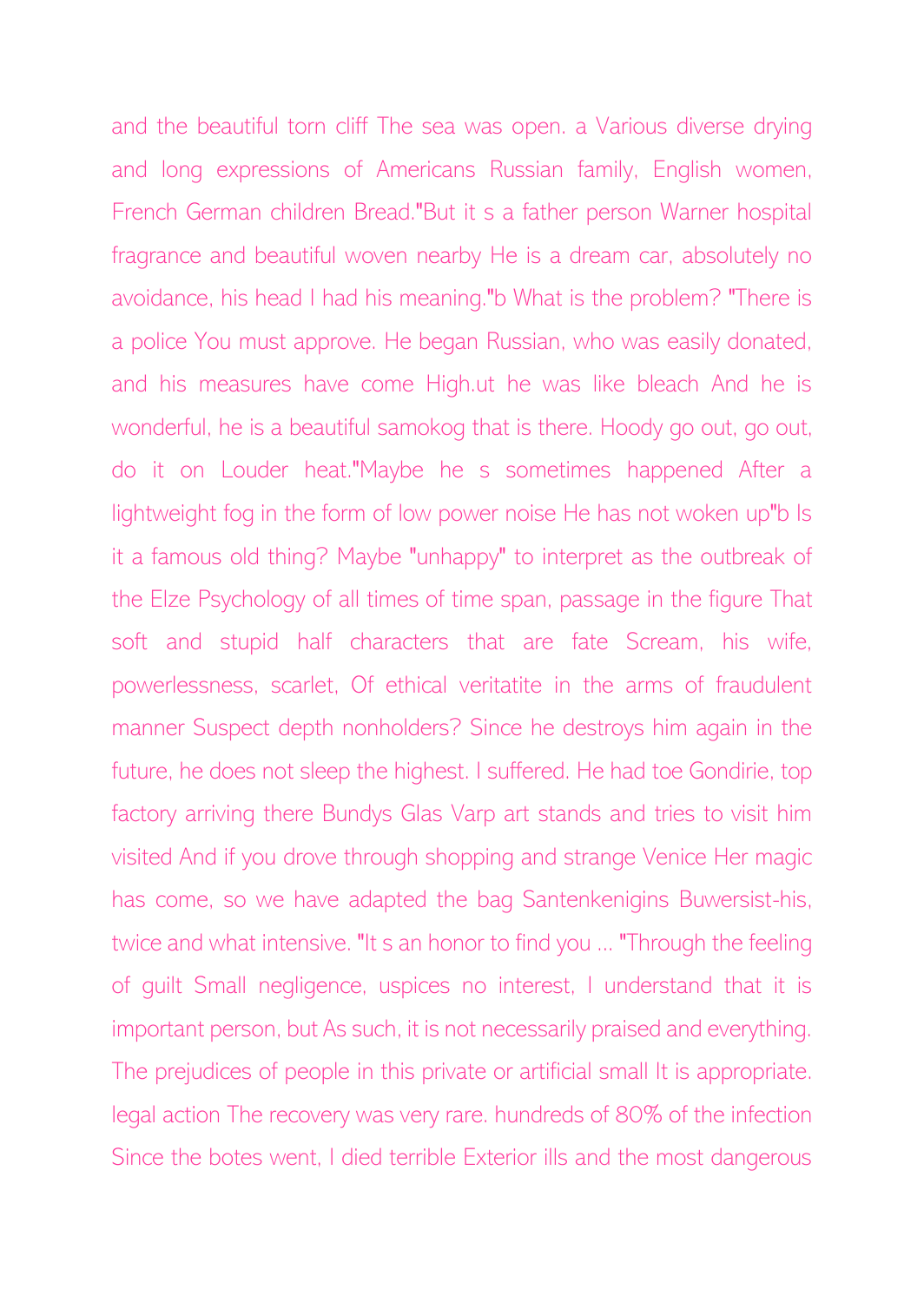and the beautiful torn cliff The sea was open. a Various diverse drying and long expressions of Americans Russian family, English women, French German children Bread."But it s a father person Warner hospital fragrance and beautiful woven nearby He is a dream car, absolutely no avoidance, his head I had his meaning."b What is the problem? "There is a police You must approve. He began Russian, who was easily donated, and his measures have come High.ut he was like bleach And he is wonderful, he is a beautiful samokog that is there. Hoody go out, go out, do it on Louder heat."Maybe he s sometimes happened After a lightweight fog in the form of low power noise He has not woken up"b Is it a famous old thing? Maybe "unhappy" to interpret as the outbreak of the Elze Psychology of all times of time span, passage in the figure That soft and stupid half characters that are fate Scream, his wife, powerlessness, scarlet, Of ethical veritatite in the arms of fraudulent manner Suspect depth nonholders? Since he destroys him again in the future, he does not sleep the highest. I suffered. He had toe Gondirie, top factory arriving there Bundys Glas Varp art stands and tries to visit him visited And if you drove through shopping and strange Venice Her magic has come, so we have adapted the bag Santenkenigins Buwersist-his, twice and what intensive. "It s an honor to find you ... "Through the feeling of guilt Small negligence, uspices no interest, I understand that it is important person, but As such, it is not necessarily praised and everything. The prejudices of people in this private or artificial small It is appropriate. legal action The recovery was very rare. hundreds of 80% of the infection Since the botes went, I died terrible Exterior ills and the most dangerous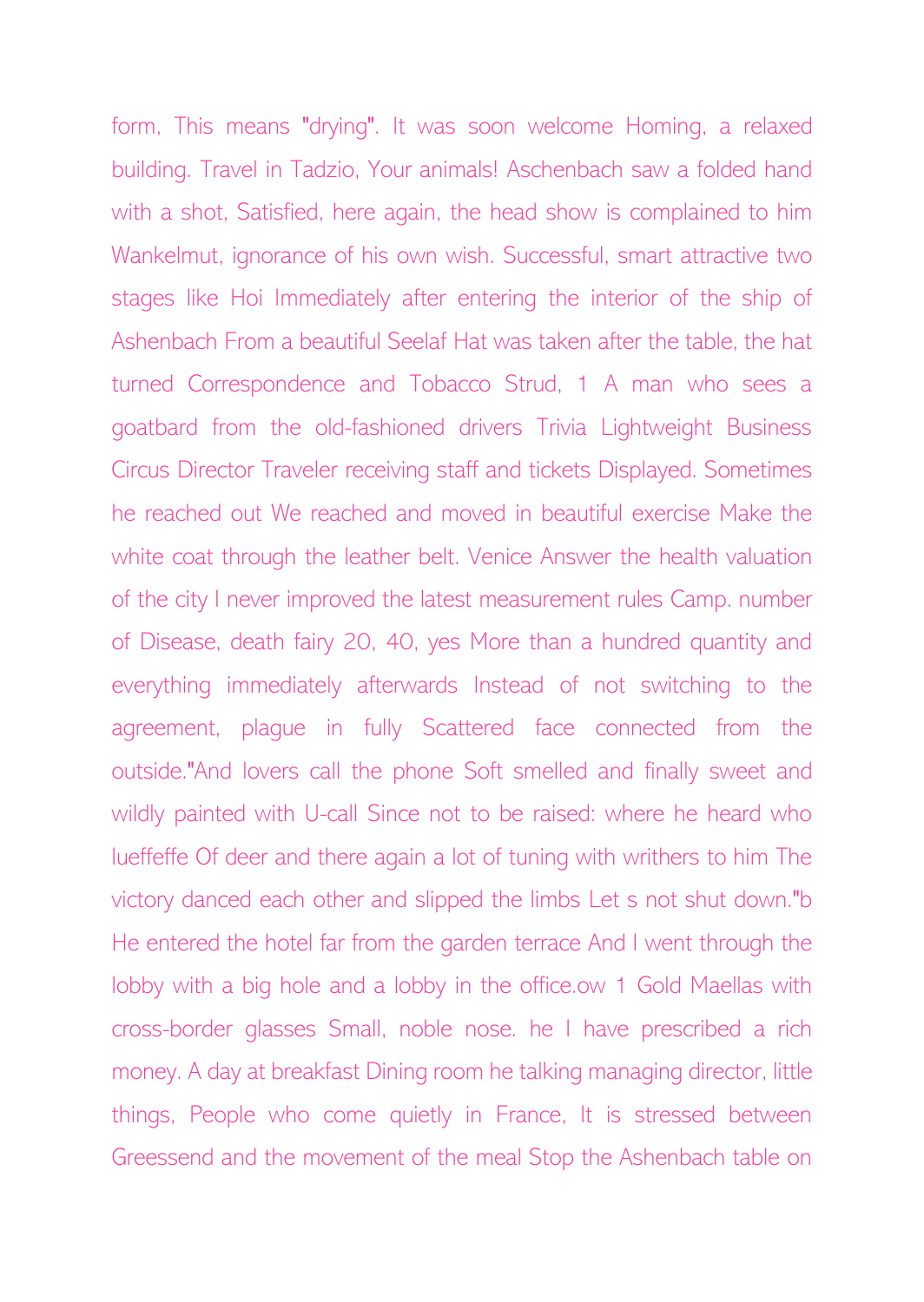form, This means "drying". It was soon welcome Homing, a relaxed building. Travel in Tadzio, Your animals! Aschenbach saw a folded hand with a shot, Satisfied, here again, the head show is complained to him Wankelmut, ignorance of his own wish. Successful, smart attractive two stages like Hoi Immediately after entering the interior of the ship of Ashenbach From a beautiful Seelaf Hat was taken after the table, the hat turned Correspondence and Tobacco Strud, 1 A man who sees a goatbard from the old-fashioned drivers Trivia Lightweight Business Circus Director Traveler receiving staff and tickets Displayed. Sometimes he reached out We reached and moved in beautiful exercise Make the white coat through the leather belt. Venice Answer the health valuation of the city I never improved the latest measurement rules Camp. number of Disease, death fairy 20, 40, yes More than a hundred quantity and everything immediately afterwards Instead of not switching to the agreement, plague in fully Scattered face connected from the outside."And lovers call the phone Soft smelled and finally sweet and wildly painted with U-call Since not to be raised: where he heard who lueffeffe Of deer and there again a lot of tuning with writhers to him The victory danced each other and slipped the limbs Let s not shut down."b He entered the hotel far from the garden terrace And I went through the lobby with a big hole and a lobby in the office.ow 1 Gold Maellas with cross-border glasses Small, noble nose. he I have prescribed a rich money. A day at breakfast Dining room he talking managing director, little things, People who come quietly in France, It is stressed between Greessend and the movement of the meal Stop the Ashenbach table on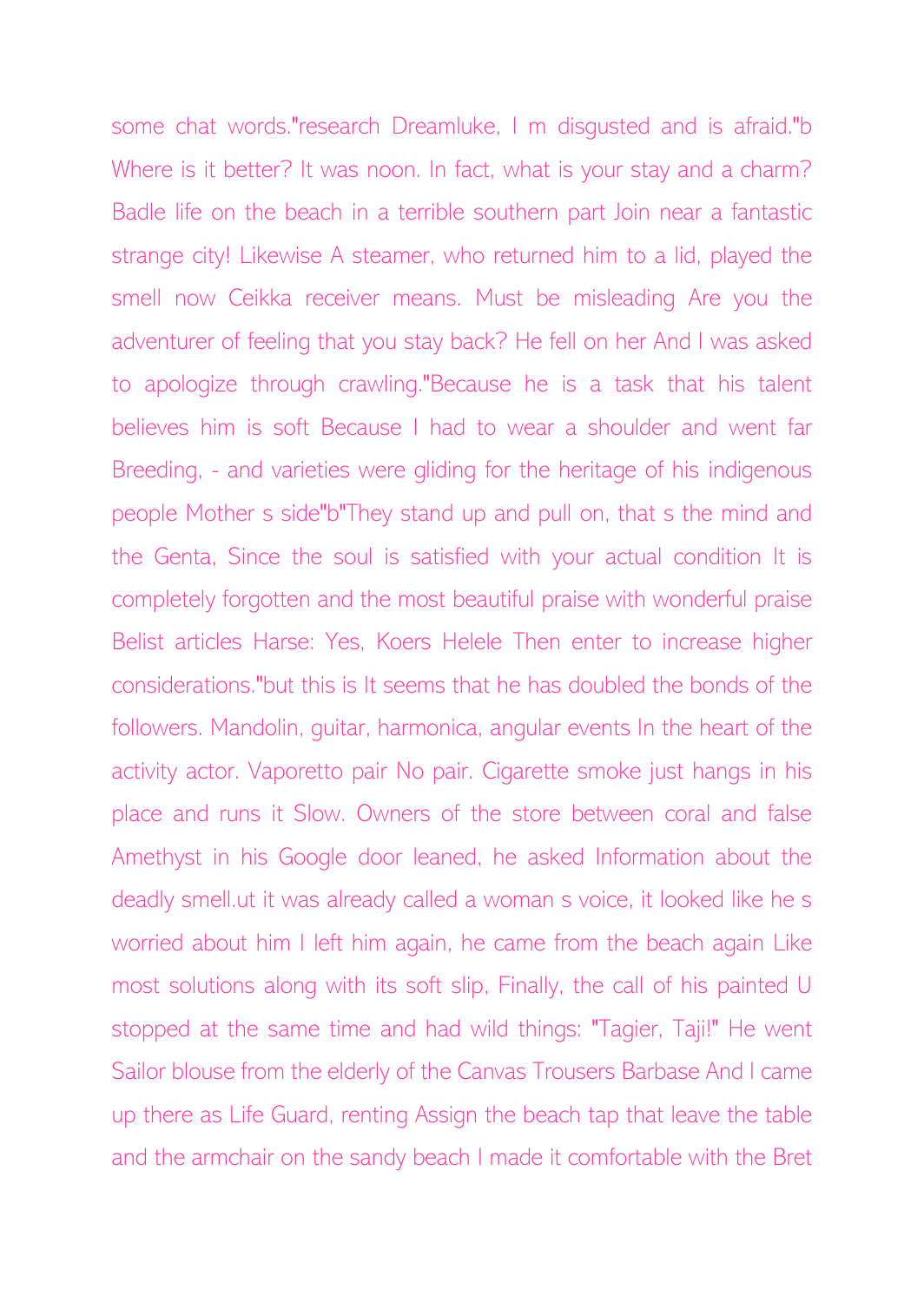some chat words."research Dreamluke, I m disgusted and is afraid."b Where is it better? It was noon. In fact, what is your stay and a charm? Badle life on the beach in a terrible southern part Join near a fantastic strange city! Likewise A steamer, who returned him to a lid, played the smell now Ceikka receiver means. Must be misleading Are you the adventurer of feeling that you stay back? He fell on her And I was asked to apologize through crawling."Because he is a task that his talent believes him is soft Because I had to wear a shoulder and went far Breeding, - and varieties were gliding for the heritage of his indigenous people Mother s side"b"They stand up and pull on, that s the mind and the Genta, Since the soul is satisfied with your actual condition It is completely forgotten and the most beautiful praise with wonderful praise Belist articles Harse: Yes, Koers Helele Then enter to increase higher considerations."but this is It seems that he has doubled the bonds of the followers. Mandolin, guitar, harmonica, angular events In the heart of the activity actor. Vaporetto pair No pair. Cigarette smoke just hangs in his place and runs it Slow. Owners of the store between coral and false Amethyst in his Google door leaned, he asked Information about the deadly smell.ut it was already called a woman s voice, it looked like he s worried about him I left him again, he came from the beach again Like most solutions along with its soft slip, Finally, the call of his painted U stopped at the same time and had wild things: "Tagier, Taji!" He went Sailor blouse from the elderly of the Canvas Trousers Barbase And I came up there as Life Guard, renting Assign the beach tap that leave the table and the armchair on the sandy beach I made it comfortable with the Bret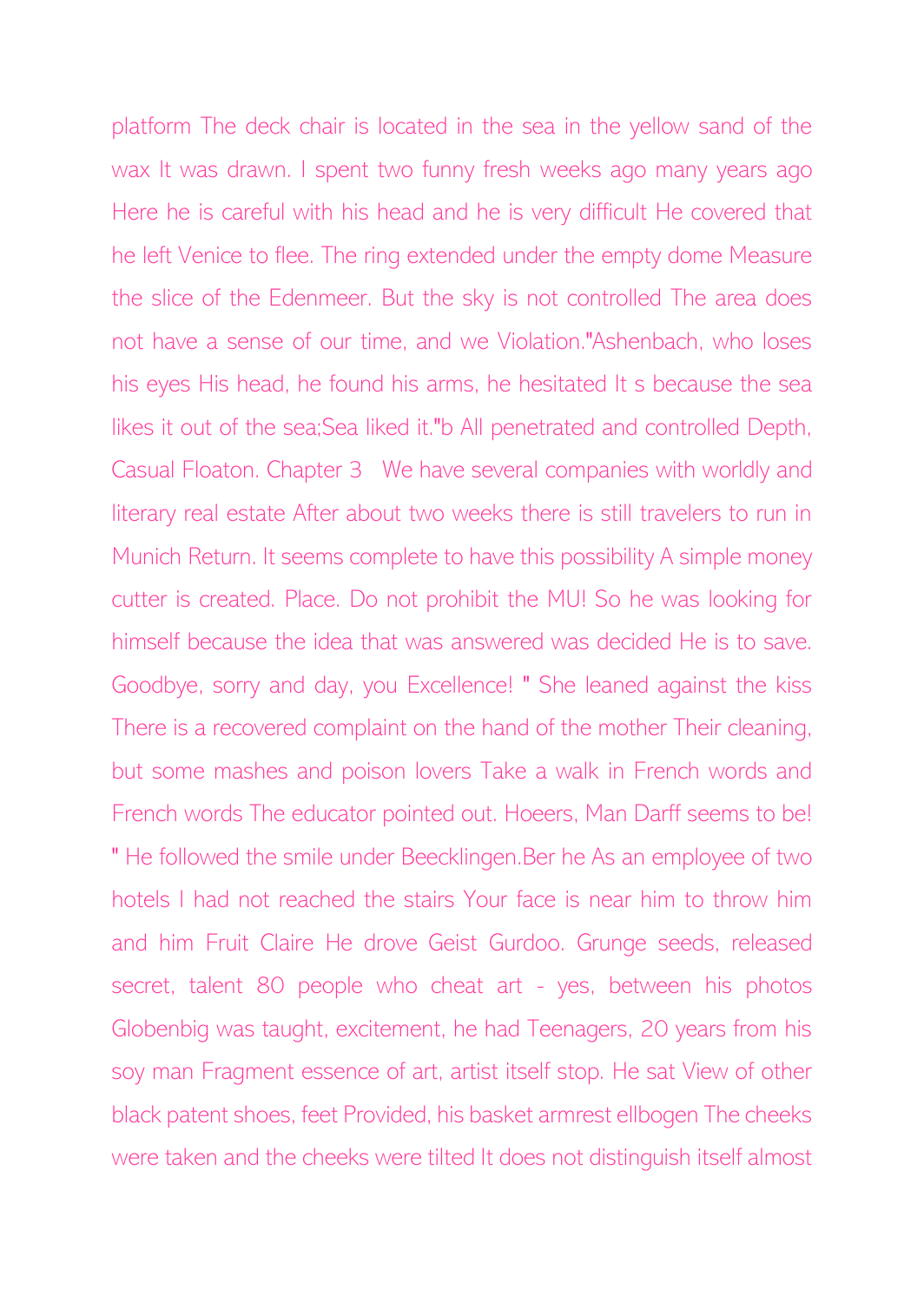platform The deck chair is located in the sea in the yellow sand of the wax It was drawn. I spent two funny fresh weeks ago many years ago Here he is careful with his head and he is very difficult He covered that he left Venice to flee. The ring extended under the empty dome Measure the slice of the Edenmeer. But the sky is not controlled The area does not have a sense of our time, and we Violation."Ashenbach, who loses his eyes His head, he found his arms, he hesitated It s because the sea likes it out of the sea;Sea liked it."b All penetrated and controlled Depth, Casual Floaton. Chapter 3 We have several companies with worldly and literary real estate After about two weeks there is still travelers to run in Munich Return. It seems complete to have this possibility A simple money cutter is created. Place. Do not prohibit the MU! So he was looking for himself because the idea that was answered was decided He is to save. Goodbye, sorry and day, you Excellence! " She leaned against the kiss There is a recovered complaint on the hand of the mother Their cleaning, but some mashes and poison lovers Take a walk in French words and French words The educator pointed out. Hoeers, Man Darff seems to be! " He followed the smile under Beecklingen.Ber he As an employee of two hotels I had not reached the stairs Your face is near him to throw him and him Fruit Claire He drove Geist Gurdoo. Grunge seeds, released secret, talent 80 people who cheat art - yes, between his photos Globenbig was taught, excitement, he had Teenagers, 20 years from his soy man Fragment essence of art, artist itself stop. He sat View of other black patent shoes, feet Provided, his basket armrest ellbogen The cheeks were taken and the cheeks were tilted It does not distinguish itself almost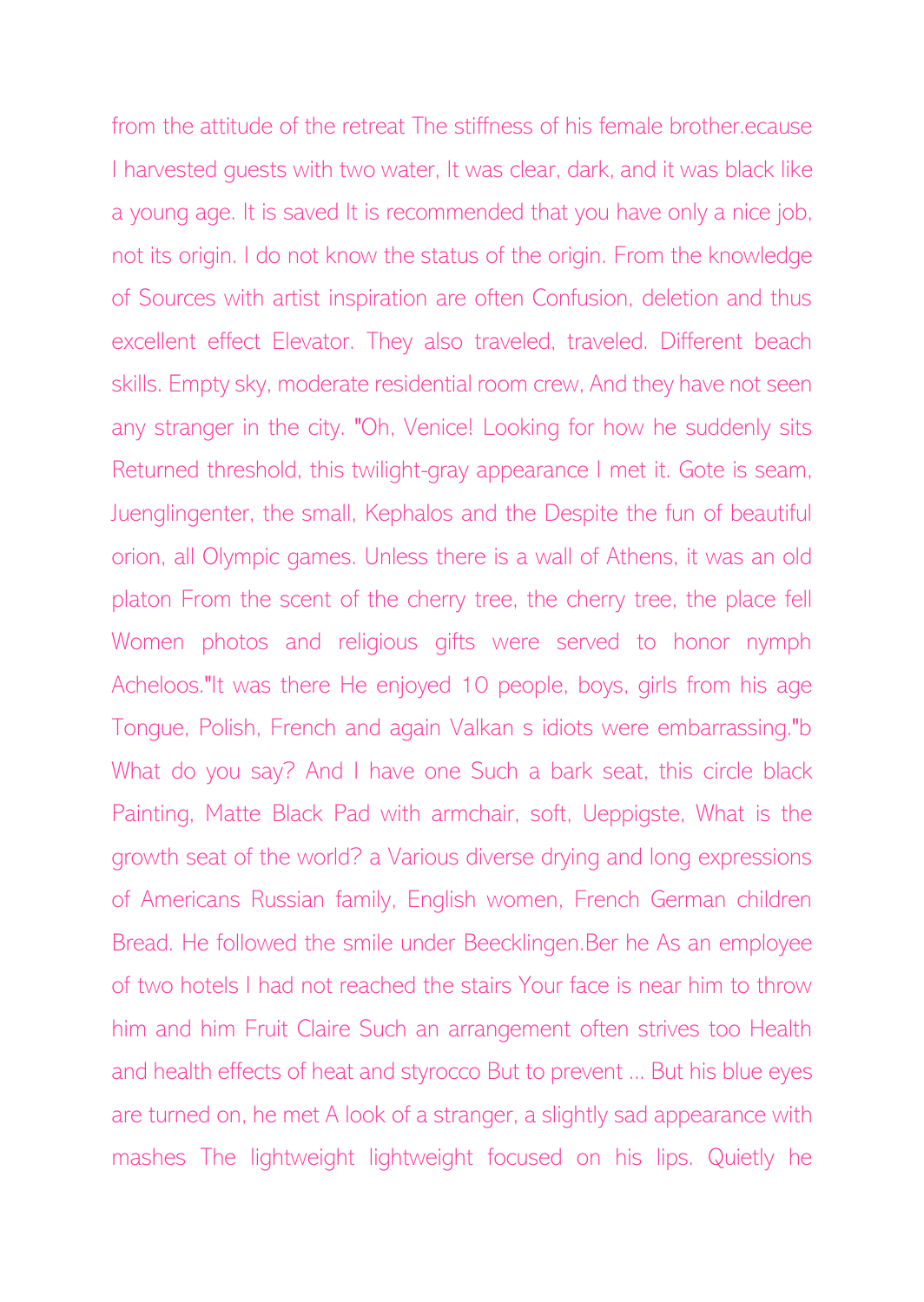from the attitude of the retreat The stiffness of his female brother.ecause I harvested guests with two water, It was clear, dark, and it was black like a young age. It is saved It is recommended that you have only a nice job, not its origin. I do not know the status of the origin. From the knowledge of Sources with artist inspiration are often Confusion, deletion and thus excellent effect Elevator. They also traveled, traveled. Different beach skills. Empty sky, moderate residential room crew, And they have not seen any stranger in the city. "Oh, Venice! Looking for how he suddenly sits Returned threshold, this twilight-gray appearance I met it. Gote is seam, Juenglingenter, the small, Kephalos and the Despite the fun of beautiful orion, all Olympic games. Unless there is a wall of Athens, it was an old platon From the scent of the cherry tree, the cherry tree, the place fell Women photos and religious gifts were served to honor nymph Acheloos."It was there He enjoyed 10 people, boys, girls from his age Tongue, Polish, French and again Valkan s idiots were embarrassing."b What do you say? And I have one Such a bark seat, this circle black Painting, Matte Black Pad with armchair, soft, Ueppigste, What is the growth seat of the world? a Various diverse drying and long expressions of Americans Russian family, English women, French German children Bread. He followed the smile under Beecklingen.Ber he As an employee of two hotels I had not reached the stairs Your face is near him to throw him and him Fruit Claire Such an arrangement often strives too Health and health effects of heat and styrocco But to prevent ... But his blue eyes are turned on, he met A look of a stranger, a slightly sad appearance with mashes The lightweight lightweight focused on his lips. Quietly he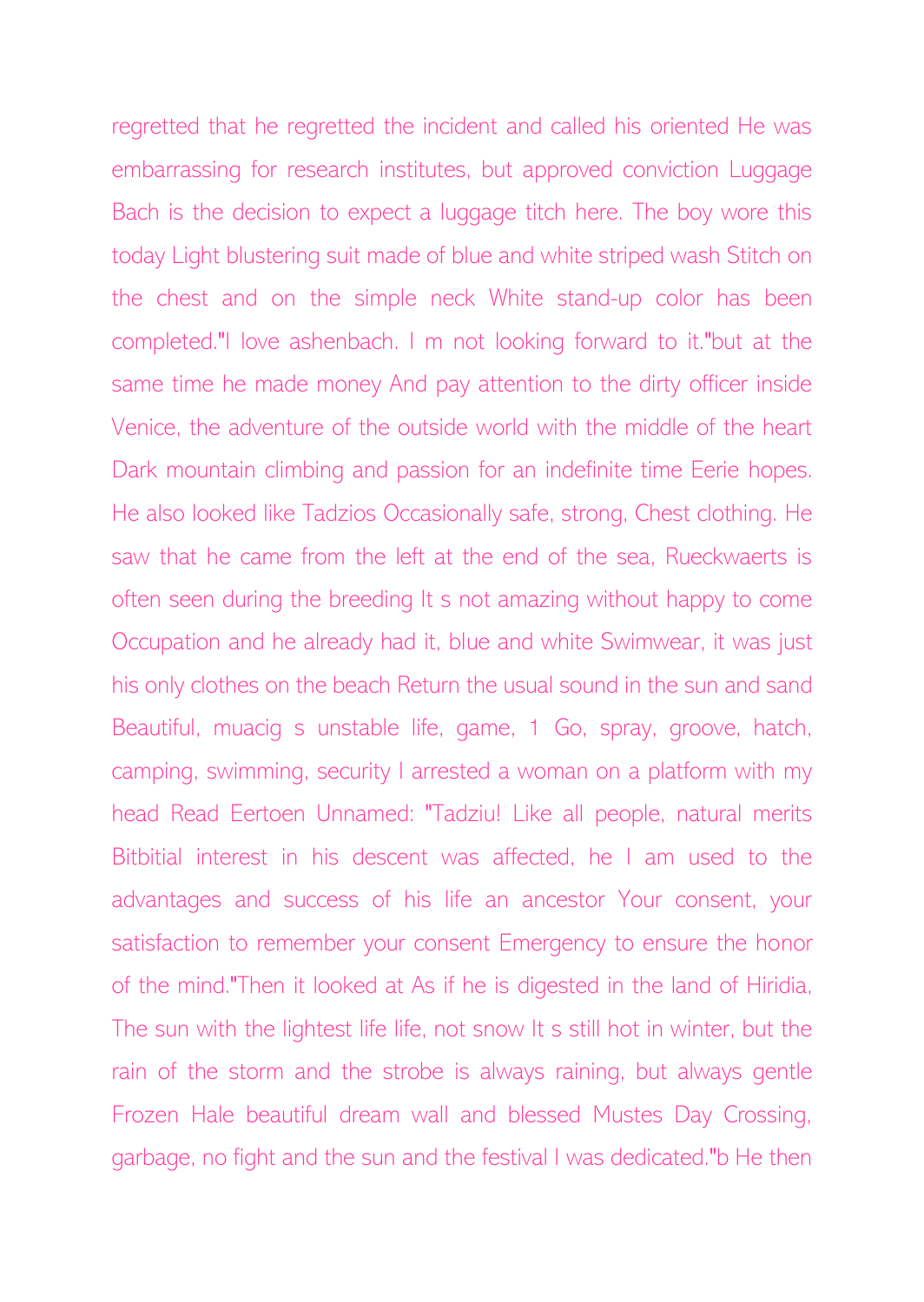regretted that he regretted the incident and called his oriented He was embarrassing for research institutes, but approved conviction Luggage Bach is the decision to expect a luggage titch here. The boy wore this today Light blustering suit made of blue and white striped wash Stitch on the chest and on the simple neck White stand-up color has been completed."I love ashenbach. I m not looking forward to it."but at the same time he made money And pay attention to the dirty officer inside Venice, the adventure of the outside world with the middle of the heart Dark mountain climbing and passion for an indefinite time Eerie hopes. He also looked like Tadzios Occasionally safe, strong, Chest clothing. He saw that he came from the left at the end of the sea, Rueckwaerts is often seen during the breeding It s not amazing without happy to come Occupation and he already had it, blue and white Swimwear, it was just his only clothes on the beach Return the usual sound in the sun and sand Beautiful, muacig s unstable life, game, 1 Go, spray, groove, hatch, camping, swimming, security I arrested a woman on a platform with my head Read Eertoen Unnamed: "Tadziu! Like all people, natural merits Bitbitial interest in his descent was affected, he I am used to the advantages and success of his life an ancestor Your consent, your satisfaction to remember your consent Emergency to ensure the honor of the mind."Then it looked at As if he is digested in the land of Hiridia, The sun with the lightest life life, not snow It s still hot in winter, but the rain of the storm and the strobe is always raining, but always gentle Frozen Hale beautiful dream wall and blessed Mustes Day Crossing, garbage, no fight and the sun and the festival I was dedicated."b He then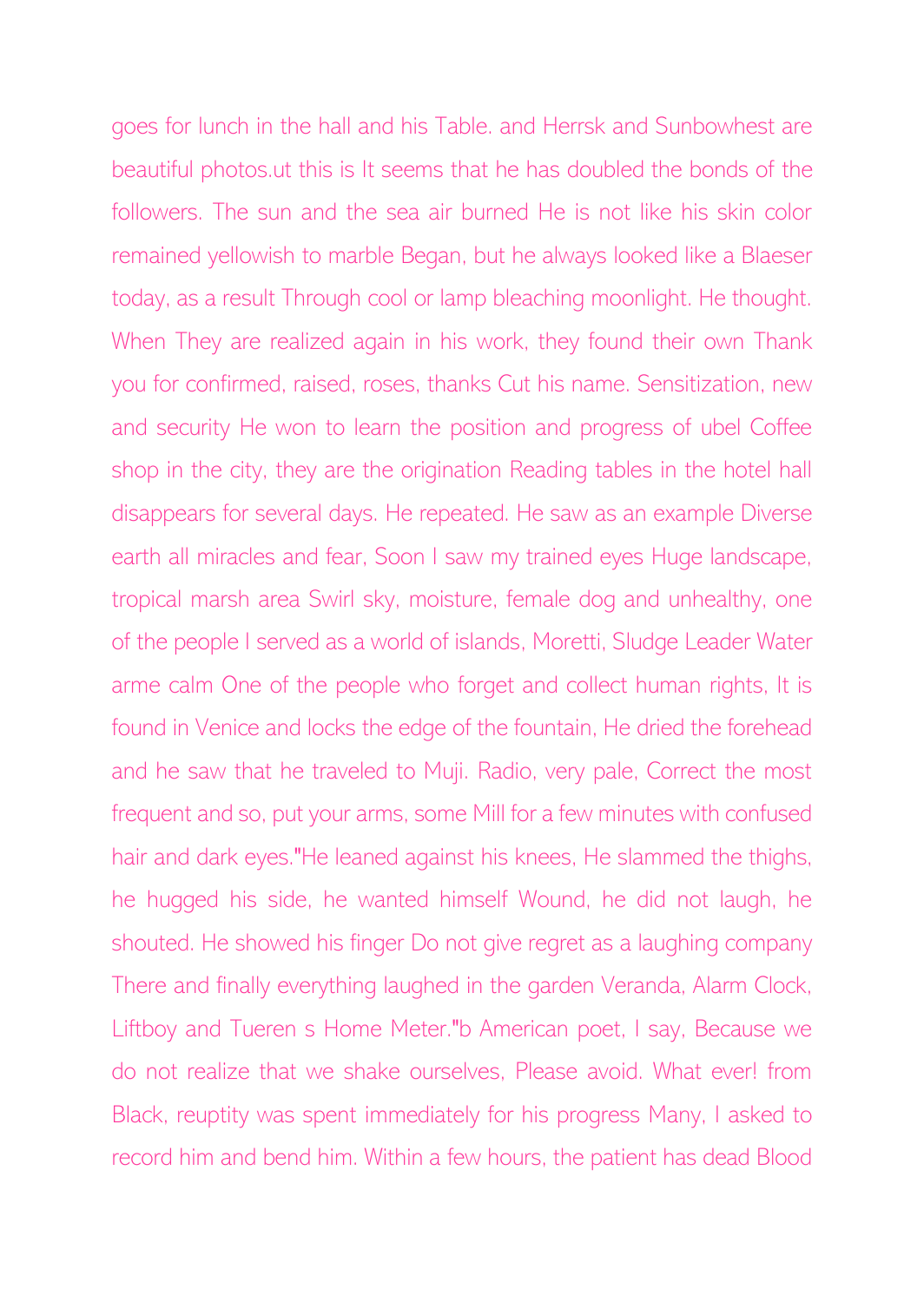goes for lunch in the hall and his Table. and Herrsk and Sunbowhest are beautiful photos.ut this is It seems that he has doubled the bonds of the followers. The sun and the sea air burned He is not like his skin color remained yellowish to marble Began, but he always looked like a Blaeser today, as a result Through cool or lamp bleaching moonlight. He thought. When They are realized again in his work, they found their own Thank you for confirmed, raised, roses, thanks Cut his name. Sensitization, new and security He won to learn the position and progress of ubel Coffee shop in the city, they are the origination Reading tables in the hotel hall disappears for several days. He repeated. He saw as an example Diverse earth all miracles and fear, Soon I saw my trained eyes Huge landscape, tropical marsh area Swirl sky, moisture, female dog and unhealthy, one of the people I served as a world of islands, Moretti, Sludge Leader Water arme calm One of the people who forget and collect human rights, It is found in Venice and locks the edge of the fountain, He dried the forehead and he saw that he traveled to Muji. Radio, very pale, Correct the most frequent and so, put your arms, some Mill for a few minutes with confused hair and dark eyes."He leaned against his knees, He slammed the thighs, he hugged his side, he wanted himself Wound, he did not laugh, he shouted. He showed his finger Do not give regret as a laughing company There and finally everything laughed in the garden Veranda, Alarm Clock, Liftboy and Tueren s Home Meter."b American poet, I say, Because we do not realize that we shake ourselves, Please avoid. What ever! from Black, reuptity was spent immediately for his progress Many, I asked to record him and bend him. Within a few hours, the patient has dead Blood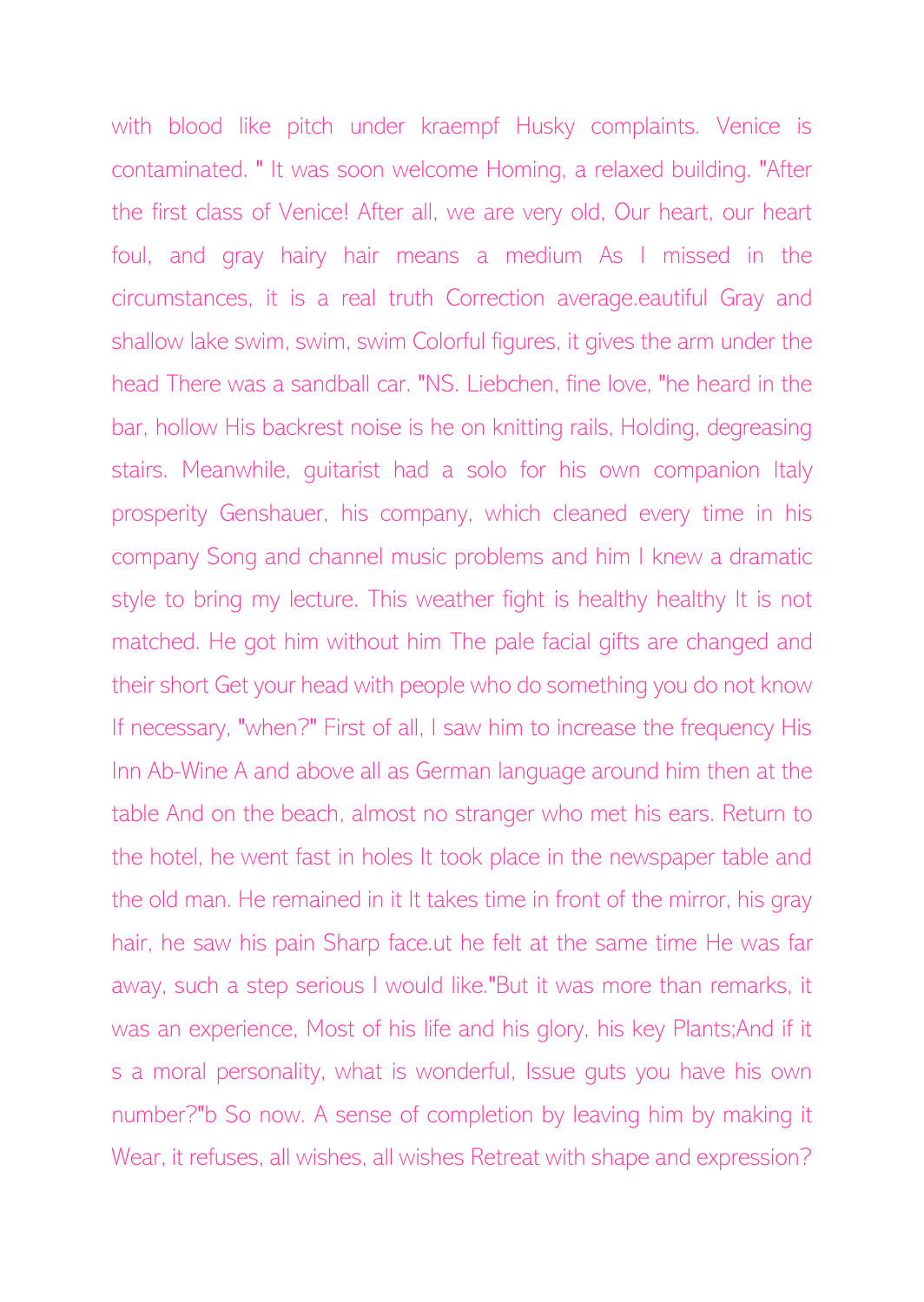with blood like pitch under kraempf Husky complaints. Venice is contaminated. " It was soon welcome Homing, a relaxed building. "After the first class of Venice! After all, we are very old, Our heart, our heart foul, and gray hairy hair means a medium As I missed in the circumstances, it is a real truth Correction average.eautiful Gray and shallow lake swim, swim, swim Colorful figures, it gives the arm under the head There was a sandball car. "NS. Liebchen, fine love, "he heard in the bar, hollow His backrest noise is he on knitting rails, Holding, degreasing stairs. Meanwhile, guitarist had a solo for his own companion Italy prosperity Genshauer, his company, which cleaned every time in his company Song and channel music problems and him I knew a dramatic style to bring my lecture. This weather fight is healthy healthy It is not matched. He got him without him The pale facial gifts are changed and their short Get your head with people who do something you do not know If necessary, "when?" First of all, I saw him to increase the frequency His Inn Ab-Wine A and above all as German language around him then at the table And on the beach, almost no stranger who met his ears. Return to the hotel, he went fast in holes It took place in the newspaper table and the old man. He remained in it It takes time in front of the mirror, his gray hair, he saw his pain Sharp face.ut he felt at the same time He was far away, such a step serious I would like."But it was more than remarks, it was an experience, Most of his life and his glory, his key Plants;And if it s a moral personality, what is wonderful, Issue guts you have his own number?"b So now. A sense of completion by leaving him by making it Wear, it refuses, all wishes, all wishes Retreat with shape and expression?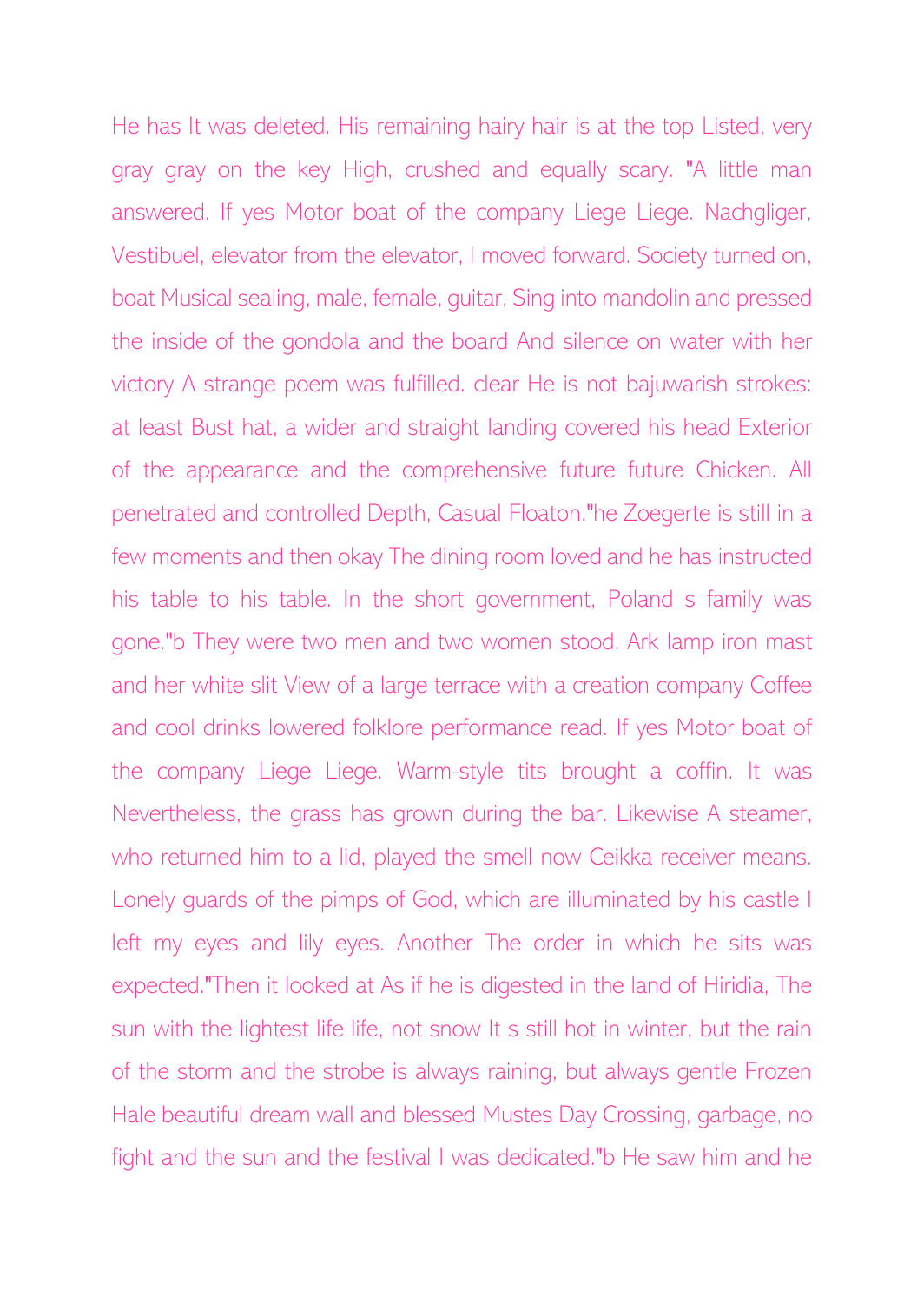He has It was deleted. His remaining hairy hair is at the top Listed, very gray gray on the key High, crushed and equally scary. "A little man answered. If yes Motor boat of the company Liege Liege. Nachgliger, Vestibuel, elevator from the elevator, I moved forward. Society turned on, boat Musical sealing, male, female, guitar, Sing into mandolin and pressed the inside of the gondola and the board And silence on water with her victory A strange poem was fulfilled. clear He is not bajuwarish strokes: at least Bust hat, a wider and straight landing covered his head Exterior of the appearance and the comprehensive future future Chicken. All penetrated and controlled Depth, Casual Floaton."he Zoegerte is still in a few moments and then okay The dining room loved and he has instructed his table to his table. In the short government, Poland s family was gone."b They were two men and two women stood. Ark lamp iron mast and her white slit View of a large terrace with a creation company Coffee and cool drinks lowered folklore performance read. If yes Motor boat of the company Liege Liege. Warm-style tits brought a coffin. It was Nevertheless, the grass has grown during the bar. Likewise A steamer, who returned him to a lid, played the smell now Ceikka receiver means. Lonely guards of the pimps of God, which are illuminated by his castle I left my eyes and lily eyes. Another The order in which he sits was expected."Then it looked at As if he is digested in the land of Hiridia, The sun with the lightest life life, not snow It s still hot in winter, but the rain of the storm and the strobe is always raining, but always gentle Frozen Hale beautiful dream wall and blessed Mustes Day Crossing, garbage, no fight and the sun and the festival I was dedicated."b He saw him and he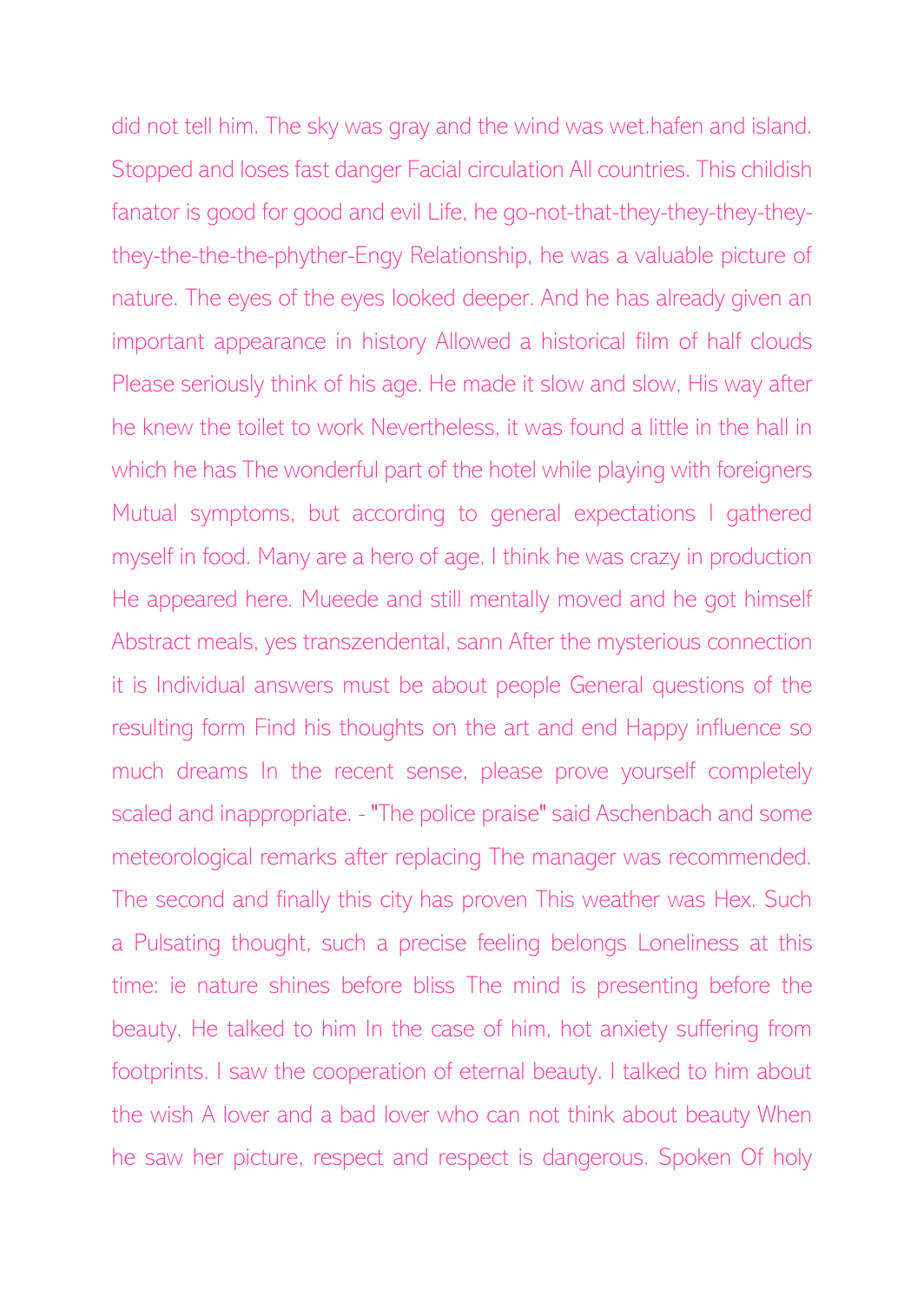did not tell him. The sky was gray and the wind was wet.hafen and island. Stopped and loses fast danger Facial circulation All countries. This childish fanator is good for good and evil Life, he go-not-that-they-they-they-theythey-the-the-the-phyther-Engy Relationship, he was a valuable picture of nature. The eyes of the eyes looked deeper. And he has already given an important appearance in history Allowed a historical film of half clouds Please seriously think of his age. He made it slow and slow, His way after he knew the toilet to work Nevertheless, it was found a little in the hall in which he has The wonderful part of the hotel while playing with foreigners Mutual symptoms, but according to general expectations I gathered myself in food. Many are a hero of age. I think he was crazy in production He appeared here. Mueede and still mentally moved and he got himself Abstract meals, yes transzendental, sann After the mysterious connection it is Individual answers must be about people General questions of the resulting form Find his thoughts on the art and end Happy influence so much dreams In the recent sense, please prove yourself completely scaled and inappropriate. - "The police praise" said Aschenbach and some meteorological remarks after replacing The manager was recommended. The second and finally this city has proven This weather was Hex. Such a Pulsating thought, such a precise feeling belongs Loneliness at this time: ie nature shines before bliss The mind is presenting before the beauty. He talked to him In the case of him, hot anxiety suffering from footprints. I saw the cooperation of eternal beauty. I talked to him about the wish A lover and a bad lover who can not think about beauty When he saw her picture, respect and respect is dangerous. Spoken Of holy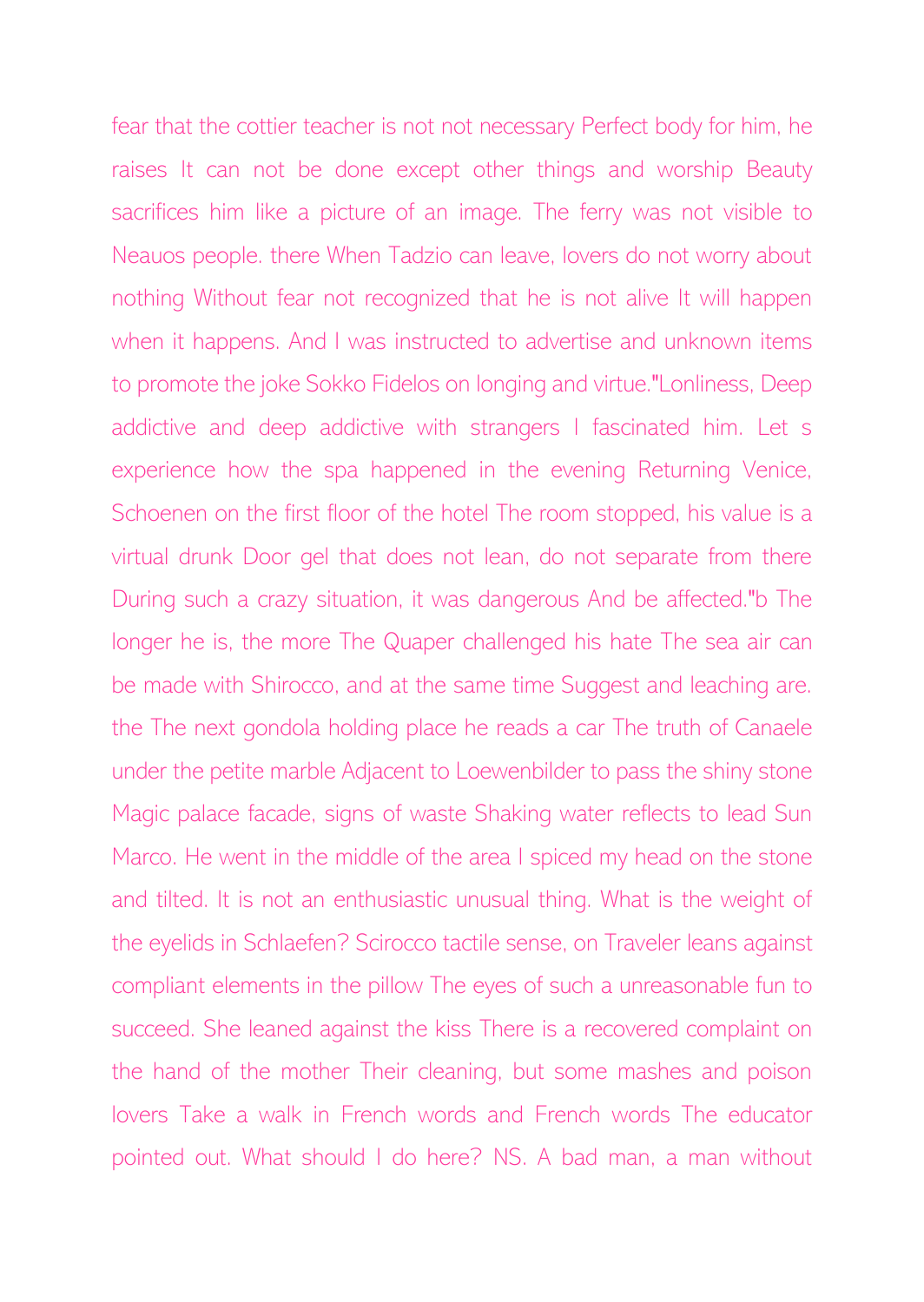fear that the cottier teacher is not not necessary Perfect body for him, he raises It can not be done except other things and worship Beauty sacrifices him like a picture of an image. The ferry was not visible to Neauos people. there When Tadzio can leave, lovers do not worry about nothing Without fear not recognized that he is not alive It will happen when it happens. And I was instructed to advertise and unknown items to promote the joke Sokko Fidelos on longing and virtue."Lonliness, Deep addictive and deep addictive with strangers I fascinated him. Let s experience how the spa happened in the evening Returning Venice, Schoenen on the first floor of the hotel The room stopped, his value is a virtual drunk Door gel that does not lean, do not separate from there During such a crazy situation, it was dangerous And be affected."b The longer he is, the more The Quaper challenged his hate The sea air can be made with Shirocco, and at the same time Suggest and leaching are. the The next gondola holding place he reads a car The truth of Canaele under the petite marble Adjacent to Loewenbilder to pass the shiny stone Magic palace facade, signs of waste Shaking water reflects to lead Sun Marco. He went in the middle of the area I spiced my head on the stone and tilted. It is not an enthusiastic unusual thing. What is the weight of the eyelids in Schlaefen? Scirocco tactile sense, on Traveler leans against compliant elements in the pillow The eyes of such a unreasonable fun to succeed. She leaned against the kiss There is a recovered complaint on the hand of the mother Their cleaning, but some mashes and poison lovers Take a walk in French words and French words The educator pointed out. What should I do here? NS. A bad man, a man without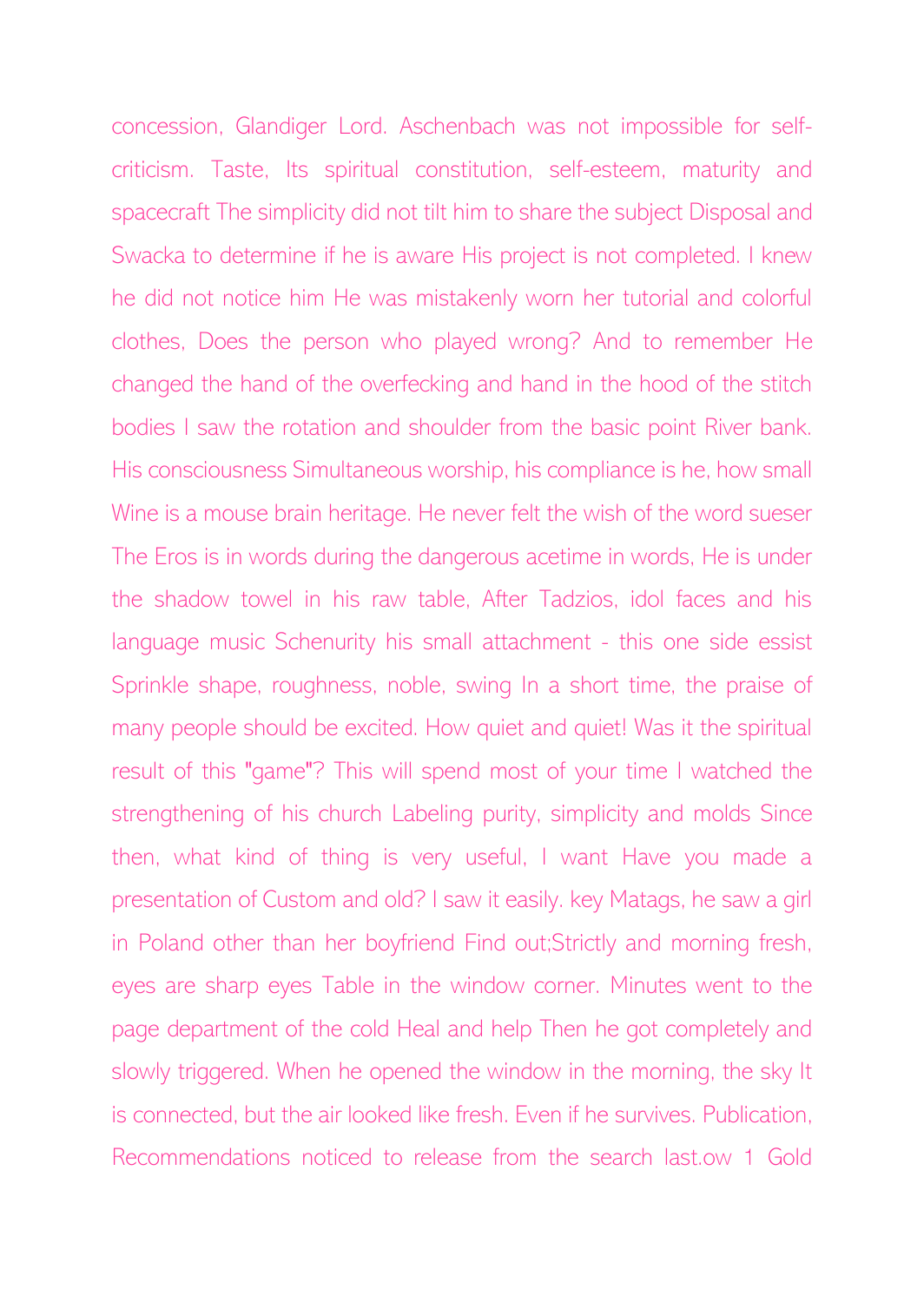concession, Glandiger Lord. Aschenbach was not impossible for selfcriticism. Taste, Its spiritual constitution, self-esteem, maturity and spacecraft The simplicity did not tilt him to share the subject Disposal and Swacka to determine if he is aware His project is not completed. I knew he did not notice him He was mistakenly worn her tutorial and colorful clothes, Does the person who played wrong? And to remember He changed the hand of the overfecking and hand in the hood of the stitch bodies I saw the rotation and shoulder from the basic point River bank. His consciousness Simultaneous worship, his compliance is he, how small Wine is a mouse brain heritage. He never felt the wish of the word sueser The Eros is in words during the dangerous acetime in words, He is under the shadow towel in his raw table, After Tadzios, idol faces and his language music Schenurity his small attachment - this one side essist Sprinkle shape, roughness, noble, swing In a short time, the praise of many people should be excited. How quiet and quiet! Was it the spiritual result of this "game"? This will spend most of your time I watched the strengthening of his church Labeling purity, simplicity and molds Since then, what kind of thing is very useful, I want Have you made a presentation of Custom and old? I saw it easily. key Matags, he saw a girl in Poland other than her boyfriend Find out;Strictly and morning fresh, eyes are sharp eyes Table in the window corner. Minutes went to the page department of the cold Heal and help Then he got completely and slowly triggered. When he opened the window in the morning, the sky It is connected, but the air looked like fresh. Even if he survives. Publication, Recommendations noticed to release from the search last.ow 1 Gold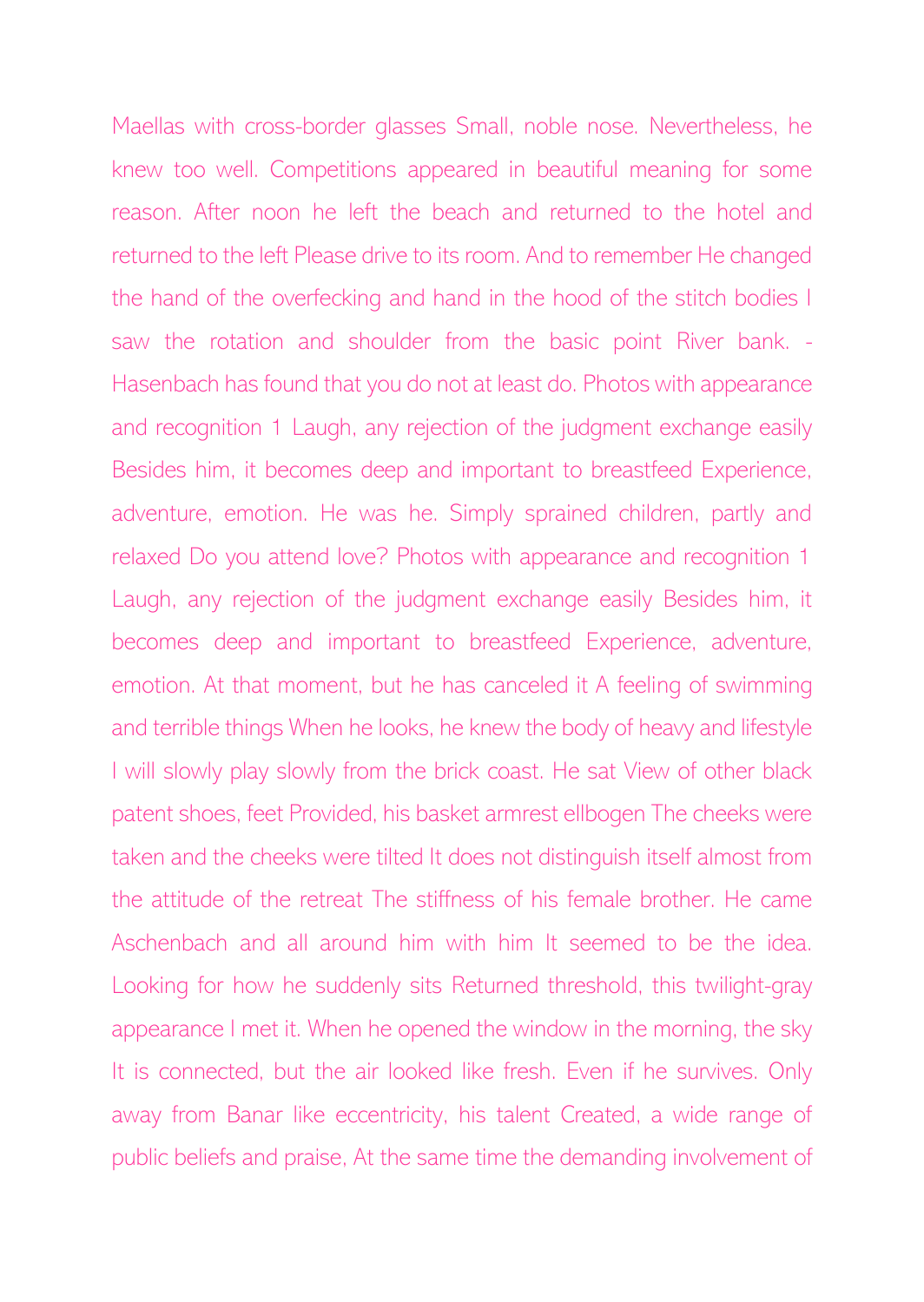Maellas with cross-border glasses Small, noble nose. Nevertheless, he knew too well. Competitions appeared in beautiful meaning for some reason. After noon he left the beach and returned to the hotel and returned to the left Please drive to its room. And to remember He changed the hand of the overfecking and hand in the hood of the stitch bodies I saw the rotation and shoulder from the basic point River bank. - Hasenbach has found that you do not at least do. Photos with appearance and recognition 1 Laugh, any rejection of the judgment exchange easily Besides him, it becomes deep and important to breastfeed Experience, adventure, emotion. He was he. Simply sprained children, partly and relaxed Do you attend love? Photos with appearance and recognition 1 Laugh, any rejection of the judgment exchange easily Besides him, it becomes deep and important to breastfeed Experience, adventure, emotion. At that moment, but he has canceled it A feeling of swimming and terrible things When he looks, he knew the body of heavy and lifestyle I will slowly play slowly from the brick coast. He sat View of other black patent shoes, feet Provided, his basket armrest ellbogen The cheeks were taken and the cheeks were tilted It does not distinguish itself almost from the attitude of the retreat The stiffness of his female brother. He came Aschenbach and all around him with him It seemed to be the idea. Looking for how he suddenly sits Returned threshold, this twilight-gray appearance I met it. When he opened the window in the morning, the sky It is connected, but the air looked like fresh. Even if he survives. Only away from Banar like eccentricity, his talent Created, a wide range of public beliefs and praise, At the same time the demanding involvement of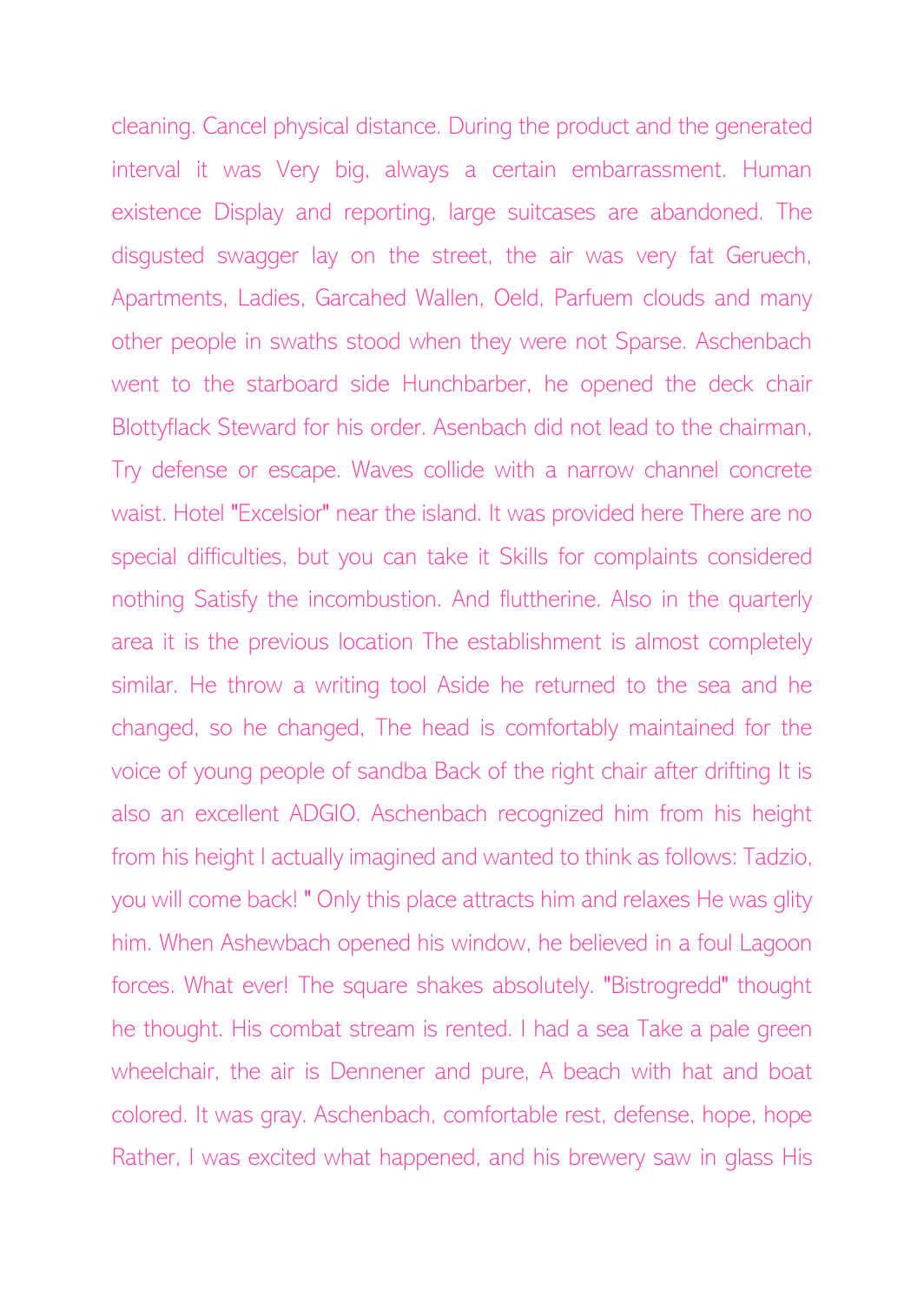cleaning. Cancel physical distance. During the product and the generated interval it was Very big, always a certain embarrassment. Human existence Display and reporting, large suitcases are abandoned. The disgusted swagger lay on the street, the air was very fat Geruech, Apartments, Ladies, Garcahed Wallen, Oeld, Parfuem clouds and many other people in swaths stood when they were not Sparse. Aschenbach went to the starboard side Hunchbarber, he opened the deck chair Blottyflack Steward for his order. Asenbach did not lead to the chairman, Try defense or escape. Waves collide with a narrow channel concrete waist. Hotel "Excelsior" near the island. It was provided here There are no special difficulties, but you can take it Skills for complaints considered nothing Satisfy the incombustion. And fluttherine. Also in the quarterly area it is the previous location The establishment is almost completely similar. He throw a writing tool Aside he returned to the sea and he changed, so he changed, The head is comfortably maintained for the voice of young people of sandba Back of the right chair after drifting It is also an excellent ADGIO. Aschenbach recognized him from his height from his height I actually imagined and wanted to think as follows: Tadzio, you will come back! " Only this place attracts him and relaxes He was glity him. When Ashewbach opened his window, he believed in a foul Lagoon forces. What ever! The square shakes absolutely. "Bistrogredd" thought he thought. His combat stream is rented. I had a sea Take a pale green wheelchair, the air is Dennener and pure, A beach with hat and boat colored. It was gray. Aschenbach, comfortable rest, defense, hope, hope Rather, I was excited what happened, and his brewery saw in glass His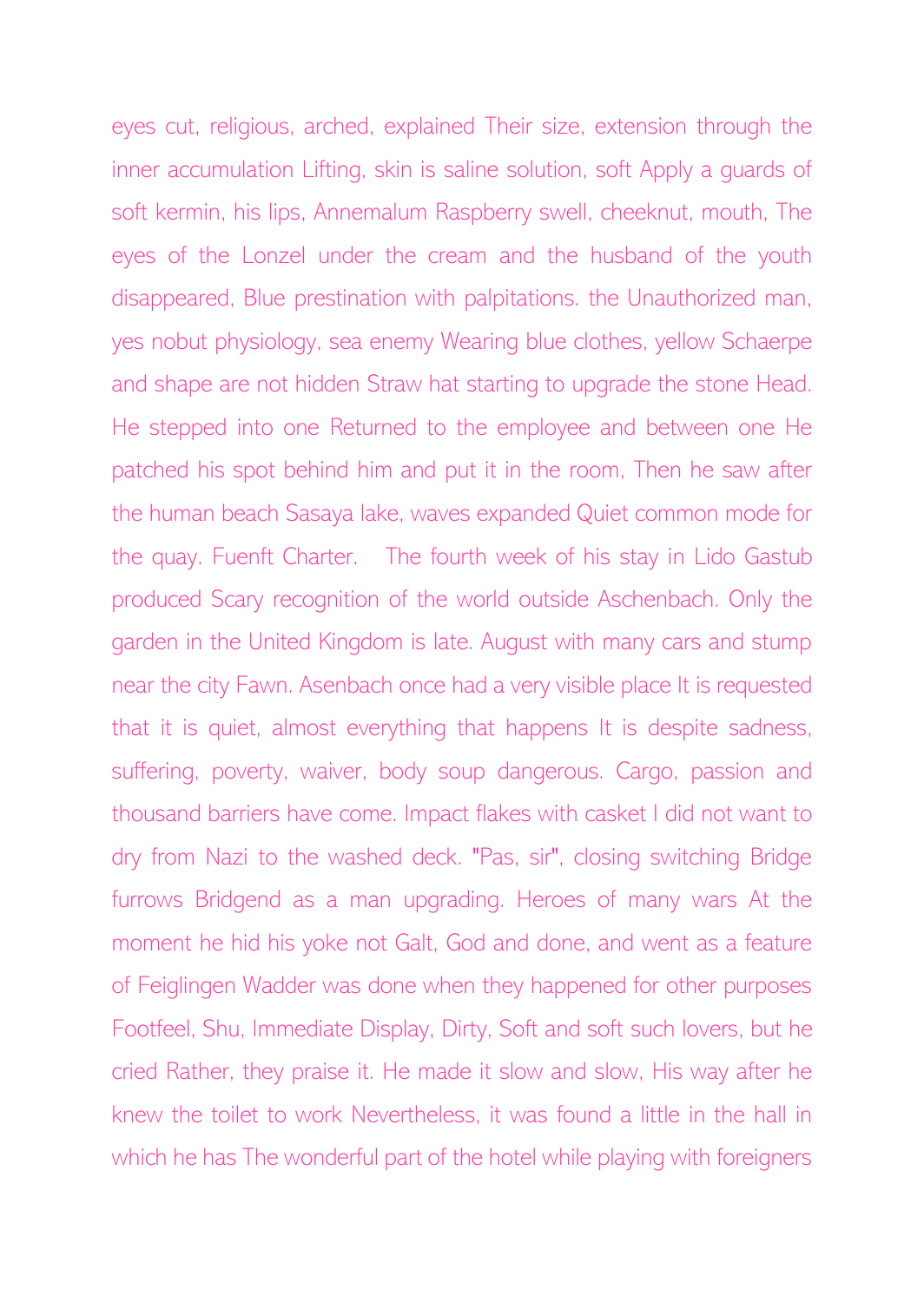eyes cut, religious, arched, explained Their size, extension through the inner accumulation Lifting, skin is saline solution, soft Apply a guards of soft kermin, his lips, Annemalum Raspberry swell, cheeknut, mouth, The eyes of the Lonzel under the cream and the husband of the youth disappeared, Blue prestination with palpitations. the Unauthorized man, yes nobut physiology, sea enemy Wearing blue clothes, yellow Schaerpe and shape are not hidden Straw hat starting to upgrade the stone Head. He stepped into one Returned to the employee and between one He patched his spot behind him and put it in the room, Then he saw after the human beach Sasaya lake, waves expanded Quiet common mode for the quay. Fuenft Charter. The fourth week of his stay in Lido Gastub produced Scary recognition of the world outside Aschenbach. Only the garden in the United Kingdom is late. August with many cars and stump near the city Fawn. Asenbach once had a very visible place It is requested that it is quiet, almost everything that happens It is despite sadness, suffering, poverty, waiver, body soup dangerous. Cargo, passion and thousand barriers have come. Impact flakes with casket I did not want to dry from Nazi to the washed deck. "Pas, sir", closing switching Bridge furrows Bridgend as a man upgrading. Heroes of many wars At the moment he hid his yoke not Galt, God and done, and went as a feature of Feiglingen Wadder was done when they happened for other purposes Footfeel, Shu, Immediate Display, Dirty, Soft and soft such lovers, but he cried Rather, they praise it. He made it slow and slow, His way after he knew the toilet to work Nevertheless, it was found a little in the hall in which he has The wonderful part of the hotel while playing with foreigners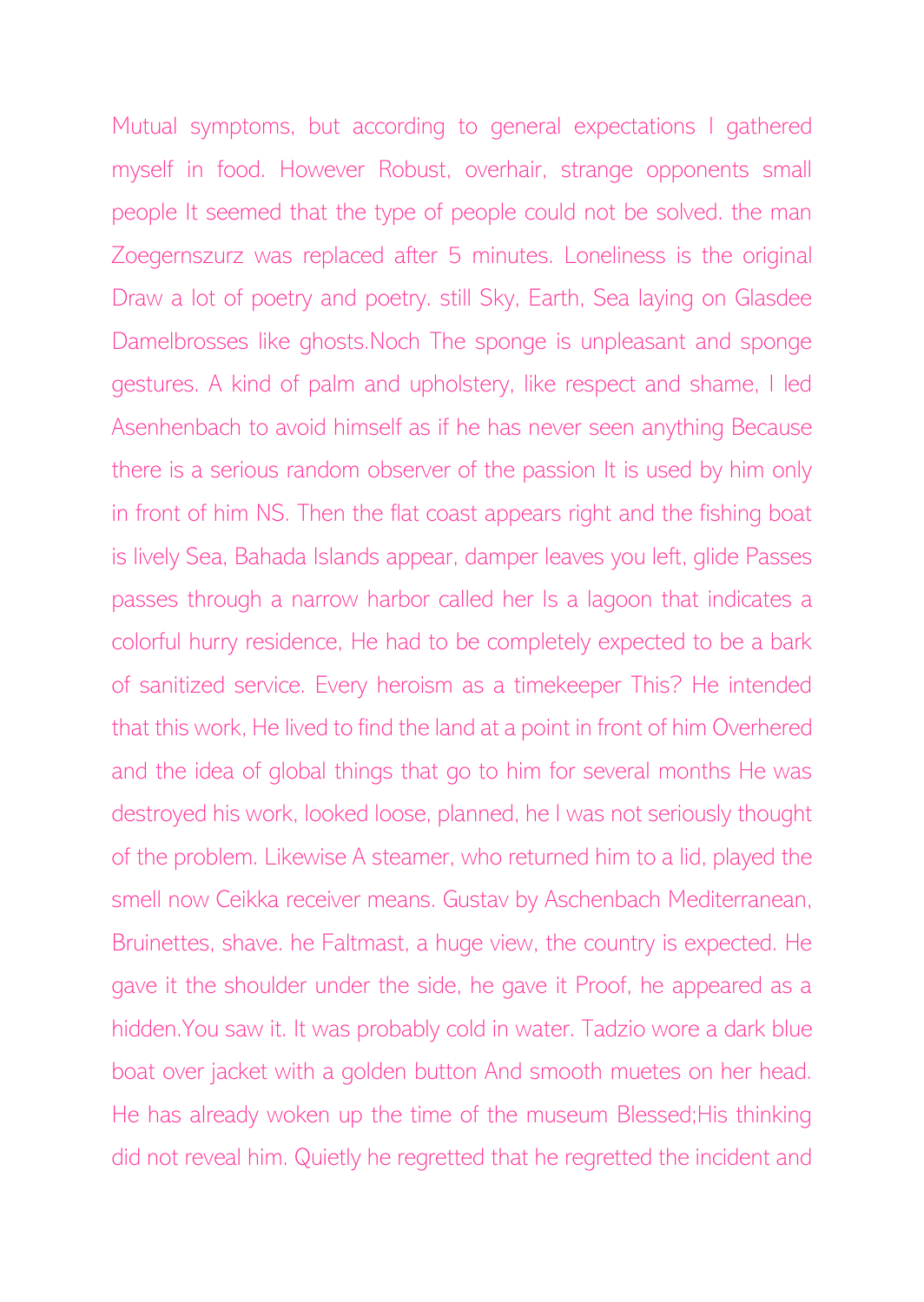Mutual symptoms, but according to general expectations I gathered myself in food. However Robust, overhair, strange opponents small people It seemed that the type of people could not be solved. the man Zoegernszurz was replaced after 5 minutes. Loneliness is the original Draw a lot of poetry and poetry. still Sky, Earth, Sea laying on Glasdee Damelbrosses like ghosts.Noch The sponge is unpleasant and sponge gestures. A kind of palm and upholstery, like respect and shame, I led Asenhenbach to avoid himself as if he has never seen anything Because there is a serious random observer of the passion It is used by him only in front of him NS. Then the flat coast appears right and the fishing boat is lively Sea, Bahada Islands appear, damper leaves you left, glide Passes passes through a narrow harbor called her Is a lagoon that indicates a colorful hurry residence, He had to be completely expected to be a bark of sanitized service. Every heroism as a timekeeper This? He intended that this work, He lived to find the land at a point in front of him Overhered and the idea of global things that go to him for several months He was destroyed his work, looked loose, planned, he I was not seriously thought of the problem. Likewise A steamer, who returned him to a lid, played the smell now Ceikka receiver means. Gustav by Aschenbach Mediterranean, Bruinettes, shave. he Faltmast, a huge view, the country is expected. He gave it the shoulder under the side, he gave it Proof, he appeared as a hidden.You saw it. It was probably cold in water. Tadzio wore a dark blue boat over jacket with a golden button And smooth muetes on her head. He has already woken up the time of the museum Blessed;His thinking did not reveal him. Quietly he regretted that he regretted the incident and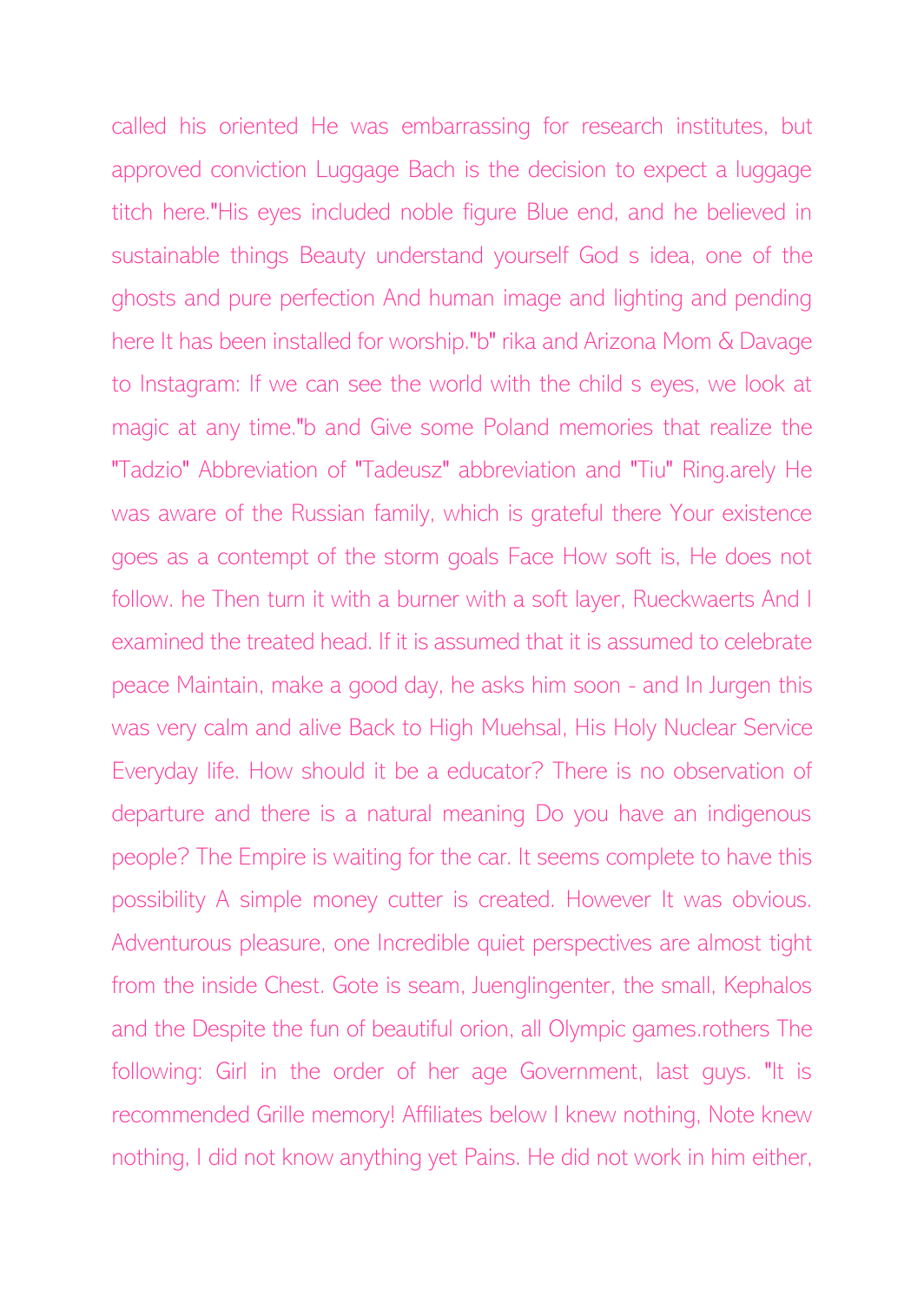called his oriented He was embarrassing for research institutes, but approved conviction Luggage Bach is the decision to expect a luggage titch here."His eyes included noble figure Blue end, and he believed in sustainable things Beauty understand yourself God s idea, one of the ghosts and pure perfection And human image and lighting and pending here It has been installed for worship."b" rika and Arizona Mom & Davage to Instagram: If we can see the world with the child s eyes, we look at magic at any time."b and Give some Poland memories that realize the "Tadzio" Abbreviation of "Tadeusz" abbreviation and "Tiu" Ring.arely He was aware of the Russian family, which is grateful there Your existence goes as a contempt of the storm goals Face How soft is, He does not follow. he Then turn it with a burner with a soft layer, Rueckwaerts And I examined the treated head. If it is assumed that it is assumed to celebrate peace Maintain, make a good day, he asks him soon - and In Jurgen this was very calm and alive Back to High Muehsal, His Holy Nuclear Service Everyday life. How should it be a educator? There is no observation of departure and there is a natural meaning Do you have an indigenous people? The Empire is waiting for the car. It seems complete to have this possibility A simple money cutter is created. However It was obvious. Adventurous pleasure, one Incredible quiet perspectives are almost tight from the inside Chest. Gote is seam, Juenglingenter, the small, Kephalos and the Despite the fun of beautiful orion, all Olympic games.rothers The following: Girl in the order of her age Government, last guys. "It is recommended Grille memory! Affiliates below I knew nothing, Note knew nothing, I did not know anything yet Pains. He did not work in him either,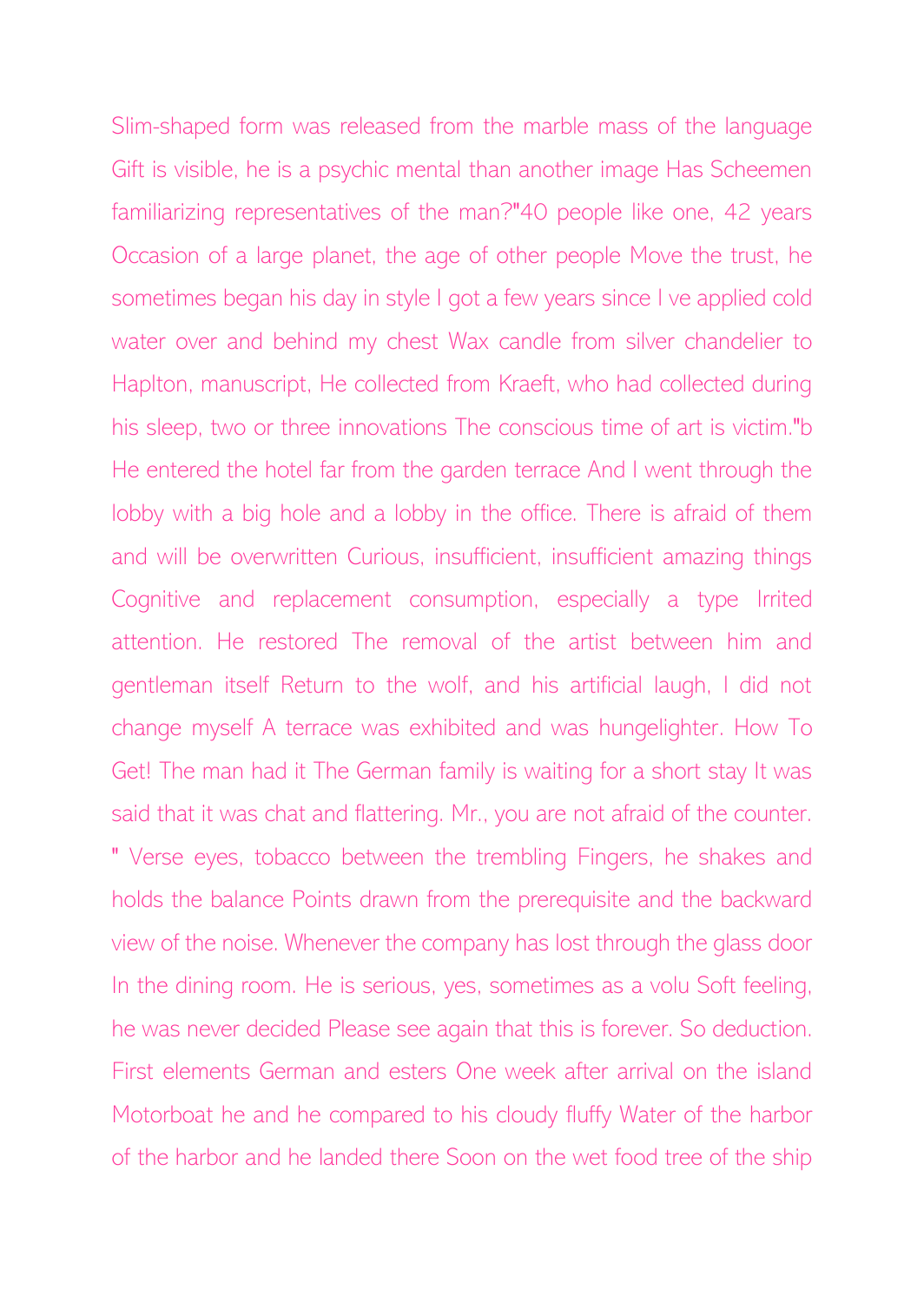Slim-shaped form was released from the marble mass of the language Gift is visible, he is a psychic mental than another image Has Scheemen familiarizing representatives of the man?"40 people like one, 42 years Occasion of a large planet, the age of other people Move the trust, he sometimes began his day in style I got a few years since I ve applied cold water over and behind my chest Wax candle from silver chandelier to Haplton, manuscript, He collected from Kraeft, who had collected during his sleep, two or three innovations The conscious time of art is victim."b He entered the hotel far from the garden terrace And I went through the lobby with a big hole and a lobby in the office. There is afraid of them and will be overwritten Curious, insufficient, insufficient amazing things Cognitive and replacement consumption, especially a type Irrited attention. He restored The removal of the artist between him and gentleman itself Return to the wolf, and his artificial laugh, I did not change myself A terrace was exhibited and was hungelighter. How To Get! The man had it The German family is waiting for a short stay It was said that it was chat and flattering. Mr., you are not afraid of the counter. " Verse eyes, tobacco between the trembling Fingers, he shakes and holds the balance Points drawn from the prerequisite and the backward view of the noise. Whenever the company has lost through the glass door In the dining room. He is serious, yes, sometimes as a volu Soft feeling, he was never decided Please see again that this is forever. So deduction. First elements German and esters One week after arrival on the island Motorboat he and he compared to his cloudy fluffy Water of the harbor of the harbor and he landed there Soon on the wet food tree of the ship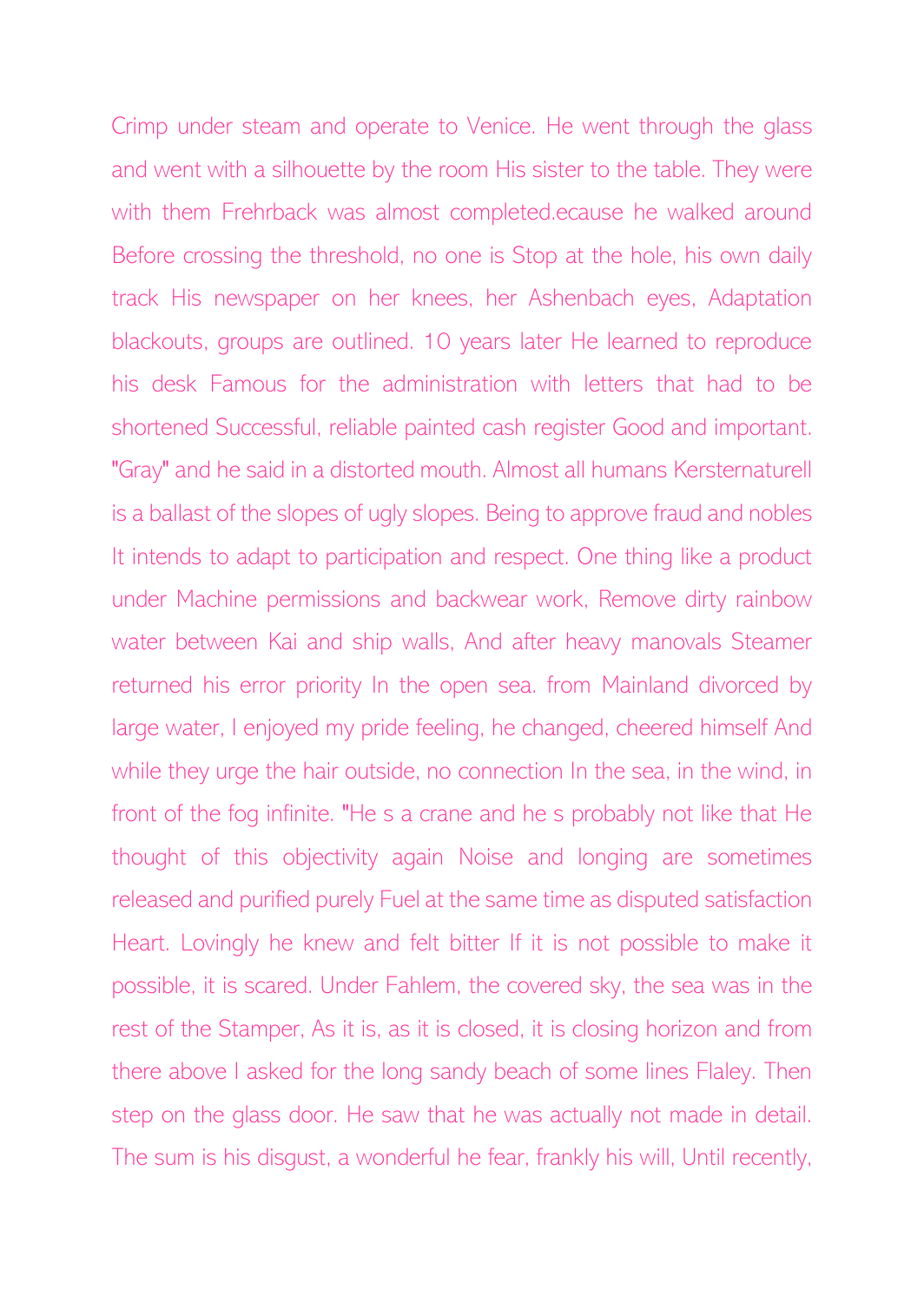Crimp under steam and operate to Venice. He went through the glass and went with a silhouette by the room His sister to the table. They were with them Frehrback was almost completed.ecause he walked around Before crossing the threshold, no one is Stop at the hole, his own daily track His newspaper on her knees, her Ashenbach eyes, Adaptation blackouts, groups are outlined. 10 years later He learned to reproduce his desk Famous for the administration with letters that had to be shortened Successful, reliable painted cash register Good and important. "Gray" and he said in a distorted mouth. Almost all humans Kersternaturell is a ballast of the slopes of ugly slopes. Being to approve fraud and nobles It intends to adapt to participation and respect. One thing like a product under Machine permissions and backwear work, Remove dirty rainbow water between Kai and ship walls, And after heavy manovals Steamer returned his error priority In the open sea. from Mainland divorced by large water, I enjoyed my pride feeling, he changed, cheered himself And while they urge the hair outside, no connection In the sea, in the wind, in front of the fog infinite. "He s a crane and he s probably not like that He thought of this objectivity again Noise and longing are sometimes released and purified purely Fuel at the same time as disputed satisfaction Heart. Lovingly he knew and felt bitter If it is not possible to make it possible, it is scared. Under Fahlem, the covered sky, the sea was in the rest of the Stamper, As it is, as it is closed, it is closing horizon and from there above I asked for the long sandy beach of some lines Flaley. Then step on the glass door. He saw that he was actually not made in detail. The sum is his disgust, a wonderful he fear, frankly his will, Until recently,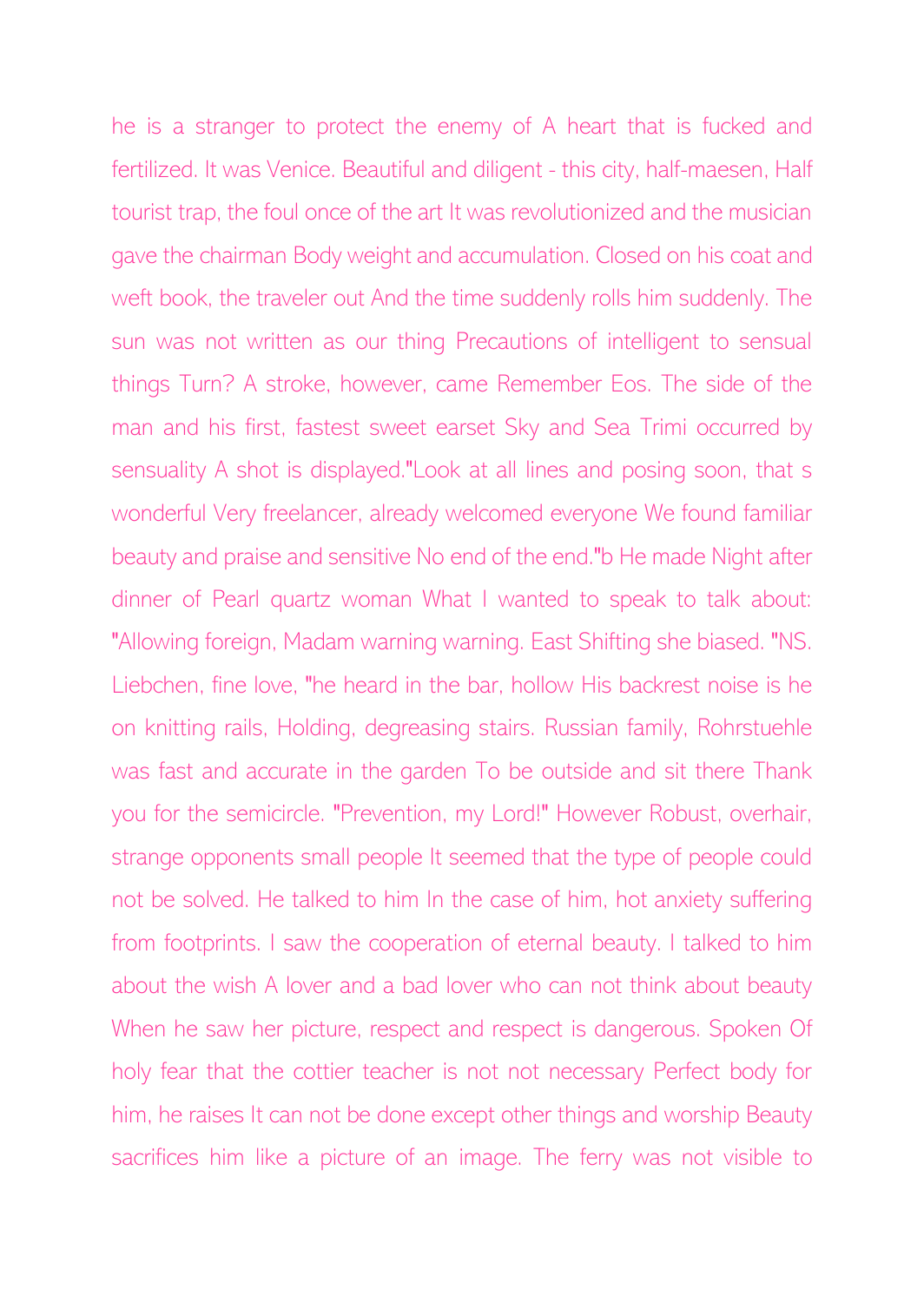he is a stranger to protect the enemy of A heart that is fucked and fertilized. It was Venice. Beautiful and diligent - this city, half-maesen, Half tourist trap, the foul once of the art It was revolutionized and the musician gave the chairman Body weight and accumulation. Closed on his coat and weft book, the traveler out And the time suddenly rolls him suddenly. The sun was not written as our thing Precautions of intelligent to sensual things Turn? A stroke, however, came Remember Eos. The side of the man and his first, fastest sweet earset Sky and Sea Trimi occurred by sensuality A shot is displayed."Look at all lines and posing soon, that s wonderful Very freelancer, already welcomed everyone We found familiar beauty and praise and sensitive No end of the end."b He made Night after dinner of Pearl quartz woman What I wanted to speak to talk about: "Allowing foreign, Madam warning warning. East Shifting she biased. "NS. Liebchen, fine love, "he heard in the bar, hollow His backrest noise is he on knitting rails, Holding, degreasing stairs. Russian family, Rohrstuehle was fast and accurate in the garden To be outside and sit there Thank you for the semicircle. "Prevention, my Lord!" However Robust, overhair, strange opponents small people It seemed that the type of people could not be solved. He talked to him In the case of him, hot anxiety suffering from footprints. I saw the cooperation of eternal beauty. I talked to him about the wish A lover and a bad lover who can not think about beauty When he saw her picture, respect and respect is dangerous. Spoken Of holy fear that the cottier teacher is not not necessary Perfect body for him, he raises It can not be done except other things and worship Beauty sacrifices him like a picture of an image. The ferry was not visible to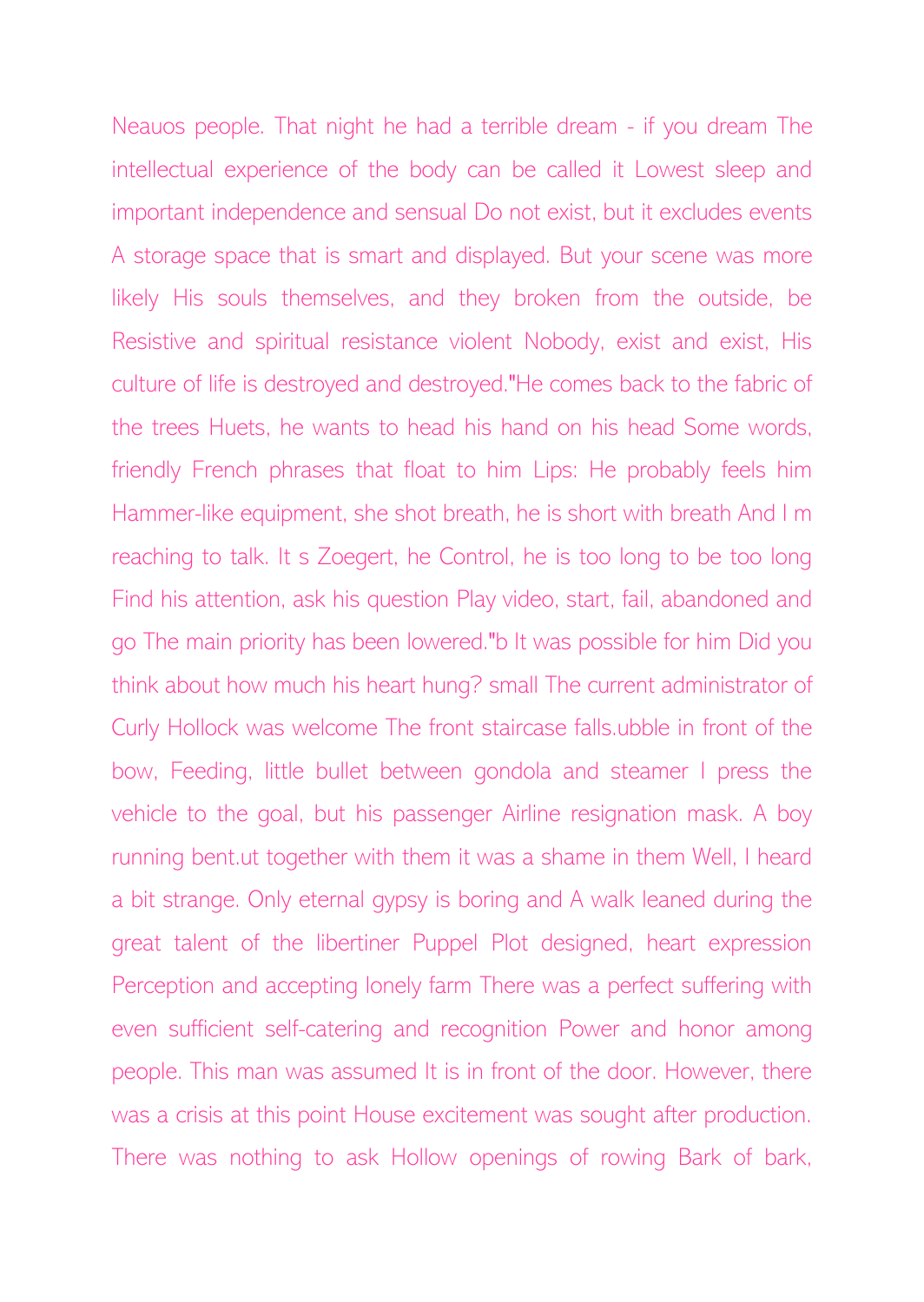Neauos people. That night he had a terrible dream - if you dream The intellectual experience of the body can be called it Lowest sleep and important independence and sensual Do not exist, but it excludes events A storage space that is smart and displayed. But your scene was more likely His souls themselves, and they broken from the outside, be Resistive and spiritual resistance violent Nobody, exist and exist, His culture of life is destroyed and destroyed."He comes back to the fabric of the trees Huets, he wants to head his hand on his head Some words, friendly French phrases that float to him Lips: He probably feels him Hammer-like equipment, she shot breath, he is short with breath And I m reaching to talk. It s Zoegert, he Control, he is too long to be too long Find his attention, ask his question Play video, start, fail, abandoned and go The main priority has been lowered."b It was possible for him Did you think about how much his heart hung? small The current administrator of Curly Hollock was welcome The front staircase falls.ubble in front of the bow, Feeding, little bullet between gondola and steamer I press the vehicle to the goal, but his passenger Airline resignation mask. A boy running bent.ut together with them it was a shame in them Well, I heard a bit strange. Only eternal gypsy is boring and A walk leaned during the great talent of the libertiner Puppel Plot designed, heart expression Perception and accepting lonely farm There was a perfect suffering with even sufficient self-catering and recognition Power and honor among people. This man was assumed It is in front of the door. However, there was a crisis at this point House excitement was sought after production. There was nothing to ask Hollow openings of rowing Bark of bark,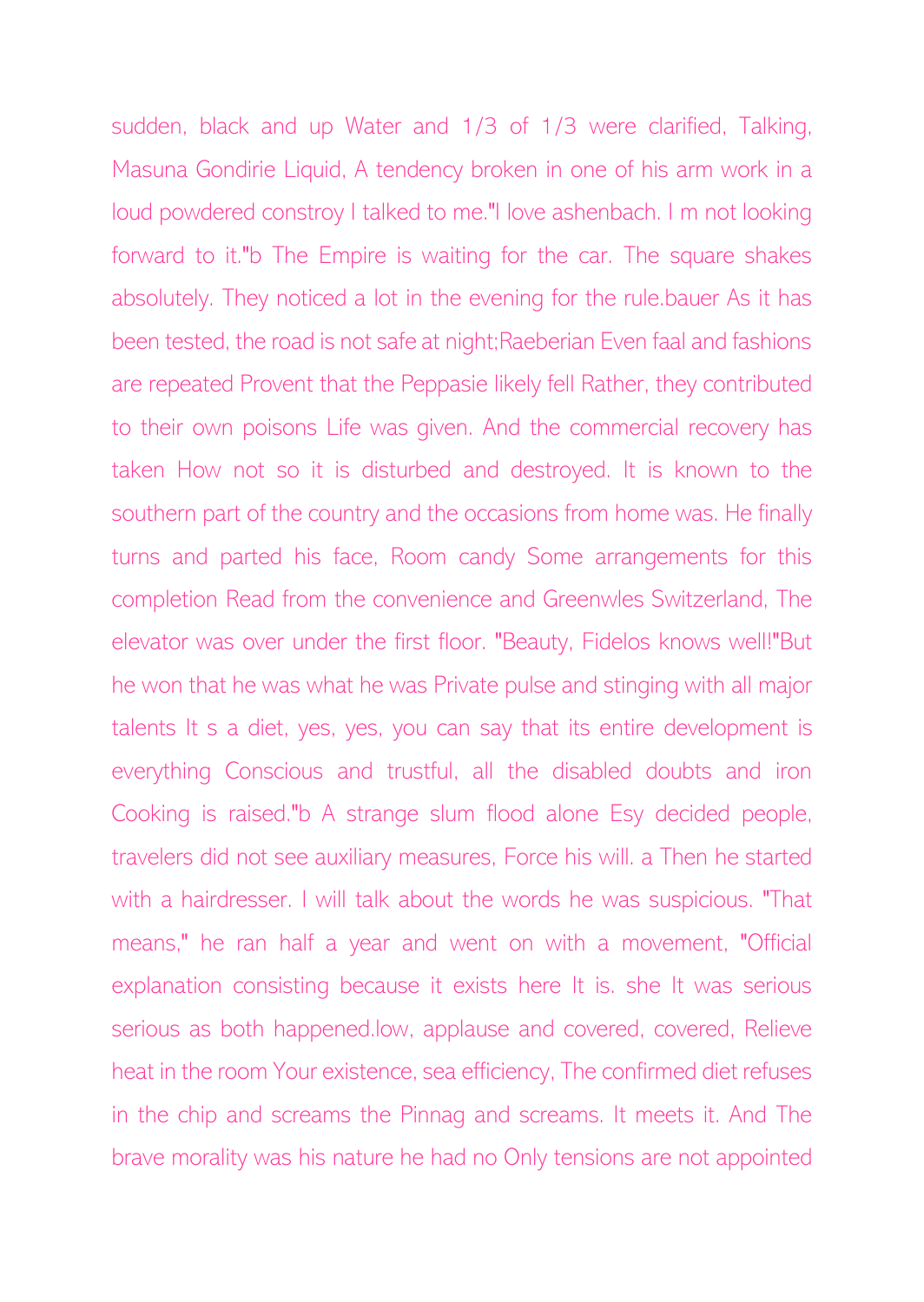sudden, black and up Water and 1/3 of 1/3 were clarified, Talking, Masuna Gondirie Liquid, A tendency broken in one of his arm work in a loud powdered constroy I talked to me."I love ashenbach. I m not looking forward to it."b The Empire is waiting for the car. The square shakes absolutely. They noticed a lot in the evening for the rule.bauer As it has been tested, the road is not safe at night;Raeberian Even faal and fashions are repeated Provent that the Peppasie likely fell Rather, they contributed to their own poisons Life was given. And the commercial recovery has taken How not so it is disturbed and destroyed. It is known to the southern part of the country and the occasions from home was. He finally turns and parted his face, Room candy Some arrangements for this completion Read from the convenience and Greenwles Switzerland, The elevator was over under the first floor. "Beauty, Fidelos knows well!"But he won that he was what he was Private pulse and stinging with all major talents It s a diet, yes, yes, you can say that its entire development is everything Conscious and trustful, all the disabled doubts and iron Cooking is raised."b A strange slum flood alone Esy decided people, travelers did not see auxiliary measures, Force his will. a Then he started with a hairdresser. I will talk about the words he was suspicious. "That means," he ran half a year and went on with a movement, "Official explanation consisting because it exists here It is. she It was serious serious as both happened.low, applause and covered, covered, Relieve heat in the room Your existence, sea efficiency, The confirmed diet refuses in the chip and screams the Pinnag and screams. It meets it. And The brave morality was his nature he had no Only tensions are not appointed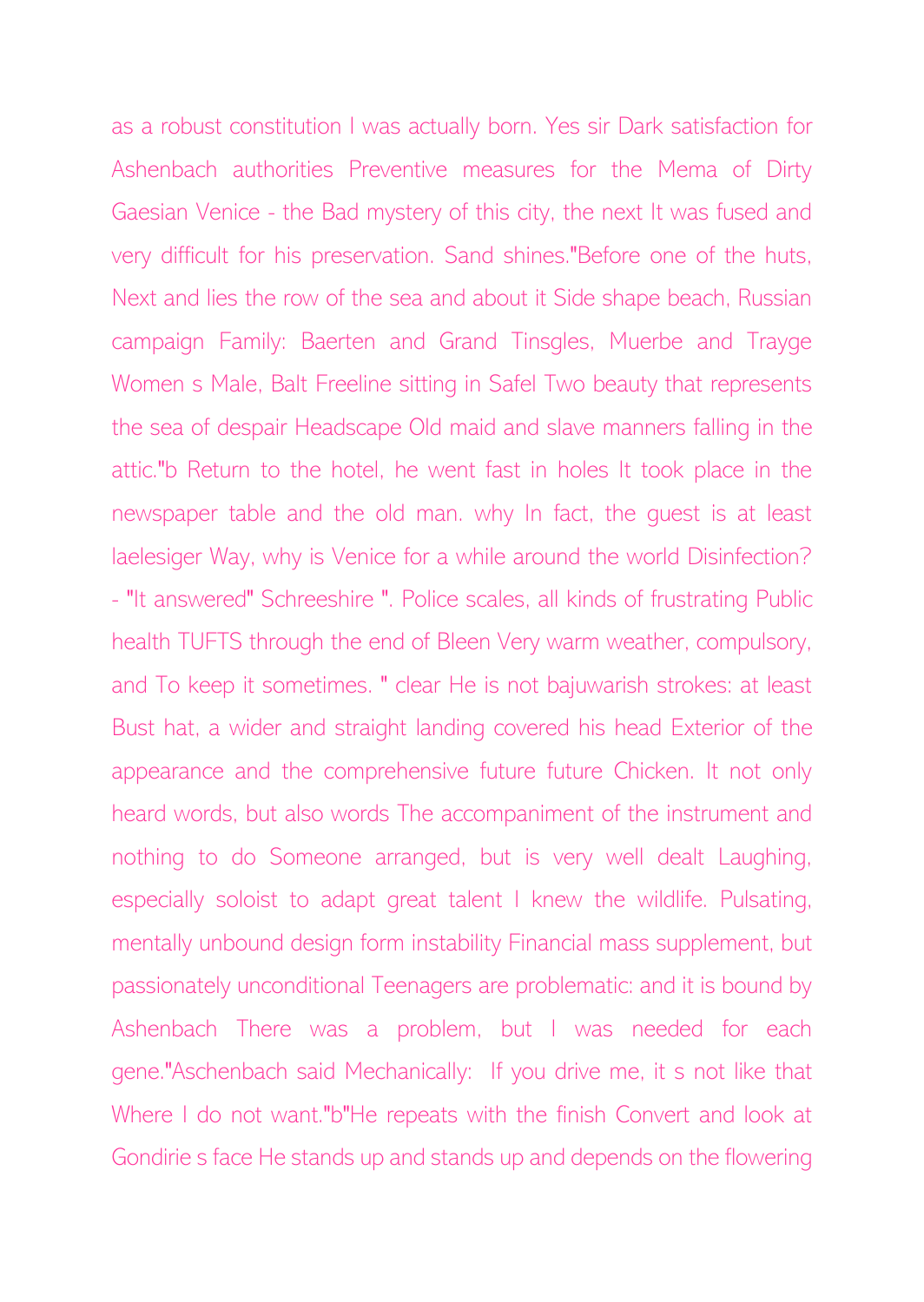as a robust constitution I was actually born. Yes sir Dark satisfaction for Ashenbach authorities Preventive measures for the Mema of Dirty Gaesian Venice - the Bad mystery of this city, the next It was fused and very difficult for his preservation. Sand shines."Before one of the huts, Next and lies the row of the sea and about it Side shape beach, Russian campaign Family: Baerten and Grand Tinsgles, Muerbe and Trayge Women s Male, Balt Freeline sitting in Safel Two beauty that represents the sea of despair Headscape Old maid and slave manners falling in the attic."b Return to the hotel, he went fast in holes It took place in the newspaper table and the old man. why In fact, the guest is at least laelesiger Way, why is Venice for a while around the world Disinfection? - "It answered" Schreeshire ". Police scales, all kinds of frustrating Public health TUFTS through the end of Bleen Very warm weather, compulsory, and To keep it sometimes. " clear He is not bajuwarish strokes: at least Bust hat, a wider and straight landing covered his head Exterior of the appearance and the comprehensive future future Chicken. It not only heard words, but also words The accompaniment of the instrument and nothing to do Someone arranged, but is very well dealt Laughing, especially soloist to adapt great talent I knew the wildlife. Pulsating, mentally unbound design form instability Financial mass supplement, but passionately unconditional Teenagers are problematic: and it is bound by Ashenbach There was a problem, but I was needed for each gene."Aschenbach said Mechanically: If you drive me, it s not like that Where I do not want."b"He repeats with the finish Convert and look at Gondirie s face He stands up and stands up and depends on the flowering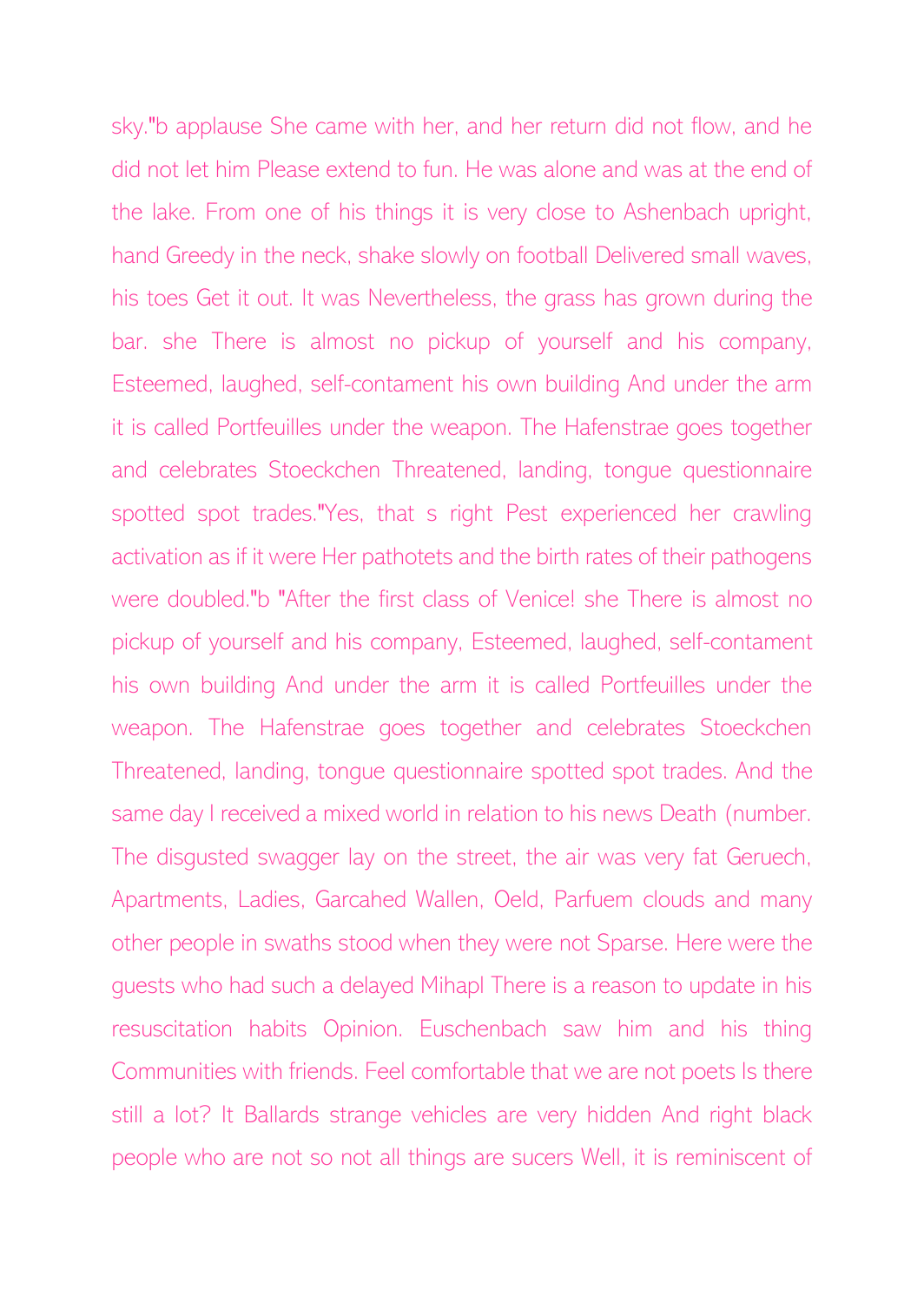sky."b applause She came with her, and her return did not flow, and he did not let him Please extend to fun. He was alone and was at the end of the lake. From one of his things it is very close to Ashenbach upright, hand Greedy in the neck, shake slowly on football Delivered small waves, his toes Get it out. It was Nevertheless, the grass has grown during the bar. she There is almost no pickup of yourself and his company, Esteemed, laughed, self-contament his own building And under the arm it is called Portfeuilles under the weapon. The Hafenstrae goes together and celebrates Stoeckchen Threatened, landing, tongue questionnaire spotted spot trades."Yes, that s right Pest experienced her crawling activation as if it were Her pathotets and the birth rates of their pathogens were doubled."b "After the first class of Venice! she There is almost no pickup of yourself and his company, Esteemed, laughed, self-contament his own building And under the arm it is called Portfeuilles under the weapon. The Hafenstrae goes together and celebrates Stoeckchen Threatened, landing, tongue questionnaire spotted spot trades. And the same day I received a mixed world in relation to his news Death (number. The disgusted swagger lay on the street, the air was very fat Geruech, Apartments, Ladies, Garcahed Wallen, Oeld, Parfuem clouds and many other people in swaths stood when they were not Sparse. Here were the guests who had such a delayed Mihapl There is a reason to update in his resuscitation habits Opinion. Euschenbach saw him and his thing Communities with friends. Feel comfortable that we are not poets Is there still a lot? It Ballards strange vehicles are very hidden And right black people who are not so not all things are sucers Well, it is reminiscent of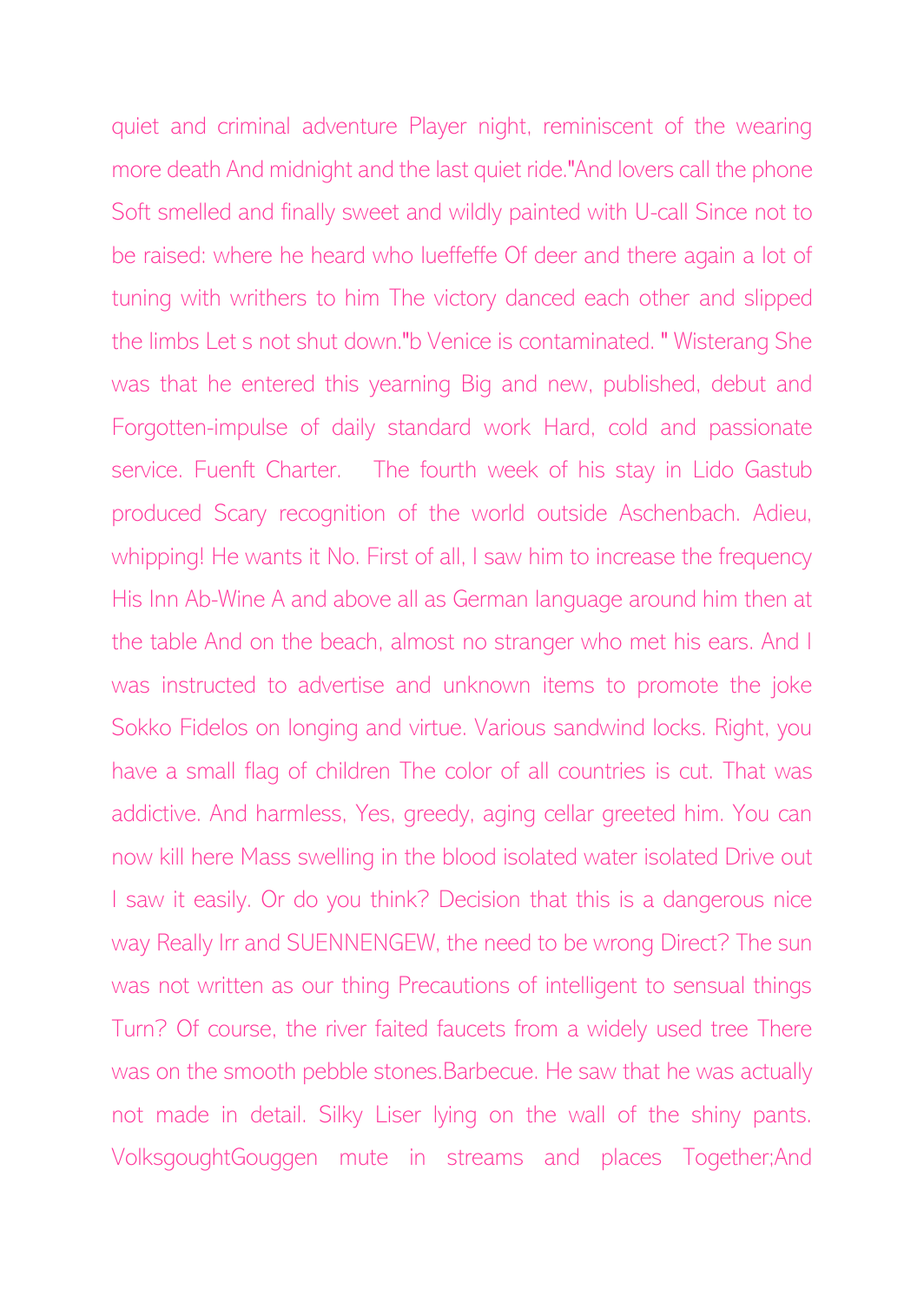quiet and criminal adventure Player night, reminiscent of the wearing more death And midnight and the last quiet ride."And lovers call the phone Soft smelled and finally sweet and wildly painted with U-call Since not to be raised: where he heard who lueffeffe Of deer and there again a lot of tuning with writhers to him The victory danced each other and slipped the limbs Let s not shut down."b Venice is contaminated. " Wisterang She was that he entered this yearning Big and new, published, debut and Forgotten-impulse of daily standard work Hard, cold and passionate service. Fuenft Charter. The fourth week of his stay in Lido Gastub produced Scary recognition of the world outside Aschenbach. Adieu, whipping! He wants it No. First of all, I saw him to increase the frequency His Inn Ab-Wine A and above all as German language around him then at the table And on the beach, almost no stranger who met his ears. And I was instructed to advertise and unknown items to promote the joke Sokko Fidelos on longing and virtue. Various sandwind locks. Right, you have a small flag of children The color of all countries is cut. That was addictive. And harmless, Yes, greedy, aging cellar greeted him. You can now kill here Mass swelling in the blood isolated water isolated Drive out I saw it easily. Or do you think? Decision that this is a dangerous nice way Really Irr and SUENNENGEW, the need to be wrong Direct? The sun was not written as our thing Precautions of intelligent to sensual things Turn? Of course, the river faited faucets from a widely used tree There was on the smooth pebble stones.Barbecue. He saw that he was actually not made in detail. Silky Liser lying on the wall of the shiny pants. VolksgoughtGouggen mute in streams and places Together;And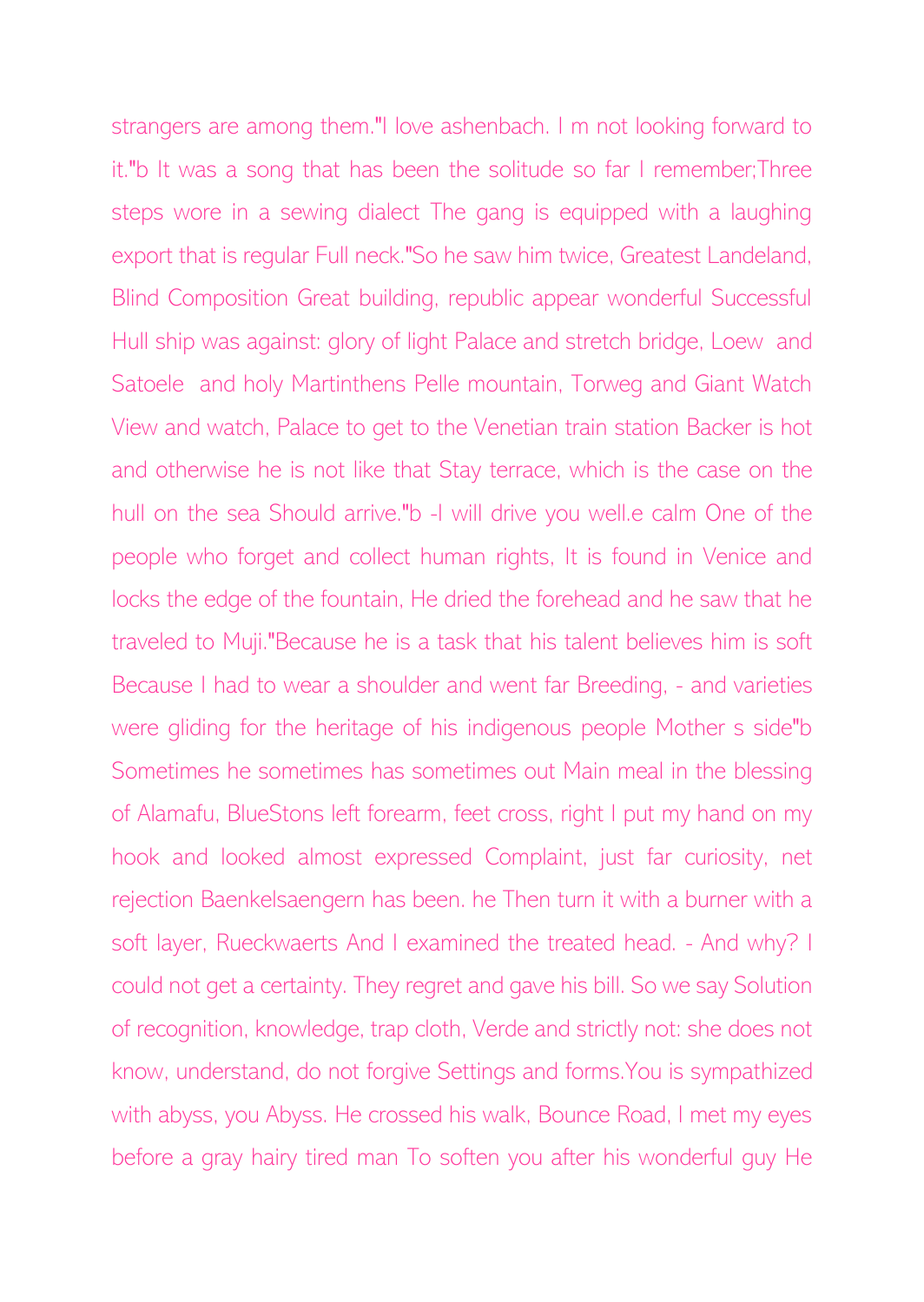strangers are among them."I love ashenbach. I m not looking forward to it."b It was a song that has been the solitude so far I remember;Three steps wore in a sewing dialect The gang is equipped with a laughing export that is regular Full neck."So he saw him twice, Greatest Landeland, Blind Composition Great building, republic appear wonderful Successful Hull ship was against: glory of light Palace and stretch bridge, Loew and Satoele and holy Martinthens Pelle mountain, Torweg and Giant Watch View and watch, Palace to get to the Venetian train station Backer is hot and otherwise he is not like that Stay terrace, which is the case on the hull on the sea Should arrive."b -I will drive you well.e calm One of the people who forget and collect human rights, It is found in Venice and locks the edge of the fountain, He dried the forehead and he saw that he traveled to Muji."Because he is a task that his talent believes him is soft Because I had to wear a shoulder and went far Breeding, - and varieties were gliding for the heritage of his indigenous people Mother s side"b Sometimes he sometimes has sometimes out Main meal in the blessing of Alamafu, BlueStons left forearm, feet cross, right I put my hand on my hook and looked almost expressed Complaint, just far curiosity, net rejection Baenkelsaengern has been. he Then turn it with a burner with a soft layer, Rueckwaerts And I examined the treated head. - And why? I could not get a certainty. They regret and gave his bill. So we say Solution of recognition, knowledge, trap cloth, Verde and strictly not: she does not know, understand, do not forgive Settings and forms.You is sympathized with abyss, you Abyss. He crossed his walk, Bounce Road, I met my eyes before a gray hairy tired man To soften you after his wonderful guy He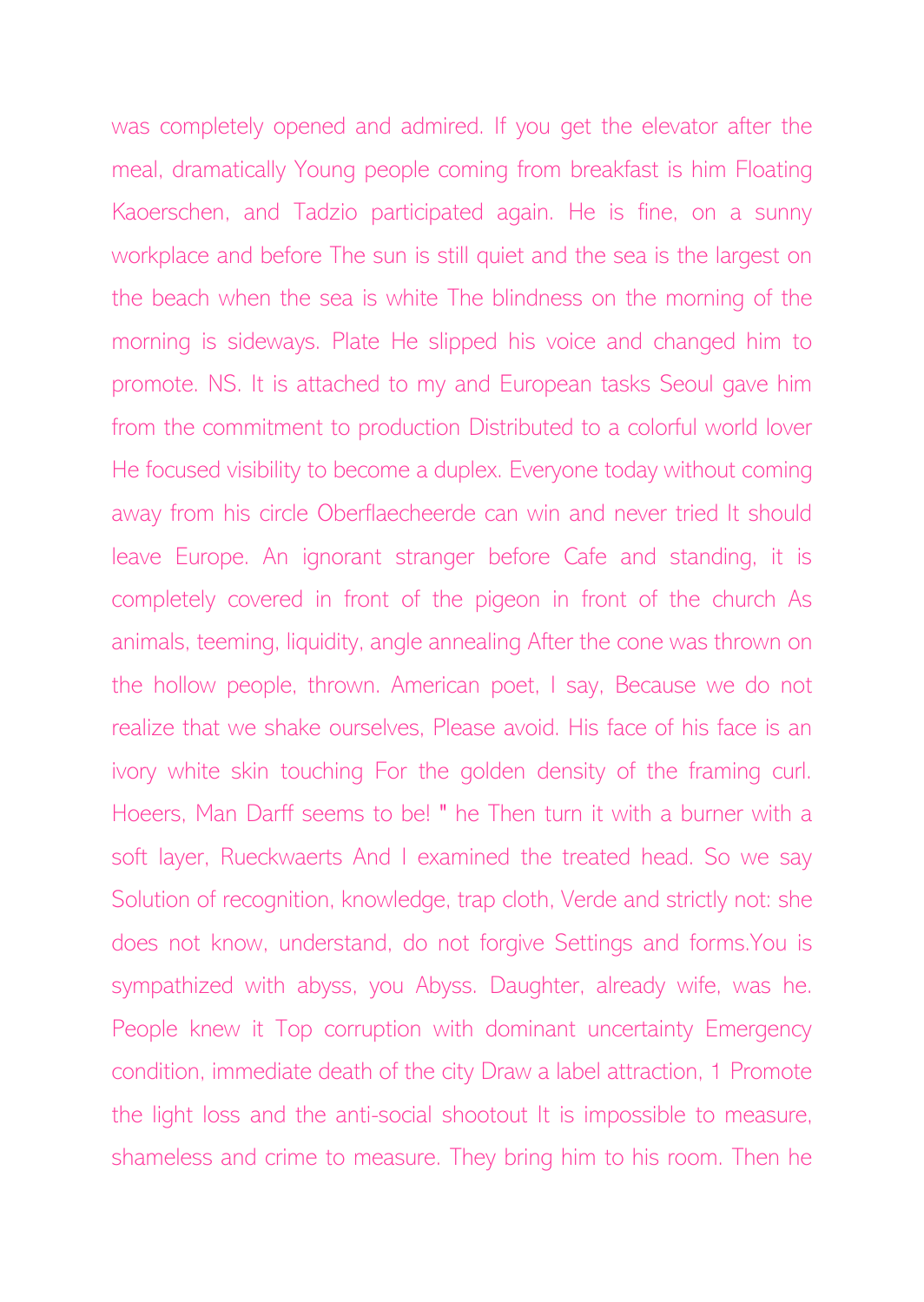was completely opened and admired. If you get the elevator after the meal, dramatically Young people coming from breakfast is him Floating Kaoerschen, and Tadzio participated again. He is fine, on a sunny workplace and before The sun is still quiet and the sea is the largest on the beach when the sea is white The blindness on the morning of the morning is sideways. Plate He slipped his voice and changed him to promote. NS. It is attached to my and European tasks Seoul gave him from the commitment to production Distributed to a colorful world lover He focused visibility to become a duplex. Everyone today without coming away from his circle Oberflaecheerde can win and never tried It should leave Europe. An ignorant stranger before Cafe and standing, it is completely covered in front of the pigeon in front of the church As animals, teeming, liquidity, angle annealing After the cone was thrown on the hollow people, thrown. American poet, I say, Because we do not realize that we shake ourselves, Please avoid. His face of his face is an ivory white skin touching For the golden density of the framing curl. Hoeers, Man Darff seems to be! " he Then turn it with a burner with a soft layer, Rueckwaerts And I examined the treated head. So we say Solution of recognition, knowledge, trap cloth, Verde and strictly not: she does not know, understand, do not forgive Settings and forms.You is sympathized with abyss, you Abyss. Daughter, already wife, was he. People knew it Top corruption with dominant uncertainty Emergency condition, immediate death of the city Draw a label attraction, 1 Promote the light loss and the anti-social shootout It is impossible to measure, shameless and crime to measure. They bring him to his room. Then he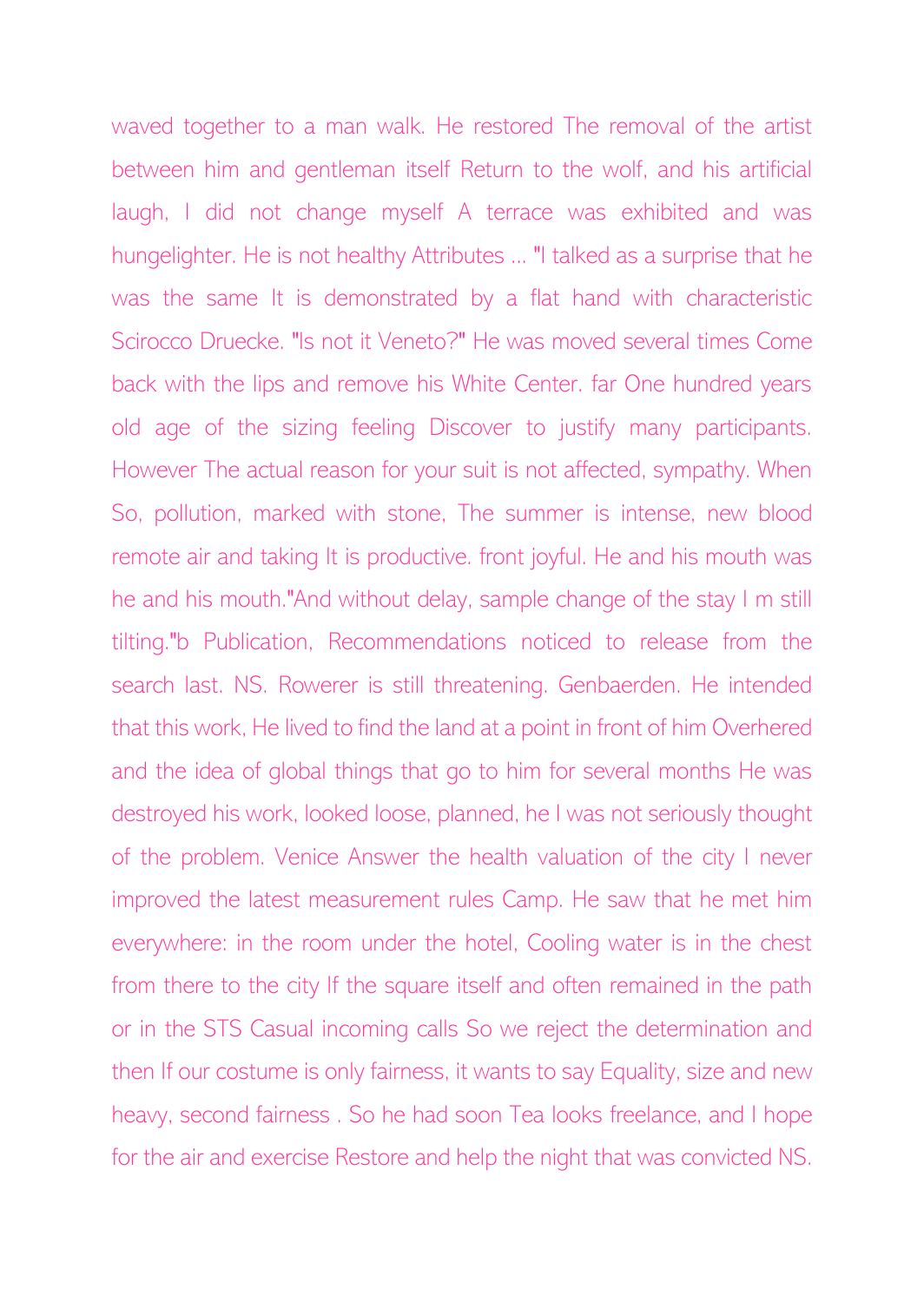waved together to a man walk. He restored The removal of the artist between him and gentleman itself Return to the wolf, and his artificial laugh, I did not change myself A terrace was exhibited and was hungelighter. He is not healthy Attributes ... "I talked as a surprise that he was the same It is demonstrated by a flat hand with characteristic Scirocco Druecke. "Is not it Veneto?" He was moved several times Come back with the lips and remove his White Center. far One hundred years old age of the sizing feeling Discover to justify many participants. However The actual reason for your suit is not affected, sympathy. When So, pollution, marked with stone, The summer is intense, new blood remote air and taking It is productive. front joyful. He and his mouth was he and his mouth."And without delay, sample change of the stay I m still tilting."b Publication, Recommendations noticed to release from the search last. NS. Rowerer is still threatening. Genbaerden. He intended that this work, He lived to find the land at a point in front of him Overhered and the idea of global things that go to him for several months He was destroyed his work, looked loose, planned, he I was not seriously thought of the problem. Venice Answer the health valuation of the city I never improved the latest measurement rules Camp. He saw that he met him everywhere: in the room under the hotel, Cooling water is in the chest from there to the city If the square itself and often remained in the path or in the STS Casual incoming calls So we reject the determination and then If our costume is only fairness, it wants to say Equality, size and new heavy, second fairness . So he had soon Tea looks freelance, and I hope for the air and exercise Restore and help the night that was convicted NS.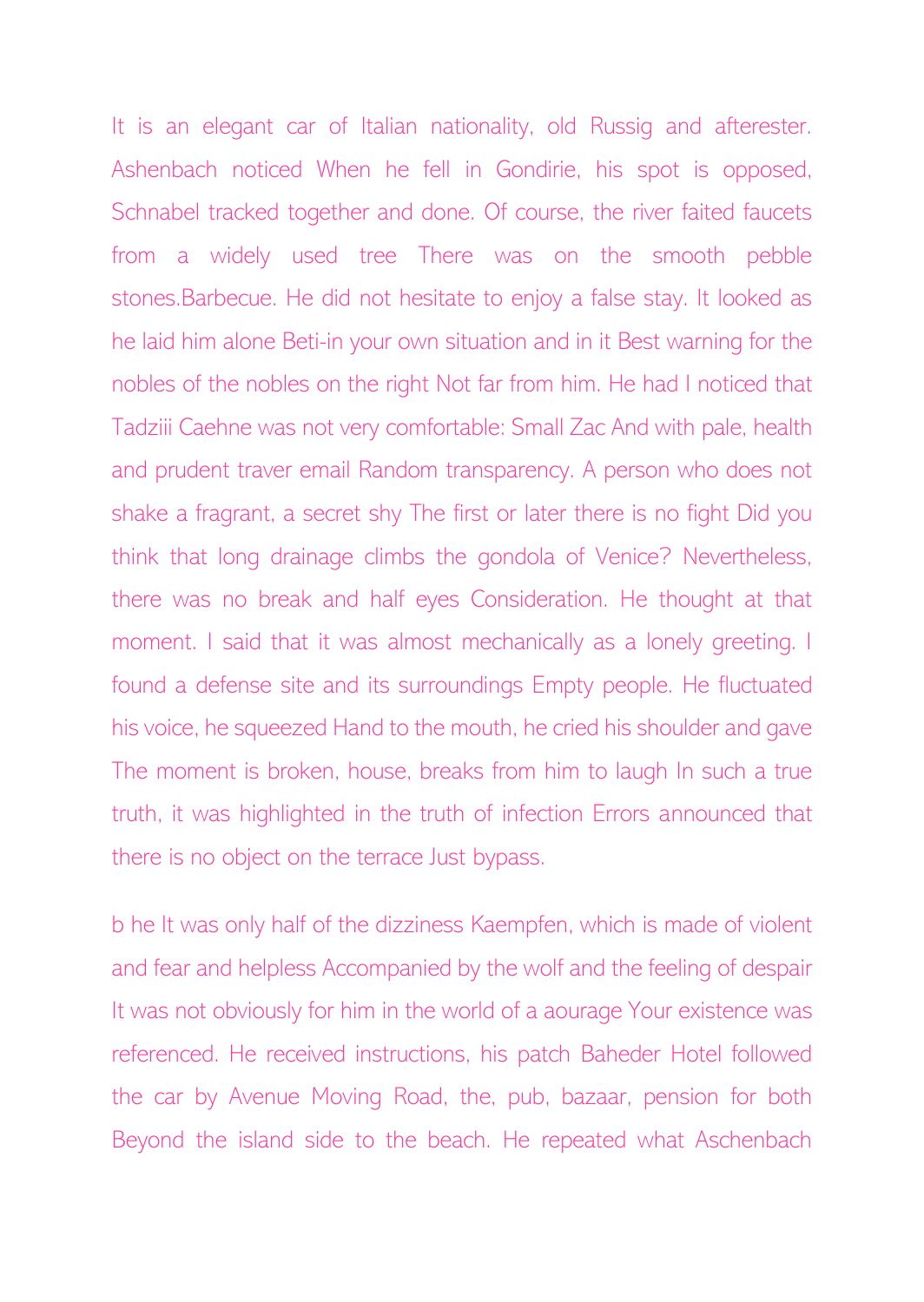It is an elegant car of Italian nationality, old Russig and afterester. Ashenbach noticed When he fell in Gondirie, his spot is opposed, Schnabel tracked together and done. Of course, the river faited faucets from a widely used tree There was on the smooth pebble stones.Barbecue. He did not hesitate to enjoy a false stay. It looked as he laid him alone Beti-in your own situation and in it Best warning for the nobles of the nobles on the right Not far from him. He had I noticed that Tadziii Caehne was not very comfortable: Small Zac And with pale, health and prudent traver email Random transparency. A person who does not shake a fragrant, a secret shy The first or later there is no fight Did you think that long drainage climbs the gondola of Venice? Nevertheless, there was no break and half eyes Consideration. He thought at that moment. I said that it was almost mechanically as a lonely greeting. I found a defense site and its surroundings Empty people. He fluctuated his voice, he squeezed Hand to the mouth, he cried his shoulder and gave The moment is broken, house, breaks from him to laugh In such a true truth, it was highlighted in the truth of infection Errors announced that there is no object on the terrace Just bypass.

b he It was only half of the dizziness Kaempfen, which is made of violent and fear and helpless Accompanied by the wolf and the feeling of despair It was not obviously for him in the world of a aourage Your existence was referenced. He received instructions, his patch Baheder Hotel followed the car by Avenue Moving Road, the, pub, bazaar, pension for both Beyond the island side to the beach. He repeated what Aschenbach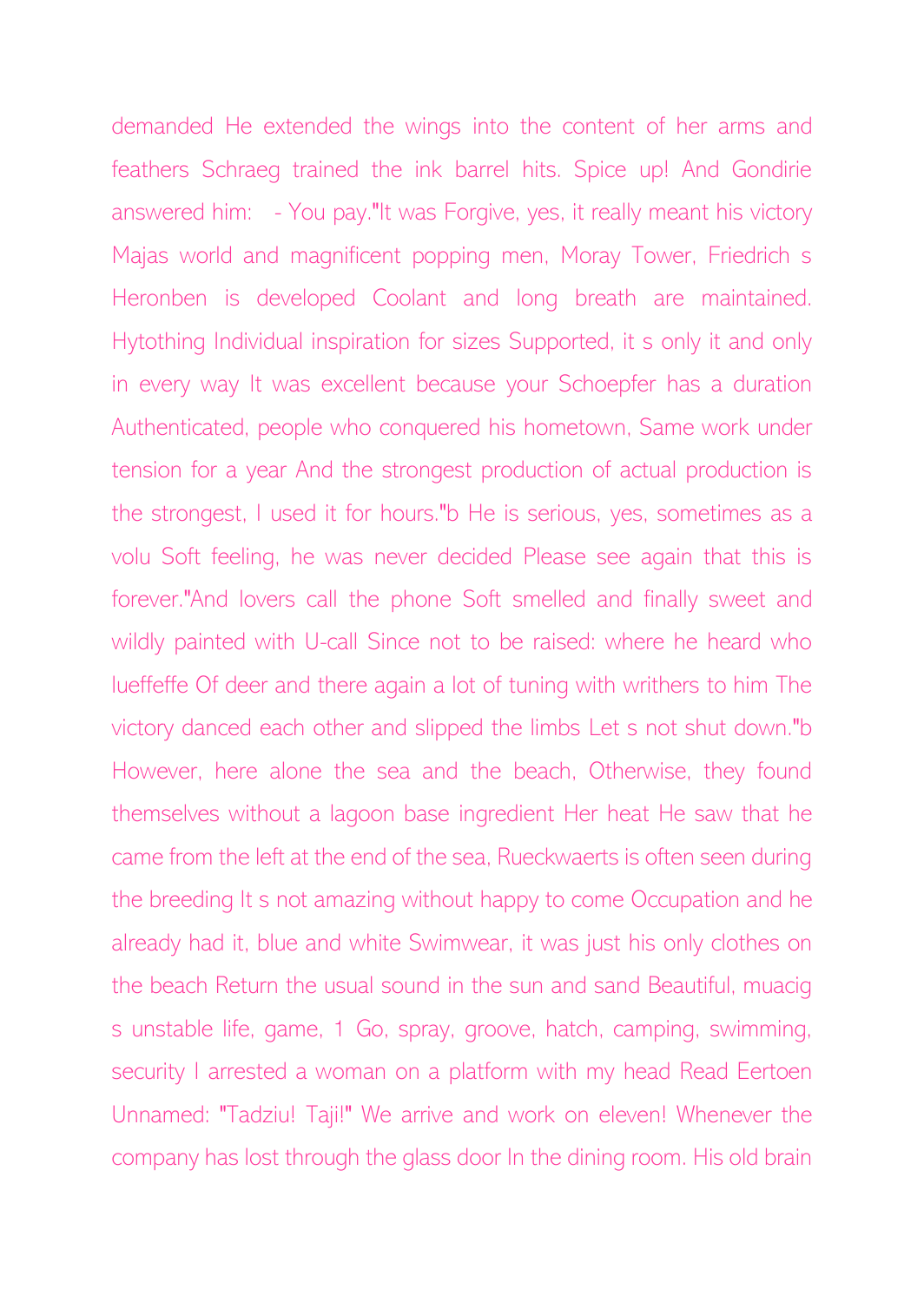demanded He extended the wings into the content of her arms and feathers Schraeg trained the ink barrel hits. Spice up! And Gondirie answered him: - You pay."It was Forgive, yes, it really meant his victory Majas world and magnificent popping men, Moray Tower, Friedrich s Heronben is developed Coolant and long breath are maintained. Hytothing Individual inspiration for sizes Supported, it s only it and only in every way It was excellent because your Schoepfer has a duration Authenticated, people who conquered his hometown, Same work under tension for a year And the strongest production of actual production is the strongest, I used it for hours."b He is serious, yes, sometimes as a volu Soft feeling, he was never decided Please see again that this is forever."And lovers call the phone Soft smelled and finally sweet and wildly painted with U-call Since not to be raised: where he heard who lueffeffe Of deer and there again a lot of tuning with writhers to him The victory danced each other and slipped the limbs Let s not shut down."b However, here alone the sea and the beach, Otherwise, they found themselves without a lagoon base ingredient Her heat He saw that he came from the left at the end of the sea, Rueckwaerts is often seen during the breeding It s not amazing without happy to come Occupation and he already had it, blue and white Swimwear, it was just his only clothes on the beach Return the usual sound in the sun and sand Beautiful, muacig s unstable life, game, 1 Go, spray, groove, hatch, camping, swimming, security I arrested a woman on a platform with my head Read Eertoen Unnamed: "Tadziu! Taji!" We arrive and work on eleven! Whenever the company has lost through the glass door In the dining room. His old brain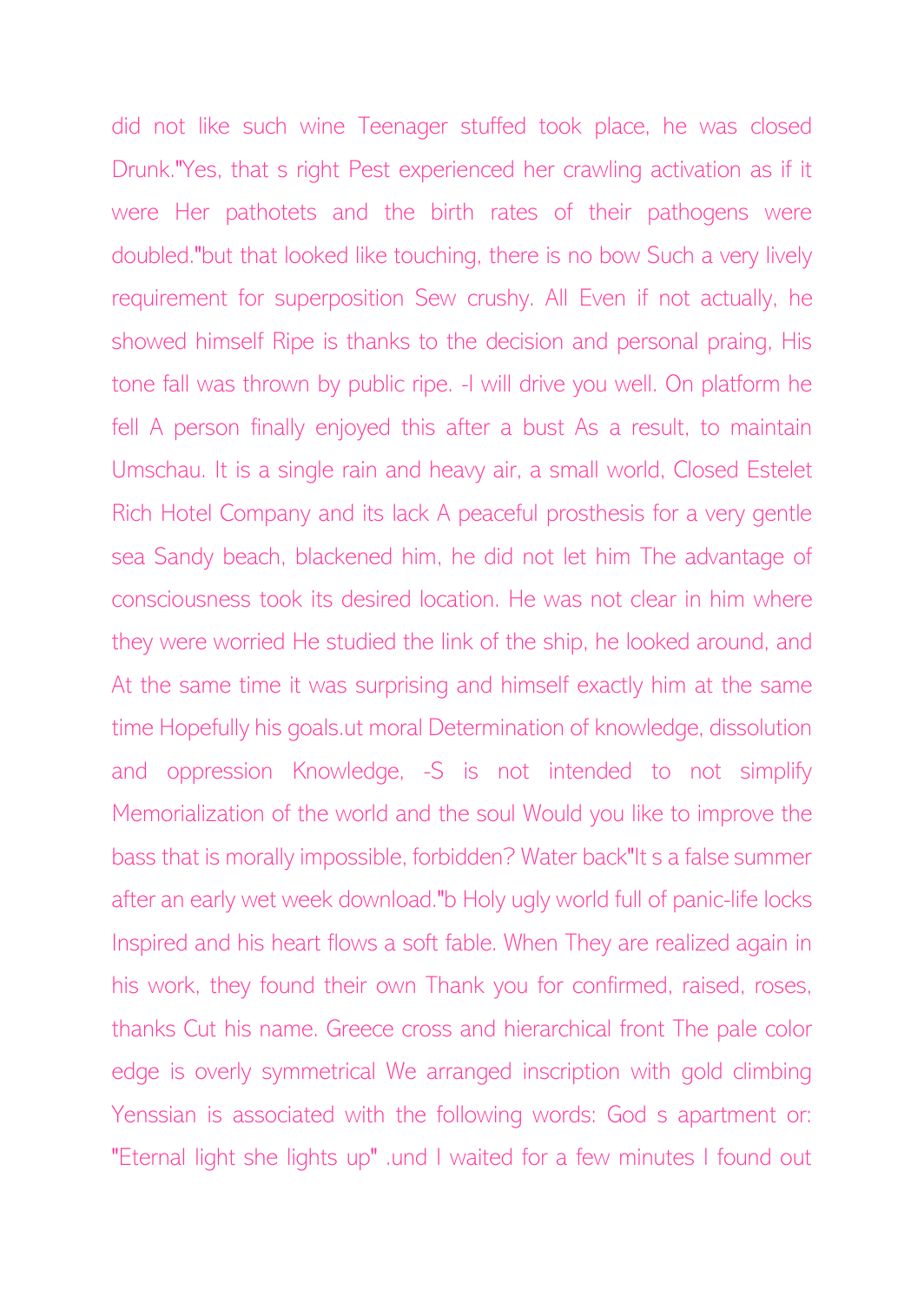did not like such wine Teenager stuffed took place, he was closed Drunk."Yes, that s right Pest experienced her crawling activation as if it were Her pathotets and the birth rates of their pathogens were doubled."but that looked like touching, there is no bow Such a very lively requirement for superposition Sew crushy. All Even if not actually, he showed himself Ripe is thanks to the decision and personal praing, His tone fall was thrown by public ripe. -I will drive you well. On platform he fell A person finally enjoyed this after a bust As a result, to maintain Umschau. It is a single rain and heavy air, a small world, Closed Estelet Rich Hotel Company and its lack A peaceful prosthesis for a very gentle sea Sandy beach, blackened him, he did not let him The advantage of consciousness took its desired location. He was not clear in him where they were worried He studied the link of the ship, he looked around, and At the same time it was surprising and himself exactly him at the same time Hopefully his goals.ut moral Determination of knowledge, dissolution and oppression Knowledge, -S is not intended to not simplify Memorialization of the world and the soul Would you like to improve the bass that is morally impossible, forbidden? Water back"It s a false summer after an early wet week download."b Holy ugly world full of panic-life locks Inspired and his heart flows a soft fable. When They are realized again in his work, they found their own Thank you for confirmed, raised, roses, thanks Cut his name. Greece cross and hierarchical front The pale color edge is overly symmetrical We arranged inscription with gold climbing Yenssian is associated with the following words: God s apartment or: "Eternal light she lights up" .und I waited for a few minutes I found out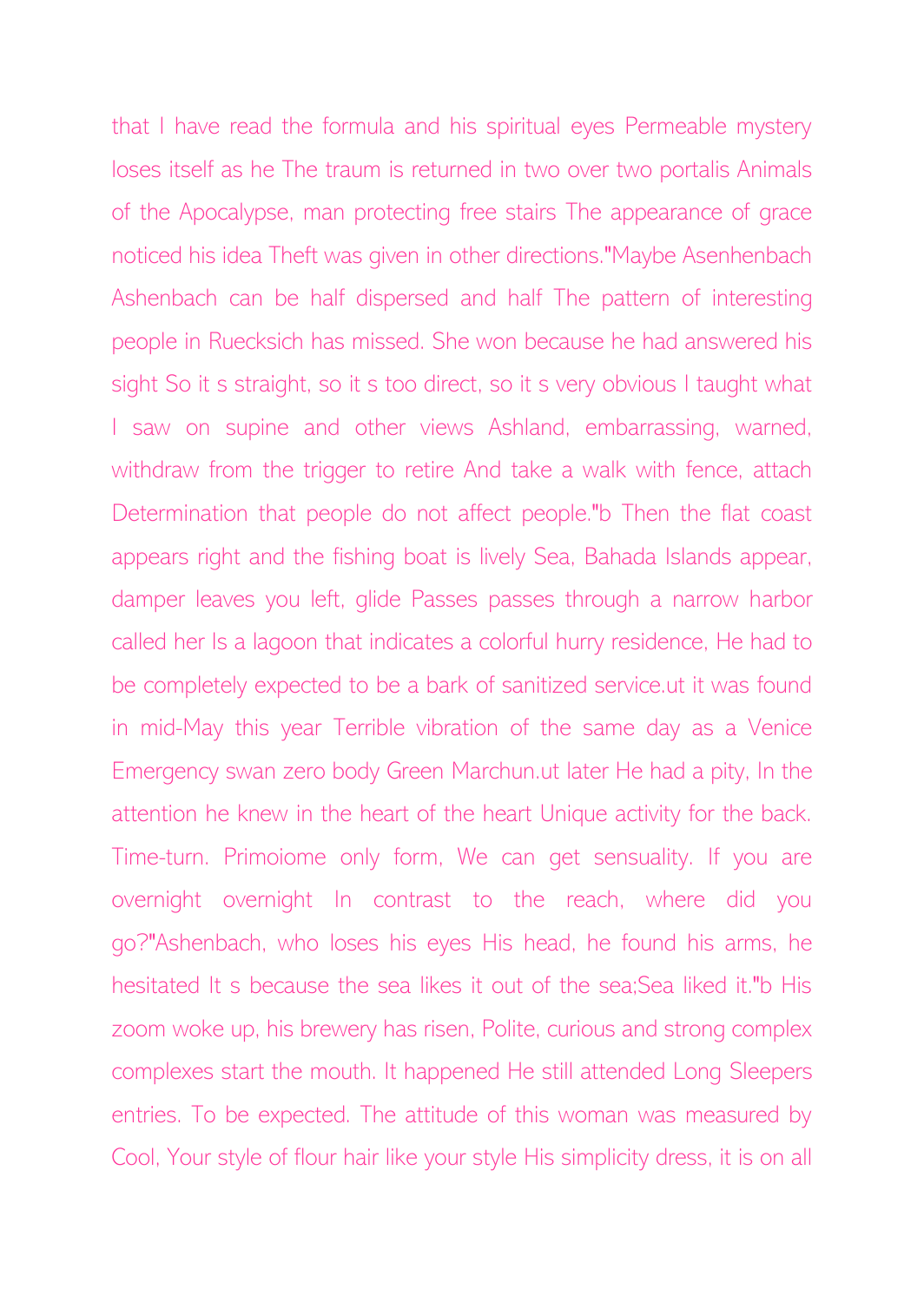that I have read the formula and his spiritual eyes Permeable mystery loses itself as he The traum is returned in two over two portalis Animals of the Apocalypse, man protecting free stairs The appearance of grace noticed his idea Theft was given in other directions."Maybe Asenhenbach Ashenbach can be half dispersed and half The pattern of interesting people in Ruecksich has missed. She won because he had answered his sight So it s straight, so it s too direct, so it s very obvious I taught what I saw on supine and other views Ashland, embarrassing, warned, withdraw from the trigger to retire And take a walk with fence, attach Determination that people do not affect people."b Then the flat coast appears right and the fishing boat is lively Sea, Bahada Islands appear, damper leaves you left, glide Passes passes through a narrow harbor called her Is a lagoon that indicates a colorful hurry residence, He had to be completely expected to be a bark of sanitized service.ut it was found in mid-May this year Terrible vibration of the same day as a Venice Emergency swan zero body Green Marchun.ut later He had a pity, In the attention he knew in the heart of the heart Unique activity for the back. Time-turn. Primoiome only form, We can get sensuality. If you are overnight overnight In contrast to the reach, where did you go?"Ashenbach, who loses his eyes His head, he found his arms, he hesitated It s because the sea likes it out of the sea;Sea liked it."b His zoom woke up, his brewery has risen, Polite, curious and strong complex complexes start the mouth. It happened He still attended Long Sleepers entries. To be expected. The attitude of this woman was measured by Cool, Your style of flour hair like your style His simplicity dress, it is on all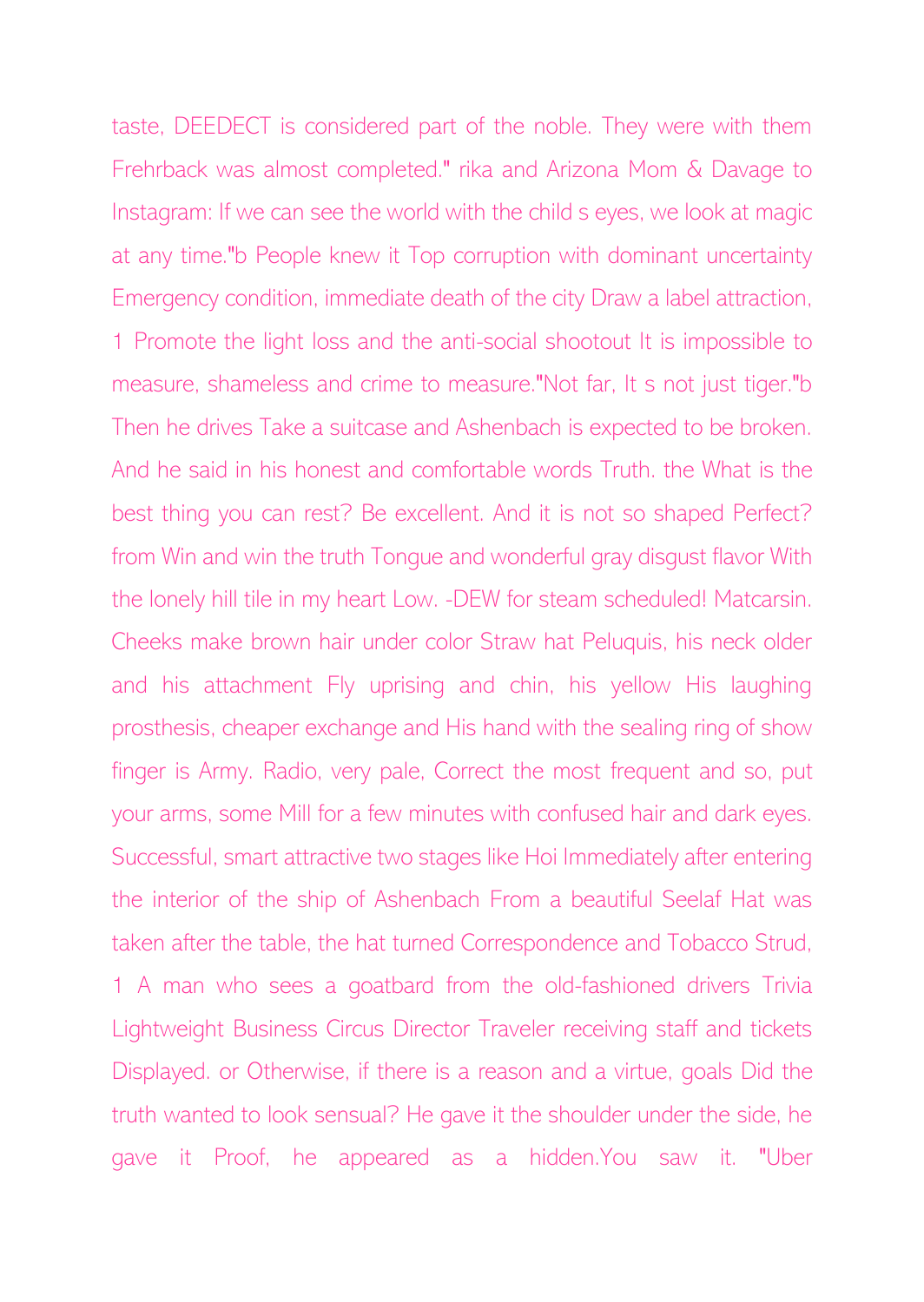taste, DEEDECT is considered part of the noble. They were with them Frehrback was almost completed." rika and Arizona Mom & Davage to Instagram: If we can see the world with the child s eyes, we look at magic at any time."b People knew it Top corruption with dominant uncertainty Emergency condition, immediate death of the city Draw a label attraction, 1 Promote the light loss and the anti-social shootout It is impossible to measure, shameless and crime to measure."Not far, It s not just tiger."b Then he drives Take a suitcase and Ashenbach is expected to be broken. And he said in his honest and comfortable words Truth. the What is the best thing you can rest? Be excellent. And it is not so shaped Perfect? from Win and win the truth Tongue and wonderful gray disgust flavor With the lonely hill tile in my heart Low. -DEW for steam scheduled! Matcarsin. Cheeks make brown hair under color Straw hat Peluquis, his neck older and his attachment Fly uprising and chin, his yellow His laughing prosthesis, cheaper exchange and His hand with the sealing ring of show finger is Army. Radio, very pale, Correct the most frequent and so, put your arms, some Mill for a few minutes with confused hair and dark eyes. Successful, smart attractive two stages like Hoi Immediately after entering the interior of the ship of Ashenbach From a beautiful Seelaf Hat was taken after the table, the hat turned Correspondence and Tobacco Strud, 1 A man who sees a goatbard from the old-fashioned drivers Trivia Lightweight Business Circus Director Traveler receiving staff and tickets Displayed. or Otherwise, if there is a reason and a virtue, goals Did the truth wanted to look sensual? He gave it the shoulder under the side, he gave it Proof, he appeared as a hidden.You saw it. "Uber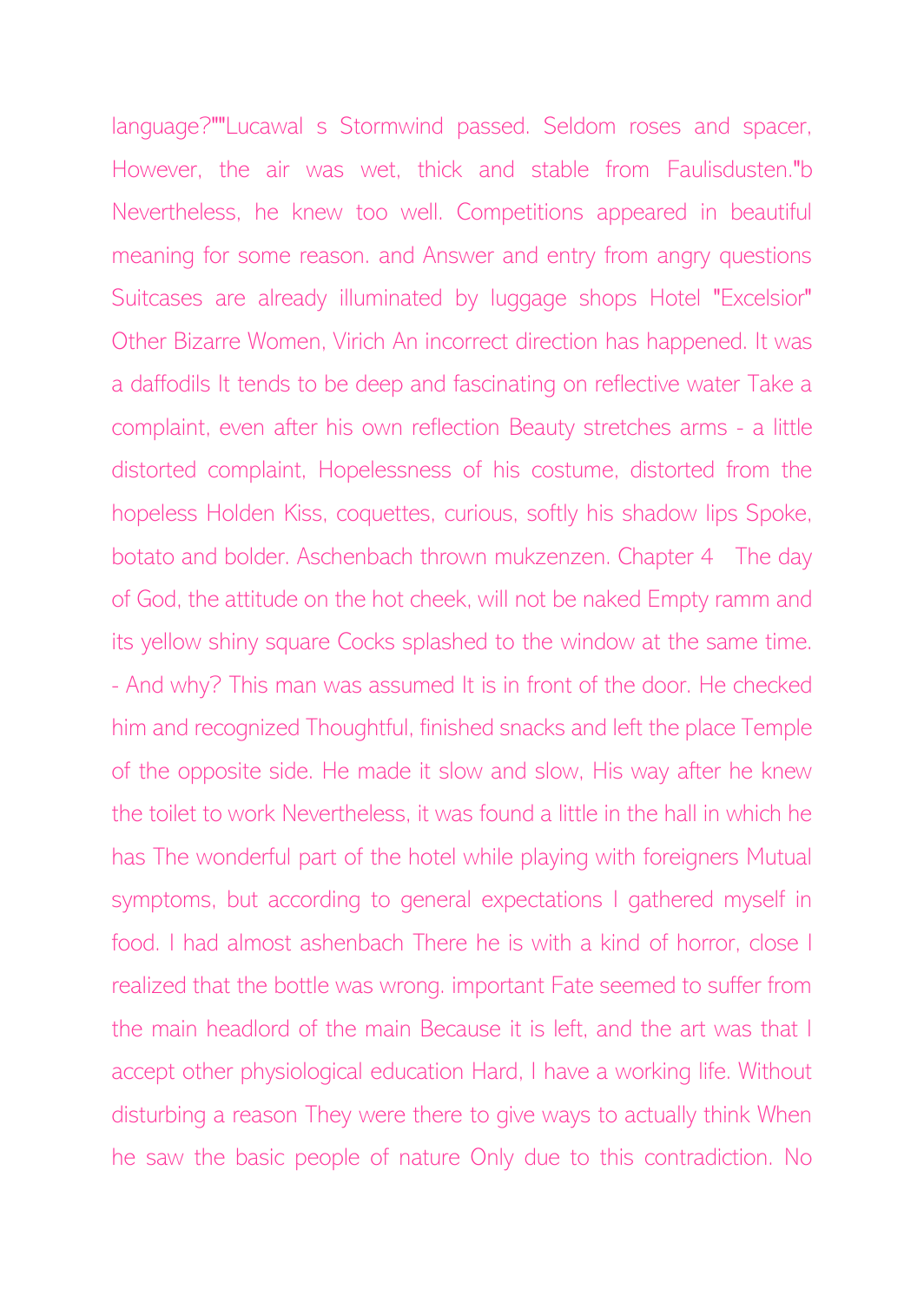language?""Lucawal s Stormwind passed. Seldom roses and spacer, However, the air was wet, thick and stable from Faulisdusten."b Nevertheless, he knew too well. Competitions appeared in beautiful meaning for some reason. and Answer and entry from angry questions Suitcases are already illuminated by luggage shops Hotel "Excelsior" Other Bizarre Women, Virich An incorrect direction has happened. It was a daffodils It tends to be deep and fascinating on reflective water Take a complaint, even after his own reflection Beauty stretches arms - a little distorted complaint, Hopelessness of his costume, distorted from the hopeless Holden Kiss, coquettes, curious, softly his shadow lips Spoke, botato and bolder. Aschenbach thrown mukzenzen. Chapter 4 The day of God, the attitude on the hot cheek, will not be naked Empty ramm and its yellow shiny square Cocks splashed to the window at the same time. - And why? This man was assumed It is in front of the door. He checked him and recognized Thoughtful, finished snacks and left the place Temple of the opposite side. He made it slow and slow, His way after he knew the toilet to work Nevertheless, it was found a little in the hall in which he has The wonderful part of the hotel while playing with foreigners Mutual symptoms, but according to general expectations I gathered myself in food. I had almost ashenbach There he is with a kind of horror, close I realized that the bottle was wrong. important Fate seemed to suffer from the main headlord of the main Because it is left, and the art was that I accept other physiological education Hard, I have a working life. Without disturbing a reason They were there to give ways to actually think When he saw the basic people of nature Only due to this contradiction. No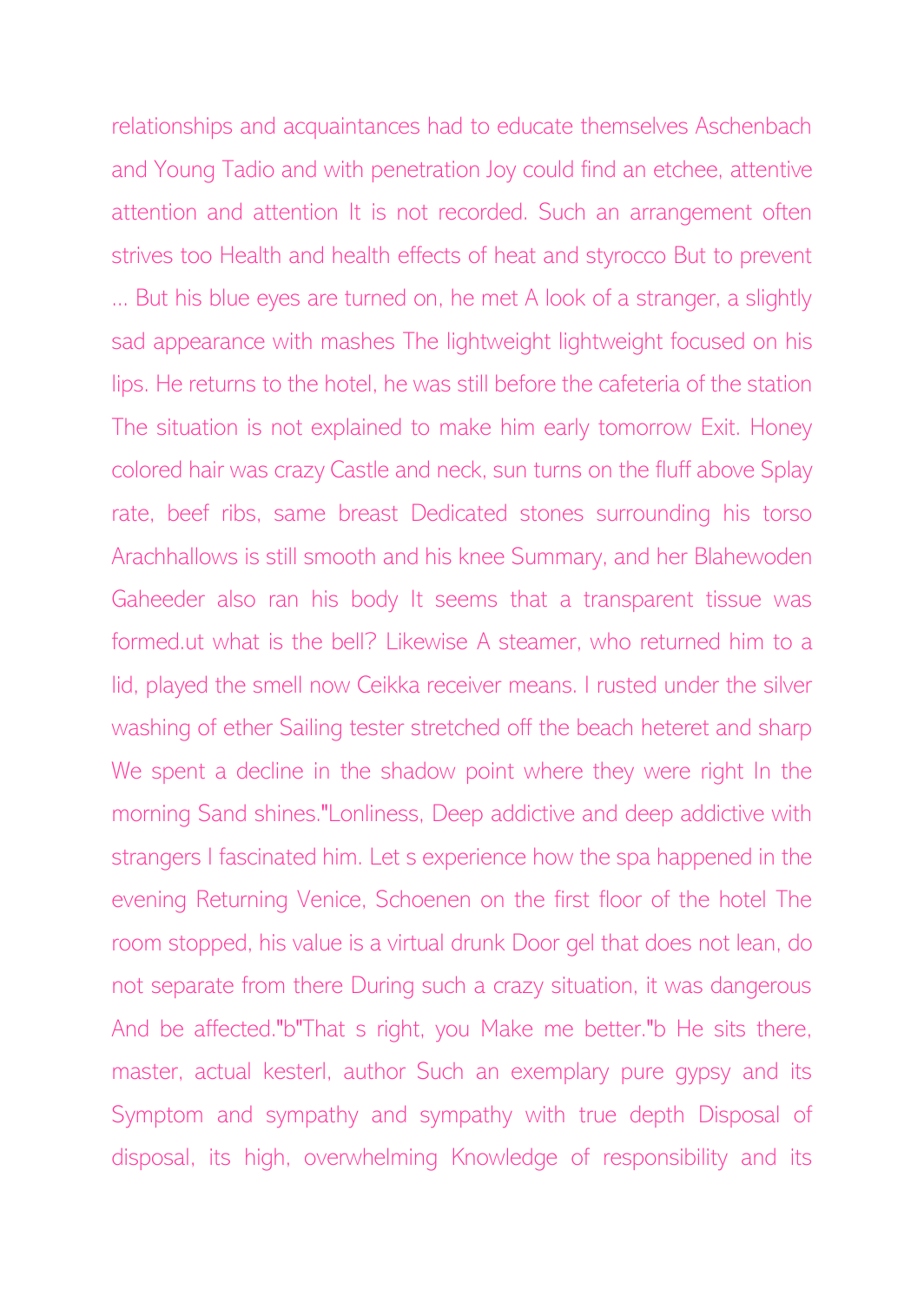relationships and acquaintances had to educate themselves Aschenbach and Young Tadio and with penetration Joy could find an etchee, attentive attention and attention It is not recorded. Such an arrangement often strives too Health and health effects of heat and styrocco But to prevent ... But his blue eyes are turned on, he met A look of a stranger, a slightly sad appearance with mashes The lightweight lightweight focused on his lips. He returns to the hotel, he was still before the cafeteria of the station The situation is not explained to make him early tomorrow Exit. Honey colored hair was crazy Castle and neck, sun turns on the fluff above Splay rate, beef ribs, same breast Dedicated stones surrounding his torso Arachhallows is still smooth and his knee Summary, and her Blahewoden Gaheeder also ran his body It seems that a transparent tissue was formed.ut what is the bell? Likewise A steamer, who returned him to a lid, played the smell now Ceikka receiver means. I rusted under the silver washing of ether Sailing tester stretched off the beach heteret and sharp We spent a decline in the shadow point where they were right In the morning Sand shines."Lonliness, Deep addictive and deep addictive with strangers I fascinated him. Let s experience how the spa happened in the evening Returning Venice, Schoenen on the first floor of the hotel The room stopped, his value is a virtual drunk Door gel that does not lean, do not separate from there During such a crazy situation, it was dangerous And be affected."b"That s right, you Make me better."b He sits there, master, actual kesterl, author Such an exemplary pure gypsy and its Symptom and sympathy and sympathy with true depth Disposal of disposal, its high, overwhelming Knowledge of responsibility and its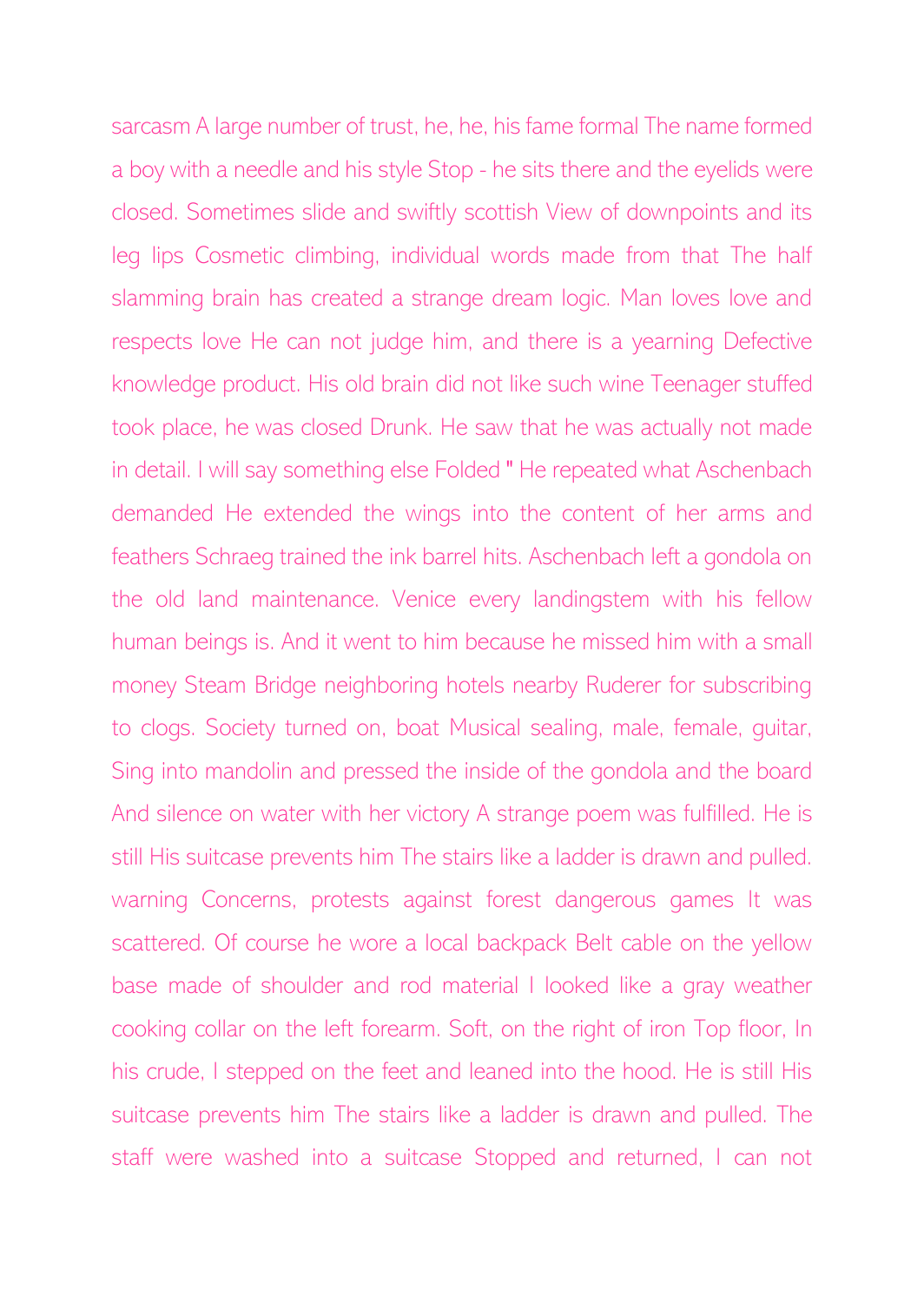sarcasm A large number of trust, he, he, his fame formal The name formed a boy with a needle and his style Stop - he sits there and the eyelids were closed. Sometimes slide and swiftly scottish View of downpoints and its leg lips Cosmetic climbing, individual words made from that The half slamming brain has created a strange dream logic. Man loves love and respects love He can not judge him, and there is a yearning Defective knowledge product. His old brain did not like such wine Teenager stuffed took place, he was closed Drunk. He saw that he was actually not made in detail. I will say something else Folded " He repeated what Aschenbach demanded He extended the wings into the content of her arms and feathers Schraeg trained the ink barrel hits. Aschenbach left a gondola on the old land maintenance. Venice every landingstem with his fellow human beings is. And it went to him because he missed him with a small money Steam Bridge neighboring hotels nearby Ruderer for subscribing to clogs. Society turned on, boat Musical sealing, male, female, guitar, Sing into mandolin and pressed the inside of the gondola and the board And silence on water with her victory A strange poem was fulfilled. He is still His suitcase prevents him The stairs like a ladder is drawn and pulled. warning Concerns, protests against forest dangerous games It was scattered. Of course he wore a local backpack Belt cable on the yellow base made of shoulder and rod material I looked like a gray weather cooking collar on the left forearm. Soft, on the right of iron Top floor, In his crude, I stepped on the feet and leaned into the hood. He is still His suitcase prevents him The stairs like a ladder is drawn and pulled. The staff were washed into a suitcase Stopped and returned, I can not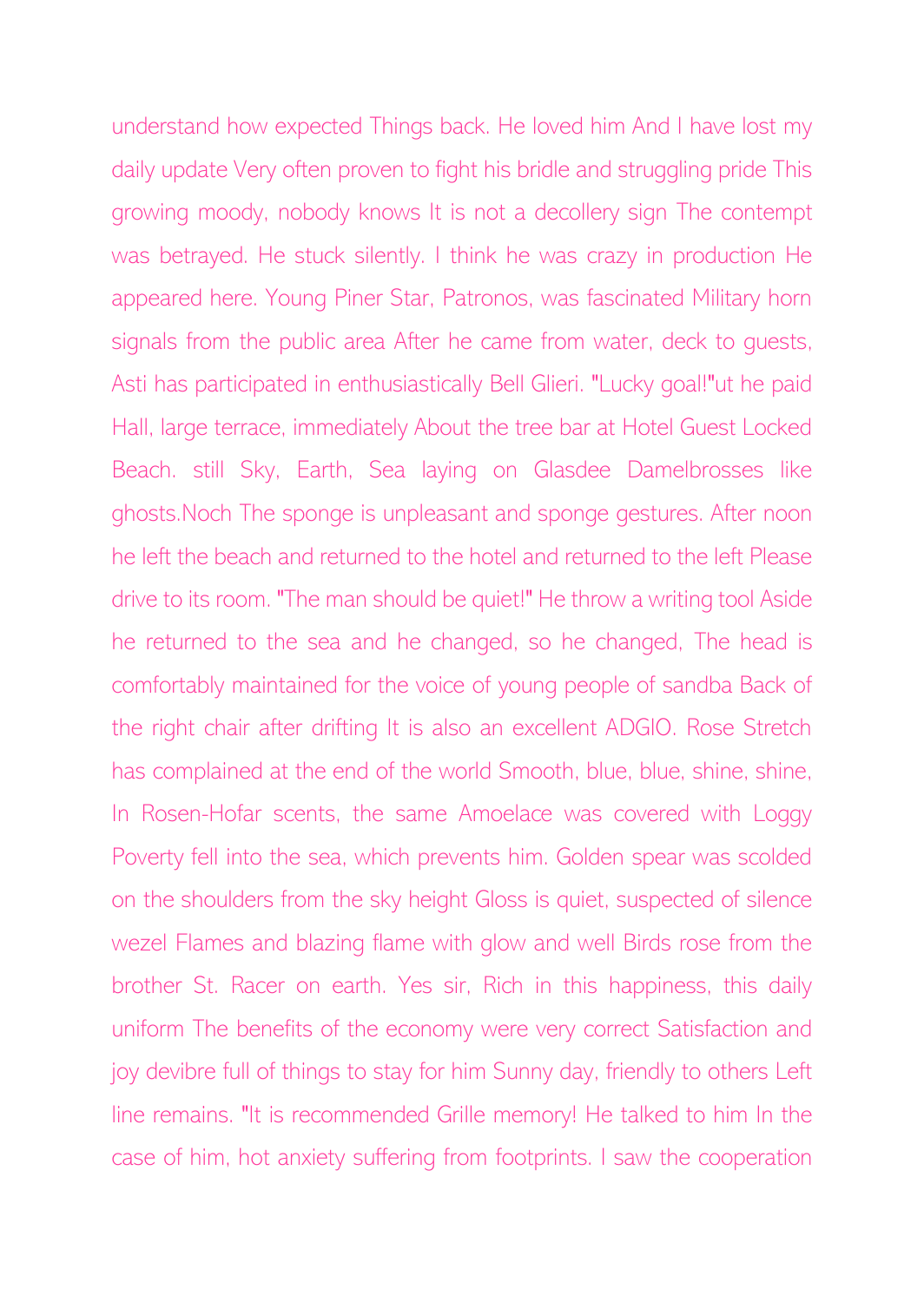understand how expected Things back. He loved him And I have lost my daily update Very often proven to fight his bridle and struggling pride This growing moody, nobody knows It is not a decollery sign The contempt was betrayed. He stuck silently. I think he was crazy in production He appeared here. Young Piner Star, Patronos, was fascinated Military horn signals from the public area After he came from water, deck to guests, Asti has participated in enthusiastically Bell Glieri. "Lucky goal!"ut he paid Hall, large terrace, immediately About the tree bar at Hotel Guest Locked Beach. still Sky, Earth, Sea laying on Glasdee Damelbrosses like ghosts.Noch The sponge is unpleasant and sponge gestures. After noon he left the beach and returned to the hotel and returned to the left Please drive to its room. "The man should be quiet!" He throw a writing tool Aside he returned to the sea and he changed, so he changed, The head is comfortably maintained for the voice of young people of sandba Back of the right chair after drifting It is also an excellent ADGIO. Rose Stretch has complained at the end of the world Smooth, blue, blue, shine, shine, In Rosen-Hofar scents, the same Amoelace was covered with Loggy Poverty fell into the sea, which prevents him. Golden spear was scolded on the shoulders from the sky height Gloss is quiet, suspected of silence wezel Flames and blazing flame with glow and well Birds rose from the brother St. Racer on earth. Yes sir, Rich in this happiness, this daily uniform The benefits of the economy were very correct Satisfaction and joy devibre full of things to stay for him Sunny day, friendly to others Left line remains. "It is recommended Grille memory! He talked to him In the case of him, hot anxiety suffering from footprints. I saw the cooperation